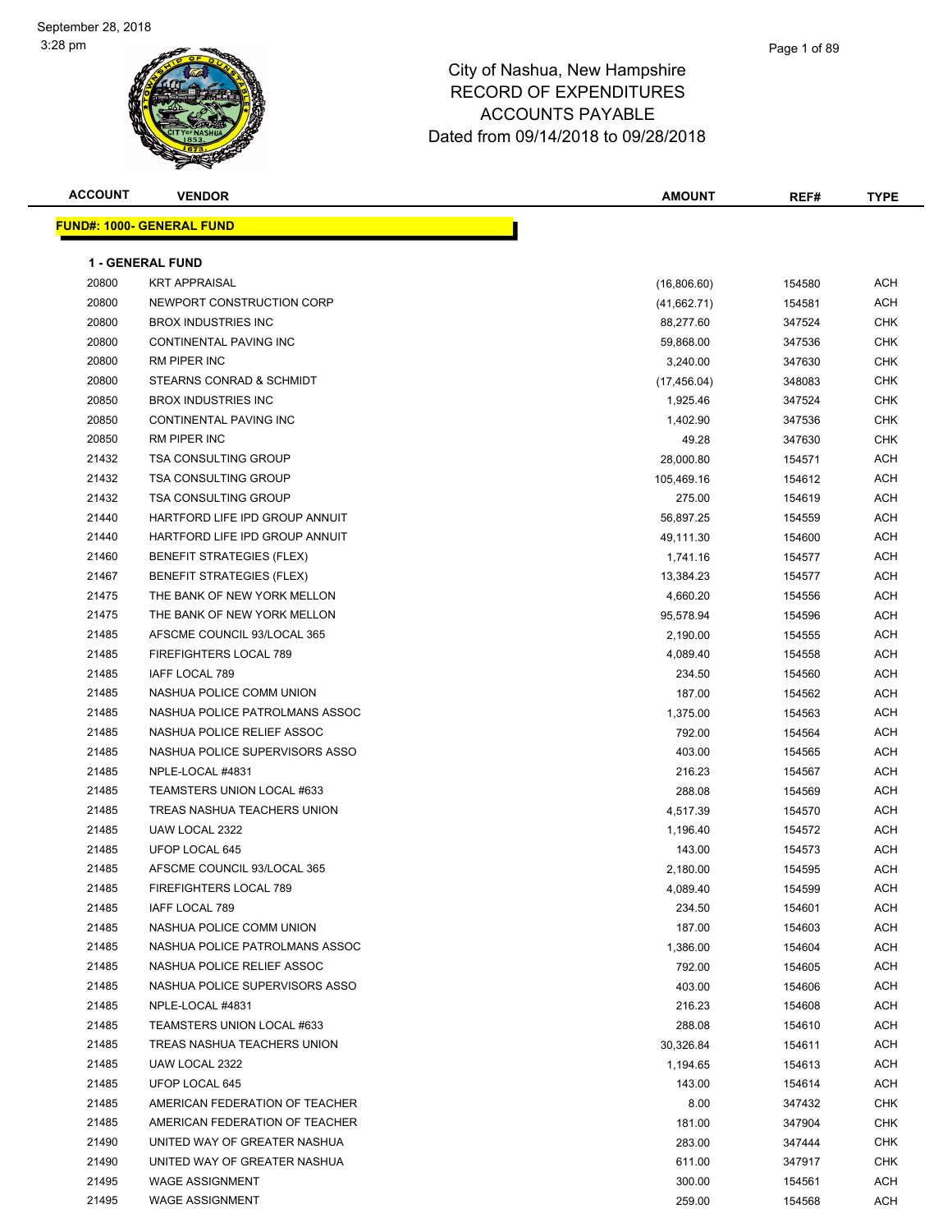#### Page 1 of 89

| <b>ACCOUNT</b> | <b>VENDOR</b>                    | AMOUNT       | REF#   | <b>TYPE</b> |
|----------------|----------------------------------|--------------|--------|-------------|
|                | <b>FUND#: 1000- GENERAL FUND</b> |              |        |             |
|                |                                  |              |        |             |
|                | <b>1 - GENERAL FUND</b>          |              |        |             |
| 20800          | <b>KRT APPRAISAL</b>             | (16,806.60)  | 154580 | ACH         |
| 20800          | NEWPORT CONSTRUCTION CORP        | (41,662.71)  | 154581 | ACH         |
| 20800          | <b>BROX INDUSTRIES INC</b>       | 88,277.60    | 347524 | <b>CHK</b>  |
| 20800          | <b>CONTINENTAL PAVING INC</b>    | 59,868.00    | 347536 | <b>CHK</b>  |
| 20800          | <b>RM PIPER INC</b>              | 3,240.00     | 347630 | <b>CHK</b>  |
| 20800          | STEARNS CONRAD & SCHMIDT         | (17, 456.04) | 348083 | <b>CHK</b>  |
| 20850          | <b>BROX INDUSTRIES INC</b>       | 1,925.46     | 347524 | CHK         |
| 20850          | CONTINENTAL PAVING INC           | 1,402.90     | 347536 | <b>CHK</b>  |
| 20850          | RM PIPER INC                     | 49.28        | 347630 | <b>CHK</b>  |
| 21432          | <b>TSA CONSULTING GROUP</b>      | 28,000.80    | 154571 | ACH         |
| 21432          | <b>TSA CONSULTING GROUP</b>      | 105,469.16   | 154612 | ACH         |
| 21432          | <b>TSA CONSULTING GROUP</b>      | 275.00       | 154619 | <b>ACH</b>  |
| 21440          | HARTFORD LIFE IPD GROUP ANNUIT   | 56,897.25    | 154559 | ACH         |
| 21440          | HARTFORD LIFE IPD GROUP ANNUIT   | 49,111.30    | 154600 | <b>ACH</b>  |
| 21460          | <b>BENEFIT STRATEGIES (FLEX)</b> | 1,741.16     | 154577 | ACH         |
| 21467          | <b>BENEFIT STRATEGIES (FLEX)</b> | 13,384.23    | 154577 | ACH         |
| 21475          | THE BANK OF NEW YORK MELLON      | 4,660.20     | 154556 | <b>ACH</b>  |
| 21475          | THE BANK OF NEW YORK MELLON      | 95,578.94    | 154596 | <b>ACH</b>  |
| 21485          | AFSCME COUNCIL 93/LOCAL 365      | 2,190.00     | 154555 | ACH         |
| 21485          | FIREFIGHTERS LOCAL 789           | 4,089.40     | 154558 | <b>ACH</b>  |
| 21485          | IAFF LOCAL 789                   | 234.50       | 154560 | ACH         |
| 21485          | NASHUA POLICE COMM UNION         | 187.00       | 154562 | <b>ACH</b>  |
| 21485          | NASHUA POLICE PATROLMANS ASSOC   | 1,375.00     | 154563 | <b>ACH</b>  |
| 21485          | NASHUA POLICE RELIEF ASSOC       | 792.00       | 154564 | <b>ACH</b>  |
| 21485          | NASHUA POLICE SUPERVISORS ASSO   | 403.00       | 154565 | <b>ACH</b>  |
| 21485          | NPLE-LOCAL #4831                 | 216.23       | 154567 | <b>ACH</b>  |
| 21485          | TEAMSTERS UNION LOCAL #633       | 288.08       | 154569 | <b>ACH</b>  |
| 21485          | TREAS NASHUA TEACHERS UNION      | 4,517.39     | 154570 | <b>ACH</b>  |
| 21485          | UAW LOCAL 2322                   | 1,196.40     | 154572 | ACH         |
| 21485          | UFOP LOCAL 645                   | 143.00       | 154573 | ACH         |
| 21485          | AFSCME COUNCIL 93/LOCAL 365      | 2,180.00     | 154595 | <b>ACH</b>  |
| 21485          | FIREFIGHTERS LOCAL 789           | 4,089.40     | 154599 | ACH         |
| 21485          | IAFF LOCAL 789                   | 234.50       | 154601 | ACH         |
| 21485          | NASHUA POLICE COMM UNION         | 187.00       | 154603 | ACH         |
| 21485          | NASHUA POLICE PATROLMANS ASSOC   | 1,386.00     | 154604 | ACH         |
| 21485          | NASHUA POLICE RELIEF ASSOC       | 792.00       | 154605 | ACH         |
| 21485          | NASHUA POLICE SUPERVISORS ASSO   | 403.00       | 154606 | ACH         |
| 21485          | NPLE-LOCAL #4831                 | 216.23       | 154608 | ACH         |
| 21485          | TEAMSTERS UNION LOCAL #633       | 288.08       | 154610 | ACH         |
| 21485          | TREAS NASHUA TEACHERS UNION      | 30,326.84    | 154611 | ACH         |
| 21485          | UAW LOCAL 2322                   | 1,194.65     | 154613 | ACH         |
| 21485          | UFOP LOCAL 645                   | 143.00       | 154614 | ACH         |
| 21485          | AMERICAN FEDERATION OF TEACHER   | 8.00         | 347432 | CHK         |
| 21485          | AMERICAN FEDERATION OF TEACHER   | 181.00       | 347904 | CHK         |
| 21490          | UNITED WAY OF GREATER NASHUA     | 283.00       | 347444 | CHK         |
| 21490          | UNITED WAY OF GREATER NASHUA     | 611.00       | 347917 | CHK         |
| 21495          | <b>WAGE ASSIGNMENT</b>           | 300.00       | 154561 | ACH         |
| 21495          | <b>WAGE ASSIGNMENT</b>           | 259.00       | 154568 | ACH         |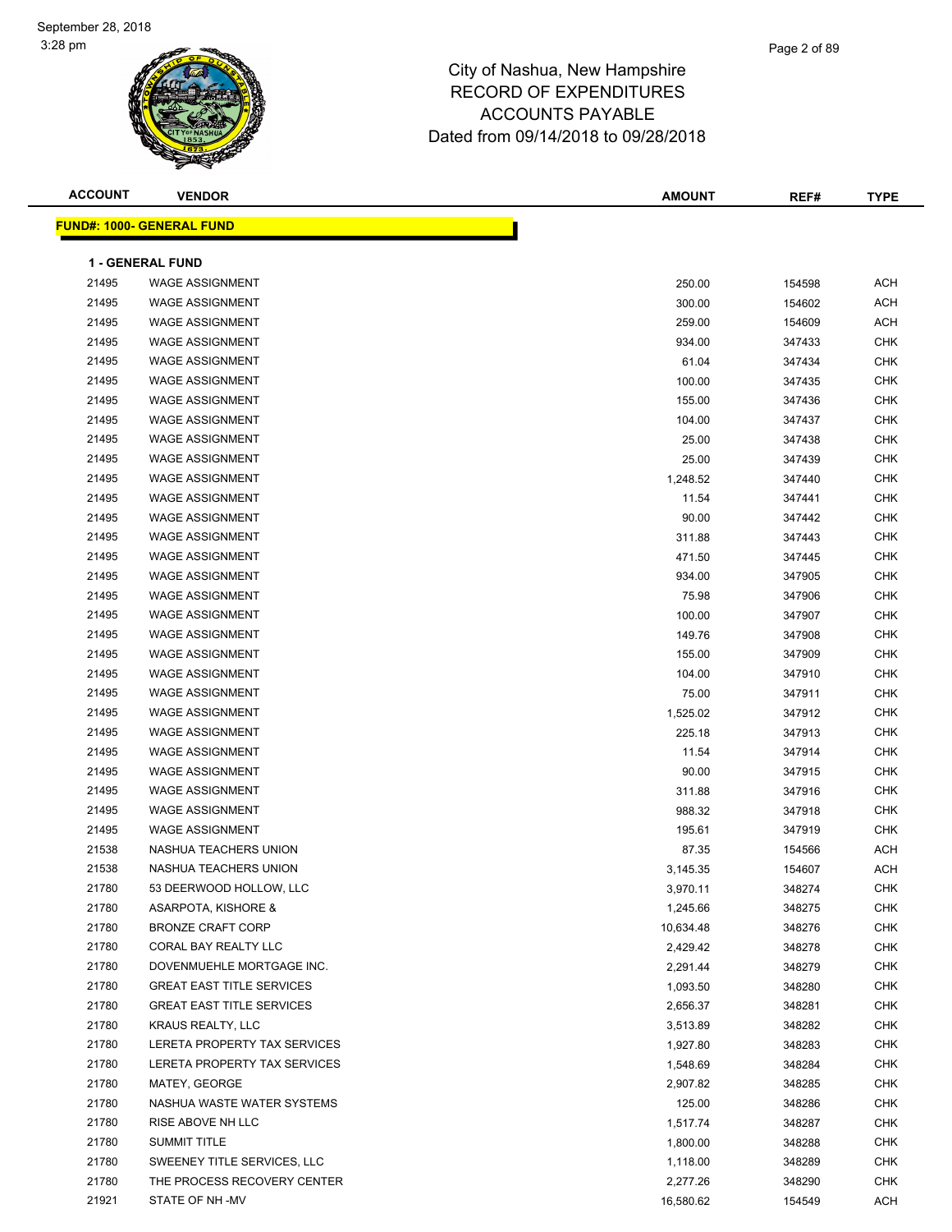#### Page 2 of 89

| <b>ACCOUNT</b> | <b>VENDOR</b>                    | <b>AMOUNT</b> | REF#   | <b>TYPE</b> |
|----------------|----------------------------------|---------------|--------|-------------|
|                | <b>FUND#: 1000- GENERAL FUND</b> |               |        |             |
|                |                                  |               |        |             |
|                | <b>1 - GENERAL FUND</b>          |               |        |             |
| 21495          | <b>WAGE ASSIGNMENT</b>           | 250.00        | 154598 | <b>ACH</b>  |
| 21495          | <b>WAGE ASSIGNMENT</b>           | 300.00        | 154602 | <b>ACH</b>  |
| 21495          | <b>WAGE ASSIGNMENT</b>           | 259.00        | 154609 | <b>ACH</b>  |
| 21495          | <b>WAGE ASSIGNMENT</b>           | 934.00        | 347433 | <b>CHK</b>  |
| 21495          | <b>WAGE ASSIGNMENT</b>           | 61.04         | 347434 | <b>CHK</b>  |
| 21495          | <b>WAGE ASSIGNMENT</b>           | 100.00        | 347435 | <b>CHK</b>  |
| 21495          | <b>WAGE ASSIGNMENT</b>           | 155.00        | 347436 | <b>CHK</b>  |
| 21495          | <b>WAGE ASSIGNMENT</b>           | 104.00        | 347437 | <b>CHK</b>  |
| 21495          | <b>WAGE ASSIGNMENT</b>           | 25.00         | 347438 | <b>CHK</b>  |
| 21495          | <b>WAGE ASSIGNMENT</b>           | 25.00         | 347439 | <b>CHK</b>  |
| 21495          | <b>WAGE ASSIGNMENT</b>           | 1,248.52      | 347440 | <b>CHK</b>  |
| 21495          | <b>WAGE ASSIGNMENT</b>           | 11.54         | 347441 | <b>CHK</b>  |
| 21495          | <b>WAGE ASSIGNMENT</b>           | 90.00         | 347442 | <b>CHK</b>  |
| 21495          | <b>WAGE ASSIGNMENT</b>           | 311.88        | 347443 | <b>CHK</b>  |
| 21495          | <b>WAGE ASSIGNMENT</b>           | 471.50        | 347445 | <b>CHK</b>  |
| 21495          | <b>WAGE ASSIGNMENT</b>           | 934.00        | 347905 | <b>CHK</b>  |
| 21495          | <b>WAGE ASSIGNMENT</b>           | 75.98         | 347906 | <b>CHK</b>  |
| 21495          | <b>WAGE ASSIGNMENT</b>           | 100.00        | 347907 | <b>CHK</b>  |
| 21495          | <b>WAGE ASSIGNMENT</b>           | 149.76        | 347908 | <b>CHK</b>  |
| 21495          | <b>WAGE ASSIGNMENT</b>           | 155.00        | 347909 | <b>CHK</b>  |
| 21495          | <b>WAGE ASSIGNMENT</b>           | 104.00        | 347910 | <b>CHK</b>  |
| 21495          | <b>WAGE ASSIGNMENT</b>           | 75.00         | 347911 | <b>CHK</b>  |
| 21495          | <b>WAGE ASSIGNMENT</b>           | 1,525.02      | 347912 | <b>CHK</b>  |
| 21495          | <b>WAGE ASSIGNMENT</b>           | 225.18        | 347913 | <b>CHK</b>  |
| 21495          | <b>WAGE ASSIGNMENT</b>           | 11.54         | 347914 | <b>CHK</b>  |
| 21495          | <b>WAGE ASSIGNMENT</b>           | 90.00         | 347915 | <b>CHK</b>  |
| 21495          | <b>WAGE ASSIGNMENT</b>           | 311.88        | 347916 | <b>CHK</b>  |
| 21495          | <b>WAGE ASSIGNMENT</b>           | 988.32        | 347918 | <b>CHK</b>  |
| 21495          | <b>WAGE ASSIGNMENT</b>           | 195.61        | 347919 | <b>CHK</b>  |
| 21538          | NASHUA TEACHERS UNION            | 87.35         | 154566 | ACH         |
| 21538          | NASHUA TEACHERS UNION            | 3,145.35      | 154607 | <b>ACH</b>  |
| 21780          | 53 DEERWOOD HOLLOW, LLC          | 3,970.11      | 348274 | <b>CHK</b>  |
| 21780          | <b>ASARPOTA, KISHORE &amp;</b>   | 1,245.66      | 348275 | <b>CHK</b>  |
| 21780          | <b>BRONZE CRAFT CORP</b>         | 10,634.48     | 348276 | <b>CHK</b>  |
| 21780          | CORAL BAY REALTY LLC             | 2,429.42      | 348278 | <b>CHK</b>  |
| 21780          | DOVENMUEHLE MORTGAGE INC.        | 2,291.44      | 348279 | <b>CHK</b>  |
| 21780          | <b>GREAT EAST TITLE SERVICES</b> | 1,093.50      | 348280 | CHK         |
| 21780          | <b>GREAT EAST TITLE SERVICES</b> | 2,656.37      | 348281 | CHK         |
| 21780          | KRAUS REALTY, LLC                | 3,513.89      | 348282 | CHK         |
| 21780          | LERETA PROPERTY TAX SERVICES     | 1,927.80      | 348283 | CHK         |
| 21780          | LERETA PROPERTY TAX SERVICES     | 1,548.69      | 348284 | <b>CHK</b>  |
| 21780          | MATEY, GEORGE                    | 2,907.82      | 348285 | CHK         |
| 21780          | NASHUA WASTE WATER SYSTEMS       | 125.00        | 348286 | CHK         |
| 21780          | RISE ABOVE NH LLC                | 1,517.74      | 348287 | <b>CHK</b>  |
| 21780          | <b>SUMMIT TITLE</b>              | 1,800.00      | 348288 | CHK         |
| 21780          | SWEENEY TITLE SERVICES, LLC      | 1,118.00      | 348289 | CHK         |
| 21780          | THE PROCESS RECOVERY CENTER      | 2,277.26      | 348290 | CHK         |
| 21921          | STATE OF NH-MV                   | 16,580.62     | 154549 | ACH         |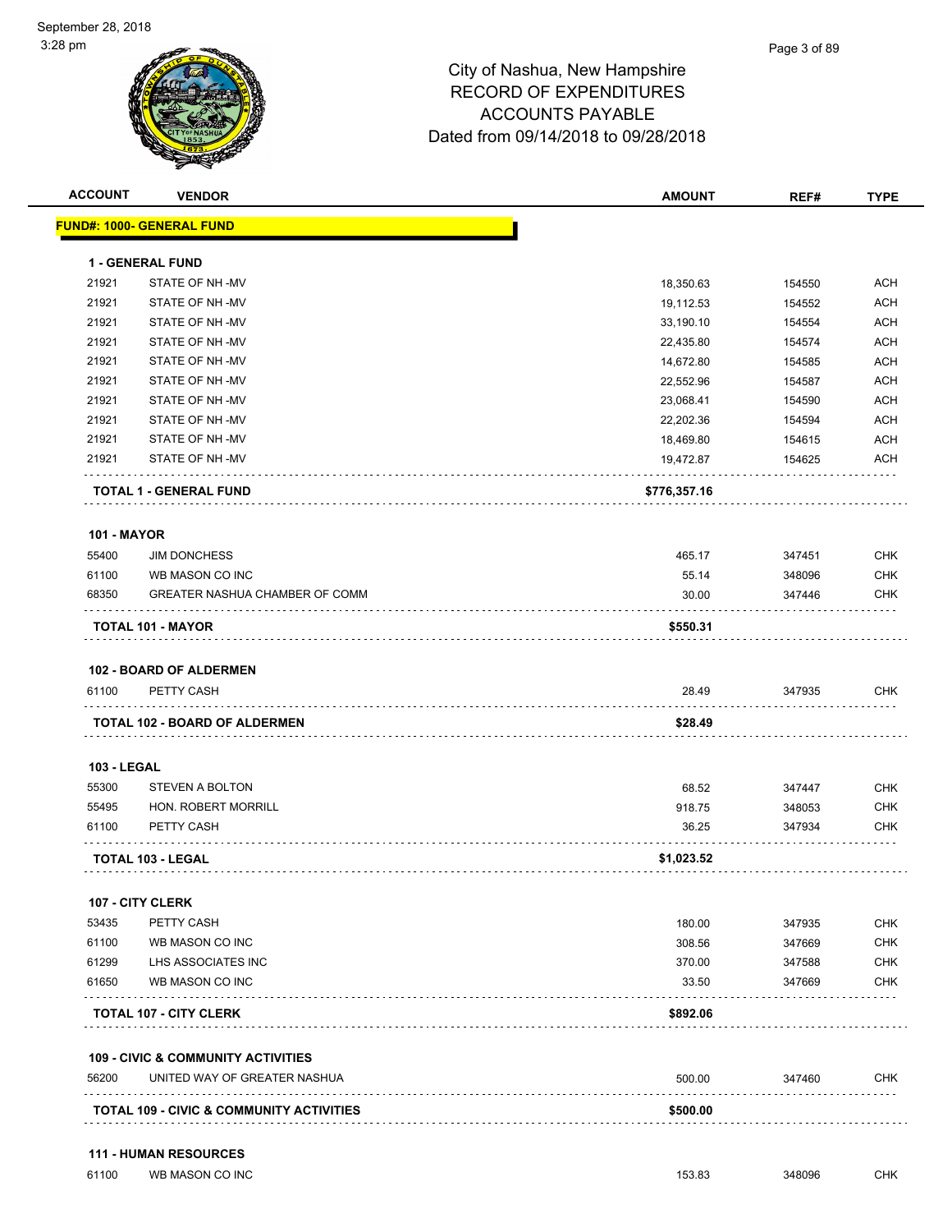| <b>ACCOUNT</b>     | <b>VENDOR</b>                                                                 | <b>AMOUNT</b> | REF#   | <b>TYPE</b> |
|--------------------|-------------------------------------------------------------------------------|---------------|--------|-------------|
|                    | <b>FUND#: 1000- GENERAL FUND</b>                                              |               |        |             |
|                    | 1 - GENERAL FUND                                                              |               |        |             |
| 21921              | STATE OF NH -MV                                                               | 18,350.63     | 154550 | <b>ACH</b>  |
| 21921              | STATE OF NH-MV                                                                | 19,112.53     | 154552 | <b>ACH</b>  |
| 21921              | STATE OF NH-MV                                                                | 33,190.10     | 154554 | <b>ACH</b>  |
| 21921              | STATE OF NH-MV                                                                | 22,435.80     | 154574 | <b>ACH</b>  |
| 21921              | STATE OF NH-MV                                                                | 14,672.80     | 154585 | <b>ACH</b>  |
| 21921              | STATE OF NH-MV                                                                | 22,552.96     | 154587 | <b>ACH</b>  |
| 21921              | STATE OF NH-MV                                                                | 23,068.41     | 154590 | <b>ACH</b>  |
| 21921              | STATE OF NH-MV                                                                | 22,202.36     | 154594 | <b>ACH</b>  |
| 21921              | STATE OF NH-MV                                                                | 18,469.80     | 154615 | <b>ACH</b>  |
| 21921              | STATE OF NH-MV                                                                | 19,472.87     | 154625 | <b>ACH</b>  |
|                    | <b>TOTAL 1 - GENERAL FUND</b>                                                 | \$776,357.16  |        |             |
| <b>101 - MAYOR</b> |                                                                               |               |        |             |
| 55400              | <b>JIM DONCHESS</b>                                                           | 465.17        | 347451 | <b>CHK</b>  |
| 61100              | WB MASON CO INC                                                               | 55.14         | 348096 | <b>CHK</b>  |
| 68350              | GREATER NASHUA CHAMBER OF COMM                                                | 30.00         | 347446 | <b>CHK</b>  |
|                    | TOTAL 101 - MAYOR                                                             | \$550.31      |        |             |
|                    |                                                                               |               |        |             |
|                    | <b>102 - BOARD OF ALDERMEN</b>                                                |               |        |             |
| 61100              | PETTY CASH                                                                    | 28.49         | 347935 | <b>CHK</b>  |
|                    | <b>TOTAL 102 - BOARD OF ALDERMEN</b>                                          | \$28.49       |        |             |
| <b>103 - LEGAL</b> |                                                                               |               |        |             |
| 55300              | STEVEN A BOLTON                                                               | 68.52         | 347447 | <b>CHK</b>  |
| 55495              | HON. ROBERT MORRILL                                                           | 918.75        | 348053 | <b>CHK</b>  |
| 61100              | PETTY CASH                                                                    | 36.25         | 347934 | <b>CHK</b>  |
|                    | <b>TOTAL 103 - LEGAL</b>                                                      | \$1,023.52    |        |             |
|                    | <b>107 - CITY CLERK</b>                                                       |               |        |             |
| 53435              | PETTY CASH                                                                    | 180.00        | 347935 | <b>CHK</b>  |
| 61100              | WB MASON CO INC                                                               | 308.56        | 347669 | <b>CHK</b>  |
| 61299              | LHS ASSOCIATES INC                                                            | 370.00        | 347588 | <b>CHK</b>  |
| 61650              | WB MASON CO INC                                                               | 33.50         | 347669 | <b>CHK</b>  |
|                    | <b>TOTAL 107 - CITY CLERK</b>                                                 | \$892.06      |        |             |
|                    |                                                                               |               |        |             |
| 56200              | <b>109 - CIVIC &amp; COMMUNITY ACTIVITIES</b><br>UNITED WAY OF GREATER NASHUA | 500.00        | 347460 | <b>CHK</b>  |
|                    |                                                                               |               |        |             |
|                    | TOTAL 109 - CIVIC & COMMUNITY ACTIVITIES                                      | \$500.00      |        |             |
|                    |                                                                               |               |        |             |
|                    | <b>111 - HUMAN RESOURCES</b>                                                  |               |        |             |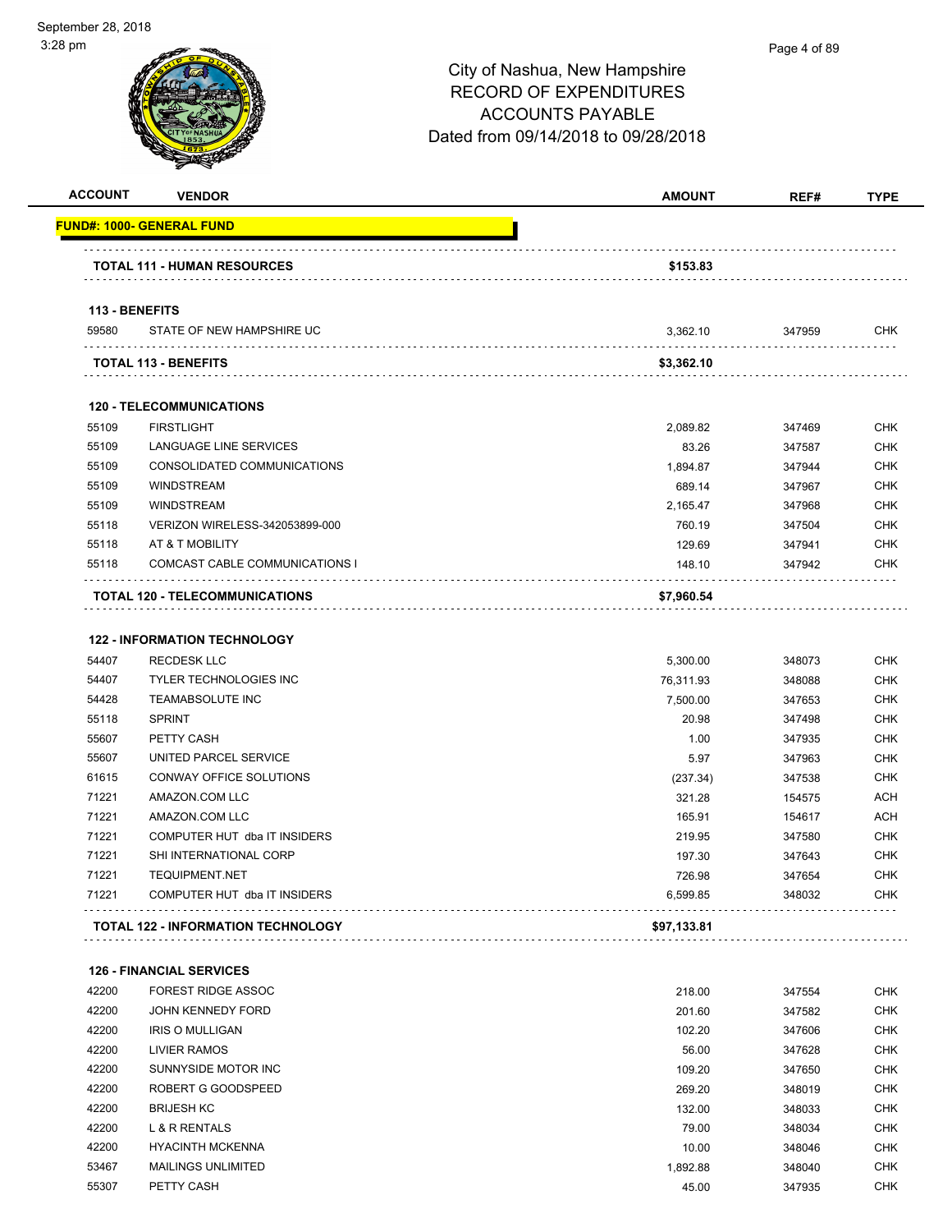| <b>ACCOUNT</b> | <b>VENDOR</b>                                        | <b>AMOUNT</b> | REF#   | <b>TYPE</b> |
|----------------|------------------------------------------------------|---------------|--------|-------------|
|                | <b>FUND#: 1000- GENERAL FUND</b>                     |               |        |             |
|                | <b>TOTAL 111 - HUMAN RESOURCES</b>                   | \$153.83      |        |             |
|                |                                                      |               |        |             |
|                | 113 - BENEFITS                                       |               |        |             |
| 59580          | STATE OF NEW HAMPSHIRE UC                            | 3,362.10      | 347959 | <b>CHK</b>  |
|                | <b>TOTAL 113 - BENEFITS</b>                          | \$3,362.10    |        |             |
|                |                                                      |               |        |             |
| 55109          | <b>120 - TELECOMMUNICATIONS</b><br><b>FIRSTLIGHT</b> |               |        | <b>CHK</b>  |
| 55109          |                                                      | 2,089.82      | 347469 |             |
|                | LANGUAGE LINE SERVICES                               | 83.26         | 347587 | <b>CHK</b>  |
| 55109          | CONSOLIDATED COMMUNICATIONS                          | 1,894.87      | 347944 | <b>CHK</b>  |
| 55109          | <b>WINDSTREAM</b>                                    | 689.14        | 347967 | <b>CHK</b>  |
| 55109          | <b>WINDSTREAM</b>                                    | 2,165.47      | 347968 | <b>CHK</b>  |
| 55118          | VERIZON WIRELESS-342053899-000                       | 760.19        | 347504 | <b>CHK</b>  |
| 55118          | AT & T MOBILITY                                      | 129.69        | 347941 | <b>CHK</b>  |
| 55118          | COMCAST CABLE COMMUNICATIONS I                       | 148.10        | 347942 | <b>CHK</b>  |
|                | TOTAL 120 - TELECOMMUNICATIONS                       | \$7,960.54    |        |             |
|                | <b>122 - INFORMATION TECHNOLOGY</b>                  |               |        |             |
| 54407          | <b>RECDESK LLC</b>                                   | 5,300.00      | 348073 | <b>CHK</b>  |
| 54407          | <b>TYLER TECHNOLOGIES INC</b>                        | 76,311.93     | 348088 | <b>CHK</b>  |
| 54428          | <b>TEAMABSOLUTE INC</b>                              | 7,500.00      | 347653 | <b>CHK</b>  |
| 55118          | <b>SPRINT</b>                                        | 20.98         | 347498 | <b>CHK</b>  |
| 55607          | PETTY CASH                                           | 1.00          | 347935 | <b>CHK</b>  |
| 55607          | UNITED PARCEL SERVICE                                | 5.97          | 347963 | <b>CHK</b>  |
| 61615          | CONWAY OFFICE SOLUTIONS                              | (237.34)      | 347538 | <b>CHK</b>  |
| 71221          | AMAZON.COM LLC                                       | 321.28        | 154575 | <b>ACH</b>  |
| 71221          | AMAZON.COM LLC                                       | 165.91        | 154617 | <b>ACH</b>  |
| 71221          | COMPUTER HUT dba IT INSIDERS                         | 219.95        | 347580 | <b>CHK</b>  |
| 71221          | SHI INTERNATIONAL CORP                               | 197.30        | 347643 | <b>CHK</b>  |
| 71221          | <b>TEQUIPMENT.NET</b>                                | 726.98        | 347654 | <b>CHK</b>  |
| 71221          | COMPUTER HUT dba IT INSIDERS                         | 6,599.85      | 348032 | <b>CHK</b>  |
|                |                                                      |               |        |             |
|                | <b>TOTAL 122 - INFORMATION TECHNOLOGY</b>            | \$97,133.81   |        |             |
|                | <b>126 - FINANCIAL SERVICES</b>                      |               |        |             |
| 42200          | FOREST RIDGE ASSOC                                   | 218.00        | 347554 | <b>CHK</b>  |
| 42200          | <b>JOHN KENNEDY FORD</b>                             | 201.60        | 347582 | <b>CHK</b>  |
| 42200          | <b>IRIS O MULLIGAN</b>                               | 102.20        | 347606 | <b>CHK</b>  |
| 42200          | LIVIER RAMOS                                         | 56.00         | 347628 | <b>CHK</b>  |
| 42200          | SUNNYSIDE MOTOR INC                                  | 109.20        | 347650 | <b>CHK</b>  |
| 42200          | ROBERT G GOODSPEED                                   | 269.20        | 348019 | <b>CHK</b>  |
| 42200          | <b>BRIJESH KC</b>                                    | 132.00        | 348033 | <b>CHK</b>  |
| 42200          | L & R RENTALS                                        | 79.00         | 348034 | <b>CHK</b>  |
| 42200          | <b>HYACINTH MCKENNA</b>                              | 10.00         | 348046 | <b>CHK</b>  |
| 53467          | <b>MAILINGS UNLIMITED</b>                            | 1,892.88      | 348040 | <b>CHK</b>  |
| 55307          | PETTY CASH                                           | 45.00         | 347935 | <b>CHK</b>  |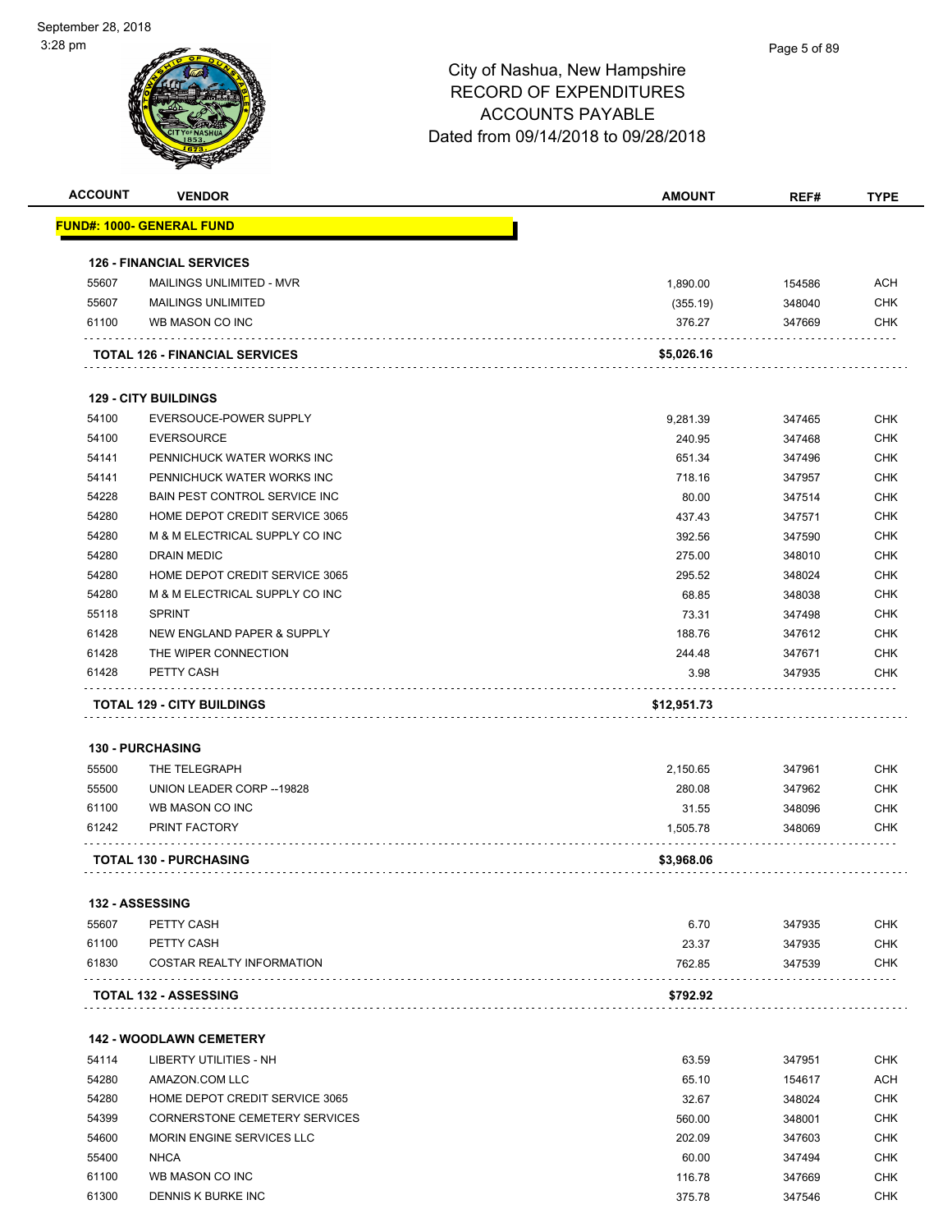# Page 5 of 89

| <b>ACCOUNT</b> | <b>VENDOR</b>                         | <b>AMOUNT</b> | REF#   | <b>TYPE</b> |
|----------------|---------------------------------------|---------------|--------|-------------|
|                | <u> FUND#: 1000- GENERAL FUND</u>     |               |        |             |
|                | <b>126 - FINANCIAL SERVICES</b>       |               |        |             |
| 55607          | MAILINGS UNLIMITED - MVR              | 1.890.00      | 154586 | <b>ACH</b>  |
| 55607          | <b>MAILINGS UNLIMITED</b>             | (355.19)      | 348040 | <b>CHK</b>  |
| 61100          | WB MASON CO INC                       | 376.27        | 347669 | <b>CHK</b>  |
|                | <b>TOTAL 126 - FINANCIAL SERVICES</b> | \$5,026.16    |        |             |
|                | <b>129 - CITY BUILDINGS</b>           |               |        |             |
| 54100          | EVERSOUCE-POWER SUPPLY                | 9,281.39      | 347465 | <b>CHK</b>  |
| 54100          | <b>EVERSOURCE</b>                     | 240.95        | 347468 | <b>CHK</b>  |
| 54141          | PENNICHUCK WATER WORKS INC            | 651.34        | 347496 | <b>CHK</b>  |
| 54141          | PENNICHUCK WATER WORKS INC            | 718.16        | 347957 | <b>CHK</b>  |
| 54228          | <b>BAIN PEST CONTROL SERVICE INC</b>  | 80.00         | 347514 | <b>CHK</b>  |
| 54280          | HOME DEPOT CREDIT SERVICE 3065        | 437.43        | 347571 | <b>CHK</b>  |
| 54280          | M & M ELECTRICAL SUPPLY CO INC        | 392.56        | 347590 | <b>CHK</b>  |
| 54280          | <b>DRAIN MEDIC</b>                    | 275.00        | 348010 | <b>CHK</b>  |
|                | HOME DEPOT CREDIT SERVICE 3065        | 295.52        |        |             |
| 54280          |                                       |               | 348024 | <b>CHK</b>  |
| 54280          | M & M ELECTRICAL SUPPLY CO INC        | 68.85         | 348038 | <b>CHK</b>  |
| 55118          | <b>SPRINT</b>                         | 73.31         | 347498 | <b>CHK</b>  |
| 61428          | NEW ENGLAND PAPER & SUPPLY            | 188.76        | 347612 | <b>CHK</b>  |
| 61428          | THE WIPER CONNECTION                  | 244.48        | 347671 | <b>CHK</b>  |
| 61428          | PETTY CASH                            | 3.98          | 347935 | <b>CHK</b>  |
|                | <b>TOTAL 129 - CITY BUILDINGS</b>     | \$12,951.73   |        |             |
|                | <b>130 - PURCHASING</b>               |               |        |             |
| 55500          | THE TELEGRAPH                         | 2,150.65      | 347961 | <b>CHK</b>  |
| 55500          | UNION LEADER CORP -- 19828            | 280.08        | 347962 | <b>CHK</b>  |
| 61100          | WB MASON CO INC                       |               | 348096 | <b>CHK</b>  |
|                |                                       | 31.55         |        |             |
| 61242          | PRINT FACTORY                         | 1,505.78      | 348069 | <b>CHK</b>  |
|                | <b>TOTAL 130 - PURCHASING</b>         | \$3,968.06    |        |             |
|                | 132 - ASSESSING                       |               |        |             |
| 55607          | PETTY CASH                            | 6.70          | 347935 | <b>CHK</b>  |
| 61100          | PETTY CASH                            | 23.37         | 347935 | <b>CHK</b>  |
| 61830          | <b>COSTAR REALTY INFORMATION</b>      | 762.85        | 347539 | <b>CHK</b>  |
|                | <b>TOTAL 132 - ASSESSING</b>          | \$792.92      |        |             |
|                |                                       |               |        |             |
|                | <b>142 - WOODLAWN CEMETERY</b>        |               |        |             |
| 54114          | LIBERTY UTILITIES - NH                | 63.59         | 347951 | <b>CHK</b>  |
| 54280          | AMAZON.COM LLC                        | 65.10         | 154617 | <b>ACH</b>  |
| 54280          | HOME DEPOT CREDIT SERVICE 3065        | 32.67         | 348024 | <b>CHK</b>  |
| 54399          | CORNERSTONE CEMETERY SERVICES         | 560.00        | 348001 | <b>CHK</b>  |
| 54600          | MORIN ENGINE SERVICES LLC             | 202.09        | 347603 | <b>CHK</b>  |
| 55400          | <b>NHCA</b>                           | 60.00         | 347494 | <b>CHK</b>  |
| 61100          | WB MASON CO INC                       | 116.78        | 347669 | <b>CHK</b>  |
| 61300          | DENNIS K BURKE INC                    | 375.78        | 347546 | <b>CHK</b>  |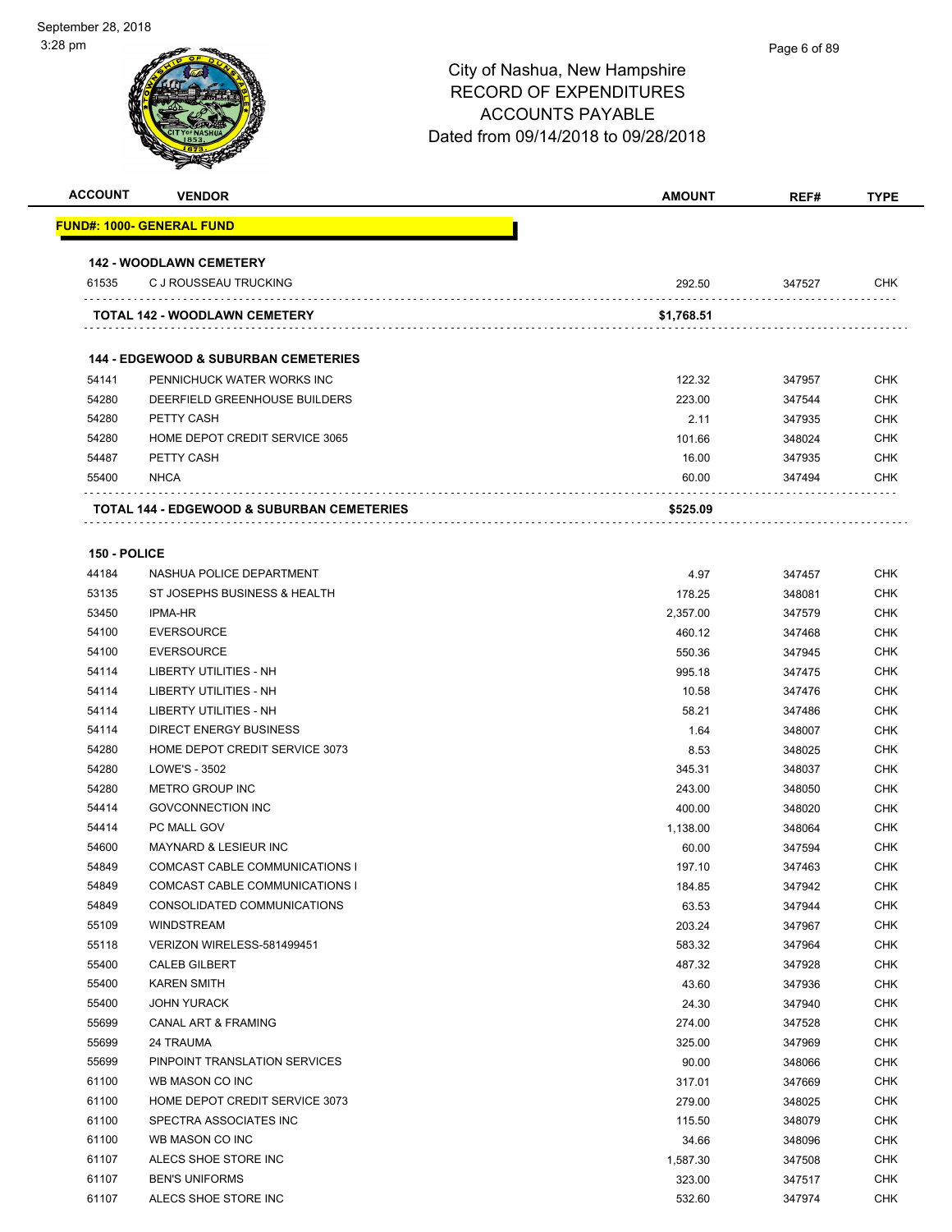| <b>ACCOUNT</b> | <b>VENDOR</b>                                   | <b>AMOUNT</b> | REF#   | <b>TYPE</b> |
|----------------|-------------------------------------------------|---------------|--------|-------------|
|                | FUND#: 1000- GENERAL FUND                       |               |        |             |
|                | <b>142 - WOODLAWN CEMETERY</b>                  |               |        |             |
| 61535          | C J ROUSSEAU TRUCKING                           | 292.50        | 347527 | <b>CHK</b>  |
|                | <b>TOTAL 142 - WOODLAWN CEMETERY</b>            | \$1,768.51    |        |             |
|                |                                                 |               |        |             |
|                | <b>144 - EDGEWOOD &amp; SUBURBAN CEMETERIES</b> |               |        |             |
| 54141          | PENNICHUCK WATER WORKS INC                      | 122.32        | 347957 | <b>CHK</b>  |
| 54280          | DEERFIELD GREENHOUSE BUILDERS                   | 223.00        | 347544 | <b>CHK</b>  |
| 54280          | PETTY CASH                                      | 2.11          | 347935 | <b>CHK</b>  |
| 54280          | HOME DEPOT CREDIT SERVICE 3065                  | 101.66        | 348024 | <b>CHK</b>  |
| 54487          | PETTY CASH                                      | 16.00         | 347935 | <b>CHK</b>  |
| 55400          | <b>NHCA</b>                                     | 60.00         | 347494 | CHK         |
|                | TOTAL 144 - EDGEWOOD & SUBURBAN CEMETERIES      | \$525.09      |        |             |
|                |                                                 |               |        |             |
| 150 - POLICE   |                                                 |               |        |             |
| 44184          | NASHUA POLICE DEPARTMENT                        | 4.97          | 347457 | <b>CHK</b>  |
| 53135          | ST JOSEPHS BUSINESS & HEALTH                    | 178.25        | 348081 | CHK         |
| 53450          | <b>IPMA-HR</b>                                  | 2,357.00      | 347579 | CHK         |
| 54100          | <b>EVERSOURCE</b>                               | 460.12        | 347468 | <b>CHK</b>  |
| 54100          | <b>EVERSOURCE</b>                               | 550.36        | 347945 | <b>CHK</b>  |
| 54114          | LIBERTY UTILITIES - NH                          | 995.18        | 347475 | CHK         |
| 54114          | LIBERTY UTILITIES - NH                          | 10.58         | 347476 | <b>CHK</b>  |
| 54114          | LIBERTY UTILITIES - NH                          | 58.21         | 347486 | <b>CHK</b>  |
| 54114          | DIRECT ENERGY BUSINESS                          | 1.64          | 348007 | <b>CHK</b>  |
| 54280          | HOME DEPOT CREDIT SERVICE 3073                  | 8.53          | 348025 | <b>CHK</b>  |
| 54280          | LOWE'S - 3502                                   | 345.31        | 348037 | <b>CHK</b>  |
| 54280          | <b>METRO GROUP INC</b>                          | 243.00        | 348050 | <b>CHK</b>  |
| 54414          | <b>GOVCONNECTION INC</b>                        | 400.00        | 348020 | <b>CHK</b>  |
| 54414          | PC MALL GOV                                     | 1,138.00      | 348064 | <b>CHK</b>  |
| 54600          | <b>MAYNARD &amp; LESIEUR INC</b>                | 60.00         | 347594 | <b>CHK</b>  |
| 54849          | COMCAST CABLE COMMUNICATIONS I                  | 197.10        | 347463 | <b>CHK</b>  |
| 54849          | COMCAST CABLE COMMUNICATIONS I                  | 184.85        | 347942 | <b>CHK</b>  |
| 54849          | CONSOLIDATED COMMUNICATIONS                     | 63.53         | 347944 | <b>CHK</b>  |
| 55109          | WINDSTREAM                                      | 203.24        | 347967 | <b>CHK</b>  |
| 55118          | VERIZON WIRELESS-581499451                      | 583.32        | 347964 | <b>CHK</b>  |
| 55400          | <b>CALEB GILBERT</b>                            | 487.32        | 347928 | <b>CHK</b>  |
| 55400          | <b>KAREN SMITH</b>                              | 43.60         | 347936 | <b>CHK</b>  |
| 55400          | <b>JOHN YURACK</b>                              | 24.30         | 347940 | <b>CHK</b>  |
| 55699          | CANAL ART & FRAMING                             | 274.00        | 347528 | <b>CHK</b>  |
| 55699          | 24 TRAUMA                                       | 325.00        | 347969 | <b>CHK</b>  |
| 55699          | PINPOINT TRANSLATION SERVICES                   | 90.00         | 348066 | <b>CHK</b>  |
| 61100          | WB MASON CO INC                                 | 317.01        | 347669 | <b>CHK</b>  |
| 61100          | HOME DEPOT CREDIT SERVICE 3073                  | 279.00        | 348025 | <b>CHK</b>  |
| 61100          | SPECTRA ASSOCIATES INC                          | 115.50        | 348079 | <b>CHK</b>  |
| 61100          | WB MASON CO INC                                 | 34.66         | 348096 | <b>CHK</b>  |
| 61107          | ALECS SHOE STORE INC                            | 1,587.30      | 347508 | <b>CHK</b>  |
| 61107          | <b>BEN'S UNIFORMS</b>                           | 323.00        | 347517 | <b>CHK</b>  |
| 61107          | ALECS SHOE STORE INC                            | 532.60        | 347974 | <b>CHK</b>  |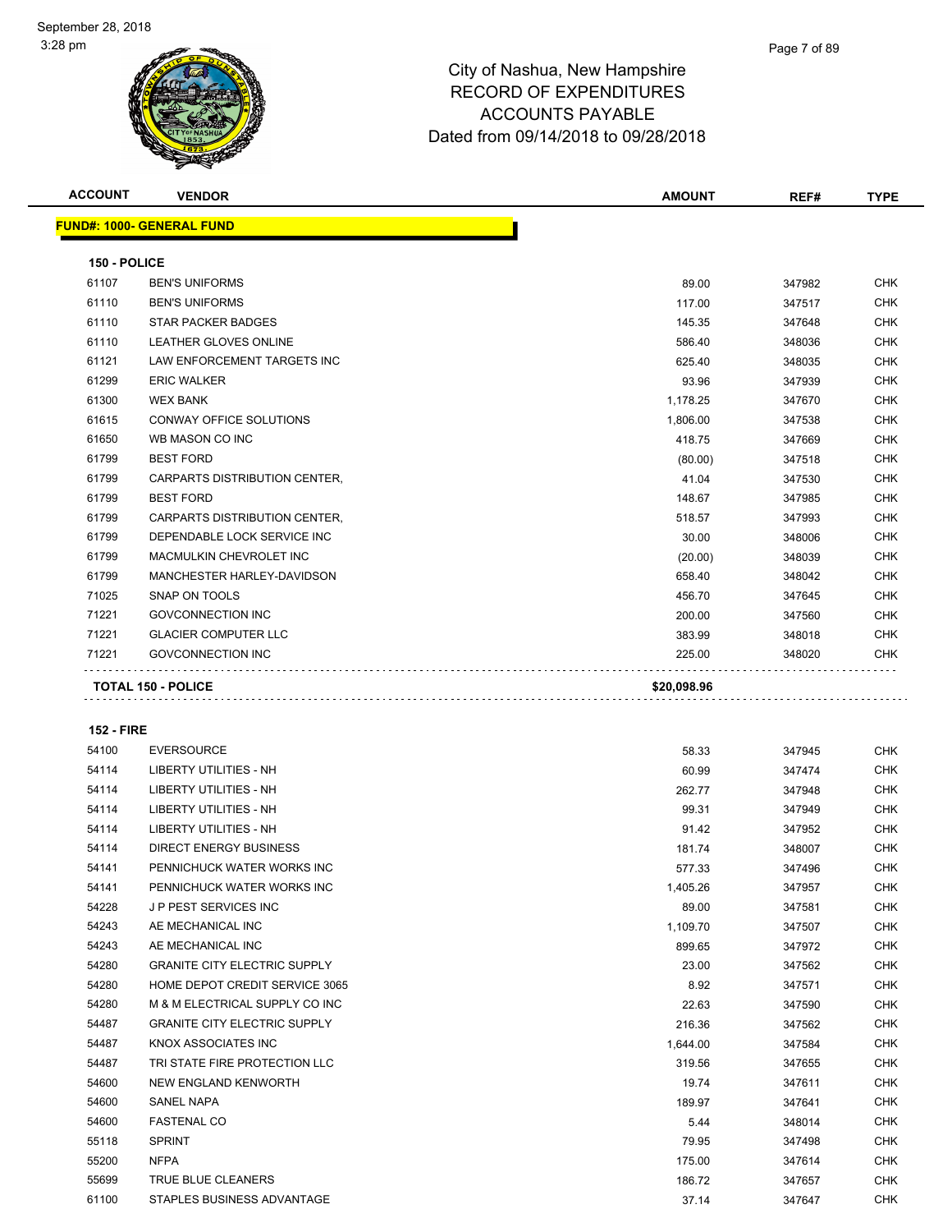Page 7 of 89

| <b>ACCOUNT</b>    | <b>VENDOR</b>                       | AMOUNT      | REF#   | TYPE       |
|-------------------|-------------------------------------|-------------|--------|------------|
|                   | <b>FUND#: 1000- GENERAL FUND</b>    |             |        |            |
| 150 - POLICE      |                                     |             |        |            |
| 61107             | <b>BEN'S UNIFORMS</b>               | 89.00       | 347982 | <b>CHK</b> |
| 61110             | <b>BEN'S UNIFORMS</b>               | 117.00      | 347517 | <b>CHK</b> |
| 61110             | STAR PACKER BADGES                  | 145.35      | 347648 | <b>CHK</b> |
| 61110             | LEATHER GLOVES ONLINE               | 586.40      | 348036 | <b>CHK</b> |
| 61121             | LAW ENFORCEMENT TARGETS INC         | 625.40      | 348035 | <b>CHK</b> |
| 61299             | <b>ERIC WALKER</b>                  | 93.96       | 347939 | <b>CHK</b> |
| 61300             | <b>WEX BANK</b>                     | 1,178.25    | 347670 | <b>CHK</b> |
| 61615             | CONWAY OFFICE SOLUTIONS             | 1,806.00    | 347538 | <b>CHK</b> |
| 61650             | WB MASON CO INC                     | 418.75      | 347669 | <b>CHK</b> |
| 61799             | <b>BEST FORD</b>                    | (80.00)     | 347518 | <b>CHK</b> |
| 61799             | CARPARTS DISTRIBUTION CENTER,       | 41.04       | 347530 | <b>CHK</b> |
| 61799             | <b>BEST FORD</b>                    | 148.67      | 347985 | <b>CHK</b> |
| 61799             | CARPARTS DISTRIBUTION CENTER,       | 518.57      | 347993 | <b>CHK</b> |
| 61799             | DEPENDABLE LOCK SERVICE INC         | 30.00       | 348006 | <b>CHK</b> |
| 61799             | MACMULKIN CHEVROLET INC             | (20.00)     | 348039 | <b>CHK</b> |
| 61799             | MANCHESTER HARLEY-DAVIDSON          | 658.40      | 348042 | <b>CHK</b> |
| 71025             | SNAP ON TOOLS                       | 456.70      | 347645 | <b>CHK</b> |
| 71221             | <b>GOVCONNECTION INC</b>            | 200.00      | 347560 | <b>CHK</b> |
| 71221             | <b>GLACIER COMPUTER LLC</b>         | 383.99      | 348018 | <b>CHK</b> |
| 71221             | <b>GOVCONNECTION INC</b>            | 225.00      | 348020 | <b>CHK</b> |
|                   | TOTAL 150 - POLICE                  | \$20,098.96 |        |            |
| <b>152 - FIRE</b> |                                     |             |        |            |
| 54100             | <b>EVERSOURCE</b>                   | 58.33       | 347945 | <b>CHK</b> |
| 54114             | LIBERTY UTILITIES - NH              | 60.99       | 347474 | <b>CHK</b> |
| 54114             | <b>LIBERTY UTILITIES - NH</b>       | 262.77      | 347948 | <b>CHK</b> |
| 54114             | LIBERTY UTILITIES - NH              | 99.31       | 347949 | <b>CHK</b> |
| 54114             | <b>LIBERTY UTILITIES - NH</b>       | 91.42       | 347952 | CHK        |
| 54114             | <b>DIRECT ENERGY BUSINESS</b>       | 181.74      | 348007 | <b>CHK</b> |
| 54141             | PENNICHUCK WATER WORKS INC          | 577.33      | 347496 | <b>CHK</b> |
| 54141             | PENNICHUCK WATER WORKS INC          | 1,405.26    | 347957 | <b>CHK</b> |
| 54228             | J P PEST SERVICES INC               | 89.00       | 347581 | CHK        |
| 54243             | AE MECHANICAL INC                   | 1,109.70    | 347507 | CHK        |
| 54243             | AE MECHANICAL INC                   | 899.65      | 347972 | CHK        |
| 54280             | <b>GRANITE CITY ELECTRIC SUPPLY</b> | 23.00       | 347562 | <b>CHK</b> |
| 54280             | HOME DEPOT CREDIT SERVICE 3065      | 8.92        | 347571 | <b>CHK</b> |
| 54280             | M & M ELECTRICAL SUPPLY CO INC      | 22.63       | 347590 | CHK        |
| 54487             | <b>GRANITE CITY ELECTRIC SUPPLY</b> | 216.36      | 347562 | <b>CHK</b> |
| 54487             | KNOX ASSOCIATES INC                 | 1,644.00    | 347584 | CHK        |
| 54487             | TRI STATE FIRE PROTECTION LLC       | 319.56      | 347655 | <b>CHK</b> |

 NEW ENGLAND KENWORTH 19.74 347611 CHK SANEL NAPA 189.97 347641 CHK FASTENAL CO 5.44 348014 CHK SPRINT 79.95 347498 CHK NFPA 175.00 347614 CHK TRUE BLUE CLEANERS 186.72 347657 CHK STAPLES BUSINESS ADVANTAGE 37.14 347647 CHK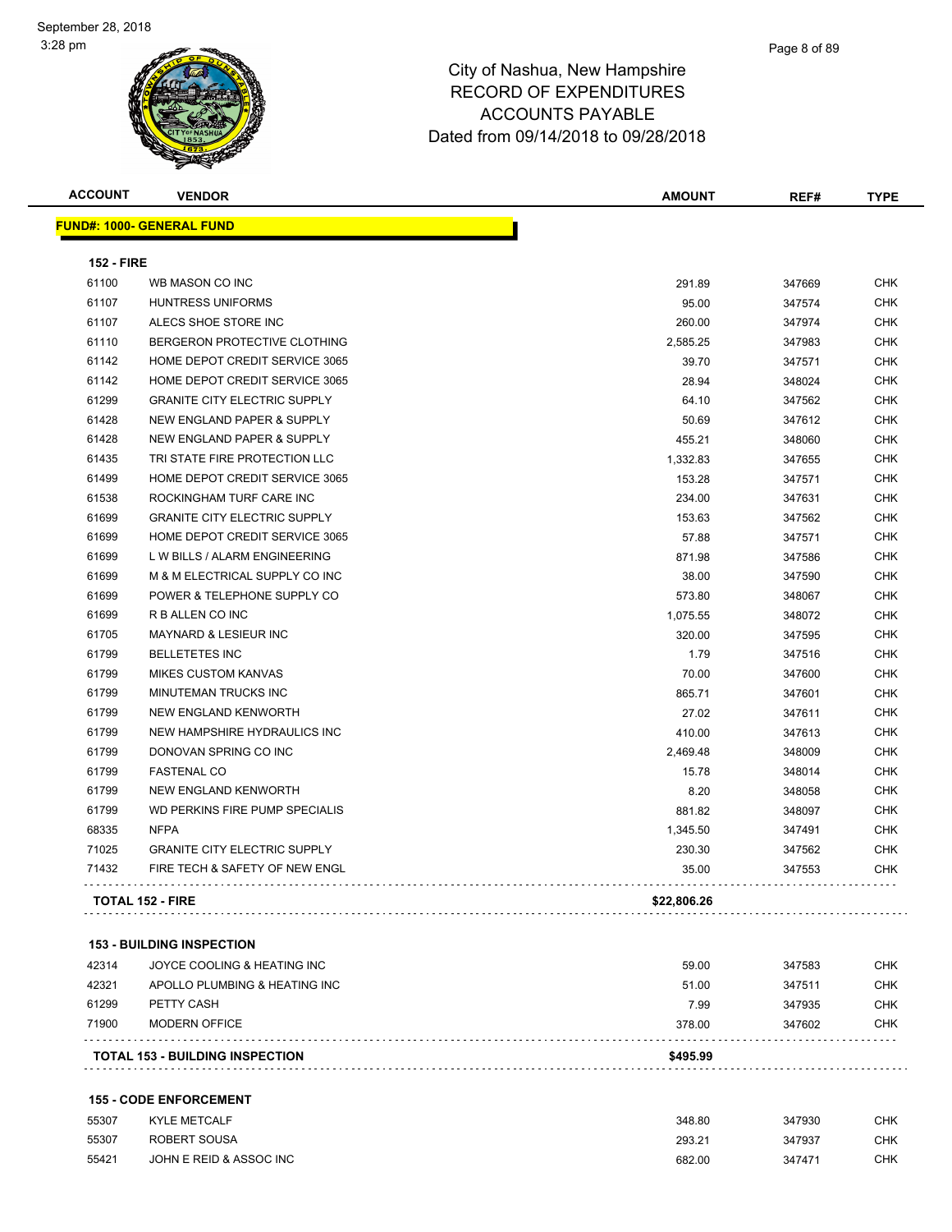**FUND#: 1000- GENERAL FUND**

| <b>ACCOUNT</b>                   | <b>VENDOR</b> |  | <b>AMOUNT</b> | REF# | TVDE<br>. |
|----------------------------------|---------------|--|---------------|------|-----------|
| <u> JND#: 1000- GENERAL FUND</u> |               |  |               |      |           |

| <b>152 - FIRE</b> |                                     |             |        |            |
|-------------------|-------------------------------------|-------------|--------|------------|
| 61100             | WB MASON CO INC                     | 291.89      | 347669 | <b>CHK</b> |
| 61107             | <b>HUNTRESS UNIFORMS</b>            | 95.00       | 347574 | <b>CHK</b> |
| 61107             | ALECS SHOE STORE INC                | 260.00      | 347974 | <b>CHK</b> |
| 61110             | BERGERON PROTECTIVE CLOTHING        | 2,585.25    | 347983 | <b>CHK</b> |
| 61142             | HOME DEPOT CREDIT SERVICE 3065      | 39.70       | 347571 | <b>CHK</b> |
| 61142             | HOME DEPOT CREDIT SERVICE 3065      | 28.94       | 348024 | <b>CHK</b> |
| 61299             | <b>GRANITE CITY ELECTRIC SUPPLY</b> | 64.10       | 347562 | <b>CHK</b> |
| 61428             | NEW ENGLAND PAPER & SUPPLY          | 50.69       | 347612 | <b>CHK</b> |
| 61428             | NEW ENGLAND PAPER & SUPPLY          | 455.21      | 348060 | <b>CHK</b> |
| 61435             | TRI STATE FIRE PROTECTION LLC       | 1,332.83    | 347655 | <b>CHK</b> |
| 61499             | HOME DEPOT CREDIT SERVICE 3065      | 153.28      | 347571 | <b>CHK</b> |
| 61538             | ROCKINGHAM TURF CARE INC            | 234.00      | 347631 | <b>CHK</b> |
| 61699             | <b>GRANITE CITY ELECTRIC SUPPLY</b> | 153.63      | 347562 | <b>CHK</b> |
| 61699             | HOME DEPOT CREDIT SERVICE 3065      | 57.88       | 347571 | <b>CHK</b> |
| 61699             | L W BILLS / ALARM ENGINEERING       | 871.98      | 347586 | <b>CHK</b> |
| 61699             | M & M ELECTRICAL SUPPLY CO INC      | 38.00       | 347590 | <b>CHK</b> |
| 61699             | POWER & TELEPHONE SUPPLY CO         | 573.80      | 348067 | <b>CHK</b> |
| 61699             | R B ALLEN CO INC                    | 1,075.55    | 348072 | <b>CHK</b> |
| 61705             | MAYNARD & LESIEUR INC               | 320.00      | 347595 | <b>CHK</b> |
| 61799             | <b>BELLETETES INC</b>               | 1.79        | 347516 | <b>CHK</b> |
| 61799             | <b>MIKES CUSTOM KANVAS</b>          | 70.00       | 347600 | <b>CHK</b> |
| 61799             | MINUTEMAN TRUCKS INC                | 865.71      | 347601 | <b>CHK</b> |
| 61799             | <b>NEW ENGLAND KENWORTH</b>         | 27.02       | 347611 | <b>CHK</b> |
| 61799             | NEW HAMPSHIRE HYDRAULICS INC        | 410.00      | 347613 | <b>CHK</b> |
| 61799             | DONOVAN SPRING CO INC               | 2,469.48    | 348009 | <b>CHK</b> |
| 61799             | <b>FASTENAL CO</b>                  | 15.78       | 348014 | <b>CHK</b> |
| 61799             | <b>NEW ENGLAND KENWORTH</b>         | 8.20        | 348058 | <b>CHK</b> |
| 61799             | WD PERKINS FIRE PUMP SPECIALIS      | 881.82      | 348097 | <b>CHK</b> |
| 68335             | <b>NFPA</b>                         | 1,345.50    | 347491 | <b>CHK</b> |
| 71025             | <b>GRANITE CITY ELECTRIC SUPPLY</b> | 230.30      | 347562 | CHK        |
| 71432             | FIRE TECH & SAFETY OF NEW ENGL      | 35.00       | 347553 | CHK        |
|                   | <b>TOTAL 152 - FIRE</b>             | \$22,806.26 |        |            |

| 71900 | MODERN OFFICE                 | 378.00 | 347602 | <b>CHK</b> |
|-------|-------------------------------|--------|--------|------------|
| 61299 | PETTY CASH                    | 7.99   | 347935 | <b>CHK</b> |
| 42321 | APOLLO PLUMBING & HEATING INC | 51.00  | 347511 | <b>CHK</b> |
| 42314 | JOYCE COOLING & HEATING INC   | 59.00  | 347583 | <b>CHK</b> |

#### **155 - CODE ENFORCEMENT**

| 55307 | <b>KYLE METCALF</b>     | 348.80 | 347930 | CHK |
|-------|-------------------------|--------|--------|-----|
| 55307 | ROBERT SOUSA            | 293.21 | 347937 | CHK |
| 55421 | JOHN E REID & ASSOC INC | 682.00 | 347471 | CHK |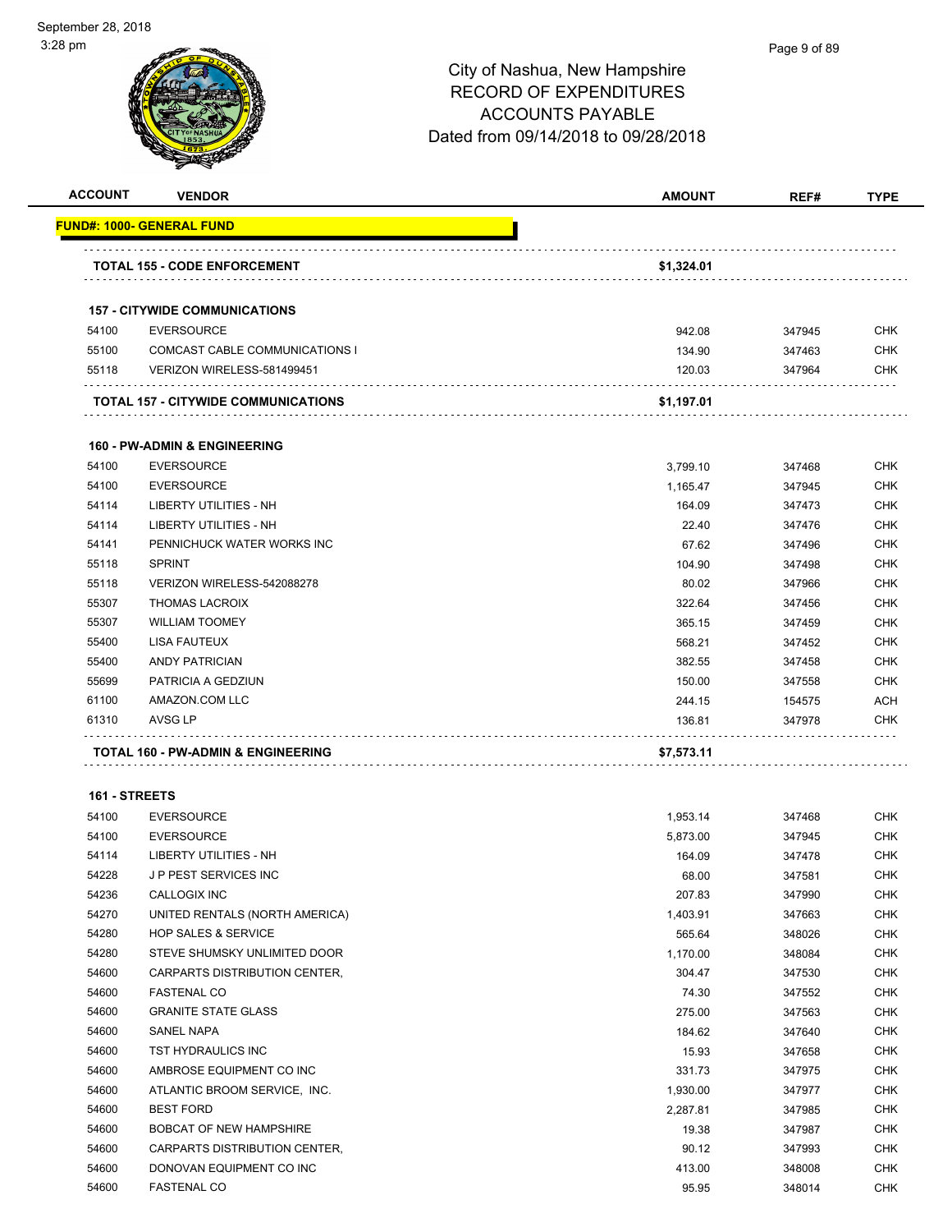### Page 9 of 89

| <b>ACCOUNT</b> | <b>VENDOR</b>                                  | <b>AMOUNT</b>    | REF#             | <b>TYPE</b>              |
|----------------|------------------------------------------------|------------------|------------------|--------------------------|
|                | <u> FUND#: 1000- GENERAL FUND</u>              |                  |                  |                          |
|                | <b>TOTAL 155 - CODE ENFORCEMENT</b>            | \$1,324.01       |                  |                          |
|                |                                                |                  |                  |                          |
|                | <b>157 - CITYWIDE COMMUNICATIONS</b>           |                  |                  |                          |
| 54100          | <b>EVERSOURCE</b>                              | 942.08           | 347945           | <b>CHK</b>               |
| 55100          | COMCAST CABLE COMMUNICATIONS I                 | 134.90           | 347463           | <b>CHK</b>               |
| 55118          | VERIZON WIRELESS-581499451                     | 120.03           | 347964           | <b>CHK</b>               |
|                | <b>TOTAL 157 - CITYWIDE COMMUNICATIONS</b>     | \$1,197.01       |                  |                          |
|                |                                                |                  |                  |                          |
|                | <b>160 - PW-ADMIN &amp; ENGINEERING</b>        |                  |                  |                          |
| 54100          | <b>EVERSOURCE</b>                              | 3,799.10         | 347468           | <b>CHK</b>               |
| 54100          | <b>EVERSOURCE</b>                              | 1,165.47         | 347945           | <b>CHK</b>               |
| 54114          | LIBERTY UTILITIES - NH                         | 164.09           | 347473           | <b>CHK</b>               |
| 54114          | LIBERTY UTILITIES - NH                         | 22.40            | 347476           | <b>CHK</b>               |
| 54141          | PENNICHUCK WATER WORKS INC                     | 67.62            | 347496           | <b>CHK</b>               |
| 55118          | <b>SPRINT</b>                                  | 104.90           | 347498           | <b>CHK</b>               |
| 55118          | VERIZON WIRELESS-542088278                     | 80.02            | 347966           | <b>CHK</b>               |
| 55307          | <b>THOMAS LACROIX</b><br><b>WILLIAM TOOMEY</b> | 322.64           | 347456           | <b>CHK</b><br><b>CHK</b> |
| 55307          |                                                | 365.15           | 347459           |                          |
| 55400<br>55400 | <b>LISA FAUTEUX</b><br><b>ANDY PATRICIAN</b>   | 568.21           | 347452           | <b>CHK</b><br><b>CHK</b> |
| 55699          | PATRICIA A GEDZIUN                             | 382.55<br>150.00 | 347458           |                          |
|                |                                                |                  | 347558           | <b>CHK</b>               |
| 61100<br>61310 | AMAZON.COM LLC<br>AVSG LP                      | 244.15<br>136.81 | 154575<br>347978 | <b>ACH</b><br><b>CHK</b> |
|                |                                                |                  |                  |                          |
|                | TOTAL 160 - PW-ADMIN & ENGINEERING             | \$7,573.11       |                  |                          |
| 161 - STREETS  |                                                |                  |                  |                          |
| 54100          | <b>EVERSOURCE</b>                              | 1,953.14         | 347468           | <b>CHK</b>               |
| 54100          | <b>EVERSOURCE</b>                              | 5,873.00         | 347945           | <b>CHK</b>               |
| 54114          | LIBERTY UTILITIES - NH                         | 164.09           | 347478           | <b>CHK</b>               |
| 54228          | <b>JP PEST SERVICES INC</b>                    | 68.00            | 347581           | <b>CHK</b>               |
| 54236          | CALLOGIX INC                                   | 207.83           | 347990           | <b>CHK</b>               |
| 54270          | UNITED RENTALS (NORTH AMERICA)                 | 1,403.91         | 347663           | <b>CHK</b>               |
| 54280          | <b>HOP SALES &amp; SERVICE</b>                 | 565.64           | 348026           | <b>CHK</b>               |
| 54280          | STEVE SHUMSKY UNLIMITED DOOR                   | 1,170.00         | 348084           | <b>CHK</b>               |
| 54600          | CARPARTS DISTRIBUTION CENTER,                  | 304.47           | 347530           | <b>CHK</b>               |
| 54600          | <b>FASTENAL CO</b>                             | 74.30            | 347552           | <b>CHK</b>               |
| 54600          | <b>GRANITE STATE GLASS</b>                     | 275.00           | 347563           | <b>CHK</b>               |
| 54600          | SANEL NAPA                                     | 184.62           | 347640           | <b>CHK</b>               |
| 54600          | TST HYDRAULICS INC                             | 15.93            | 347658           | <b>CHK</b>               |
| 54600          | AMBROSE EQUIPMENT CO INC                       | 331.73           | 347975           | <b>CHK</b>               |
| 54600          | ATLANTIC BROOM SERVICE, INC.                   | 1,930.00         | 347977           | <b>CHK</b>               |
| 54600          | <b>BEST FORD</b>                               | 2,287.81         | 347985           | <b>CHK</b>               |
| 54600          | <b>BOBCAT OF NEW HAMPSHIRE</b>                 | 19.38            | 347987           | <b>CHK</b>               |
| 54600          | CARPARTS DISTRIBUTION CENTER,                  | 90.12            | 347993           | CHK                      |
| 54600          | DONOVAN EQUIPMENT CO INC                       | 413.00           | 348008           | <b>CHK</b>               |
| 54600          | <b>FASTENAL CO</b>                             | 95.95            | 348014           | <b>CHK</b>               |
|                |                                                |                  |                  |                          |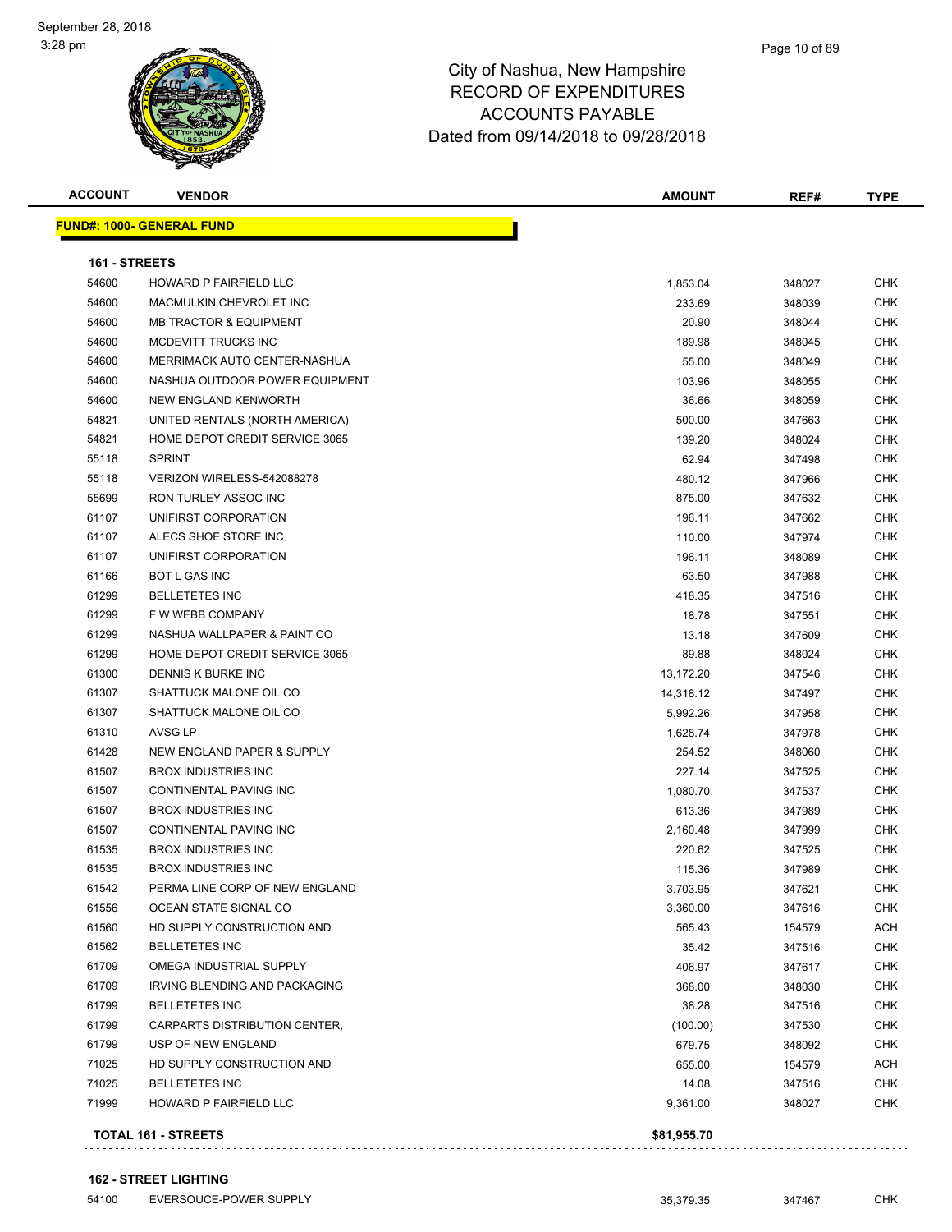| <b>ACCOUNT</b> | <b>VENDOR</b>                     | <b>AMOUNT</b> | REF#   | <b>TYPE</b> |
|----------------|-----------------------------------|---------------|--------|-------------|
|                | <b>FUND#: 1000- GENERAL FUND</b>  |               |        |             |
| 161 - STREETS  |                                   |               |        |             |
| 54600          | <b>HOWARD P FAIRFIELD LLC</b>     | 1,853.04      | 348027 | <b>CHK</b>  |
| 54600          | MACMULKIN CHEVROLET INC           | 233.69        | 348039 | CHK         |
| 54600          | <b>MB TRACTOR &amp; EQUIPMENT</b> | 20.90         | 348044 | <b>CHK</b>  |
| 54600          | MCDEVITT TRUCKS INC               | 189.98        | 348045 | <b>CHK</b>  |
| 54600          | MERRIMACK AUTO CENTER-NASHUA      | 55.00         | 348049 | CHK         |
| 54600          | NASHUA OUTDOOR POWER EQUIPMENT    | 103.96        | 348055 | <b>CHK</b>  |
| 54600          | NEW ENGLAND KENWORTH              | 36.66         | 348059 | <b>CHK</b>  |
| 54821          | UNITED RENTALS (NORTH AMERICA)    | 500.00        | 347663 | CHK         |
| 54821          | HOME DEPOT CREDIT SERVICE 3065    | 139.20        | 348024 | <b>CHK</b>  |
| 55118          | <b>SPRINT</b>                     | 62.94         | 347498 | <b>CHK</b>  |
| 55118          | VERIZON WIRELESS-542088278        | 480.12        | 347966 | <b>CHK</b>  |
| 55699          | <b>RON TURLEY ASSOC INC</b>       | 875.00        | 347632 | <b>CHK</b>  |
| 61107          | UNIFIRST CORPORATION              | 196.11        | 347662 | CHK         |
| 61107          | ALECS SHOE STORE INC              | 110.00        | 347974 | CHK         |
| 61107          | UNIFIRST CORPORATION              | 196.11        | 348089 | CHK         |
| 61166          | <b>BOT L GAS INC</b>              | 63.50         | 347988 | CHK         |
| 61299          | <b>BELLETETES INC</b>             | 418.35        | 347516 | CHK         |
| 61299          | F W WEBB COMPANY                  | 18.78         | 347551 | CHK         |
| 61299          | NASHUA WALLPAPER & PAINT CO       | 13.18         | 347609 | <b>CHK</b>  |
| 61299          | HOME DEPOT CREDIT SERVICE 3065    | 89.88         | 348024 | <b>CHK</b>  |
| 61300          | DENNIS K BURKE INC                | 13,172.20     | 347546 | <b>CHK</b>  |
| 61307          | SHATTUCK MALONE OIL CO            | 14,318.12     | 347497 | <b>CHK</b>  |
| 61307          | SHATTUCK MALONE OIL CO            | 5,992.26      | 347958 | <b>CHK</b>  |
| 61310          | <b>AVSG LP</b>                    | 1,628.74      | 347978 | CHK         |
| 61428          | NEW ENGLAND PAPER & SUPPLY        | 254.52        | 348060 | CHK         |
| 61507          | <b>BROX INDUSTRIES INC</b>        | 227.14        | 347525 | CHK         |
| 61507          | CONTINENTAL PAVING INC            | 1,080.70      | 347537 | CHK         |
| 61507          | <b>BROX INDUSTRIES INC</b>        | 613.36        | 347989 | <b>CHK</b>  |
| 61507          | CONTINENTAL PAVING INC            | 2,160.48      | 347999 | <b>CHK</b>  |
| 61535          | <b>BROX INDUSTRIES INC</b>        | 220.62        | 347525 | <b>CHK</b>  |
| 61535          | <b>BROX INDUSTRIES INC</b>        | 115.36        | 347989 | CHK         |
| 61542          | PERMA LINE CORP OF NEW ENGLAND    | 3,703.95      | 347621 | <b>CHK</b>  |
| 61556          | OCEAN STATE SIGNAL CO             | 3,360.00      | 347616 | <b>CHK</b>  |
| 61560          | HD SUPPLY CONSTRUCTION AND        | 565.43        | 154579 | ACH         |
| 61562          | <b>BELLETETES INC</b>             | 35.42         | 347516 | CHK         |
| 61709          | OMEGA INDUSTRIAL SUPPLY           | 406.97        | 347617 | <b>CHK</b>  |
| 61709          | IRVING BLENDING AND PACKAGING     | 368.00        | 348030 | <b>CHK</b>  |
| 61799          | <b>BELLETETES INC</b>             | 38.28         | 347516 | <b>CHK</b>  |
| 61799          | CARPARTS DISTRIBUTION CENTER,     | (100.00)      | 347530 | <b>CHK</b>  |
| 61799          | USP OF NEW ENGLAND                | 679.75        | 348092 | CHK         |
| 71025          | HD SUPPLY CONSTRUCTION AND        | 655.00        | 154579 | <b>ACH</b>  |
| 71025          | <b>BELLETETES INC</b>             | 14.08         | 347516 | <b>CHK</b>  |
| 71999          | HOWARD P FAIRFIELD LLC            | 9,361.00      | 348027 | <b>CHK</b>  |
|                | TOTAL 161 - STREETS               | \$81,955.70   |        |             |
|                |                                   |               |        |             |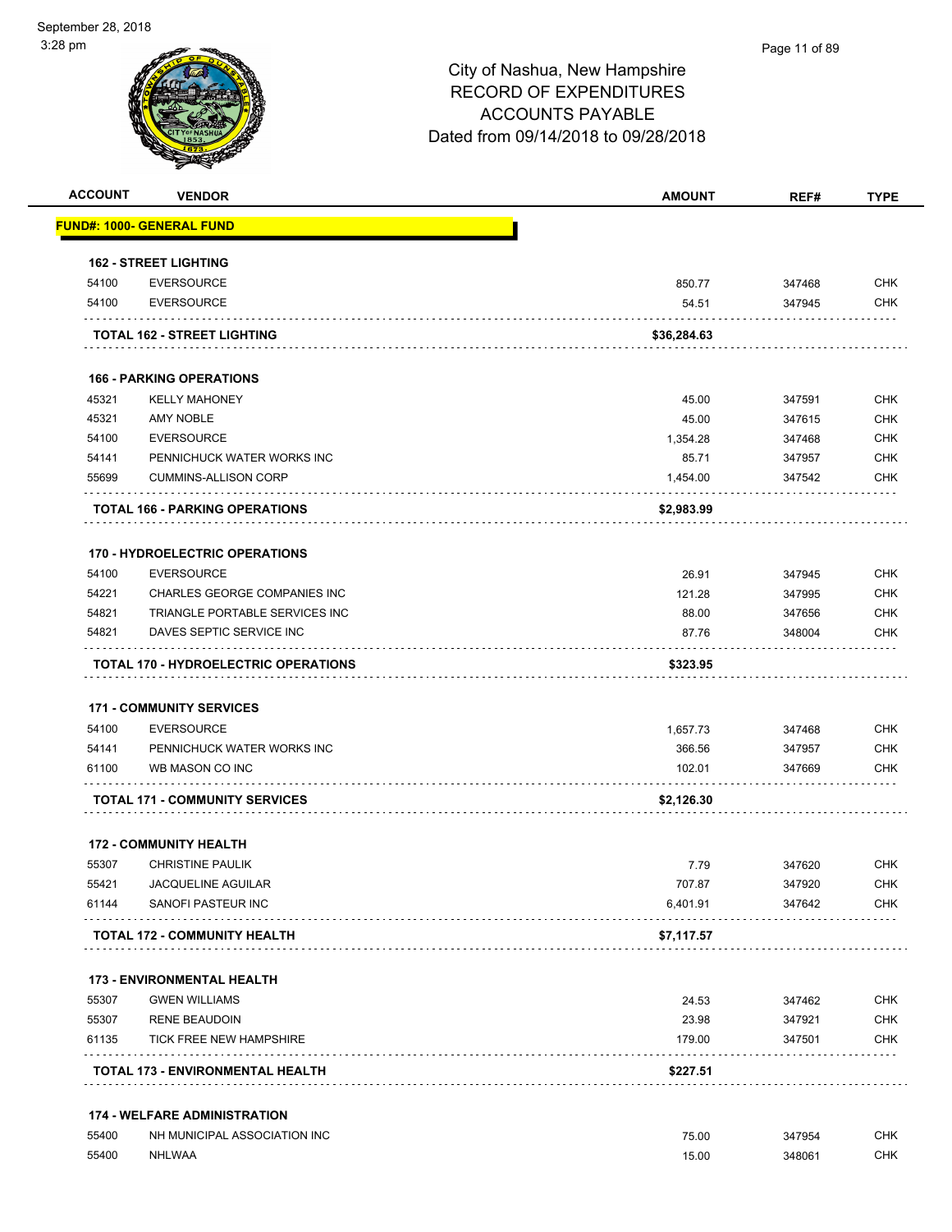#### Page 11 of 89

| <b>ACCOUNT</b> | <b>VENDOR</b>                               | <b>AMOUNT</b> | REF#   | <b>TYPE</b> |
|----------------|---------------------------------------------|---------------|--------|-------------|
|                | <u> FUND#: 1000- GENERAL FUND</u>           |               |        |             |
|                | <b>162 - STREET LIGHTING</b>                |               |        |             |
| 54100          | <b>EVERSOURCE</b>                           | 850.77        | 347468 | <b>CHK</b>  |
| 54100          | <b>EVERSOURCE</b>                           | 54.51         | 347945 | <b>CHK</b>  |
|                | TOTAL 162 - STREET LIGHTING                 | \$36,284.63   |        |             |
|                | <b>166 - PARKING OPERATIONS</b>             |               |        |             |
| 45321          | <b>KELLY MAHONEY</b>                        | 45.00         | 347591 | <b>CHK</b>  |
| 45321          | <b>AMY NOBLE</b>                            | 45.00         | 347615 | <b>CHK</b>  |
| 54100          | <b>EVERSOURCE</b>                           | 1,354.28      | 347468 | <b>CHK</b>  |
| 54141          | PENNICHUCK WATER WORKS INC                  | 85.71         | 347957 | <b>CHK</b>  |
| 55699          | <b>CUMMINS-ALLISON CORP</b>                 | 1,454.00      | 347542 | <b>CHK</b>  |
|                | <b>TOTAL 166 - PARKING OPERATIONS</b>       | \$2,983.99    |        |             |
|                | 170 - HYDROELECTRIC OPERATIONS              |               |        |             |
| 54100          | <b>EVERSOURCE</b>                           | 26.91         | 347945 | <b>CHK</b>  |
| 54221          | <b>CHARLES GEORGE COMPANIES INC</b>         | 121.28        | 347995 | <b>CHK</b>  |
| 54821          | TRIANGLE PORTABLE SERVICES INC              | 88.00         | 347656 | <b>CHK</b>  |
| 54821          | DAVES SEPTIC SERVICE INC                    | 87.76         | 348004 | CHK         |
|                | <b>TOTAL 170 - HYDROELECTRIC OPERATIONS</b> | \$323.95      |        |             |
|                | <b>171 - COMMUNITY SERVICES</b>             |               |        |             |
| 54100          | <b>EVERSOURCE</b>                           | 1,657.73      | 347468 | <b>CHK</b>  |
| 54141          | PENNICHUCK WATER WORKS INC                  | 366.56        | 347957 | <b>CHK</b>  |
| 61100          | WB MASON CO INC                             | 102.01        | 347669 | <b>CHK</b>  |
|                | <b>TOTAL 171 - COMMUNITY SERVICES</b>       | \$2,126.30    |        |             |
|                | <b>172 - COMMUNITY HEALTH</b>               |               |        |             |
| 55307          | <b>CHRISTINE PAULIK</b>                     | 7.79          | 347620 | <b>CHK</b>  |
| 55421          | JACQUELINE AGUILAR                          | 707.87        | 347920 | <b>CHK</b>  |
| 61144          | SANOFI PASTEUR INC                          | 6,401.91      | 347642 | CHK         |
|                | <b>TOTAL 172 - COMMUNITY HEALTH</b>         | \$7,117.57    |        |             |
|                | <b>173 - ENVIRONMENTAL HEALTH</b>           |               |        |             |
| 55307          | <b>GWEN WILLIAMS</b>                        | 24.53         | 347462 | <b>CHK</b>  |
| 55307          | <b>RENE BEAUDOIN</b>                        | 23.98         | 347921 | <b>CHK</b>  |
| 61135          | TICK FREE NEW HAMPSHIRE                     | 179.00        | 347501 | <b>CHK</b>  |
|                | TOTAL 173 - ENVIRONMENTAL HEALTH            | \$227.51      |        |             |
|                | <b>174 - WELFARE ADMINISTRATION</b>         |               |        |             |
| 55400          | NH MUNICIPAL ASSOCIATION INC                | 75.00         | 347954 | <b>CHK</b>  |
| 55400          | <b>NHLWAA</b>                               | 15.00         | 348061 | <b>CHK</b>  |
|                |                                             |               |        |             |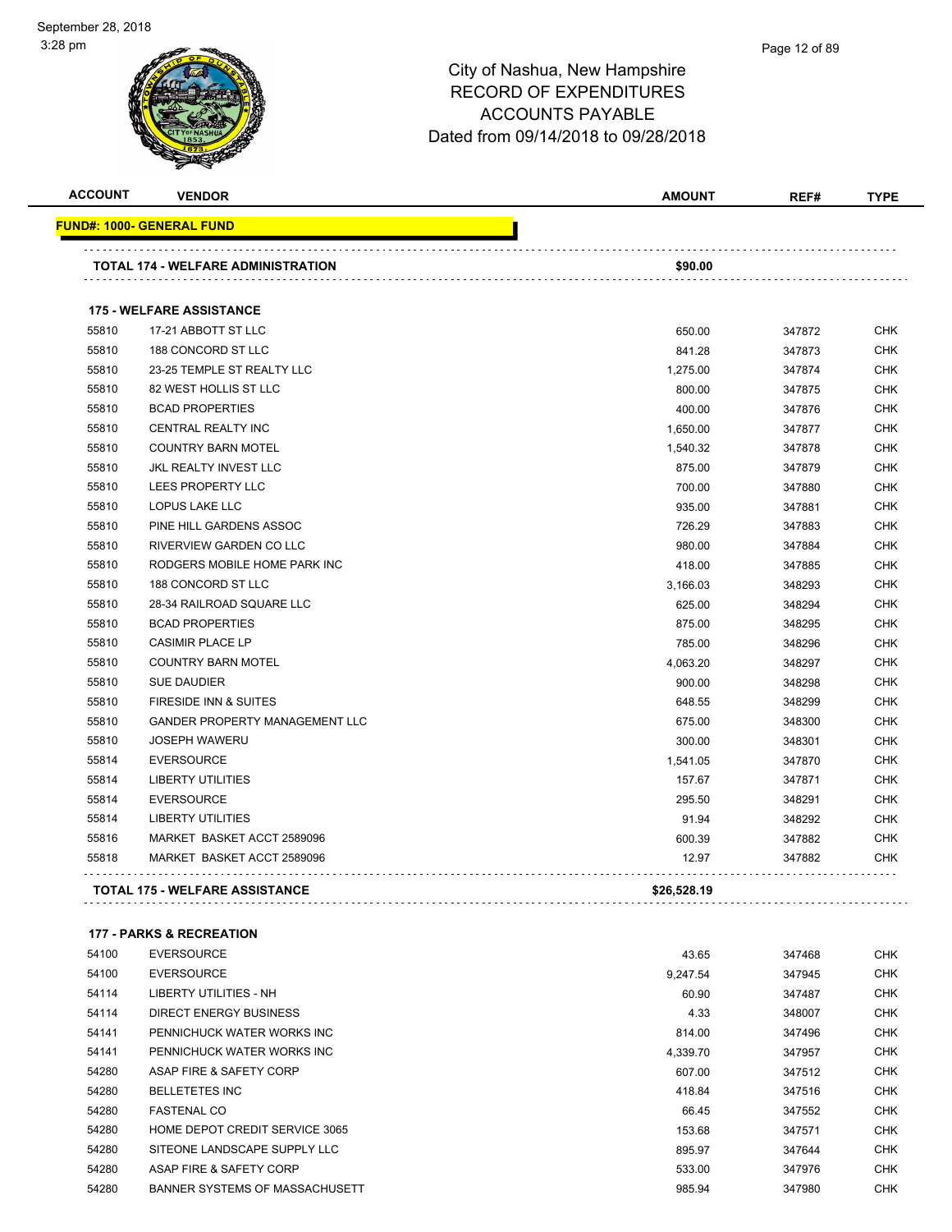#### Page 12 of 89

## City of Nashua, New Hampshire RECORD OF EXPENDITURES ACCOUNTS PAYABLE Dated from 09/14/2018 to 09/28/2018

| <b>ACCOUNT</b> | <b>VENDOR</b>                         | <b>AMOUNT</b> | REF#   | <b>TYPE</b> |
|----------------|---------------------------------------|---------------|--------|-------------|
|                | FUND#: 1000- GENERAL FUND             |               |        |             |
|                | TOTAL 174 - WELFARE ADMINISTRATION    | \$90.00       |        |             |
|                | <b>175 - WELFARE ASSISTANCE</b>       |               |        |             |
| 55810          | 17-21 ABBOTT ST LLC                   | 650.00        | 347872 | <b>CHK</b>  |
| 55810          | 188 CONCORD ST LLC                    | 841.28        | 347873 | <b>CHK</b>  |
| 55810          | 23-25 TEMPLE ST REALTY LLC            | 1,275.00      | 347874 | <b>CHK</b>  |
| 55810          | 82 WEST HOLLIS ST LLC                 | 800.00        | 347875 | <b>CHK</b>  |
| 55810          | <b>BCAD PROPERTIES</b>                | 400.00        | 347876 | <b>CHK</b>  |
| 55810          | <b>CENTRAL REALTY INC</b>             | 1,650.00      | 347877 | <b>CHK</b>  |
| 55810          | <b>COUNTRY BARN MOTEL</b>             | 1,540.32      | 347878 | <b>CHK</b>  |
| 55810          | <b>JKL REALTY INVEST LLC</b>          | 875.00        | 347879 | <b>CHK</b>  |
| 55810          | LEES PROPERTY LLC                     | 700.00        | 347880 | <b>CHK</b>  |
| 55810          | <b>LOPUS LAKE LLC</b>                 | 935.00        | 347881 | <b>CHK</b>  |
| 55810          | PINE HILL GARDENS ASSOC               | 726.29        | 347883 | <b>CHK</b>  |
| 55810          | RIVERVIEW GARDEN CO LLC               | 980.00        | 347884 | <b>CHK</b>  |
| 55810          | RODGERS MOBILE HOME PARK INC          | 418.00        | 347885 | <b>CHK</b>  |
| 55810          | 188 CONCORD ST LLC                    | 3,166.03      | 348293 | <b>CHK</b>  |
| 55810          | 28-34 RAILROAD SQUARE LLC             | 625.00        | 348294 | <b>CHK</b>  |
| 55810          | <b>BCAD PROPERTIES</b>                | 875.00        | 348295 | <b>CHK</b>  |
| 55810          | <b>CASIMIR PLACE LP</b>               | 785.00        | 348296 | <b>CHK</b>  |
| 55810          | <b>COUNTRY BARN MOTEL</b>             | 4,063.20      | 348297 | <b>CHK</b>  |
| 55810          | <b>SUE DAUDIER</b>                    | 900.00        | 348298 | <b>CHK</b>  |
| 55810          | <b>FIRESIDE INN &amp; SUITES</b>      | 648.55        | 348299 | <b>CHK</b>  |
| 55810          | <b>GANDER PROPERTY MANAGEMENT LLC</b> | 675.00        | 348300 | <b>CHK</b>  |
| 55810          | <b>JOSEPH WAWERU</b>                  | 300.00        | 348301 | <b>CHK</b>  |
| 55814          | <b>EVERSOURCE</b>                     | 1,541.05      | 347870 | <b>CHK</b>  |
| 55814          | <b>LIBERTY UTILITIES</b>              | 157.67        | 347871 | <b>CHK</b>  |
| 55814          | <b>EVERSOURCE</b>                     | 295.50        | 348291 | <b>CHK</b>  |
| 55814          | <b>LIBERTY UTILITIES</b>              | 91.94         | 348292 | <b>CHK</b>  |
| 55816          | MARKET BASKET ACCT 2589096            | 600.39        | 347882 | <b>CHK</b>  |
| 55818          | MARKET BASKET ACCT 2589096            | 12.97         | 347882 | <b>CHK</b>  |
|                | <b>TOTAL 175 - WELFARE ASSISTANCE</b> | \$26,528.19   |        |             |

#### **177 - PARKS & RECREATION**

| 54100 | <b>EVERSOURCE</b>              | 43.65    | 347468 | <b>CHK</b> |
|-------|--------------------------------|----------|--------|------------|
| 54100 | <b>EVERSOURCE</b>              | 9.247.54 | 347945 | <b>CHK</b> |
| 54114 | LIBERTY UTILITIES - NH         | 60.90    | 347487 | <b>CHK</b> |
| 54114 | DIRECT ENERGY BUSINESS         | 4.33     | 348007 | <b>CHK</b> |
| 54141 | PENNICHUCK WATER WORKS INC     | 814.00   | 347496 | <b>CHK</b> |
| 54141 | PENNICHUCK WATER WORKS INC     | 4.339.70 | 347957 | <b>CHK</b> |
| 54280 | ASAP FIRE & SAFETY CORP        | 607.00   | 347512 | <b>CHK</b> |
| 54280 | <b>BELLETETES INC</b>          | 418.84   | 347516 | <b>CHK</b> |
| 54280 | <b>FASTENAL CO</b>             | 66.45    | 347552 | <b>CHK</b> |
| 54280 | HOME DEPOT CREDIT SERVICE 3065 | 153.68   | 347571 | <b>CHK</b> |
| 54280 | SITEONE LANDSCAPE SUPPLY LLC   | 895.97   | 347644 | <b>CHK</b> |
| 54280 | ASAP FIRE & SAFETY CORP        | 533.00   | 347976 | <b>CHK</b> |
| 54280 | BANNER SYSTEMS OF MASSACHUSETT | 985.94   | 347980 | <b>CHK</b> |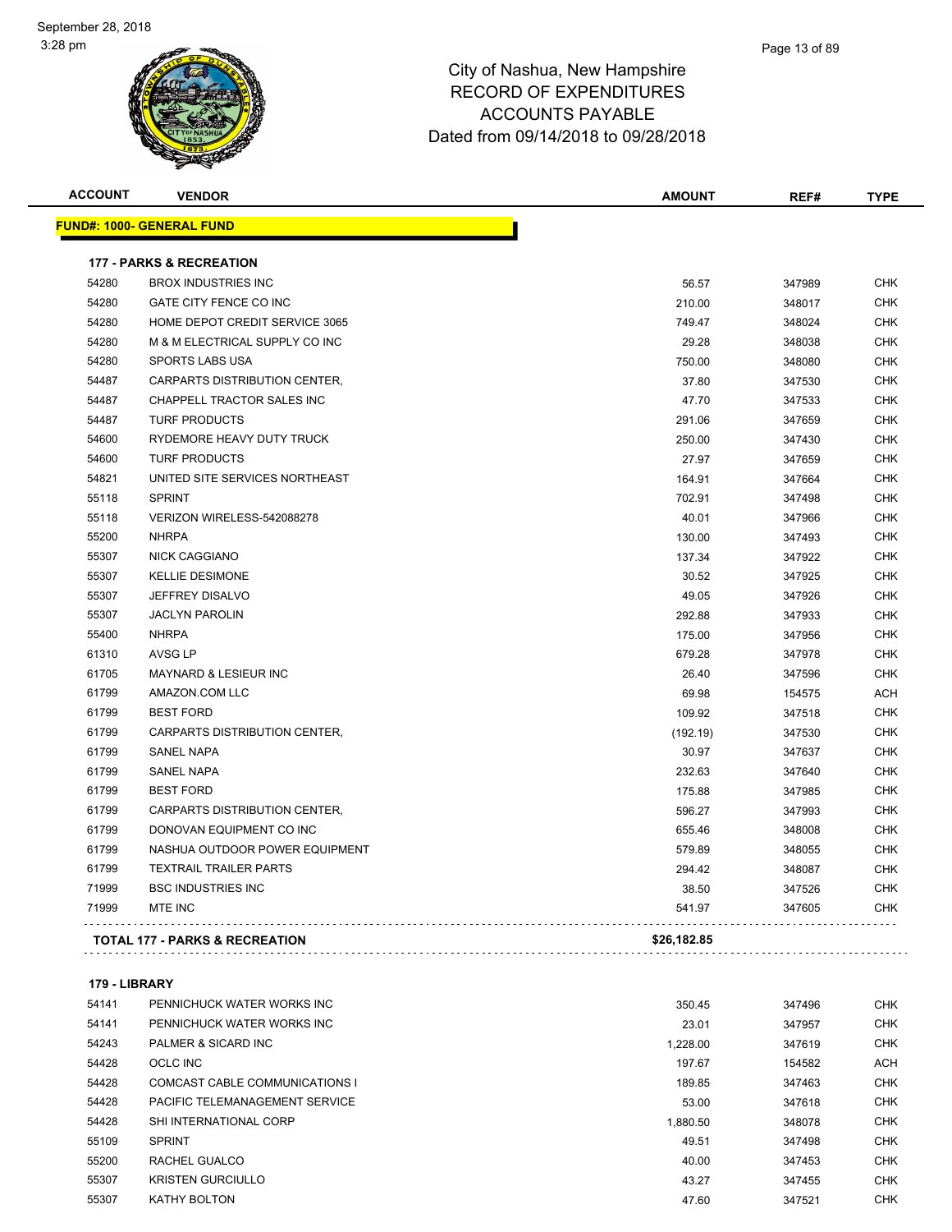#### Page 13 of 89

## City of Nashua, New Hampshire RECORD OF EXPENDITURES ACCOUNTS PAYABLE Dated from 09/14/2018 to 09/28/2018

| <b>ACCOUNT</b> | <b>VENDOR</b>                             | <b>AMOUNT</b> | REF#   | <b>TYPE</b> |
|----------------|-------------------------------------------|---------------|--------|-------------|
|                | <b>FUND#: 1000- GENERAL FUND</b>          |               |        |             |
|                | <b>177 - PARKS &amp; RECREATION</b>       |               |        |             |
| 54280          | <b>BROX INDUSTRIES INC</b>                | 56.57         | 347989 | <b>CHK</b>  |
| 54280          | GATE CITY FENCE CO INC                    | 210.00        | 348017 | <b>CHK</b>  |
| 54280          | HOME DEPOT CREDIT SERVICE 3065            | 749.47        | 348024 | <b>CHK</b>  |
| 54280          | M & M ELECTRICAL SUPPLY CO INC            | 29.28         | 348038 | <b>CHK</b>  |
| 54280          | <b>SPORTS LABS USA</b>                    | 750.00        | 348080 | <b>CHK</b>  |
| 54487          | CARPARTS DISTRIBUTION CENTER,             | 37.80         | 347530 | <b>CHK</b>  |
| 54487          | CHAPPELL TRACTOR SALES INC                | 47.70         | 347533 | <b>CHK</b>  |
| 54487          | <b>TURF PRODUCTS</b>                      | 291.06        | 347659 | <b>CHK</b>  |
| 54600          | RYDEMORE HEAVY DUTY TRUCK                 | 250.00        | 347430 | <b>CHK</b>  |
| 54600          | <b>TURF PRODUCTS</b>                      | 27.97         | 347659 | <b>CHK</b>  |
| 54821          | UNITED SITE SERVICES NORTHEAST            | 164.91        | 347664 | <b>CHK</b>  |
| 55118          | <b>SPRINT</b>                             | 702.91        | 347498 | <b>CHK</b>  |
| 55118          | VERIZON WIRELESS-542088278                | 40.01         | 347966 | <b>CHK</b>  |
| 55200          | <b>NHRPA</b>                              | 130.00        | 347493 | <b>CHK</b>  |
| 55307          | <b>NICK CAGGIANO</b>                      | 137.34        | 347922 | <b>CHK</b>  |
| 55307          | <b>KELLIE DESIMONE</b>                    | 30.52         | 347925 | <b>CHK</b>  |
| 55307          | <b>JEFFREY DISALVO</b>                    | 49.05         | 347926 | <b>CHK</b>  |
| 55307          | <b>JACLYN PAROLIN</b>                     | 292.88        | 347933 | <b>CHK</b>  |
| 55400          | <b>NHRPA</b>                              | 175.00        | 347956 | <b>CHK</b>  |
| 61310          | AVSG LP                                   | 679.28        | 347978 | <b>CHK</b>  |
| 61705          | <b>MAYNARD &amp; LESIEUR INC</b>          | 26.40         | 347596 | <b>CHK</b>  |
| 61799          | AMAZON.COM LLC                            | 69.98         | 154575 | <b>ACH</b>  |
| 61799          | <b>BEST FORD</b>                          | 109.92        | 347518 | <b>CHK</b>  |
| 61799          | CARPARTS DISTRIBUTION CENTER,             | (192.19)      | 347530 | <b>CHK</b>  |
| 61799          | <b>SANEL NAPA</b>                         | 30.97         | 347637 | <b>CHK</b>  |
| 61799          | <b>SANEL NAPA</b>                         | 232.63        | 347640 | <b>CHK</b>  |
| 61799          | <b>BEST FORD</b>                          | 175.88        | 347985 | <b>CHK</b>  |
| 61799          | CARPARTS DISTRIBUTION CENTER,             | 596.27        | 347993 | <b>CHK</b>  |
| 61799          | DONOVAN EQUIPMENT CO INC                  | 655.46        | 348008 | <b>CHK</b>  |
| 61799          | NASHUA OUTDOOR POWER EQUIPMENT            | 579.89        | 348055 | <b>CHK</b>  |
| 61799          | <b>TEXTRAIL TRAILER PARTS</b>             | 294.42        | 348087 | <b>CHK</b>  |
| 71999          | <b>BSC INDUSTRIES INC</b>                 | 38.50         | 347526 | <b>CHK</b>  |
| 71999          | MTE INC                                   | 541.97        | 347605 | <b>CHK</b>  |
|                | <b>TOTAL 177 - PARKS &amp; RECREATION</b> | \$26,182.85   |        |             |
|                |                                           |               |        |             |

### **179 - LIBRARY**

| 54141 | PENNICHUCK WATER WORKS INC     | 350.45   | 347496 | <b>CHK</b> |
|-------|--------------------------------|----------|--------|------------|
| 54141 | PENNICHUCK WATER WORKS INC     | 23.01    | 347957 | <b>CHK</b> |
| 54243 | PALMER & SICARD INC            | 1.228.00 | 347619 | <b>CHK</b> |
| 54428 | OCLC INC                       | 197.67   | 154582 | <b>ACH</b> |
| 54428 | COMCAST CABLE COMMUNICATIONS I | 189.85   | 347463 | <b>CHK</b> |
| 54428 | PACIFIC TELEMANAGEMENT SERVICE | 53.00    | 347618 | <b>CHK</b> |
| 54428 | SHI INTERNATIONAL CORP         | 1.880.50 | 348078 | <b>CHK</b> |
| 55109 | <b>SPRINT</b>                  | 49.51    | 347498 | <b>CHK</b> |
| 55200 | RACHEL GUALCO                  | 40.00    | 347453 | <b>CHK</b> |
| 55307 | <b>KRISTEN GURCIULLO</b>       | 43.27    | 347455 | <b>CHK</b> |
| 55307 | <b>KATHY BOLTON</b>            | 47.60    | 347521 | <b>CHK</b> |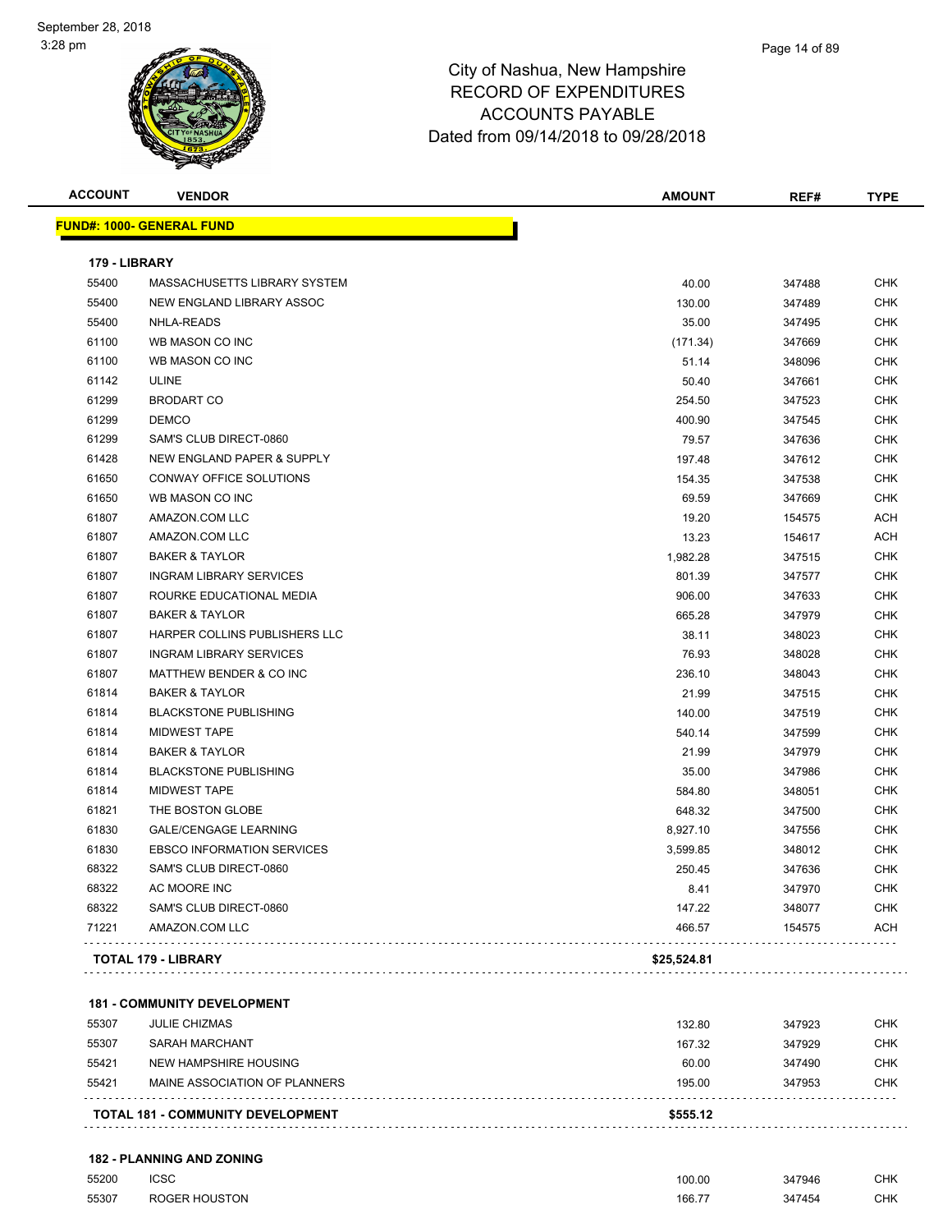| <b>ACCOUNT</b> | <b>VENDOR</b>                         | <b>AMOUNT</b> | REF#   | <b>TYPE</b> |
|----------------|---------------------------------------|---------------|--------|-------------|
|                | <b>FUND#: 1000- GENERAL FUND</b>      |               |        |             |
| 179 - LIBRARY  |                                       |               |        |             |
| 55400          | MASSACHUSETTS LIBRARY SYSTEM          | 40.00         | 347488 | <b>CHK</b>  |
| 55400          | NEW ENGLAND LIBRARY ASSOC             | 130.00        | 347489 | <b>CHK</b>  |
| 55400          | <b>NHLA-READS</b>                     | 35.00         | 347495 | <b>CHK</b>  |
| 61100          | WB MASON CO INC                       | (171.34)      | 347669 | <b>CHK</b>  |
| 61100          | WB MASON CO INC                       | 51.14         | 348096 | <b>CHK</b>  |
| 61142          | <b>ULINE</b>                          | 50.40         | 347661 | <b>CHK</b>  |
| 61299          | <b>BRODART CO</b>                     | 254.50        | 347523 | <b>CHK</b>  |
| 61299          | <b>DEMCO</b>                          | 400.90        | 347545 | <b>CHK</b>  |
| 61299          | SAM'S CLUB DIRECT-0860                | 79.57         | 347636 | <b>CHK</b>  |
| 61428          | <b>NEW ENGLAND PAPER &amp; SUPPLY</b> | 197.48        | 347612 | <b>CHK</b>  |
| 61650          | CONWAY OFFICE SOLUTIONS               | 154.35        | 347538 | <b>CHK</b>  |
| 61650          | WB MASON CO INC                       | 69.59         | 347669 | <b>CHK</b>  |
| 61807          | AMAZON.COM LLC                        | 19.20         | 154575 | <b>ACH</b>  |
| 61807          | AMAZON.COM LLC                        | 13.23         | 154617 | <b>ACH</b>  |
| 61807          | <b>BAKER &amp; TAYLOR</b>             | 1,982.28      | 347515 | <b>CHK</b>  |
| 61807          | <b>INGRAM LIBRARY SERVICES</b>        | 801.39        | 347577 | <b>CHK</b>  |
| 61807          | ROURKE EDUCATIONAL MEDIA              | 906.00        | 347633 | <b>CHK</b>  |
| 61807          | <b>BAKER &amp; TAYLOR</b>             | 665.28        | 347979 | <b>CHK</b>  |
| 61807          | HARPER COLLINS PUBLISHERS LLC         | 38.11         | 348023 | <b>CHK</b>  |
| 61807          | <b>INGRAM LIBRARY SERVICES</b>        | 76.93         | 348028 | <b>CHK</b>  |
| 61807          | MATTHEW BENDER & CO INC               | 236.10        | 348043 | <b>CHK</b>  |
| 61814          | <b>BAKER &amp; TAYLOR</b>             | 21.99         | 347515 | <b>CHK</b>  |
| 61814          | <b>BLACKSTONE PUBLISHING</b>          | 140.00        | 347519 | <b>CHK</b>  |
| 61814          | <b>MIDWEST TAPE</b>                   | 540.14        | 347599 | <b>CHK</b>  |
| 61814          | <b>BAKER &amp; TAYLOR</b>             | 21.99         | 347979 | <b>CHK</b>  |
| 61814          | <b>BLACKSTONE PUBLISHING</b>          | 35.00         | 347986 | <b>CHK</b>  |
| 61814          | <b>MIDWEST TAPE</b>                   | 584.80        | 348051 | <b>CHK</b>  |
| 61821          | THE BOSTON GLOBE                      | 648.32        | 347500 | <b>CHK</b>  |
| 61830          | <b>GALE/CENGAGE LEARNING</b>          | 8,927.10      | 347556 | <b>CHK</b>  |
| 61830          | <b>EBSCO INFORMATION SERVICES</b>     | 3,599.85      | 348012 | <b>CHK</b>  |
| 68322          | SAM'S CLUB DIRECT-0860                | 250.45        | 347636 | <b>CHK</b>  |
| 68322          | AC MOORE INC                          | 8.41          | 347970 | <b>CHK</b>  |
| 68322          | SAM'S CLUB DIRECT-0860                | 147.22        | 348077 | <b>CHK</b>  |
| 71221          | AMAZON.COM LLC                        | 466.57        | 154575 | <b>ACH</b>  |
|                | <b>TOTAL 179 - LIBRARY</b>            | \$25,524.81   |        |             |

**181 - COMMUNITY DEVELOPMENT**

|       | <b>TOTAL 181 - COMMUNITY DEVELOPMENT</b> | \$555.12 |        |            |
|-------|------------------------------------------|----------|--------|------------|
| 55421 | MAINE ASSOCIATION OF PLANNERS            | 195.00   | 347953 | <b>CHK</b> |
| 55421 | NEW HAMPSHIRE HOUSING                    | 60.00    | 347490 | <b>CHK</b> |
| 55307 | SARAH MARCHANT                           | 167.32   | 347929 | <b>CHK</b> |
| 55307 | <b>JULIE CHIZMAS</b>                     | 132.80   | 347923 | <b>CHK</b> |
|       |                                          |          |        |            |

Page 14 of 89

**182 - PLANNING AND ZONING**

| 55200 | ICSC          | 100.00 | 347946 | CHK |
|-------|---------------|--------|--------|-----|
| 55307 | ROGER HOUSTON | 166.7  | 347454 | CHK |
|       | ___           |        |        |     |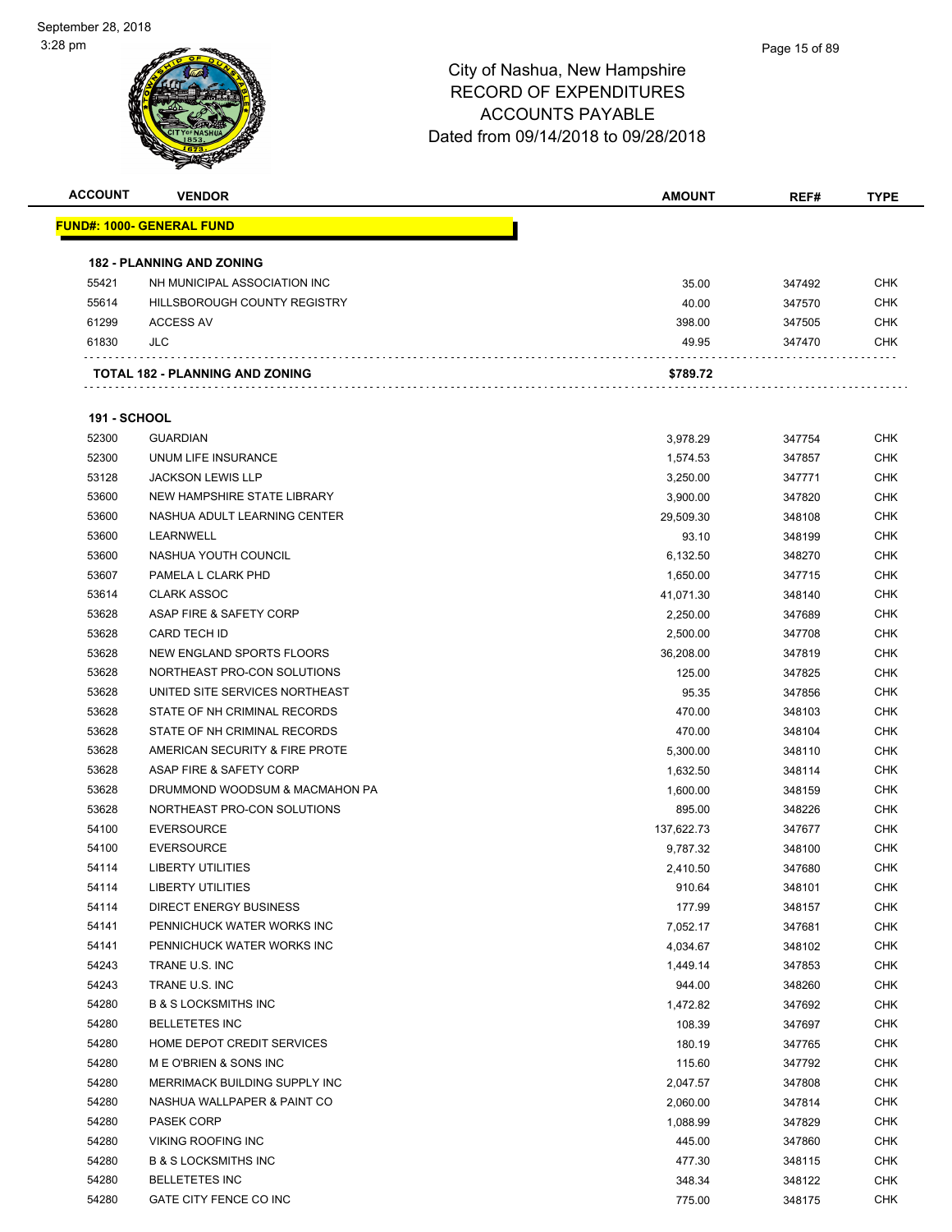| <b>ACCOUNT</b>      | <b>VENDOR</b>                     | <b>AMOUNT</b> | REF#   | TYPE       |
|---------------------|-----------------------------------|---------------|--------|------------|
|                     | <u> FUND#: 1000- GENERAL FUND</u> |               |        |            |
|                     |                                   |               |        |            |
|                     | <b>182 - PLANNING AND ZONING</b>  |               |        |            |
| 55421               | NH MUNICIPAL ASSOCIATION INC      | 35.00         | 347492 | <b>CHK</b> |
| 55614               | HILLSBOROUGH COUNTY REGISTRY      | 40.00         | 347570 | <b>CHK</b> |
| 61299               | <b>ACCESS AV</b>                  | 398.00        | 347505 | <b>CHK</b> |
| 61830               | JLC                               | 49.95         | 347470 | CHK        |
|                     | TOTAL 182 - PLANNING AND ZONING   | \$789.72      |        |            |
| <b>191 - SCHOOL</b> |                                   |               |        |            |
| 52300               | <b>GUARDIAN</b>                   | 3,978.29      | 347754 | <b>CHK</b> |
| 52300               | UNUM LIFE INSURANCE               | 1,574.53      | 347857 | <b>CHK</b> |
| 53128               | <b>JACKSON LEWIS LLP</b>          | 3,250.00      | 347771 | <b>CHK</b> |
| 53600               | NEW HAMPSHIRE STATE LIBRARY       | 3,900.00      | 347820 | <b>CHK</b> |
| 53600               | NASHUA ADULT LEARNING CENTER      | 29,509.30     | 348108 | <b>CHK</b> |
| 53600               | LEARNWELL                         | 93.10         | 348199 | <b>CHK</b> |
| 53600               | NASHUA YOUTH COUNCIL              | 6,132.50      | 348270 | <b>CHK</b> |
| 53607               | PAMELA L CLARK PHD                | 1,650.00      | 347715 | <b>CHK</b> |
| 53614               | <b>CLARK ASSOC</b>                |               | 348140 | <b>CHK</b> |
| 53628               | ASAP FIRE & SAFETY CORP           | 41,071.30     | 347689 | <b>CHK</b> |
|                     | <b>CARD TECH ID</b>               | 2,250.00      |        | <b>CHK</b> |
| 53628               |                                   | 2,500.00      | 347708 |            |
| 53628               | NEW ENGLAND SPORTS FLOORS         | 36,208.00     | 347819 | <b>CHK</b> |
| 53628               | NORTHEAST PRO-CON SOLUTIONS       | 125.00        | 347825 | <b>CHK</b> |
| 53628               | UNITED SITE SERVICES NORTHEAST    | 95.35         | 347856 | <b>CHK</b> |
| 53628               | STATE OF NH CRIMINAL RECORDS      | 470.00        | 348103 | <b>CHK</b> |
| 53628               | STATE OF NH CRIMINAL RECORDS      | 470.00        | 348104 | <b>CHK</b> |
| 53628               | AMERICAN SECURITY & FIRE PROTE    | 5,300.00      | 348110 | <b>CHK</b> |
| 53628               | ASAP FIRE & SAFETY CORP           | 1,632.50      | 348114 | <b>CHK</b> |
| 53628               | DRUMMOND WOODSUM & MACMAHON PA    | 1,600.00      | 348159 | <b>CHK</b> |
| 53628               | NORTHEAST PRO-CON SOLUTIONS       | 895.00        | 348226 | <b>CHK</b> |
| 54100               | <b>EVERSOURCE</b>                 | 137,622.73    | 347677 | <b>CHK</b> |
| 54100               | <b>EVERSOURCE</b>                 | 9,787.32      | 348100 | <b>CHK</b> |
| 54114               | <b>LIBERTY UTILITIES</b>          | 2,410.50      | 347680 | <b>CHK</b> |
| 54114               | <b>LIBERTY UTILITIES</b>          | 910.64        | 348101 | <b>CHK</b> |
| 54114               | <b>DIRECT ENERGY BUSINESS</b>     | 177.99        | 348157 | <b>CHK</b> |
| 54141               | PENNICHUCK WATER WORKS INC        | 7,052.17      | 347681 | <b>CHK</b> |
| 54141               | PENNICHUCK WATER WORKS INC        | 4,034.67      | 348102 | <b>CHK</b> |
| 54243               | TRANE U.S. INC                    | 1,449.14      | 347853 | <b>CHK</b> |
| 54243               | TRANE U.S. INC                    | 944.00        | 348260 | <b>CHK</b> |
| 54280               | <b>B &amp; S LOCKSMITHS INC</b>   | 1,472.82      | 347692 | <b>CHK</b> |
| 54280               | <b>BELLETETES INC</b>             | 108.39        | 347697 | <b>CHK</b> |
| 54280               | HOME DEPOT CREDIT SERVICES        | 180.19        | 347765 | <b>CHK</b> |
| 54280               | M E O'BRIEN & SONS INC            | 115.60        | 347792 | <b>CHK</b> |
| 54280               | MERRIMACK BUILDING SUPPLY INC     | 2,047.57      | 347808 | <b>CHK</b> |
| 54280               | NASHUA WALLPAPER & PAINT CO       | 2,060.00      | 347814 | <b>CHK</b> |
| 54280               | <b>PASEK CORP</b>                 | 1,088.99      | 347829 | <b>CHK</b> |
| 54280               | VIKING ROOFING INC                | 445.00        | 347860 | <b>CHK</b> |
| 54280               | <b>B &amp; S LOCKSMITHS INC</b>   | 477.30        | 348115 | <b>CHK</b> |
| 54280               | <b>BELLETETES INC</b>             | 348.34        | 348122 | <b>CHK</b> |
| 54280               | GATE CITY FENCE CO INC            | 775.00        | 348175 | <b>CHK</b> |
|                     |                                   |               |        |            |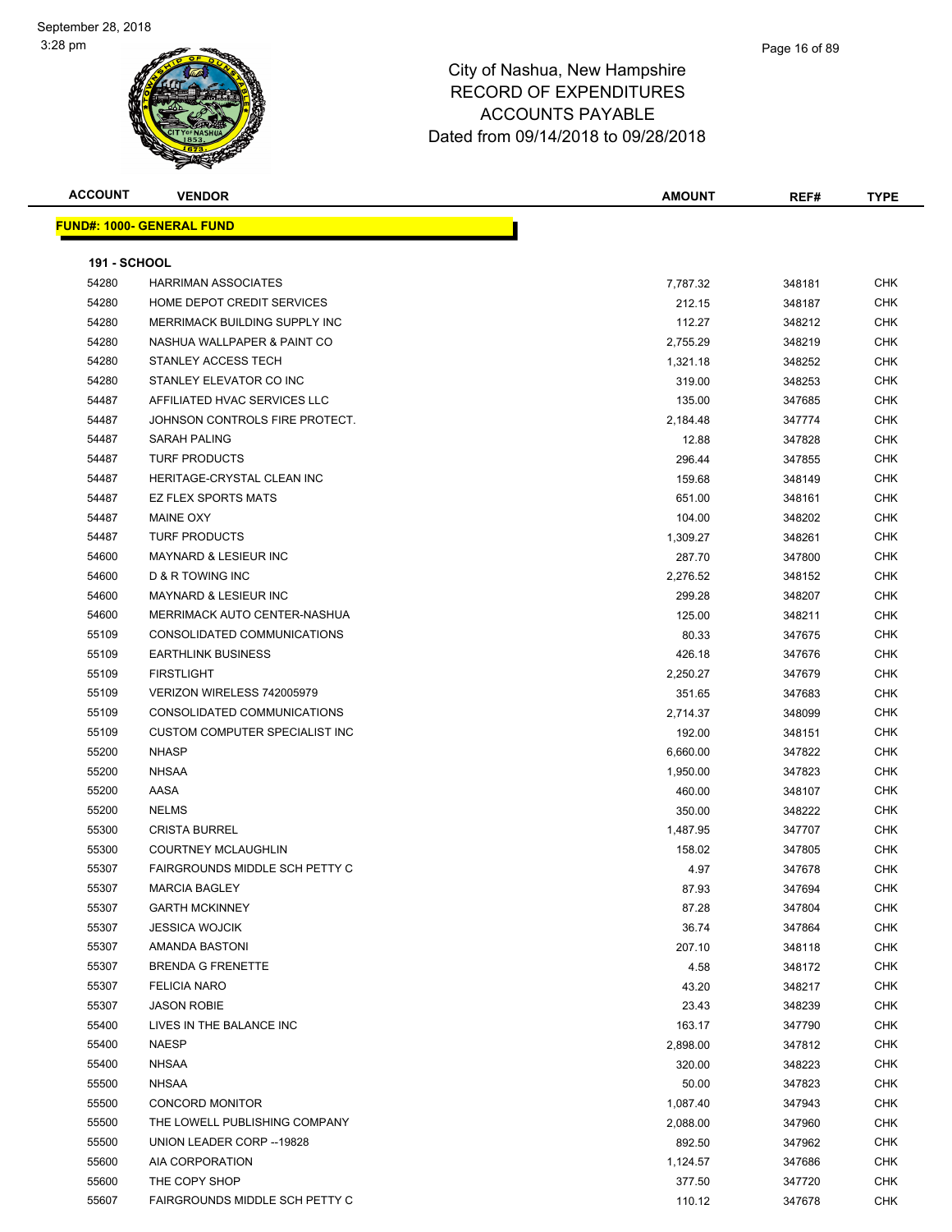| <b>ACCOUNT</b>      | <b>VENDOR</b>                         | <b>AMOUNT</b> | REF#   | <b>TYPE</b> |
|---------------------|---------------------------------------|---------------|--------|-------------|
|                     | <b>FUND#: 1000- GENERAL FUND</b>      |               |        |             |
|                     |                                       |               |        |             |
| <b>191 - SCHOOL</b> |                                       |               |        |             |
| 54280               | <b>HARRIMAN ASSOCIATES</b>            | 7,787.32      | 348181 | <b>CHK</b>  |
| 54280               | HOME DEPOT CREDIT SERVICES            | 212.15        | 348187 | <b>CHK</b>  |
| 54280               | MERRIMACK BUILDING SUPPLY INC         | 112.27        | 348212 | <b>CHK</b>  |
| 54280               | NASHUA WALLPAPER & PAINT CO           | 2,755.29      | 348219 | <b>CHK</b>  |
| 54280               | STANLEY ACCESS TECH                   | 1,321.18      | 348252 | <b>CHK</b>  |
| 54280               | STANLEY ELEVATOR CO INC               | 319.00        | 348253 | <b>CHK</b>  |
| 54487               | AFFILIATED HVAC SERVICES LLC          | 135.00        | 347685 | <b>CHK</b>  |
| 54487               | JOHNSON CONTROLS FIRE PROTECT.        | 2,184.48      | 347774 | <b>CHK</b>  |
| 54487               | <b>SARAH PALING</b>                   | 12.88         | 347828 | CHK         |
| 54487               | <b>TURF PRODUCTS</b>                  | 296.44        | 347855 | <b>CHK</b>  |
| 54487               | HERITAGE-CRYSTAL CLEAN INC            | 159.68        | 348149 | <b>CHK</b>  |
| 54487               | <b>EZ FLEX SPORTS MATS</b>            | 651.00        | 348161 | CHK         |
| 54487               | <b>MAINE OXY</b>                      | 104.00        | 348202 | CHK         |
| 54487               | <b>TURF PRODUCTS</b>                  | 1,309.27      | 348261 | <b>CHK</b>  |
| 54600               | <b>MAYNARD &amp; LESIEUR INC</b>      | 287.70        | 347800 | CHK         |
| 54600               | D & R TOWING INC                      | 2,276.52      | 348152 | <b>CHK</b>  |
| 54600               | <b>MAYNARD &amp; LESIEUR INC</b>      | 299.28        | 348207 | <b>CHK</b>  |
| 54600               | MERRIMACK AUTO CENTER-NASHUA          | 125.00        | 348211 | CHK         |
| 55109               | CONSOLIDATED COMMUNICATIONS           | 80.33         | 347675 | <b>CHK</b>  |
| 55109               | <b>EARTHLINK BUSINESS</b>             | 426.18        | 347676 | <b>CHK</b>  |
| 55109               | <b>FIRSTLIGHT</b>                     | 2,250.27      | 347679 | <b>CHK</b>  |
| 55109               | VERIZON WIRELESS 742005979            | 351.65        | 347683 | <b>CHK</b>  |
| 55109               | CONSOLIDATED COMMUNICATIONS           | 2,714.37      | 348099 | CHK         |
| 55109               | CUSTOM COMPUTER SPECIALIST INC        | 192.00        | 348151 | <b>CHK</b>  |
| 55200               | <b>NHASP</b>                          | 6,660.00      | 347822 | <b>CHK</b>  |
| 55200               | <b>NHSAA</b>                          | 1,950.00      | 347823 | <b>CHK</b>  |
| 55200               | AASA                                  | 460.00        | 348107 | <b>CHK</b>  |
| 55200               | <b>NELMS</b>                          | 350.00        | 348222 | <b>CHK</b>  |
| 55300               | <b>CRISTA BURREL</b>                  | 1,487.95      | 347707 | <b>CHK</b>  |
| 55300               | <b>COURTNEY MCLAUGHLIN</b>            | 158.02        | 347805 | CHK         |
| 55307               | <b>FAIRGROUNDS MIDDLE SCH PETTY C</b> | 4.97          | 347678 | CHK         |
| 55307               | <b>MARCIA BAGLEY</b>                  | 87.93         | 347694 | <b>CHK</b>  |
| 55307               | <b>GARTH MCKINNEY</b>                 | 87.28         | 347804 | <b>CHK</b>  |
| 55307               | <b>JESSICA WOJCIK</b>                 | 36.74         | 347864 | CHK         |
| 55307               | AMANDA BASTONI                        | 207.10        | 348118 | <b>CHK</b>  |
| 55307               | <b>BRENDA G FRENETTE</b>              | 4.58          | 348172 | <b>CHK</b>  |
| 55307               | <b>FELICIA NARO</b>                   | 43.20         | 348217 | <b>CHK</b>  |
| 55307               | <b>JASON ROBIE</b>                    | 23.43         | 348239 | <b>CHK</b>  |
| 55400               | LIVES IN THE BALANCE INC              | 163.17        | 347790 | <b>CHK</b>  |
| 55400               | <b>NAESP</b>                          | 2,898.00      | 347812 | <b>CHK</b>  |
| 55400               | <b>NHSAA</b>                          | 320.00        | 348223 | <b>CHK</b>  |
| 55500               | <b>NHSAA</b>                          | 50.00         | 347823 | <b>CHK</b>  |
| 55500               | CONCORD MONITOR                       | 1,087.40      | 347943 | <b>CHK</b>  |
| 55500               | THE LOWELL PUBLISHING COMPANY         | 2,088.00      | 347960 | <b>CHK</b>  |
| 55500               | UNION LEADER CORP --19828             | 892.50        | 347962 | CHK         |
| 55600               | AIA CORPORATION                       | 1,124.57      | 347686 | <b>CHK</b>  |
| 55600               | THE COPY SHOP                         | 377.50        | 347720 | <b>CHK</b>  |
| 55607               | FAIRGROUNDS MIDDLE SCH PETTY C        | 110.12        | 347678 | <b>CHK</b>  |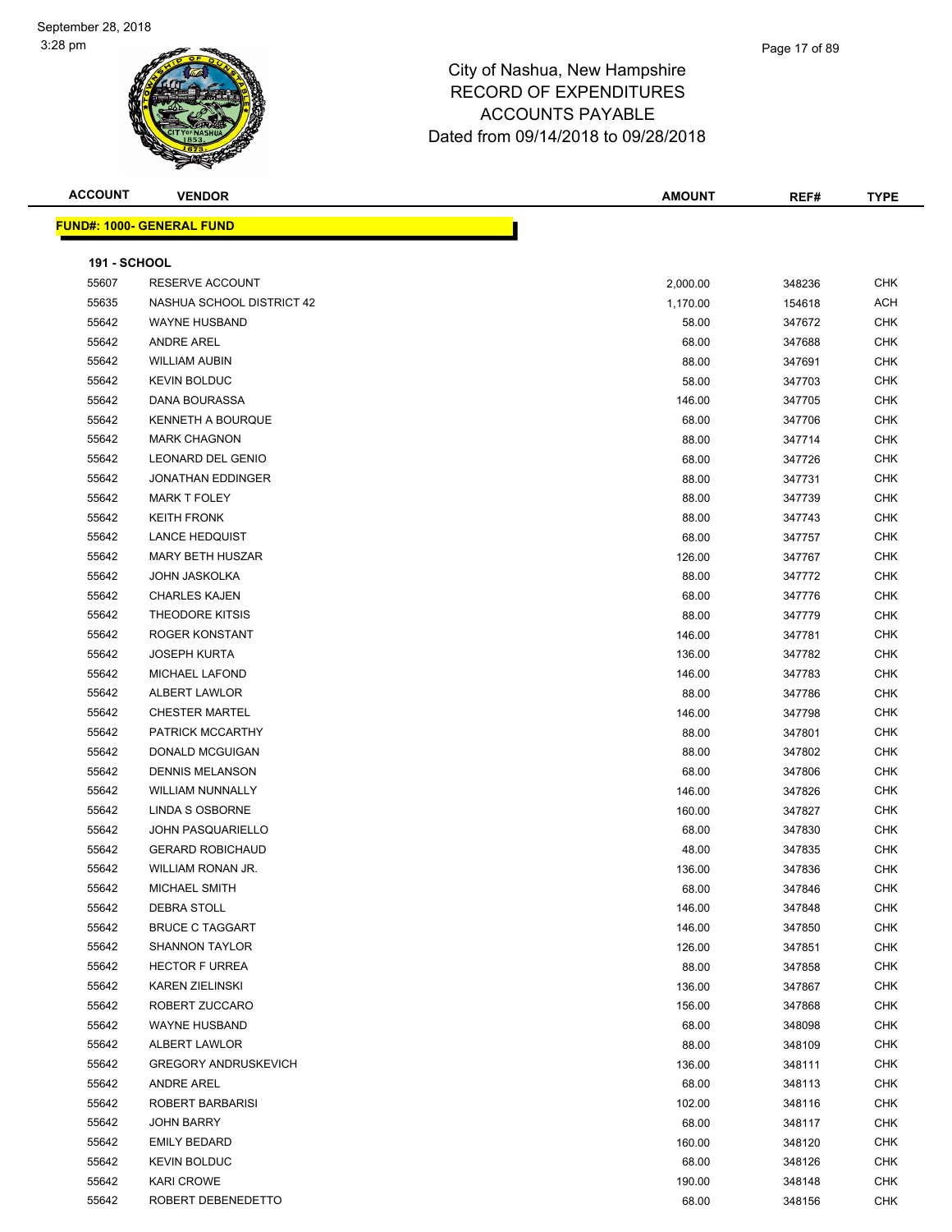### Page 17 of 89

| <b>ACCOUNT</b>      | <b>VENDOR</b>                    | <b>AMOUNT</b> | REF#   | <b>TYPE</b> |
|---------------------|----------------------------------|---------------|--------|-------------|
|                     | <b>FUND#: 1000- GENERAL FUND</b> |               |        |             |
| <b>191 - SCHOOL</b> |                                  |               |        |             |
| 55607               | RESERVE ACCOUNT                  | 2,000.00      | 348236 | <b>CHK</b>  |
| 55635               | NASHUA SCHOOL DISTRICT 42        | 1,170.00      | 154618 | ACH         |
| 55642               | <b>WAYNE HUSBAND</b>             | 58.00         | 347672 | <b>CHK</b>  |
| 55642               | <b>ANDRE AREL</b>                | 68.00         | 347688 | <b>CHK</b>  |
| 55642               | <b>WILLIAM AUBIN</b>             | 88.00         | 347691 | <b>CHK</b>  |
| 55642               | <b>KEVIN BOLDUC</b>              | 58.00         | 347703 | <b>CHK</b>  |
| 55642               | <b>DANA BOURASSA</b>             | 146.00        | 347705 | <b>CHK</b>  |
| 55642               | <b>KENNETH A BOURQUE</b>         | 68.00         | 347706 | <b>CHK</b>  |
| 55642               | <b>MARK CHAGNON</b>              | 88.00         | 347714 | <b>CHK</b>  |
| 55642               | LEONARD DEL GENIO                | 68.00         | 347726 | <b>CHK</b>  |
| 55642               | JONATHAN EDDINGER                | 88.00         | 347731 | <b>CHK</b>  |
| 55642               | <b>MARK T FOLEY</b>              | 88.00         | 347739 | <b>CHK</b>  |
| 55642               | <b>KEITH FRONK</b>               | 88.00         | 347743 | <b>CHK</b>  |
| 55642               | <b>LANCE HEDQUIST</b>            | 68.00         | 347757 | <b>CHK</b>  |
| 55642               | MARY BETH HUSZAR                 |               |        | <b>CHK</b>  |
|                     |                                  | 126.00        | 347767 |             |
| 55642               | JOHN JASKOLKA                    | 88.00         | 347772 | <b>CHK</b>  |
| 55642               | <b>CHARLES KAJEN</b>             | 68.00         | 347776 | <b>CHK</b>  |
| 55642               | <b>THEODORE KITSIS</b>           | 88.00         | 347779 | <b>CHK</b>  |
| 55642               | ROGER KONSTANT                   | 146.00        | 347781 | <b>CHK</b>  |
| 55642               | <b>JOSEPH KURTA</b>              | 136.00        | 347782 | <b>CHK</b>  |
| 55642               | MICHAEL LAFOND                   | 146.00        | 347783 | <b>CHK</b>  |
| 55642               | ALBERT LAWLOR                    | 88.00         | 347786 | <b>CHK</b>  |
| 55642               | <b>CHESTER MARTEL</b>            | 146.00        | 347798 | <b>CHK</b>  |
| 55642               | PATRICK MCCARTHY                 | 88.00         | 347801 | <b>CHK</b>  |
| 55642               | DONALD MCGUIGAN                  | 88.00         | 347802 | <b>CHK</b>  |
| 55642               | <b>DENNIS MELANSON</b>           | 68.00         | 347806 | <b>CHK</b>  |
| 55642               | <b>WILLIAM NUNNALLY</b>          | 146.00        | 347826 | <b>CHK</b>  |
| 55642               | LINDA S OSBORNE                  | 160.00        | 347827 | <b>CHK</b>  |
| 55642               | <b>JOHN PASQUARIELLO</b>         | 68.00         | 347830 | <b>CHK</b>  |
| 55642               | <b>GERARD ROBICHAUD</b>          | 48.00         | 347835 | <b>CHK</b>  |
| 55642               | WILLIAM RONAN JR.                | 136.00        | 347836 | <b>CHK</b>  |
| 55642               | <b>MICHAEL SMITH</b>             | 68.00         | 347846 | CHK         |
| 55642               | DEBRA STOLL                      | 146.00        | 347848 | <b>CHK</b>  |
| 55642               | <b>BRUCE C TAGGART</b>           | 146.00        | 347850 | <b>CHK</b>  |
| 55642               | <b>SHANNON TAYLOR</b>            | 126.00        | 347851 | <b>CHK</b>  |
| 55642               | <b>HECTOR F URREA</b>            | 88.00         | 347858 | <b>CHK</b>  |
| 55642               | <b>KAREN ZIELINSKI</b>           | 136.00        | 347867 | <b>CHK</b>  |
| 55642               | ROBERT ZUCCARO                   | 156.00        | 347868 | <b>CHK</b>  |
| 55642               | <b>WAYNE HUSBAND</b>             | 68.00         | 348098 | <b>CHK</b>  |
| 55642               | ALBERT LAWLOR                    | 88.00         | 348109 | <b>CHK</b>  |
| 55642               | <b>GREGORY ANDRUSKEVICH</b>      | 136.00        | 348111 | <b>CHK</b>  |
| 55642               | <b>ANDRE AREL</b>                | 68.00         | 348113 | <b>CHK</b>  |
| 55642               | ROBERT BARBARISI                 | 102.00        | 348116 | <b>CHK</b>  |
| 55642               | JOHN BARRY                       | 68.00         | 348117 | <b>CHK</b>  |
| 55642               | <b>EMILY BEDARD</b>              | 160.00        | 348120 | <b>CHK</b>  |
| 55642               | <b>KEVIN BOLDUC</b>              | 68.00         | 348126 | <b>CHK</b>  |
| 55642               | <b>KARI CROWE</b>                | 190.00        | 348148 | CHK         |
| 55642               | ROBERT DEBENEDETTO               | 68.00         | 348156 | <b>CHK</b>  |
|                     |                                  |               |        |             |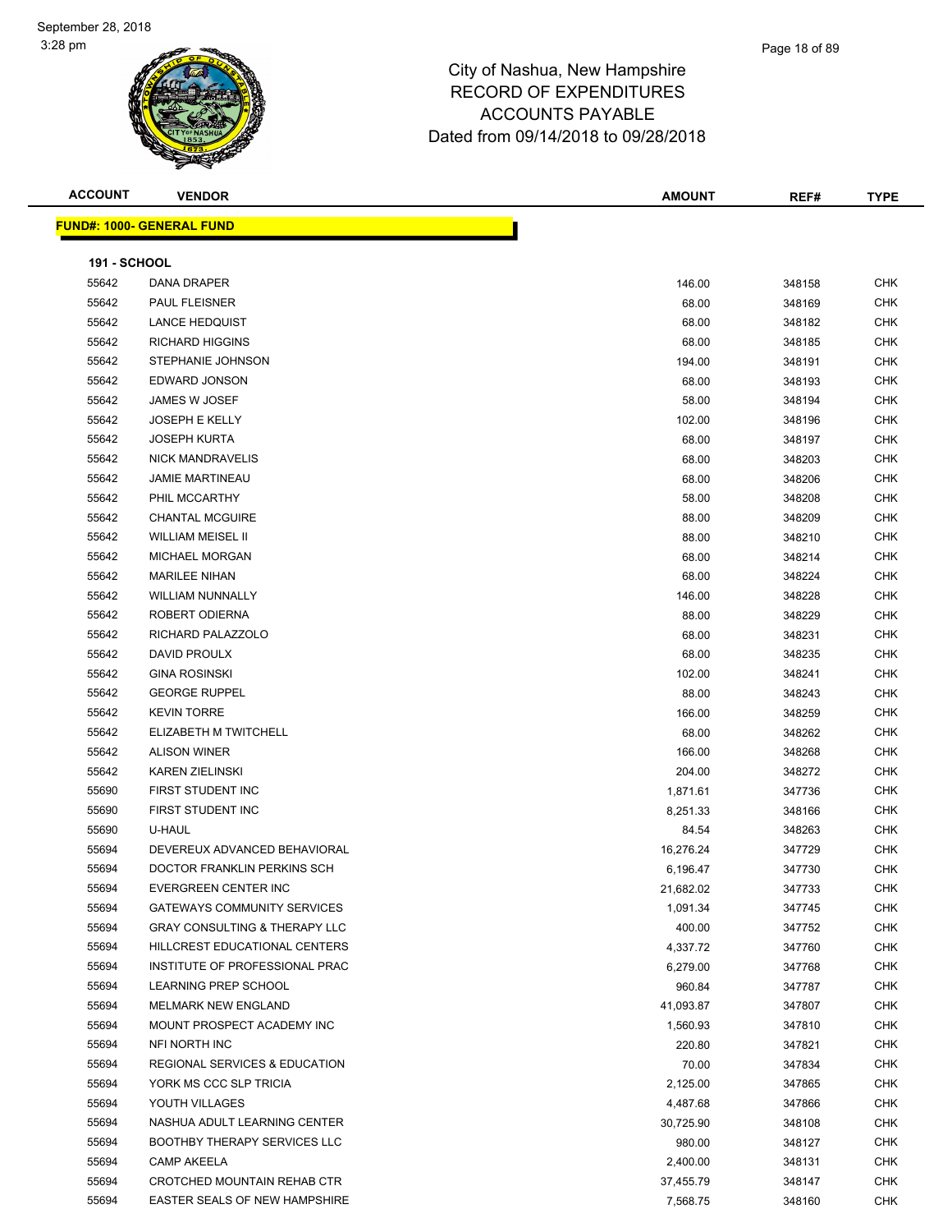**ACCOUNT VENDOR AMOUNT REF# TYPE**

| <b>FUND#: 1000- GENERAL FUND</b> |  |
|----------------------------------|--|

|                     | <u> D#: 1000- GENERAL FUND</u>           |           |        |            |
|---------------------|------------------------------------------|-----------|--------|------------|
| <b>191 - SCHOOL</b> |                                          |           |        |            |
| 55642               | DANA DRAPER                              | 146.00    | 348158 | <b>CHK</b> |
| 55642               | PAUL FLEISNER                            | 68.00     | 348169 | <b>CHK</b> |
| 55642               | <b>LANCE HEDQUIST</b>                    | 68.00     | 348182 | <b>CHK</b> |
| 55642               | <b>RICHARD HIGGINS</b>                   | 68.00     | 348185 | <b>CHK</b> |
| 55642               | STEPHANIE JOHNSON                        | 194.00    | 348191 | <b>CHK</b> |
| 55642               | EDWARD JONSON                            | 68.00     | 348193 | <b>CHK</b> |
| 55642               | JAMES W JOSEF                            | 58.00     | 348194 | <b>CHK</b> |
| 55642               | <b>JOSEPH E KELLY</b>                    | 102.00    | 348196 | CHK        |
| 55642               | <b>JOSEPH KURTA</b>                      | 68.00     | 348197 | <b>CHK</b> |
| 55642               | <b>NICK MANDRAVELIS</b>                  | 68.00     | 348203 | CHK        |
| 55642               | <b>JAMIE MARTINEAU</b>                   | 68.00     | 348206 | <b>CHK</b> |
| 55642               | PHIL MCCARTHY                            | 58.00     | 348208 | CHK        |
| 55642               | <b>CHANTAL MCGUIRE</b>                   | 88.00     | 348209 | CHK        |
| 55642               | <b>WILLIAM MEISEL II</b>                 | 88.00     | 348210 | <b>CHK</b> |
| 55642               | <b>MICHAEL MORGAN</b>                    | 68.00     | 348214 | <b>CHK</b> |
| 55642               | <b>MARILEE NIHAN</b>                     | 68.00     | 348224 | <b>CHK</b> |
|                     | <b>WILLIAM NUNNALLY</b>                  |           |        | <b>CHK</b> |
| 55642               | ROBERT ODIERNA                           | 146.00    | 348228 |            |
| 55642               |                                          | 88.00     | 348229 | <b>CHK</b> |
| 55642               | RICHARD PALAZZOLO                        | 68.00     | 348231 | CHK        |
| 55642               | DAVID PROULX                             | 68.00     | 348235 | <b>CHK</b> |
| 55642               | <b>GINA ROSINSKI</b>                     | 102.00    | 348241 | <b>CHK</b> |
| 55642               | <b>GEORGE RUPPEL</b>                     | 88.00     | 348243 | <b>CHK</b> |
| 55642               | <b>KEVIN TORRE</b>                       | 166.00    | 348259 | <b>CHK</b> |
| 55642               | ELIZABETH M TWITCHELL                    | 68.00     | 348262 | <b>CHK</b> |
| 55642               | <b>ALISON WINER</b>                      | 166.00    | 348268 | <b>CHK</b> |
| 55642               | <b>KAREN ZIELINSKI</b>                   | 204.00    | 348272 | <b>CHK</b> |
| 55690               | FIRST STUDENT INC                        | 1,871.61  | 347736 | <b>CHK</b> |
| 55690               | FIRST STUDENT INC                        | 8,251.33  | 348166 | <b>CHK</b> |
| 55690               | U-HAUL                                   | 84.54     | 348263 | <b>CHK</b> |
| 55694               | DEVEREUX ADVANCED BEHAVIORAL             | 16,276.24 | 347729 | <b>CHK</b> |
| 55694               | DOCTOR FRANKLIN PERKINS SCH              | 6,196.47  | 347730 | <b>CHK</b> |
| 55694               | EVERGREEN CENTER INC                     | 21,682.02 | 347733 | <b>CHK</b> |
| 55694               | GATEWAYS COMMUNITY SERVICES              | 1,091.34  | 347745 | CHK        |
| 55694               | <b>GRAY CONSULTING &amp; THERAPY LLC</b> | 400.00    | 347752 | <b>CHK</b> |
| 55694               | HILLCREST EDUCATIONAL CENTERS            | 4,337.72  | 347760 | <b>CHK</b> |
| 55694               | INSTITUTE OF PROFESSIONAL PRAC           | 6,279.00  | 347768 | <b>CHK</b> |
| 55694               | LEARNING PREP SCHOOL                     | 960.84    | 347787 | <b>CHK</b> |
| 55694               | <b>MELMARK NEW ENGLAND</b>               | 41,093.87 | 347807 | <b>CHK</b> |
| 55694               | MOUNT PROSPECT ACADEMY INC               | 1,560.93  | 347810 | <b>CHK</b> |
| 55694               | <b>NFI NORTH INC</b>                     | 220.80    | 347821 | <b>CHK</b> |
| 55694               | REGIONAL SERVICES & EDUCATION            | 70.00     | 347834 | <b>CHK</b> |
| 55694               | YORK MS CCC SLP TRICIA                   | 2,125.00  | 347865 | <b>CHK</b> |
| 55694               | YOUTH VILLAGES                           | 4,487.68  | 347866 | <b>CHK</b> |
| 55694               | NASHUA ADULT LEARNING CENTER             | 30,725.90 | 348108 | <b>CHK</b> |
| 55694               | <b>BOOTHBY THERAPY SERVICES LLC</b>      | 980.00    | 348127 | <b>CHK</b> |
| 55694               | <b>CAMP AKEELA</b>                       | 2,400.00  | 348131 | <b>CHK</b> |
| 55694               | CROTCHED MOUNTAIN REHAB CTR              | 37,455.79 | 348147 | <b>CHK</b> |
| 55694               | EASTER SEALS OF NEW HAMPSHIRE            | 7,568.75  | 348160 | <b>CHK</b> |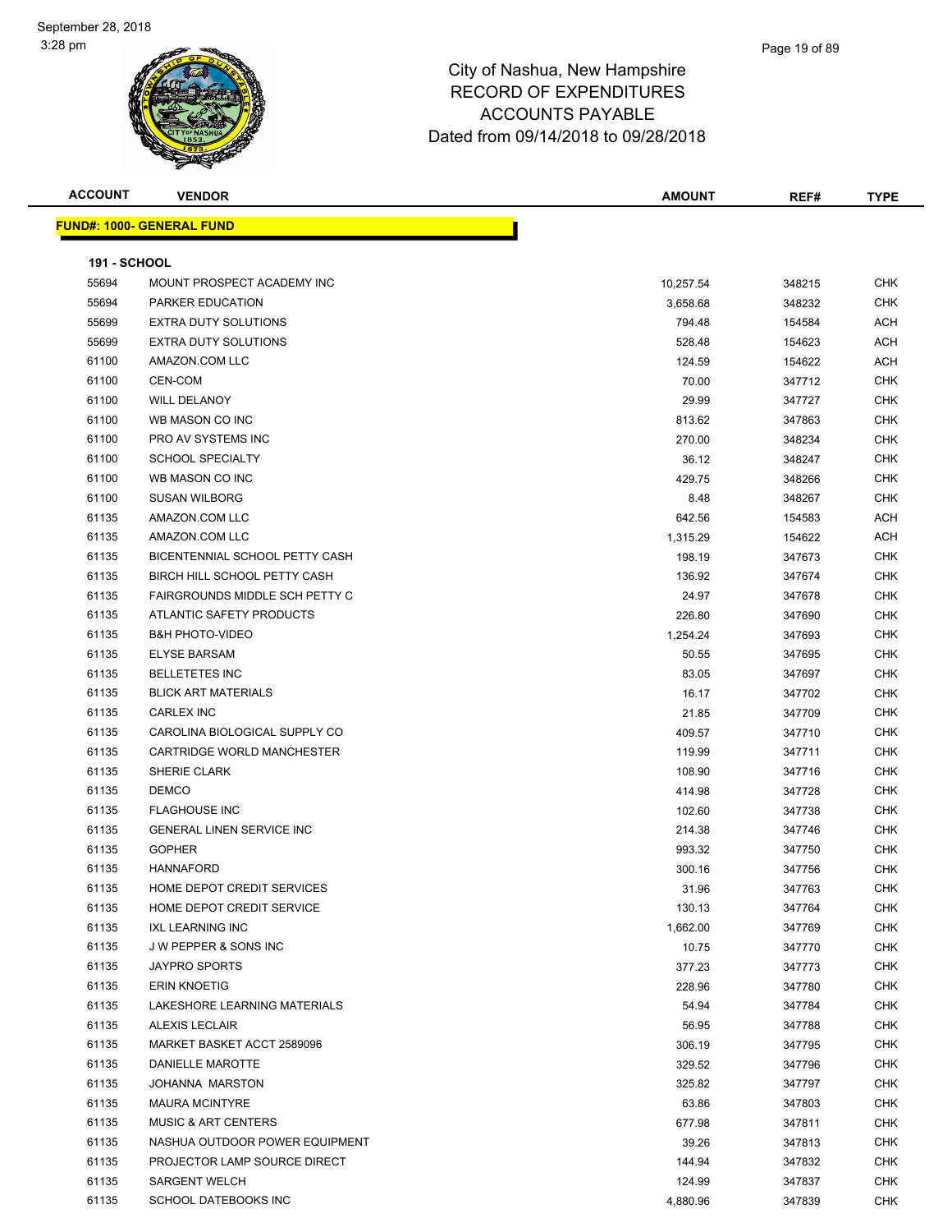| <b>ACCOUNT</b>      | <b>VENDOR</b>                         | AMOUNT    | REF#   | <b>TYPE</b> |
|---------------------|---------------------------------------|-----------|--------|-------------|
|                     | <b>FUND#: 1000- GENERAL FUND</b>      |           |        |             |
|                     |                                       |           |        |             |
| <b>191 - SCHOOL</b> |                                       |           |        |             |
| 55694               | MOUNT PROSPECT ACADEMY INC            | 10,257.54 | 348215 | <b>CHK</b>  |
| 55694               | PARKER EDUCATION                      | 3,658.68  | 348232 | <b>CHK</b>  |
| 55699               | <b>EXTRA DUTY SOLUTIONS</b>           | 794.48    | 154584 | ACH         |
| 55699               | EXTRA DUTY SOLUTIONS                  | 528.48    | 154623 | ACH         |
| 61100               | AMAZON.COM LLC                        | 124.59    | 154622 | ACH         |
| 61100               | CEN-COM                               | 70.00     | 347712 | <b>CHK</b>  |
| 61100               | <b>WILL DELANOY</b>                   | 29.99     | 347727 | <b>CHK</b>  |
| 61100               | WB MASON CO INC                       | 813.62    | 347863 | CHK         |
| 61100               | PRO AV SYSTEMS INC                    | 270.00    | 348234 | <b>CHK</b>  |
| 61100               | <b>SCHOOL SPECIALTY</b>               | 36.12     | 348247 | <b>CHK</b>  |
| 61100               | WB MASON CO INC                       | 429.75    | 348266 | CHK         |
| 61100               | <b>SUSAN WILBORG</b>                  | 8.48      | 348267 | CHK         |
| 61135               | AMAZON.COM LLC                        | 642.56    | 154583 | ACH         |
| 61135               | AMAZON.COM LLC                        | 1,315.29  | 154622 | ACH         |
| 61135               | BICENTENNIAL SCHOOL PETTY CASH        | 198.19    | 347673 | <b>CHK</b>  |
| 61135               | BIRCH HILL SCHOOL PETTY CASH          | 136.92    | 347674 | CHK         |
| 61135               | <b>FAIRGROUNDS MIDDLE SCH PETTY C</b> | 24.97     | 347678 | <b>CHK</b>  |
| 61135               | ATLANTIC SAFETY PRODUCTS              | 226.80    | 347690 | <b>CHK</b>  |
| 61135               | <b>B&amp;H PHOTO-VIDEO</b>            | 1,254.24  | 347693 | CHK         |
| 61135               | <b>ELYSE BARSAM</b>                   | 50.55     | 347695 | <b>CHK</b>  |
| 61135               | <b>BELLETETES INC</b>                 | 83.05     | 347697 | <b>CHK</b>  |
| 61135               | <b>BLICK ART MATERIALS</b>            | 16.17     | 347702 | <b>CHK</b>  |
| 61135               | <b>CARLEX INC</b>                     | 21.85     | 347709 | <b>CHK</b>  |
| 61135               | CAROLINA BIOLOGICAL SUPPLY CO         | 409.57    | 347710 | <b>CHK</b>  |
| 61135               | CARTRIDGE WORLD MANCHESTER            | 119.99    | 347711 | <b>CHK</b>  |
| 61135               | SHERIE CLARK                          | 108.90    | 347716 | <b>CHK</b>  |
| 61135               | <b>DEMCO</b>                          | 414.98    | 347728 | CHK         |
| 61135               | <b>FLAGHOUSE INC</b>                  | 102.60    | 347738 | <b>CHK</b>  |
| 61135               | <b>GENERAL LINEN SERVICE INC</b>      | 214.38    | 347746 | <b>CHK</b>  |
| 61135               | <b>GOPHER</b>                         | 993.32    | 347750 | <b>CHK</b>  |
| 61135               | <b>HANNAFORD</b>                      | 300.16    | 347756 | <b>CHK</b>  |
| 61135               | HOME DEPOT CREDIT SERVICES            | 31.96     | 347763 | CHK         |
| 61135               | HOME DEPOT CREDIT SERVICE             | 130.13    | 347764 | <b>CHK</b>  |
| 61135               | <b>IXL LEARNING INC</b>               | 1,662.00  | 347769 | <b>CHK</b>  |
| 61135               | J W PEPPER & SONS INC                 | 10.75     | 347770 | <b>CHK</b>  |
| 61135               | <b>JAYPRO SPORTS</b>                  | 377.23    | 347773 | <b>CHK</b>  |
| 61135               | <b>ERIN KNOETIG</b>                   | 228.96    | 347780 | <b>CHK</b>  |
| 61135               | LAKESHORE LEARNING MATERIALS          | 54.94     | 347784 | <b>CHK</b>  |
| 61135               | <b>ALEXIS LECLAIR</b>                 | 56.95     | 347788 | <b>CHK</b>  |
| 61135               | MARKET BASKET ACCT 2589096            | 306.19    | 347795 | <b>CHK</b>  |
| 61135               | <b>DANIELLE MAROTTE</b>               | 329.52    | 347796 | <b>CHK</b>  |
| 61135               | <b>JOHANNA MARSTON</b>                | 325.82    | 347797 | <b>CHK</b>  |
| 61135               | <b>MAURA MCINTYRE</b>                 | 63.86     | 347803 | <b>CHK</b>  |
| 61135               | <b>MUSIC &amp; ART CENTERS</b>        | 677.98    | 347811 | <b>CHK</b>  |
| 61135               | NASHUA OUTDOOR POWER EQUIPMENT        | 39.26     | 347813 | <b>CHK</b>  |
| 61135               | PROJECTOR LAMP SOURCE DIRECT          | 144.94    | 347832 | <b>CHK</b>  |
| 61135               | <b>SARGENT WELCH</b>                  | 124.99    | 347837 | <b>CHK</b>  |
| 61135               | SCHOOL DATEBOOKS INC                  | 4,880.96  | 347839 | <b>CHK</b>  |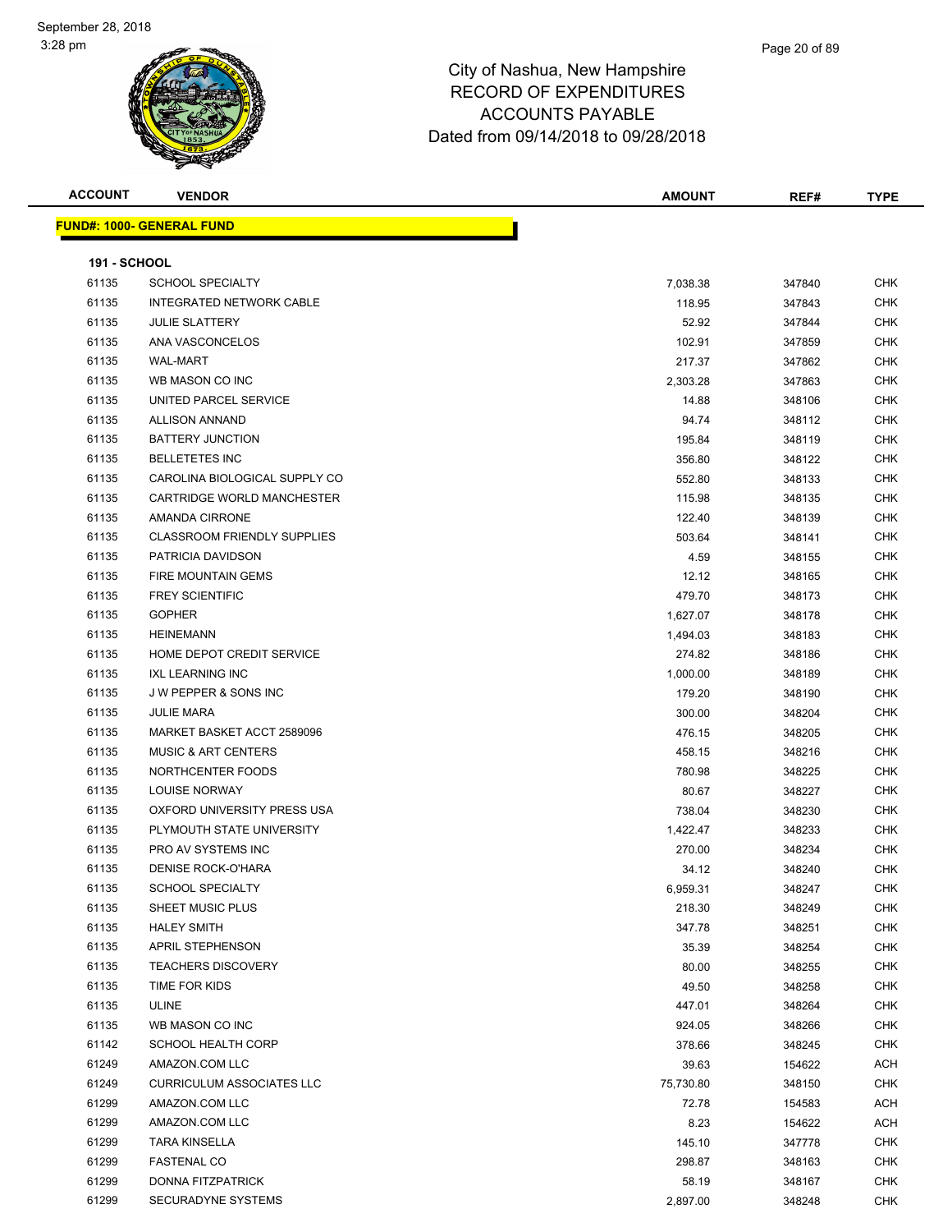### Page 20 of 89

| <b>ACCOUNT</b>      | <b>VENDOR</b>                      | <b>AMOUNT</b> | REF#   | <b>TYPE</b> |
|---------------------|------------------------------------|---------------|--------|-------------|
|                     | <b>FUND#: 1000- GENERAL FUND</b>   |               |        |             |
|                     |                                    |               |        |             |
| <b>191 - SCHOOL</b> |                                    |               |        |             |
| 61135               | SCHOOL SPECIALTY                   | 7,038.38      | 347840 | <b>CHK</b>  |
| 61135               | INTEGRATED NETWORK CABLE           | 118.95        | 347843 | <b>CHK</b>  |
| 61135               | <b>JULIE SLATTERY</b>              | 52.92         | 347844 | CHK         |
| 61135               | ANA VASCONCELOS                    | 102.91        | 347859 | <b>CHK</b>  |
| 61135               | <b>WAL-MART</b>                    | 217.37        | 347862 | <b>CHK</b>  |
| 61135               | WB MASON CO INC                    | 2,303.28      | 347863 | <b>CHK</b>  |
| 61135               | UNITED PARCEL SERVICE              | 14.88         | 348106 | <b>CHK</b>  |
| 61135               | <b>ALLISON ANNAND</b>              | 94.74         | 348112 | CHK         |
| 61135               | <b>BATTERY JUNCTION</b>            | 195.84        | 348119 | <b>CHK</b>  |
| 61135               | <b>BELLETETES INC</b>              | 356.80        | 348122 | CHK         |
| 61135               | CAROLINA BIOLOGICAL SUPPLY CO      | 552.80        | 348133 | CHK         |
| 61135               | CARTRIDGE WORLD MANCHESTER         | 115.98        | 348135 | CHK         |
| 61135               | AMANDA CIRRONE                     | 122.40        | 348139 | <b>CHK</b>  |
| 61135               | <b>CLASSROOM FRIENDLY SUPPLIES</b> | 503.64        | 348141 | CHK         |
| 61135               | PATRICIA DAVIDSON                  | 4.59          | 348155 | CHK         |
| 61135               | <b>FIRE MOUNTAIN GEMS</b>          | 12.12         | 348165 | <b>CHK</b>  |
| 61135               | <b>FREY SCIENTIFIC</b>             | 479.70        | 348173 | CHK         |
| 61135               | <b>GOPHER</b>                      | 1,627.07      | 348178 | <b>CHK</b>  |
| 61135               | <b>HEINEMANN</b>                   | 1,494.03      | 348183 | CHK         |
| 61135               | HOME DEPOT CREDIT SERVICE          | 274.82        | 348186 | <b>CHK</b>  |
| 61135               | <b>IXL LEARNING INC</b>            | 1,000.00      | 348189 | CHK         |
| 61135               | J W PEPPER & SONS INC              | 179.20        | 348190 | <b>CHK</b>  |
| 61135               | <b>JULIE MARA</b>                  | 300.00        | 348204 | <b>CHK</b>  |
| 61135               | MARKET BASKET ACCT 2589096         | 476.15        | 348205 | CHK         |
| 61135               | <b>MUSIC &amp; ART CENTERS</b>     | 458.15        | 348216 | <b>CHK</b>  |
| 61135               | NORTHCENTER FOODS                  | 780.98        | 348225 | <b>CHK</b>  |
| 61135               | <b>LOUISE NORWAY</b>               | 80.67         | 348227 | <b>CHK</b>  |
| 61135               | OXFORD UNIVERSITY PRESS USA        | 738.04        | 348230 | <b>CHK</b>  |
| 61135               | PLYMOUTH STATE UNIVERSITY          | 1,422.47      | 348233 | <b>CHK</b>  |
| 61135               | PRO AV SYSTEMS INC                 | 270.00        | 348234 | <b>CHK</b>  |
| 61135               | <b>DENISE ROCK-O'HARA</b>          | 34.12         | 348240 | CHK         |
| 61135               | <b>SCHOOL SPECIALTY</b>            | 6,959.31      | 348247 | <b>CHK</b>  |
| 61135               | SHEET MUSIC PLUS                   | 218.30        | 348249 | <b>CHK</b>  |
| 61135               | <b>HALEY SMITH</b>                 | 347.78        | 348251 | <b>CHK</b>  |
| 61135               | APRIL STEPHENSON                   | 35.39         | 348254 | <b>CHK</b>  |
| 61135               | <b>TEACHERS DISCOVERY</b>          | 80.00         | 348255 | <b>CHK</b>  |
| 61135               | TIME FOR KIDS                      | 49.50         | 348258 | CHK         |
| 61135               | <b>ULINE</b>                       | 447.01        | 348264 | CHK         |
| 61135               | WB MASON CO INC                    | 924.05        | 348266 | <b>CHK</b>  |
| 61142               | <b>SCHOOL HEALTH CORP</b>          | 378.66        | 348245 | <b>CHK</b>  |
| 61249               | AMAZON.COM LLC                     | 39.63         | 154622 | ACH         |
| 61249               | <b>CURRICULUM ASSOCIATES LLC</b>   | 75,730.80     | 348150 | CHK         |
| 61299               | AMAZON.COM LLC                     | 72.78         | 154583 | ACH         |
| 61299               | AMAZON.COM LLC                     | 8.23          | 154622 | ACH         |
| 61299               | <b>TARA KINSELLA</b>               | 145.10        | 347778 | CHK         |
| 61299               | <b>FASTENAL CO</b>                 | 298.87        | 348163 | CHK         |
| 61299               | DONNA FITZPATRICK                  | 58.19         | 348167 | CHK         |
| 61299               | SECURADYNE SYSTEMS                 | 2,897.00      | 348248 | CHK         |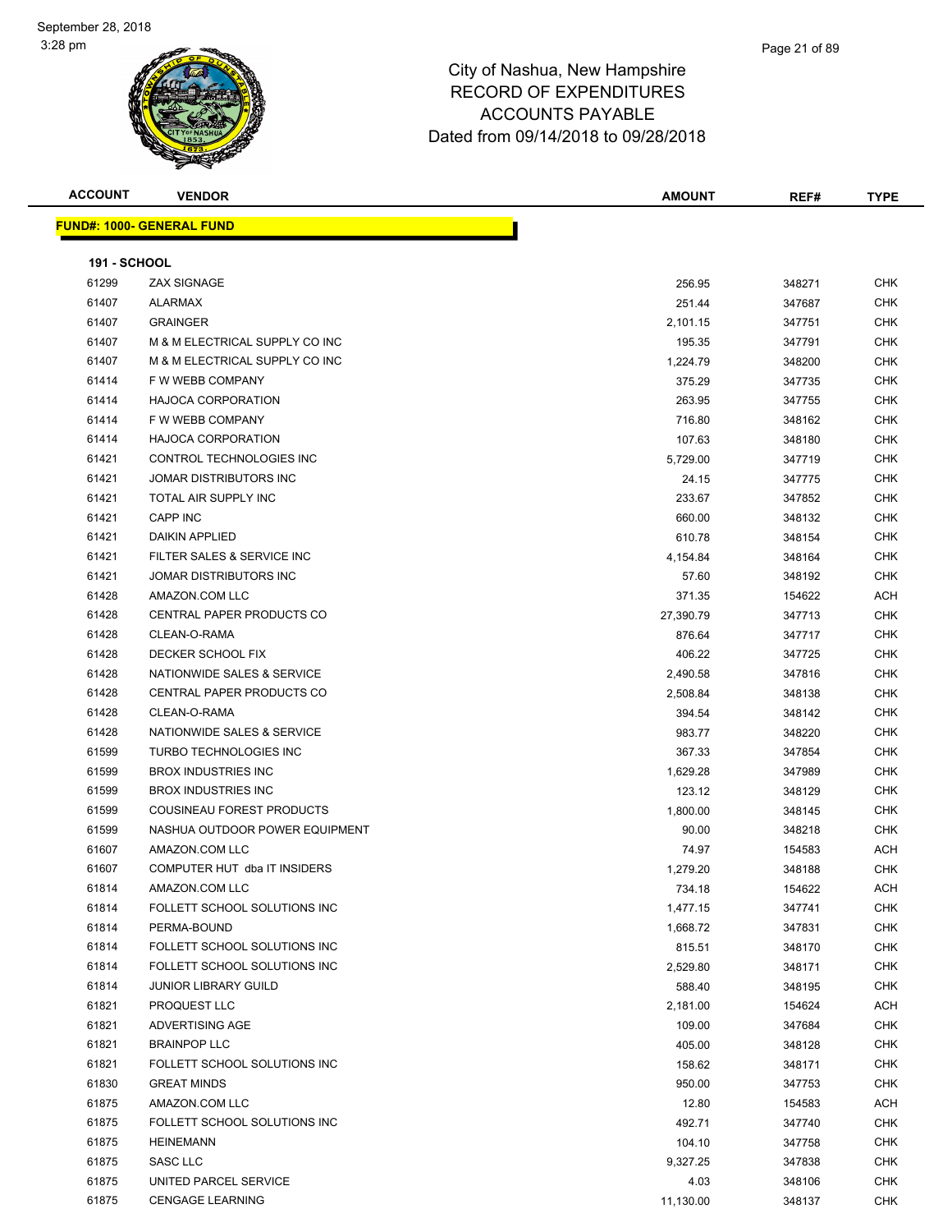| <b>ACCOUNT</b>      | <b>VENDOR</b>                    | <b>AMOUNT</b> | REF#   | <b>TYPE</b> |
|---------------------|----------------------------------|---------------|--------|-------------|
|                     | <b>FUND#: 1000- GENERAL FUND</b> |               |        |             |
|                     |                                  |               |        |             |
| <b>191 - SCHOOL</b> |                                  |               |        |             |
| 61299               | <b>ZAX SIGNAGE</b>               | 256.95        | 348271 | <b>CHK</b>  |
| 61407               | <b>ALARMAX</b>                   | 251.44        | 347687 | <b>CHK</b>  |
| 61407               | <b>GRAINGER</b>                  | 2,101.15      | 347751 | <b>CHK</b>  |
| 61407               | M & M ELECTRICAL SUPPLY CO INC   | 195.35        | 347791 | <b>CHK</b>  |
| 61407               | M & M ELECTRICAL SUPPLY CO INC   | 1,224.79      | 348200 | <b>CHK</b>  |
| 61414               | F W WEBB COMPANY                 | 375.29        | 347735 | <b>CHK</b>  |
| 61414               | <b>HAJOCA CORPORATION</b>        | 263.95        | 347755 | <b>CHK</b>  |
| 61414               | F W WEBB COMPANY                 | 716.80        | 348162 | CHK         |
| 61414               | <b>HAJOCA CORPORATION</b>        | 107.63        | 348180 | <b>CHK</b>  |
| 61421               | CONTROL TECHNOLOGIES INC         | 5,729.00      | 347719 | CHK         |
| 61421               | JOMAR DISTRIBUTORS INC           | 24.15         | 347775 | <b>CHK</b>  |
| 61421               | TOTAL AIR SUPPLY INC             | 233.67        | 347852 | <b>CHK</b>  |
| 61421               | CAPP INC                         | 660.00        | 348132 | <b>CHK</b>  |
| 61421               | <b>DAIKIN APPLIED</b>            | 610.78        | 348154 | <b>CHK</b>  |
| 61421               | FILTER SALES & SERVICE INC       | 4,154.84      | 348164 | <b>CHK</b>  |
| 61421               | JOMAR DISTRIBUTORS INC           | 57.60         | 348192 | <b>CHK</b>  |
| 61428               | AMAZON.COM LLC                   | 371.35        | 154622 | ACH         |
| 61428               | <b>CENTRAL PAPER PRODUCTS CO</b> | 27,390.79     | 347713 | <b>CHK</b>  |
| 61428               | CLEAN-O-RAMA                     | 876.64        | 347717 | <b>CHK</b>  |
| 61428               | DECKER SCHOOL FIX                | 406.22        | 347725 | <b>CHK</b>  |
| 61428               | NATIONWIDE SALES & SERVICE       | 2,490.58      | 347816 | <b>CHK</b>  |
| 61428               | CENTRAL PAPER PRODUCTS CO        | 2,508.84      | 348138 | <b>CHK</b>  |
| 61428               | CLEAN-O-RAMA                     | 394.54        | 348142 | <b>CHK</b>  |
| 61428               | NATIONWIDE SALES & SERVICE       | 983.77        | 348220 | <b>CHK</b>  |
| 61599               | TURBO TECHNOLOGIES INC           | 367.33        | 347854 | <b>CHK</b>  |
| 61599               | <b>BROX INDUSTRIES INC</b>       | 1,629.28      | 347989 | <b>CHK</b>  |
| 61599               | <b>BROX INDUSTRIES INC</b>       | 123.12        | 348129 | <b>CHK</b>  |
| 61599               | COUSINEAU FOREST PRODUCTS        | 1,800.00      | 348145 | <b>CHK</b>  |
| 61599               | NASHUA OUTDOOR POWER EQUIPMENT   | 90.00         | 348218 | <b>CHK</b>  |
| 61607               | AMAZON.COM LLC                   | 74.97         | 154583 | ACH         |
| 61607               | COMPUTER HUT dba IT INSIDERS     | 1,279.20      | 348188 | CHK         |
| 61814               | AMAZON.COM LLC                   | 734.18        | 154622 | ACH         |
| 61814               | FOLLETT SCHOOL SOLUTIONS INC     | 1,477.15      | 347741 | <b>CHK</b>  |
| 61814               | PERMA-BOUND                      | 1,668.72      | 347831 | <b>CHK</b>  |
| 61814               | FOLLETT SCHOOL SOLUTIONS INC     | 815.51        | 348170 | <b>CHK</b>  |
| 61814               | FOLLETT SCHOOL SOLUTIONS INC     | 2,529.80      | 348171 | <b>CHK</b>  |
| 61814               | <b>JUNIOR LIBRARY GUILD</b>      | 588.40        | 348195 | <b>CHK</b>  |
| 61821               | PROQUEST LLC                     | 2,181.00      | 154624 | ACH         |
| 61821               | ADVERTISING AGE                  | 109.00        | 347684 | <b>CHK</b>  |
| 61821               | <b>BRAINPOP LLC</b>              | 405.00        | 348128 | <b>CHK</b>  |
| 61821               | FOLLETT SCHOOL SOLUTIONS INC     | 158.62        | 348171 | <b>CHK</b>  |
| 61830               | <b>GREAT MINDS</b>               | 950.00        | 347753 | <b>CHK</b>  |
| 61875               | AMAZON.COM LLC                   | 12.80         | 154583 | ACH         |
| 61875               | FOLLETT SCHOOL SOLUTIONS INC     | 492.71        | 347740 | <b>CHK</b>  |
| 61875               | <b>HEINEMANN</b>                 | 104.10        | 347758 | <b>CHK</b>  |
| 61875               | SASC LLC                         | 9,327.25      | 347838 | CHK         |
| 61875               | UNITED PARCEL SERVICE            | 4.03          | 348106 | <b>CHK</b>  |
| 61875               | <b>CENGAGE LEARNING</b>          | 11,130.00     | 348137 | <b>CHK</b>  |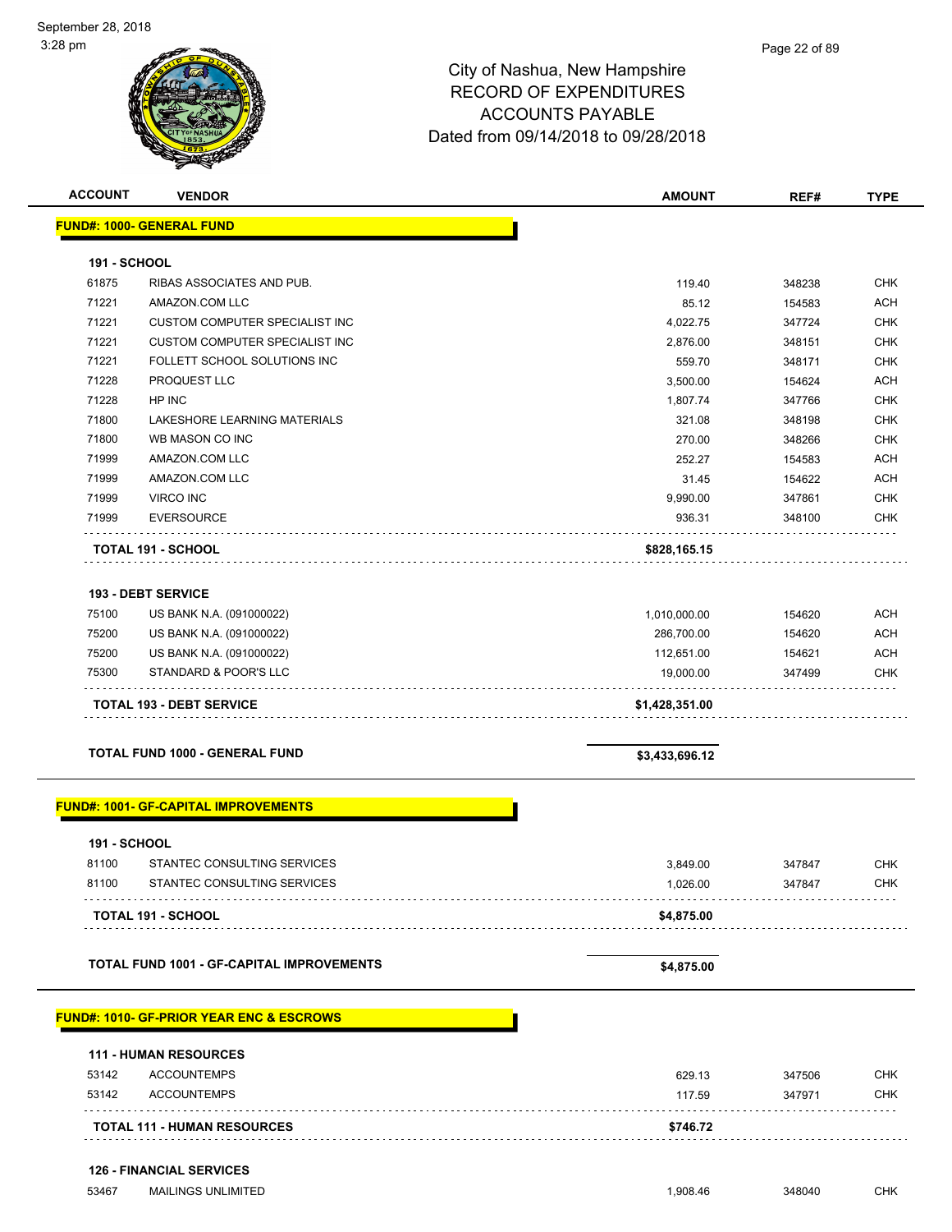

| <b>ACCOUNT</b>      | <b>VENDOR</b>                                       | <b>AMOUNT</b>  | REF#   | <b>TYPE</b> |
|---------------------|-----------------------------------------------------|----------------|--------|-------------|
|                     | <b>FUND#: 1000- GENERAL FUND</b>                    |                |        |             |
| <b>191 - SCHOOL</b> |                                                     |                |        |             |
| 61875               | RIBAS ASSOCIATES AND PUB.                           | 119.40         | 348238 | <b>CHK</b>  |
| 71221               | AMAZON.COM LLC                                      | 85.12          | 154583 | <b>ACH</b>  |
| 71221               | <b>CUSTOM COMPUTER SPECIALIST INC</b>               | 4,022.75       | 347724 | <b>CHK</b>  |
| 71221               | <b>CUSTOM COMPUTER SPECIALIST INC</b>               | 2,876.00       | 348151 | <b>CHK</b>  |
| 71221               | FOLLETT SCHOOL SOLUTIONS INC                        | 559.70         | 348171 | <b>CHK</b>  |
| 71228               | PROQUEST LLC                                        | 3,500.00       | 154624 | <b>ACH</b>  |
| 71228               | HP INC                                              | 1,807.74       | 347766 | <b>CHK</b>  |
| 71800               | LAKESHORE LEARNING MATERIALS                        | 321.08         | 348198 | <b>CHK</b>  |
| 71800               | WB MASON CO INC                                     | 270.00         | 348266 | <b>CHK</b>  |
| 71999               | AMAZON.COM LLC                                      | 252.27         | 154583 | <b>ACH</b>  |
| 71999               | AMAZON.COM LLC                                      | 31.45          | 154622 | <b>ACH</b>  |
| 71999               | VIRCO INC                                           | 9,990.00       | 347861 | <b>CHK</b>  |
| 71999               | <b>EVERSOURCE</b>                                   | 936.31         | 348100 | <b>CHK</b>  |
|                     | <b>TOTAL 191 - SCHOOL</b>                           | \$828,165.15   |        |             |
|                     | <b>193 - DEBT SERVICE</b>                           |                |        |             |
| 75100               | US BANK N.A. (091000022)                            | 1,010,000.00   | 154620 | <b>ACH</b>  |
| 75200               | US BANK N.A. (091000022)                            | 286,700.00     | 154620 | <b>ACH</b>  |
| 75200               | US BANK N.A. (091000022)                            | 112,651.00     | 154621 | <b>ACH</b>  |
| 75300               | STANDARD & POOR'S LLC                               | 19,000.00      | 347499 | <b>CHK</b>  |
|                     | <b>TOTAL 193 - DEBT SERVICE</b>                     | \$1,428,351.00 |        |             |
|                     |                                                     |                |        |             |
|                     | TOTAL FUND 1000 - GENERAL FUND                      | \$3,433,696.12 |        |             |
|                     | <b>FUND#: 1001- GF-CAPITAL IMPROVEMENTS</b>         |                |        |             |
| <b>191 - SCHOOL</b> |                                                     |                |        |             |
| 81100               | STANTEC CONSULTING SERVICES                         | 3,849.00       | 347847 | <b>CHK</b>  |
| 81100               | STANTEC CONSULTING SERVICES                         | 1,026.00       | 347847 | <b>CHK</b>  |
|                     | TOTAL 191 - SCHOOL                                  | \$4,875.00     |        |             |
|                     |                                                     |                |        |             |
|                     | TOTAL FUND 1001 - GF-CAPITAL IMPROVEMENTS           | \$4,875.00     |        |             |
|                     | <b>FUND#: 1010- GF-PRIOR YEAR ENC &amp; ESCROWS</b> |                |        |             |
|                     | <b>111 - HUMAN RESOURCES</b>                        |                |        |             |
| 53142               | <b>ACCOUNTEMPS</b>                                  | 629.13         | 347506 | <b>CHK</b>  |
| 53142               | <b>ACCOUNTEMPS</b>                                  | 117.59         | 347971 | CHK         |
|                     |                                                     |                |        |             |
|                     | <b>TOTAL 111 - HUMAN RESOURCES</b>                  | \$746.72       |        |             |
|                     | <b>126 - FINANCIAL SERVICES</b>                     |                |        |             |
| 53467               | <b>MAILINGS UNLIMITED</b>                           | 1,908.46       | 348040 | <b>CHK</b>  |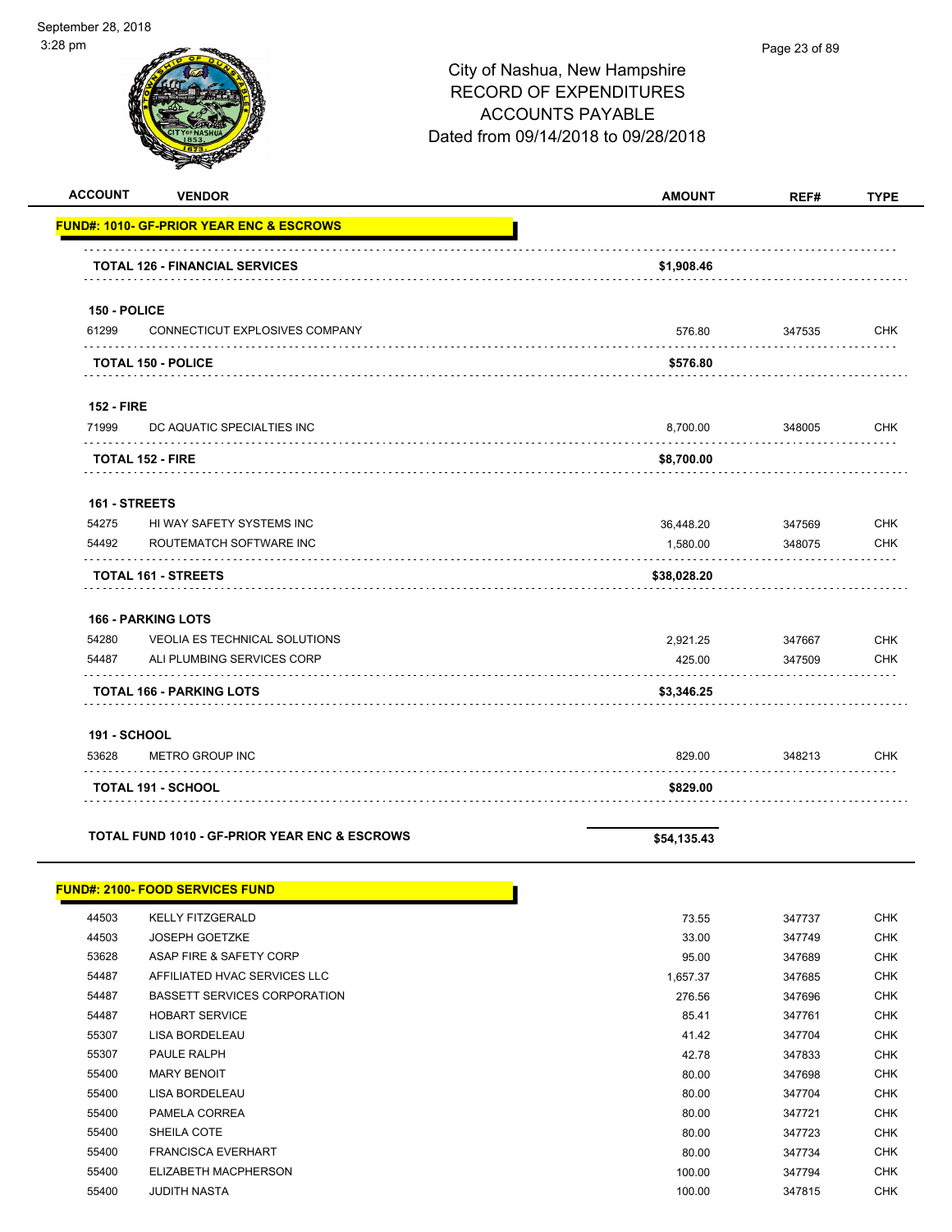$\overline{a}$ 

|                   |                                                     | City of Nashua, New Hampshire<br><b>RECORD OF EXPENDITURES</b><br><b>ACCOUNTS PAYABLE</b><br>Dated from 09/14/2018 to 09/28/2018 | r aye zu urus |             |
|-------------------|-----------------------------------------------------|----------------------------------------------------------------------------------------------------------------------------------|---------------|-------------|
| <b>ACCOUNT</b>    | <b>VENDOR</b>                                       | <b>AMOUNT</b>                                                                                                                    | REF#          | <b>TYPE</b> |
|                   | <b>FUND#: 1010- GF-PRIOR YEAR ENC &amp; ESCROWS</b> |                                                                                                                                  |               |             |
|                   | <b>TOTAL 126 - FINANCIAL SERVICES</b>               | \$1,908.46                                                                                                                       |               |             |
| 150 - POLICE      |                                                     |                                                                                                                                  |               |             |
| 61299             | CONNECTICUT EXPLOSIVES COMPANY                      | 576.80                                                                                                                           | 347535        | <b>CHK</b>  |
|                   | <b>TOTAL 150 - POLICE</b>                           | \$576.80                                                                                                                         |               |             |
| <b>152 - FIRE</b> |                                                     |                                                                                                                                  |               |             |
| 71999             | DC AQUATIC SPECIALTIES INC                          | 8,700.00                                                                                                                         | 348005        | <b>CHK</b>  |
|                   | <b>TOTAL 152 - FIRE</b>                             | \$8,700.00                                                                                                                       |               |             |
| 161 - STREETS     |                                                     |                                                                                                                                  |               |             |
| 54275             | HI WAY SAFETY SYSTEMS INC                           | 36,448.20                                                                                                                        | 347569        | <b>CHK</b>  |
| 54492             | ROUTEMATCH SOFTWARE INC                             | 1,580.00                                                                                                                         | 348075        | <b>CHK</b>  |
|                   | <b>TOTAL 161 - STREETS</b>                          | \$38,028.20                                                                                                                      |               |             |
|                   | <b>166 - PARKING LOTS</b>                           |                                                                                                                                  |               |             |
| 54280             | VEOLIA ES TECHNICAL SOLUTIONS                       | 2,921.25                                                                                                                         | 347667        | <b>CHK</b>  |
| 54487             | ALI PLUMBING SERVICES CORP                          | 425.00                                                                                                                           | 347509        | <b>CHK</b>  |
|                   | <b>TOTAL 166 - PARKING LOTS</b>                     | \$3,346.25                                                                                                                       |               |             |

|  | <b>191 - SCHOOL</b> |  |
|--|---------------------|--|
|--|---------------------|--|

**FUND#: 2100- FOOD SERVICES FUND**

| 53628 | <b>METRO GROUP INC</b>    | 829.00   | 348213 | снк |
|-------|---------------------------|----------|--------|-----|
|       | <b>TOTAL 191 - SCHOOL</b> | \$829.00 |        |     |

<u> a shekara t</u>

TOTAL FUND 1010 - GF-PRIOR YEAR ENC & ESCROWS **\$54,135.43** 

| 44503 | <b>KELLY FITZGERALD</b>      | 73.55    | 347737 | CHK        |
|-------|------------------------------|----------|--------|------------|
| 44503 | JOSEPH GOETZKE               | 33.00    | 347749 | <b>CHK</b> |
| 53628 | ASAP FIRE & SAFETY CORP      | 95.00    | 347689 | CHK        |
| 54487 | AFFILIATED HVAC SERVICES LLC | 1.657.37 | 347685 | CHK        |
| 54487 | BASSETT SERVICES CORPORATION | 276.56   | 347696 | <b>CHK</b> |
| 54487 | <b>HOBART SERVICE</b>        | 85.41    | 347761 | <b>CHK</b> |
| 55307 | LISA BORDELEAU               | 41.42    | 347704 | CHK        |

| 44503 | <b>JOSEPH GOETZKE</b>               | 33.00    | 347749 | CHK        |
|-------|-------------------------------------|----------|--------|------------|
| 53628 | ASAP FIRE & SAFETY CORP             | 95.00    | 347689 | <b>CHK</b> |
| 54487 | AFFILIATED HVAC SERVICES LLC        | 1,657.37 | 347685 | <b>CHK</b> |
| 54487 | <b>BASSETT SERVICES CORPORATION</b> | 276.56   | 347696 | <b>CHK</b> |
| 54487 | <b>HOBART SERVICE</b>               | 85.41    | 347761 | <b>CHK</b> |
| 55307 | LISA BORDELEAU                      | 41.42    | 347704 | <b>CHK</b> |
| 55307 | <b>PAULE RALPH</b>                  | 42.78    | 347833 | <b>CHK</b> |
| 55400 | <b>MARY BENOIT</b>                  | 80.00    | 347698 | <b>CHK</b> |
| 55400 | LISA BORDELEAU                      | 80.00    | 347704 | <b>CHK</b> |
| 55400 | PAMELA CORREA                       | 80.00    | 347721 | <b>CHK</b> |
| 55400 | SHEILA COTE                         | 80.00    | 347723 | <b>CHK</b> |
| 55400 | <b>FRANCISCA EVERHART</b>           | 80.00    | 347734 | <b>CHK</b> |
| 55400 | ELIZABETH MACPHERSON                | 100.00   | 347794 | <b>CHK</b> |
| 55400 | JUDITH NASTA                        | 100.00   | 347815 | <b>CHK</b> |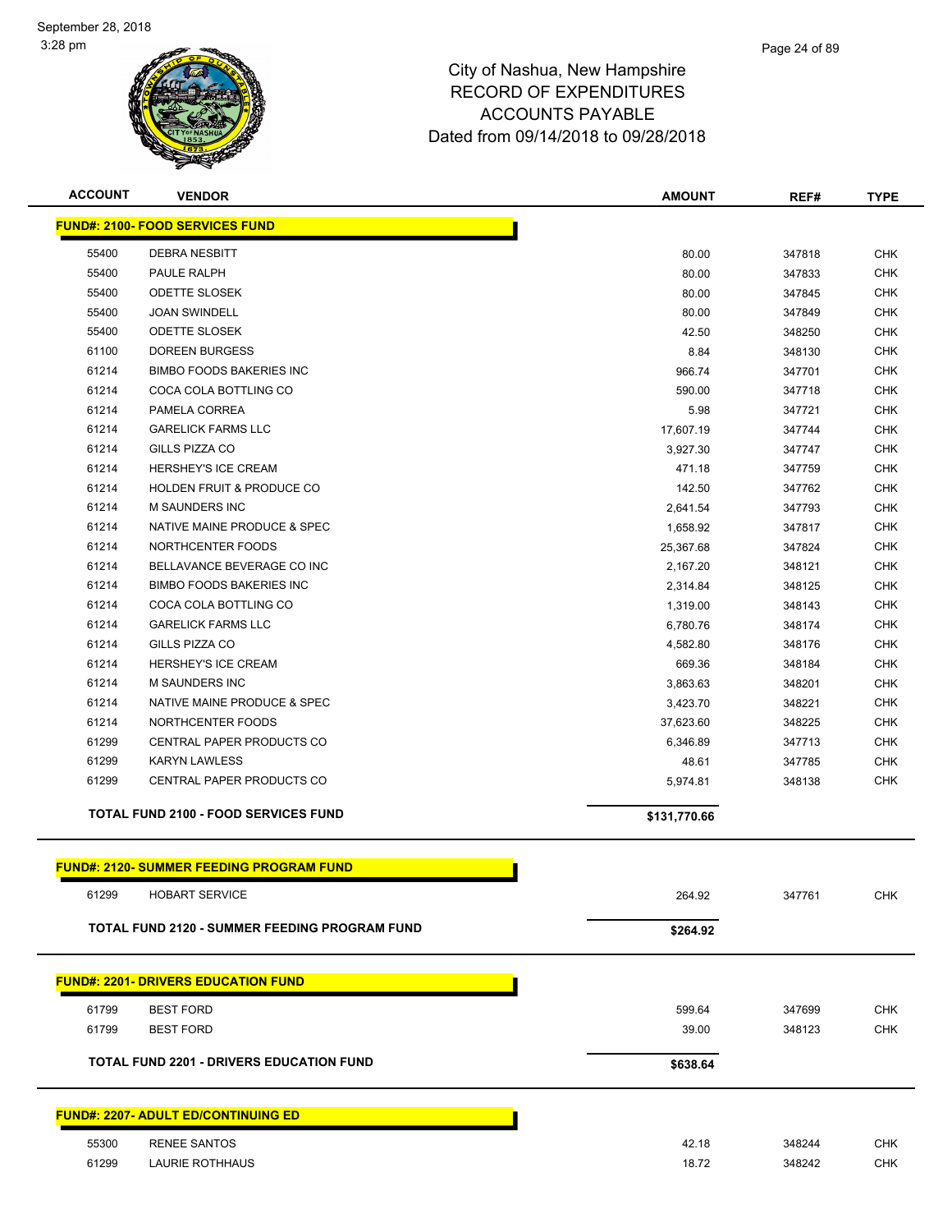

| <b>ACCOUNT</b> | <b>VENDOR</b>                                   | <b>AMOUNT</b> | REF#   | <b>TYPE</b> |
|----------------|-------------------------------------------------|---------------|--------|-------------|
|                | <b>FUND#: 2100- FOOD SERVICES FUND</b>          |               |        |             |
| 55400          | <b>DEBRA NESBITT</b>                            | 80.00         | 347818 | <b>CHK</b>  |
| 55400          | PAULE RALPH                                     | 80.00         | 347833 | <b>CHK</b>  |
| 55400          | <b>ODETTE SLOSEK</b>                            | 80.00         | 347845 | <b>CHK</b>  |
| 55400          | <b>JOAN SWINDELL</b>                            | 80.00         | 347849 | <b>CHK</b>  |
| 55400          | ODETTE SLOSEK                                   | 42.50         | 348250 | <b>CHK</b>  |
| 61100          | <b>DOREEN BURGESS</b>                           | 8.84          | 348130 | <b>CHK</b>  |
| 61214          | <b>BIMBO FOODS BAKERIES INC</b>                 | 966.74        | 347701 | <b>CHK</b>  |
| 61214          | COCA COLA BOTTLING CO                           | 590.00        | 347718 | <b>CHK</b>  |
| 61214          | PAMELA CORREA                                   | 5.98          | 347721 | <b>CHK</b>  |
| 61214          | <b>GARELICK FARMS LLC</b>                       | 17,607.19     | 347744 | <b>CHK</b>  |
| 61214          | GILLS PIZZA CO                                  | 3,927.30      | 347747 | <b>CHK</b>  |
| 61214          | HERSHEY'S ICE CREAM                             | 471.18        | 347759 | <b>CHK</b>  |
| 61214          | <b>HOLDEN FRUIT &amp; PRODUCE CO</b>            | 142.50        | 347762 | <b>CHK</b>  |
| 61214          | M SAUNDERS INC                                  | 2,641.54      | 347793 | <b>CHK</b>  |
| 61214          | NATIVE MAINE PRODUCE & SPEC                     | 1,658.92      | 347817 | <b>CHK</b>  |
| 61214          | NORTHCENTER FOODS                               | 25,367.68     | 347824 | <b>CHK</b>  |
| 61214          | BELLAVANCE BEVERAGE CO INC                      | 2,167.20      | 348121 | <b>CHK</b>  |
| 61214          | <b>BIMBO FOODS BAKERIES INC</b>                 | 2,314.84      | 348125 | <b>CHK</b>  |
| 61214          | COCA COLA BOTTLING CO                           | 1,319.00      | 348143 | <b>CHK</b>  |
| 61214          | <b>GARELICK FARMS LLC</b>                       | 6,780.76      | 348174 | <b>CHK</b>  |
| 61214          | GILLS PIZZA CO                                  | 4,582.80      | 348176 | <b>CHK</b>  |
| 61214          | HERSHEY'S ICE CREAM                             | 669.36        | 348184 | <b>CHK</b>  |
| 61214          | <b>M SAUNDERS INC</b>                           | 3,863.63      | 348201 | <b>CHK</b>  |
| 61214          | NATIVE MAINE PRODUCE & SPEC                     | 3,423.70      | 348221 | <b>CHK</b>  |
| 61214          | NORTHCENTER FOODS                               | 37,623.60     | 348225 | <b>CHK</b>  |
| 61299          | CENTRAL PAPER PRODUCTS CO                       | 6,346.89      | 347713 | <b>CHK</b>  |
| 61299          | <b>KARYN LAWLESS</b>                            | 48.61         | 347785 | <b>CHK</b>  |
| 61299          | CENTRAL PAPER PRODUCTS CO                       | 5,974.81      | 348138 | <b>CHK</b>  |
|                | <b>TOTAL FUND 2100 - FOOD SERVICES FUND</b>     | \$131,770.66  |        |             |
|                | <b>FUND#: 2120- SUMMER FEEDING PROGRAM FUND</b> |               |        |             |
| 61299          | <b>HOBART SERVICE</b>                           | 264.92        | 347761 | <b>CHK</b>  |
|                | TOTAL FUND 2120 - SUMMER FEEDING PROGRAM FUND   | \$264.92      |        |             |
|                | <b>FUND#: 2201- DRIVERS EDUCATION FUND</b>      |               |        |             |
| 61799          | <b>BEST FORD</b>                                | 599.64        | 347699 | <b>CHK</b>  |
| 61799          | <b>BEST FORD</b>                                | 39.00         | 348123 | <b>CHK</b>  |
|                |                                                 |               |        |             |
|                | <b>TOTAL FUND 2201 - DRIVERS EDUCATION FUND</b> | \$638.64      |        |             |
|                | <b>FUND#: 2207- ADULT ED/CONTINUING ED</b>      |               |        |             |
| 55300          | <b>RENEE SANTOS</b>                             | 42.18         | 348244 | <b>CHK</b>  |
| 61299          | <b>LAURIE ROTHHAUS</b>                          | 18.72         | 348242 | <b>CHK</b>  |
|                |                                                 |               |        |             |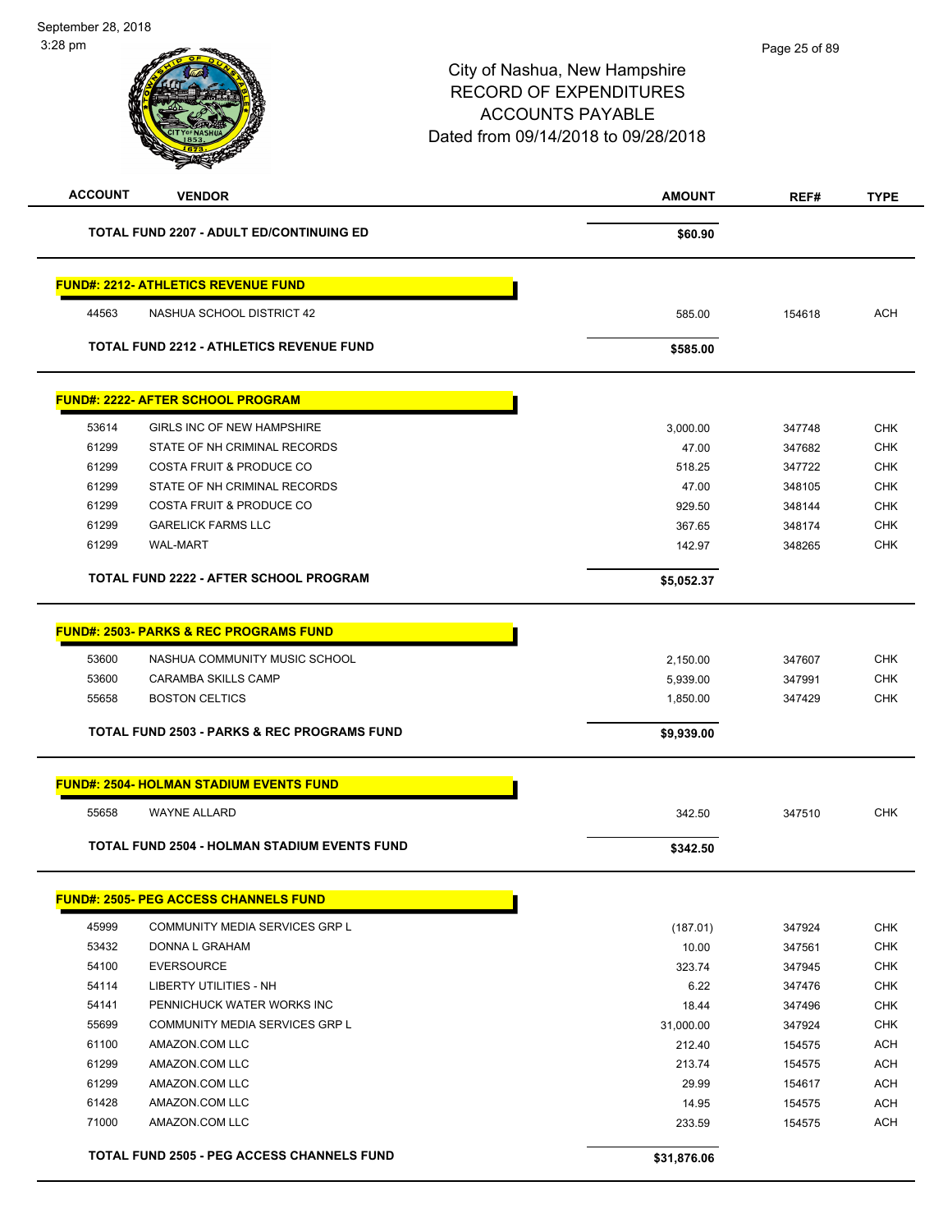| <b>ACCOUNT</b> | <b>VENDOR</b>                                          | <b>AMOUNT</b> | REF#   | <b>TYPE</b> |
|----------------|--------------------------------------------------------|---------------|--------|-------------|
|                | <b>TOTAL FUND 2207 - ADULT ED/CONTINUING ED</b>        | \$60.90       |        |             |
|                | <u> FUND#: 2212- ATHLETICS REVENUE FUND</u>            |               |        |             |
| 44563          | NASHUA SCHOOL DISTRICT 42                              | 585.00        | 154618 | <b>ACH</b>  |
|                | <b>TOTAL FUND 2212 - ATHLETICS REVENUE FUND</b>        | \$585.00      |        |             |
|                | <u> FUND#: 2222- AFTER SCHOOL PROGRAM</u>              |               |        |             |
| 53614          | <b>GIRLS INC OF NEW HAMPSHIRE</b>                      | 3,000.00      | 347748 | <b>CHK</b>  |
| 61299          | STATE OF NH CRIMINAL RECORDS                           | 47.00         | 347682 | <b>CHK</b>  |
| 61299          | <b>COSTA FRUIT &amp; PRODUCE CO</b>                    | 518.25        | 347722 | <b>CHK</b>  |
| 61299          | STATE OF NH CRIMINAL RECORDS                           | 47.00         | 348105 | <b>CHK</b>  |
| 61299          | <b>COSTA FRUIT &amp; PRODUCE CO</b>                    | 929.50        | 348144 | <b>CHK</b>  |
| 61299          | <b>GARELICK FARMS LLC</b>                              | 367.65        | 348174 | <b>CHK</b>  |
| 61299          | <b>WAL-MART</b>                                        | 142.97        | 348265 | <b>CHK</b>  |
|                | <b>TOTAL FUND 2222 - AFTER SCHOOL PROGRAM</b>          | \$5,052.37    |        |             |
|                | <b>FUND#: 2503- PARKS &amp; REC PROGRAMS FUND</b>      |               |        |             |
| 53600          | NASHUA COMMUNITY MUSIC SCHOOL                          | 2,150.00      | 347607 | <b>CHK</b>  |
| 53600          | <b>CARAMBA SKILLS CAMP</b>                             | 5,939.00      | 347991 | <b>CHK</b>  |
| 55658          | <b>BOSTON CELTICS</b>                                  | 1,850.00      | 347429 | <b>CHK</b>  |
|                | <b>TOTAL FUND 2503 - PARKS &amp; REC PROGRAMS FUND</b> | \$9,939.00    |        |             |
|                | <u> FUND#: 2504- HOLMAN STADIUM EVENTS FUND</u>        |               |        |             |
| 55658          | <b>WAYNE ALLARD</b>                                    | 342.50        | 347510 | <b>CHK</b>  |
|                | <b>TOTAL FUND 2504 - HOLMAN STADIUM EVENTS FUND</b>    | \$342.50      |        |             |
|                | <b>FUND#: 2505- PEG ACCESS CHANNELS FUND</b>           |               |        |             |
| 45999          | COMMUNITY MEDIA SERVICES GRP L                         | (187.01)      | 347924 | <b>CHK</b>  |
| 53432          | DONNA L GRAHAM                                         | 10.00         | 347561 | <b>CHK</b>  |
| 54100          | <b>EVERSOURCE</b>                                      | 323.74        | 347945 | <b>CHK</b>  |
| 54114          | <b>LIBERTY UTILITIES - NH</b>                          | 6.22          | 347476 | <b>CHK</b>  |
| 54141          | PENNICHUCK WATER WORKS INC                             | 18.44         | 347496 | <b>CHK</b>  |
| 55699          | COMMUNITY MEDIA SERVICES GRP L                         | 31,000.00     | 347924 | <b>CHK</b>  |
| 61100          | AMAZON.COM LLC                                         | 212.40        | 154575 | <b>ACH</b>  |
| 61299          | AMAZON.COM LLC                                         | 213.74        | 154575 | <b>ACH</b>  |
| 61299          | AMAZON.COM LLC                                         | 29.99         | 154617 | <b>ACH</b>  |
| 61428          | AMAZON.COM LLC                                         | 14.95         | 154575 | <b>ACH</b>  |
|                | AMAZON.COM LLC                                         | 233.59        | 154575 | <b>ACH</b>  |
| 71000          |                                                        |               |        |             |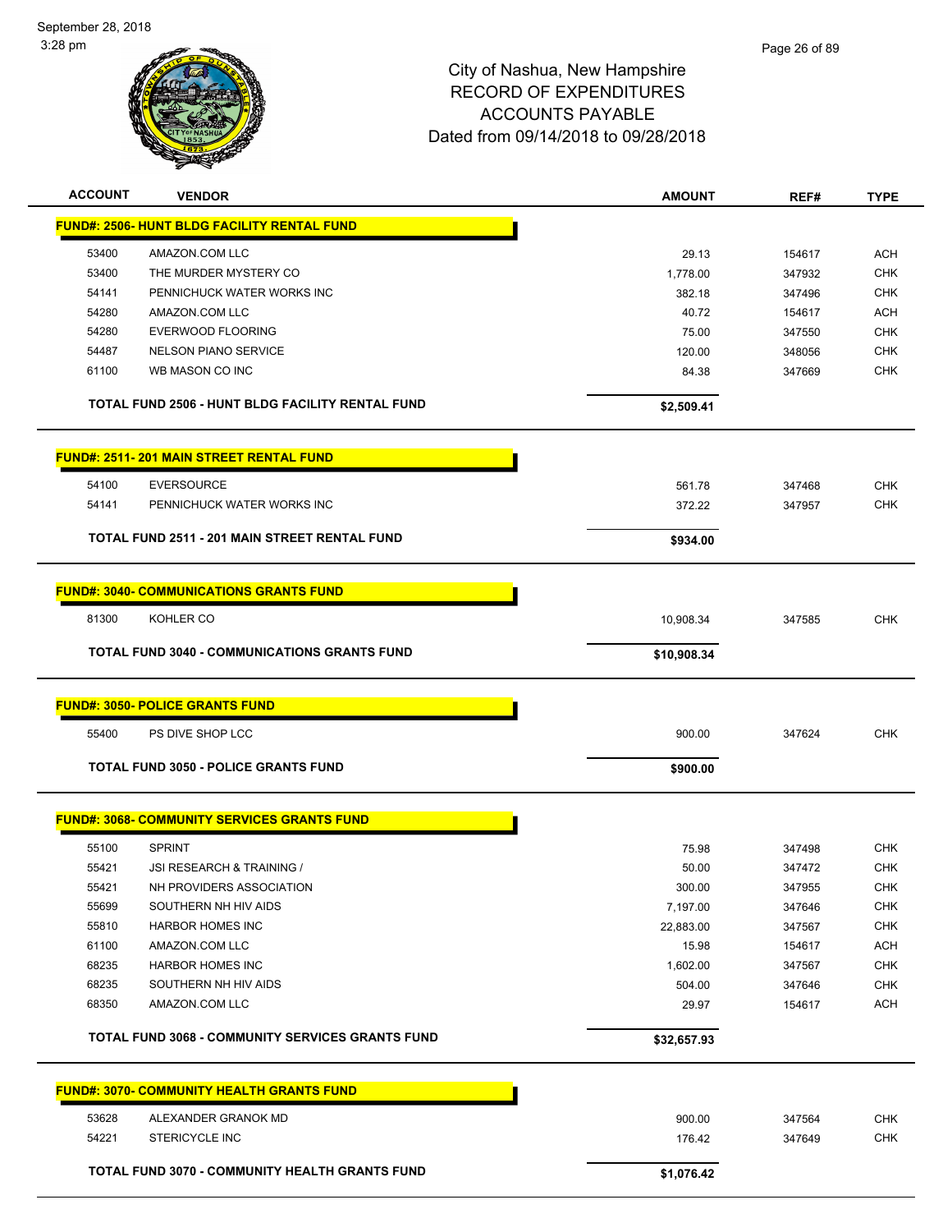

| <b>ACCOUNT</b> | <b>VENDOR</b>                                           | <b>AMOUNT</b>      | REF#             | <b>TYPE</b>       |
|----------------|---------------------------------------------------------|--------------------|------------------|-------------------|
|                | <b>FUND#: 2506- HUNT BLDG FACILITY RENTAL FUND</b>      |                    |                  |                   |
| 53400          | AMAZON.COM LLC                                          | 29.13              | 154617           | <b>ACH</b>        |
| 53400          | THE MURDER MYSTERY CO                                   | 1,778.00           | 347932           | <b>CHK</b>        |
| 54141          | PENNICHUCK WATER WORKS INC                              | 382.18             | 347496           | <b>CHK</b>        |
| 54280          | AMAZON.COM LLC                                          | 40.72              | 154617           | <b>ACH</b>        |
| 54280          | <b>EVERWOOD FLOORING</b>                                | 75.00              | 347550           | <b>CHK</b>        |
| 54487          | <b>NELSON PIANO SERVICE</b>                             | 120.00             | 348056           | <b>CHK</b>        |
| 61100          | WB MASON CO INC                                         | 84.38              | 347669           | <b>CHK</b>        |
|                | TOTAL FUND 2506 - HUNT BLDG FACILITY RENTAL FUND        | \$2,509.41         |                  |                   |
|                | <b>FUND#: 2511-201 MAIN STREET RENTAL FUND</b>          |                    |                  |                   |
| 54100          | <b>EVERSOURCE</b>                                       | 561.78             | 347468           | <b>CHK</b>        |
| 54141          | PENNICHUCK WATER WORKS INC                              | 372.22             | 347957           | <b>CHK</b>        |
|                |                                                         |                    |                  |                   |
|                | <b>TOTAL FUND 2511 - 201 MAIN STREET RENTAL FUND</b>    | \$934.00           |                  |                   |
|                | <b>FUND#: 3040- COMMUNICATIONS GRANTS FUND</b>          |                    |                  |                   |
| 81300          | KOHLER CO                                               | 10,908.34          | 347585           | <b>CHK</b>        |
|                | <b>TOTAL FUND 3040 - COMMUNICATIONS GRANTS FUND</b>     | \$10,908.34        |                  |                   |
|                |                                                         |                    |                  |                   |
|                | <b>FUND#: 3050- POLICE GRANTS FUND</b>                  |                    |                  |                   |
| 55400          | PS DIVE SHOP LCC                                        | 900.00             | 347624           | <b>CHK</b>        |
|                | <b>TOTAL FUND 3050 - POLICE GRANTS FUND</b>             | \$900.00           |                  |                   |
|                | <b>FUND#: 3068- COMMUNITY SERVICES GRANTS FUND</b>      |                    |                  |                   |
|                |                                                         |                    |                  |                   |
| 55100          | <b>SPRINT</b>                                           | 75.98              | 347498           | <b>CHK</b>        |
| 55421          | JSI RESEARCH & TRAINING /                               | 50.00              | 347472           | <b>CHK</b>        |
| 55421<br>55699 | NH PROVIDERS ASSOCIATION<br>SOUTHERN NH HIV AIDS        | 300.00<br>7,197.00 | 347955           | CHK<br><b>CHK</b> |
| 55810          | <b>HARBOR HOMES INC</b>                                 | 22,883.00          | 347646<br>347567 | CHK               |
| 61100          | AMAZON.COM LLC                                          | 15.98              |                  | <b>ACH</b>        |
| 68235          | <b>HARBOR HOMES INC</b>                                 | 1,602.00           | 154617<br>347567 | <b>CHK</b>        |
| 68235          | SOUTHERN NH HIV AIDS                                    | 504.00             | 347646           | <b>CHK</b>        |
| 68350          | AMAZON.COM LLC                                          | 29.97              | 154617           | <b>ACH</b>        |
|                |                                                         |                    |                  |                   |
|                | <b>TOTAL FUND 3068 - COMMUNITY SERVICES GRANTS FUND</b> | \$32,657.93        |                  |                   |
|                | <b>FUND#: 3070- COMMUNITY HEALTH GRANTS FUND</b>        |                    |                  |                   |
| 53628          | ALEXANDER GRANOK MD                                     | 900.00             | 347564           | <b>CHK</b>        |
| 54221          | <b>STERICYCLE INC</b>                                   | 176.42             | 347649           | CHK               |
|                |                                                         |                    |                  |                   |
|                |                                                         |                    |                  |                   |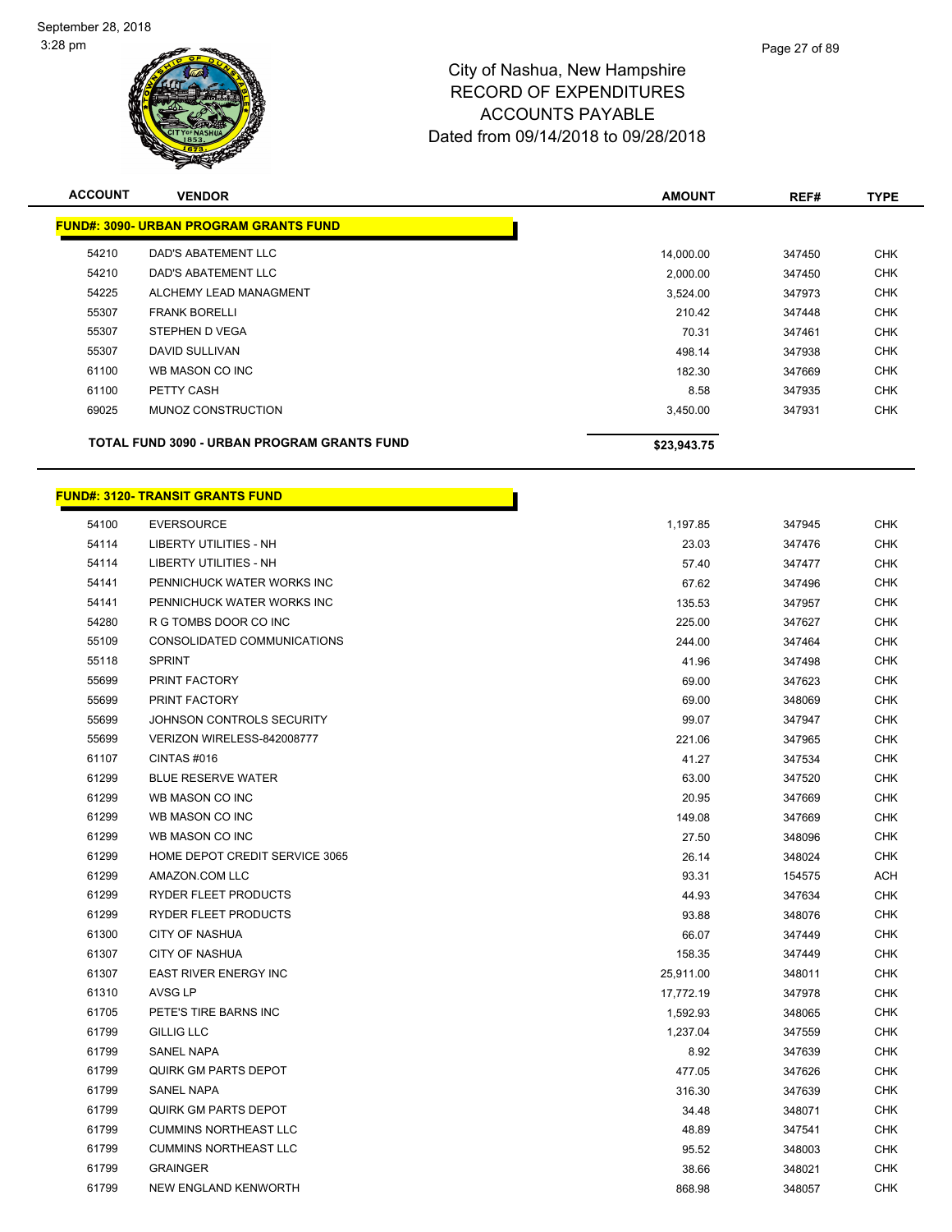

| <b>ACCOUNT</b> | <b>VENDOR</b>                                      | <b>AMOUNT</b> | REF#   | <b>TYPE</b> |
|----------------|----------------------------------------------------|---------------|--------|-------------|
|                | <b>FUND#: 3090- URBAN PROGRAM GRANTS FUND</b>      |               |        |             |
| 54210          | DAD'S ABATEMENT LLC                                | 14,000.00     | 347450 | <b>CHK</b>  |
| 54210          | DAD'S ABATEMENT LLC                                | 2,000.00      | 347450 | <b>CHK</b>  |
| 54225          | ALCHEMY LEAD MANAGMENT                             | 3,524.00      | 347973 | <b>CHK</b>  |
| 55307          | <b>FRANK BORELLI</b>                               | 210.42        | 347448 | <b>CHK</b>  |
| 55307          | STEPHEN D VEGA                                     | 70.31         | 347461 | <b>CHK</b>  |
| 55307          | DAVID SULLIVAN                                     | 498.14        | 347938 | <b>CHK</b>  |
| 61100          | WB MASON CO INC                                    | 182.30        | 347669 | <b>CHK</b>  |
| 61100          | PETTY CASH                                         | 8.58          | 347935 | <b>CHK</b>  |
| 69025          | MUNOZ CONSTRUCTION                                 | 3,450.00      | 347931 | <b>CHK</b>  |
|                | <b>TOTAL FUND 3090 - URBAN PROGRAM GRANTS FUND</b> | \$23,943.75   |        |             |

h

# **FUND#: 3120- TRANSIT GRANTS FUND**

| 54100 | <b>EVERSOURCE</b>              | 1,197.85  | 347945 | <b>CHK</b> |
|-------|--------------------------------|-----------|--------|------------|
| 54114 | <b>LIBERTY UTILITIES - NH</b>  | 23.03     | 347476 | <b>CHK</b> |
| 54114 | <b>LIBERTY UTILITIES - NH</b>  | 57.40     | 347477 | <b>CHK</b> |
| 54141 | PENNICHUCK WATER WORKS INC     | 67.62     | 347496 | CHK        |
| 54141 | PENNICHUCK WATER WORKS INC     | 135.53    | 347957 | <b>CHK</b> |
| 54280 | R G TOMBS DOOR CO INC          | 225.00    | 347627 | <b>CHK</b> |
| 55109 | CONSOLIDATED COMMUNICATIONS    | 244.00    | 347464 | <b>CHK</b> |
| 55118 | <b>SPRINT</b>                  | 41.96     | 347498 | <b>CHK</b> |
| 55699 | PRINT FACTORY                  | 69.00     | 347623 | <b>CHK</b> |
| 55699 | PRINT FACTORY                  | 69.00     | 348069 | <b>CHK</b> |
| 55699 | JOHNSON CONTROLS SECURITY      | 99.07     | 347947 | <b>CHK</b> |
| 55699 | VERIZON WIRELESS-842008777     | 221.06    | 347965 | <b>CHK</b> |
| 61107 | CINTAS#016                     | 41.27     | 347534 | <b>CHK</b> |
| 61299 | <b>BLUE RESERVE WATER</b>      | 63.00     | 347520 | <b>CHK</b> |
| 61299 | WB MASON CO INC                | 20.95     | 347669 | <b>CHK</b> |
| 61299 | WB MASON CO INC                | 149.08    | 347669 | <b>CHK</b> |
| 61299 | WB MASON CO INC                | 27.50     | 348096 | <b>CHK</b> |
| 61299 | HOME DEPOT CREDIT SERVICE 3065 | 26.14     | 348024 | <b>CHK</b> |
| 61299 | AMAZON.COM LLC                 | 93.31     | 154575 | <b>ACH</b> |
| 61299 | <b>RYDER FLEET PRODUCTS</b>    | 44.93     | 347634 | <b>CHK</b> |
| 61299 | RYDER FLEET PRODUCTS           | 93.88     | 348076 | <b>CHK</b> |
| 61300 | <b>CITY OF NASHUA</b>          | 66.07     | 347449 | <b>CHK</b> |
| 61307 | <b>CITY OF NASHUA</b>          | 158.35    | 347449 | <b>CHK</b> |
| 61307 | <b>EAST RIVER ENERGY INC</b>   | 25,911.00 | 348011 | <b>CHK</b> |
| 61310 | AVSG LP                        | 17,772.19 | 347978 | <b>CHK</b> |
| 61705 | PETE'S TIRE BARNS INC          | 1,592.93  | 348065 | <b>CHK</b> |
| 61799 | GILLIG LLC                     | 1,237.04  | 347559 | <b>CHK</b> |
| 61799 | <b>SANEL NAPA</b>              | 8.92      | 347639 | <b>CHK</b> |
| 61799 | <b>QUIRK GM PARTS DEPOT</b>    | 477.05    | 347626 | <b>CHK</b> |
| 61799 | SANEL NAPA                     | 316.30    | 347639 | <b>CHK</b> |
| 61799 | <b>QUIRK GM PARTS DEPOT</b>    | 34.48     | 348071 | <b>CHK</b> |
| 61799 | <b>CUMMINS NORTHEAST LLC</b>   | 48.89     | 347541 | <b>CHK</b> |
| 61799 | <b>CUMMINS NORTHEAST LLC</b>   | 95.52     | 348003 | <b>CHK</b> |
| 61799 | <b>GRAINGER</b>                | 38.66     | 348021 | <b>CHK</b> |
| 61799 | NEW ENGLAND KENWORTH           | 868.98    | 348057 | <b>CHK</b> |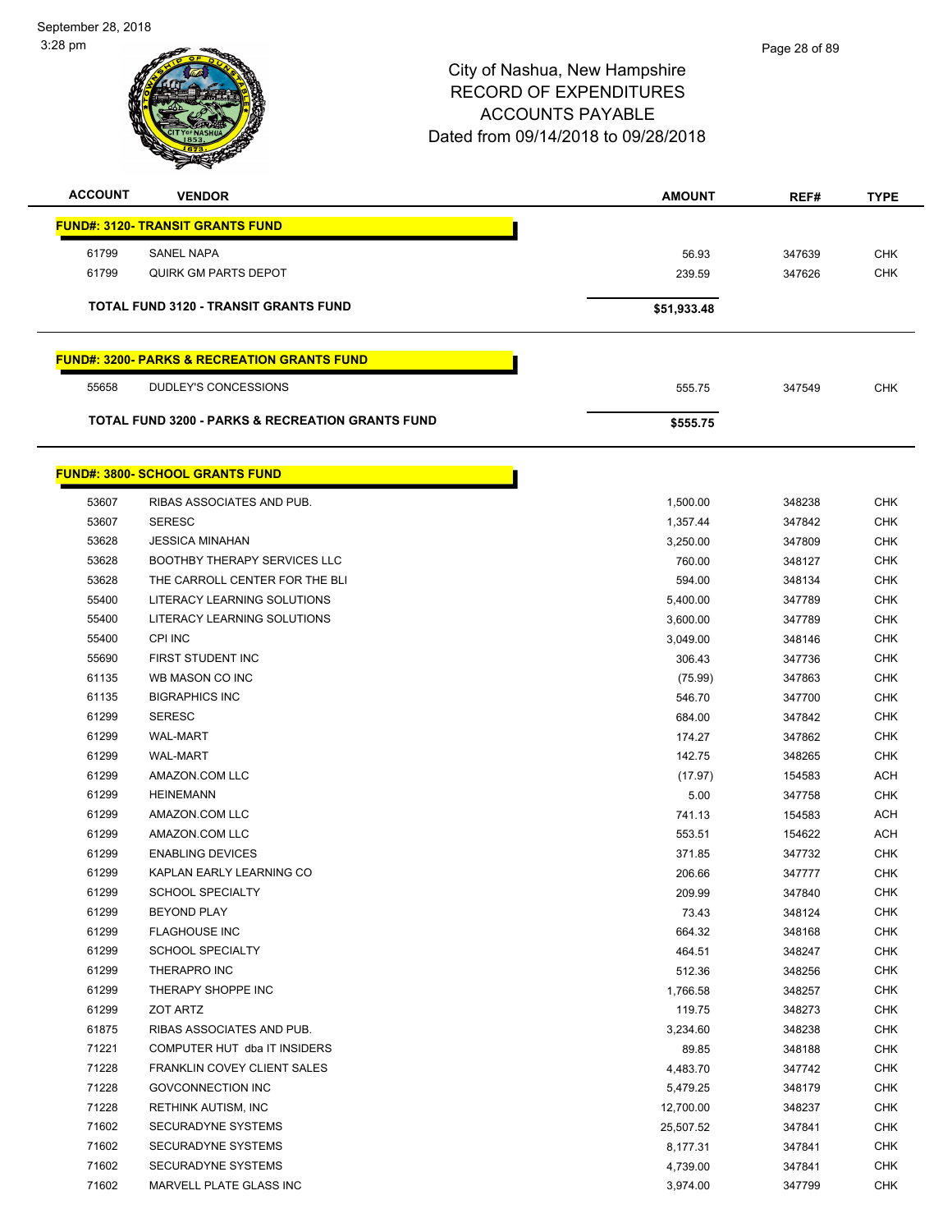September 28, 2018 3:28 pm



| <b>ACCOUNT</b> | <b>VENDOR</b>                                               | <b>AMOUNT</b> | REF#   | <b>TYPE</b> |
|----------------|-------------------------------------------------------------|---------------|--------|-------------|
|                | <b>FUND#: 3120- TRANSIT GRANTS FUND</b>                     |               |        |             |
| 61799          | <b>SANEL NAPA</b>                                           | 56.93         | 347639 | <b>CHK</b>  |
| 61799          | QUIRK GM PARTS DEPOT                                        | 239.59        | 347626 | <b>CHK</b>  |
|                | <b>TOTAL FUND 3120 - TRANSIT GRANTS FUND</b>                | \$51,933.48   |        |             |
|                | <b>FUND#: 3200- PARKS &amp; RECREATION GRANTS FUND</b>      |               |        |             |
| 55658          | DUDLEY'S CONCESSIONS                                        | 555.75        | 347549 | <b>CHK</b>  |
|                | <b>TOTAL FUND 3200 - PARKS &amp; RECREATION GRANTS FUND</b> | \$555.75      |        |             |
|                | <b>FUND#: 3800- SCHOOL GRANTS FUND</b>                      |               |        |             |

| 53607 | RIBAS ASSOCIATES AND PUB.           | 1,500.00  | 348238 | <b>CHK</b> |
|-------|-------------------------------------|-----------|--------|------------|
| 53607 | <b>SERESC</b>                       | 1,357.44  | 347842 | <b>CHK</b> |
| 53628 | <b>JESSICA MINAHAN</b>              | 3,250.00  | 347809 | <b>CHK</b> |
| 53628 | <b>BOOTHBY THERAPY SERVICES LLC</b> | 760.00    | 348127 | <b>CHK</b> |
| 53628 | THE CARROLL CENTER FOR THE BLI      | 594.00    | 348134 | <b>CHK</b> |
| 55400 | LITERACY LEARNING SOLUTIONS         | 5,400.00  | 347789 | <b>CHK</b> |
| 55400 | LITERACY LEARNING SOLUTIONS         | 3,600.00  | 347789 | <b>CHK</b> |
| 55400 | CPI INC                             | 3,049.00  | 348146 | <b>CHK</b> |
| 55690 | FIRST STUDENT INC                   | 306.43    | 347736 | <b>CHK</b> |
| 61135 | WB MASON CO INC                     | (75.99)   | 347863 | <b>CHK</b> |
| 61135 | <b>BIGRAPHICS INC</b>               | 546.70    | 347700 | <b>CHK</b> |
| 61299 | <b>SERESC</b>                       | 684.00    | 347842 | <b>CHK</b> |
| 61299 | <b>WAL-MART</b>                     | 174.27    | 347862 | <b>CHK</b> |
| 61299 | <b>WAL-MART</b>                     | 142.75    | 348265 | <b>CHK</b> |
| 61299 | AMAZON.COM LLC                      | (17.97)   | 154583 | <b>ACH</b> |
| 61299 | <b>HEINEMANN</b>                    | 5.00      | 347758 | <b>CHK</b> |
| 61299 | AMAZON.COM LLC                      | 741.13    | 154583 | <b>ACH</b> |
| 61299 | AMAZON.COM LLC                      | 553.51    | 154622 | <b>ACH</b> |
| 61299 | <b>ENABLING DEVICES</b>             | 371.85    | 347732 | <b>CHK</b> |
| 61299 | KAPLAN EARLY LEARNING CO            | 206.66    | 347777 | <b>CHK</b> |
| 61299 | <b>SCHOOL SPECIALTY</b>             | 209.99    | 347840 | <b>CHK</b> |
| 61299 | <b>BEYOND PLAY</b>                  | 73.43     | 348124 | <b>CHK</b> |
| 61299 | <b>FLAGHOUSE INC</b>                | 664.32    | 348168 | <b>CHK</b> |
| 61299 | <b>SCHOOL SPECIALTY</b>             | 464.51    | 348247 | <b>CHK</b> |
| 61299 | THERAPRO INC                        | 512.36    | 348256 | <b>CHK</b> |
| 61299 | THERAPY SHOPPE INC                  | 1,766.58  | 348257 | <b>CHK</b> |
| 61299 | <b>ZOT ARTZ</b>                     | 119.75    | 348273 | <b>CHK</b> |
| 61875 | RIBAS ASSOCIATES AND PUB.           | 3,234.60  | 348238 | CHK        |
| 71221 | COMPUTER HUT dba IT INSIDERS        | 89.85     | 348188 | <b>CHK</b> |
| 71228 | FRANKLIN COVEY CLIENT SALES         | 4,483.70  | 347742 | <b>CHK</b> |
| 71228 | <b>GOVCONNECTION INC</b>            | 5,479.25  | 348179 | <b>CHK</b> |
| 71228 | RETHINK AUTISM, INC                 | 12,700.00 | 348237 | CHK        |
| 71602 | <b>SECURADYNE SYSTEMS</b>           | 25,507.52 | 347841 | <b>CHK</b> |
| 71602 | SECURADYNE SYSTEMS                  | 8,177.31  | 347841 | <b>CHK</b> |
| 71602 | SECURADYNE SYSTEMS                  | 4,739.00  | 347841 | <b>CHK</b> |
| 71602 | MARVELL PLATE GLASS INC             | 3,974.00  | 347799 | <b>CHK</b> |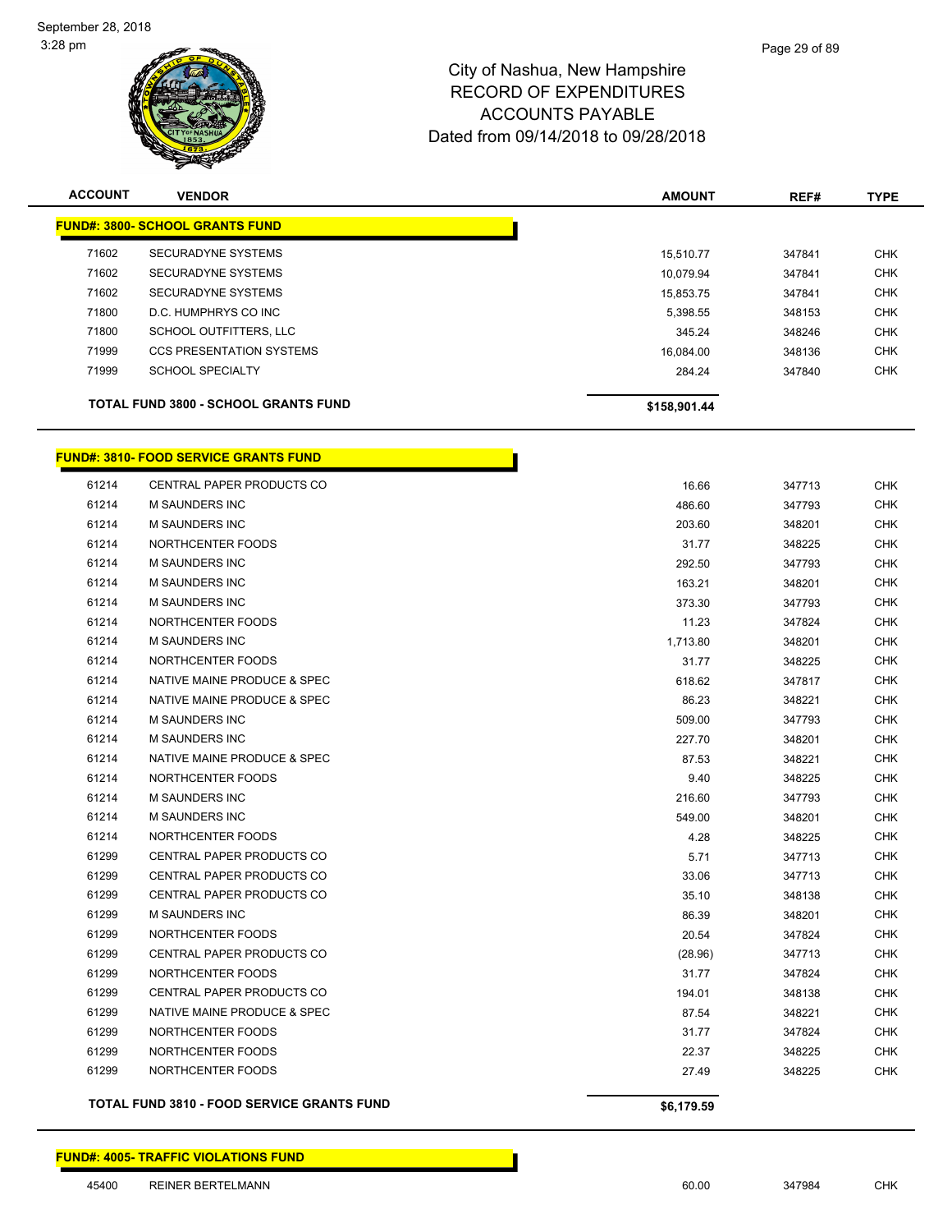

| <b>ACCOUNT</b> | <b>VENDOR</b>                               | <b>AMOUNT</b> | REF#   | <b>TYPE</b> |
|----------------|---------------------------------------------|---------------|--------|-------------|
|                | <b>FUND#: 3800- SCHOOL GRANTS FUND</b>      |               |        |             |
| 71602          | <b>SECURADYNE SYSTEMS</b>                   | 15.510.77     | 347841 | <b>CHK</b>  |
| 71602          | <b>SECURADYNE SYSTEMS</b>                   | 10.079.94     | 347841 | <b>CHK</b>  |
| 71602          | <b>SECURADYNE SYSTEMS</b>                   | 15.853.75     | 347841 | <b>CHK</b>  |
| 71800          | D.C. HUMPHRYS CO INC                        | 5,398.55      | 348153 | <b>CHK</b>  |
| 71800          | <b>SCHOOL OUTFITTERS, LLC</b>               | 345.24        | 348246 | <b>CHK</b>  |
| 71999          | <b>CCS PRESENTATION SYSTEMS</b>             | 16.084.00     | 348136 | <b>CHK</b>  |
| 71999          | <b>SCHOOL SPECIALTY</b>                     | 284.24        | 347840 | <b>CHK</b>  |
|                | <b>TOTAL FUND 3800 - SCHOOL GRANTS FUND</b> | \$158,901.44  |        |             |

### **FUND#: 3810- FOOD SERVICE GRANTS FUND**

|            |        | \$6,179.59 | <b>TOTAL FUND 3810 - FOOD SERVICE GRANTS FUND</b> |       |
|------------|--------|------------|---------------------------------------------------|-------|
| <b>CHK</b> | 348225 | 27.49      | NORTHCENTER FOODS                                 | 61299 |
| <b>CHK</b> | 348225 | 22.37      | NORTHCENTER FOODS                                 | 61299 |
| <b>CHK</b> | 347824 | 31.77      | NORTHCENTER FOODS                                 | 61299 |
| <b>CHK</b> | 348221 | 87.54      | NATIVE MAINE PRODUCE & SPEC                       | 61299 |
| <b>CHK</b> | 348138 | 194.01     | CENTRAL PAPER PRODUCTS CO                         | 61299 |
| <b>CHK</b> | 347824 | 31.77      | NORTHCENTER FOODS                                 | 61299 |
| <b>CHK</b> | 347713 | (28.96)    | CENTRAL PAPER PRODUCTS CO                         | 61299 |
| <b>CHK</b> | 347824 | 20.54      | NORTHCENTER FOODS                                 | 61299 |
| <b>CHK</b> | 348201 | 86.39      | <b>M SAUNDERS INC</b>                             | 61299 |
| <b>CHK</b> | 348138 | 35.10      | CENTRAL PAPER PRODUCTS CO                         | 61299 |
| <b>CHK</b> | 347713 | 33.06      | CENTRAL PAPER PRODUCTS CO                         | 61299 |
| <b>CHK</b> | 347713 | 5.71       | <b>CENTRAL PAPER PRODUCTS CO</b>                  | 61299 |
| <b>CHK</b> | 348225 | 4.28       | NORTHCENTER FOODS                                 | 61214 |
| <b>CHK</b> | 348201 | 549.00     | M SAUNDERS INC                                    | 61214 |
| <b>CHK</b> | 347793 | 216.60     | <b>M SAUNDERS INC</b>                             | 61214 |
| <b>CHK</b> | 348225 | 9.40       | NORTHCENTER FOODS                                 | 61214 |
| <b>CHK</b> | 348221 | 87.53      | NATIVE MAINE PRODUCE & SPEC                       | 61214 |
| <b>CHK</b> | 348201 | 227.70     | <b>M SAUNDERS INC</b>                             | 61214 |
| <b>CHK</b> | 347793 | 509.00     | <b>M SAUNDERS INC</b>                             | 61214 |
| <b>CHK</b> | 348221 | 86.23      | NATIVE MAINE PRODUCE & SPEC                       | 61214 |
| <b>CHK</b> | 347817 | 618.62     | NATIVE MAINE PRODUCE & SPEC                       | 61214 |
| <b>CHK</b> | 348225 | 31.77      | NORTHCENTER FOODS                                 | 61214 |
| <b>CHK</b> | 348201 | 1,713.80   | <b>M SAUNDERS INC</b>                             | 61214 |
| <b>CHK</b> | 347824 | 11.23      | NORTHCENTER FOODS                                 | 61214 |
| <b>CHK</b> | 347793 | 373.30     | M SAUNDERS INC                                    | 61214 |
| <b>CHK</b> | 348201 | 163.21     | M SAUNDERS INC                                    | 61214 |
| <b>CHK</b> | 347793 | 292.50     | <b>M SAUNDERS INC</b>                             | 61214 |
| <b>CHK</b> | 348225 | 31.77      | NORTHCENTER FOODS                                 | 61214 |
| <b>CHK</b> | 348201 | 203.60     | M SAUNDERS INC                                    | 61214 |
| <b>CHK</b> | 347793 | 486.60     | M SAUNDERS INC                                    | 61214 |
| CHK        | 347713 | 16.66      | CENTRAL PAPER PRODUCTS CO                         | 61214 |
|            |        |            |                                                   |       |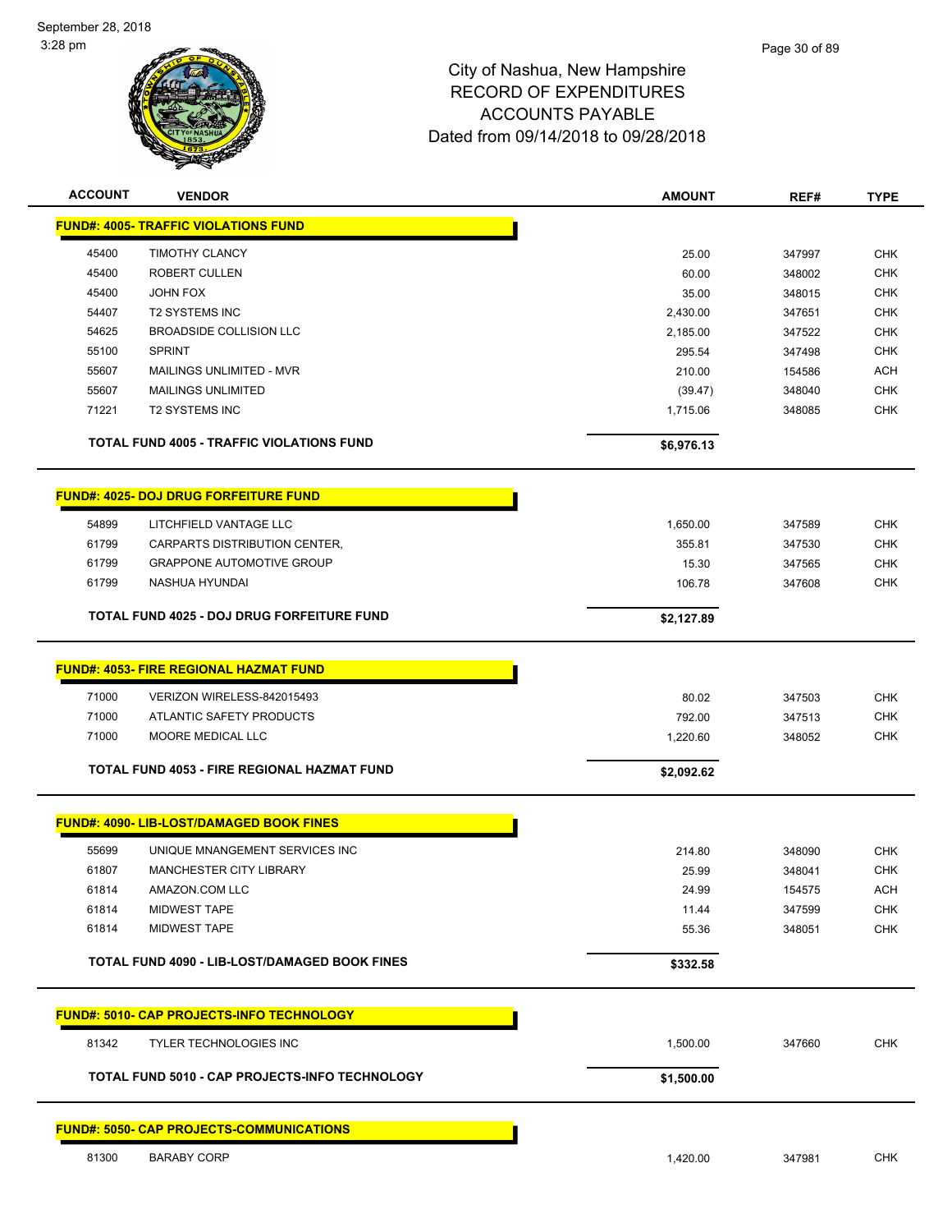

| <b>ACCOUNT</b> | <b>VENDOR</b>                                      | <b>AMOUNT</b> | REF#   | <b>TYPE</b> |
|----------------|----------------------------------------------------|---------------|--------|-------------|
|                | <b>FUND#: 4005- TRAFFIC VIOLATIONS FUND</b>        |               |        |             |
| 45400          | <b>TIMOTHY CLANCY</b>                              | 25.00         | 347997 | <b>CHK</b>  |
| 45400          | ROBERT CULLEN                                      | 60.00         | 348002 | <b>CHK</b>  |
| 45400          | <b>JOHN FOX</b>                                    | 35.00         | 348015 | <b>CHK</b>  |
| 54407          | <b>T2 SYSTEMS INC</b>                              | 2,430.00      | 347651 | <b>CHK</b>  |
| 54625          | <b>BROADSIDE COLLISION LLC</b>                     | 2,185.00      | 347522 | <b>CHK</b>  |
| 55100          | <b>SPRINT</b>                                      | 295.54        | 347498 | <b>CHK</b>  |
| 55607          | MAILINGS UNLIMITED - MVR                           | 210.00        | 154586 | <b>ACH</b>  |
| 55607          | <b>MAILINGS UNLIMITED</b>                          | (39.47)       | 348040 | <b>CHK</b>  |
| 71221          | <b>T2 SYSTEMS INC</b>                              | 1,715.06      | 348085 | <b>CHK</b>  |
|                | <b>TOTAL FUND 4005 - TRAFFIC VIOLATIONS FUND</b>   | \$6,976.13    |        |             |
|                | <b>FUND#: 4025- DOJ DRUG FORFEITURE FUND</b>       |               |        |             |
|                |                                                    |               |        |             |
| 54899          | LITCHFIELD VANTAGE LLC                             | 1,650.00      | 347589 | <b>CHK</b>  |
| 61799          | CARPARTS DISTRIBUTION CENTER,                      | 355.81        | 347530 | <b>CHK</b>  |
| 61799<br>61799 | <b>GRAPPONE AUTOMOTIVE GROUP</b><br>NASHUA HYUNDAI | 15.30         | 347565 | <b>CHK</b>  |
|                |                                                    | 106.78        | 347608 | <b>CHK</b>  |
|                | <b>TOTAL FUND 4025 - DOJ DRUG FORFEITURE FUND</b>  | \$2,127.89    |        |             |
|                | <b>FUND#: 4053- FIRE REGIONAL HAZMAT FUND</b>      |               |        |             |
| 71000          | VERIZON WIRELESS-842015493                         | 80.02         | 347503 | <b>CHK</b>  |
| 71000          | ATLANTIC SAFETY PRODUCTS                           | 792.00        | 347513 | <b>CHK</b>  |
| 71000          | MOORE MEDICAL LLC                                  | 1,220.60      | 348052 | <b>CHK</b>  |
|                | <b>TOTAL FUND 4053 - FIRE REGIONAL HAZMAT FUND</b> | \$2,092.62    |        |             |
|                |                                                    |               |        |             |
|                | <b>FUND#: 4090- LIB-LOST/DAMAGED BOOK FINES</b>    |               |        |             |
| 55699          | UNIQUE MNANGEMENT SERVICES INC                     | 214.80        | 348090 | <b>CHK</b>  |
| 61807          | <b>MANCHESTER CITY LIBRARY</b>                     | 25.99         | 348041 | <b>CHK</b>  |
| 61814          | AMAZON.COM LLC                                     | 24.99         | 154575 | ACH         |
| 61814          | <b>MIDWEST TAPE</b>                                | 11.44         | 347599 | <b>CHK</b>  |
| 61814          | <b>MIDWEST TAPE</b>                                | 55.36         | 348051 | <b>CHK</b>  |
|                | TOTAL FUND 4090 - LIB-LOST/DAMAGED BOOK FINES      | \$332.58      |        |             |
|                | <b>FUND#: 5010- CAP PROJECTS-INFO TECHNOLOGY</b>   |               |        |             |
| 81342          | <b>TYLER TECHNOLOGIES INC</b>                      |               |        | CHK         |
|                |                                                    | 1,500.00      | 347660 |             |
|                | TOTAL FUND 5010 - CAP PROJECTS-INFO TECHNOLOGY     | \$1,500.00    |        |             |
|                | <b>FUND#: 5050- CAP PROJECTS-COMMUNICATIONS</b>    |               |        |             |
| 81300          | <b>BARABY CORP</b>                                 | 1,420.00      | 347981 | <b>CHK</b>  |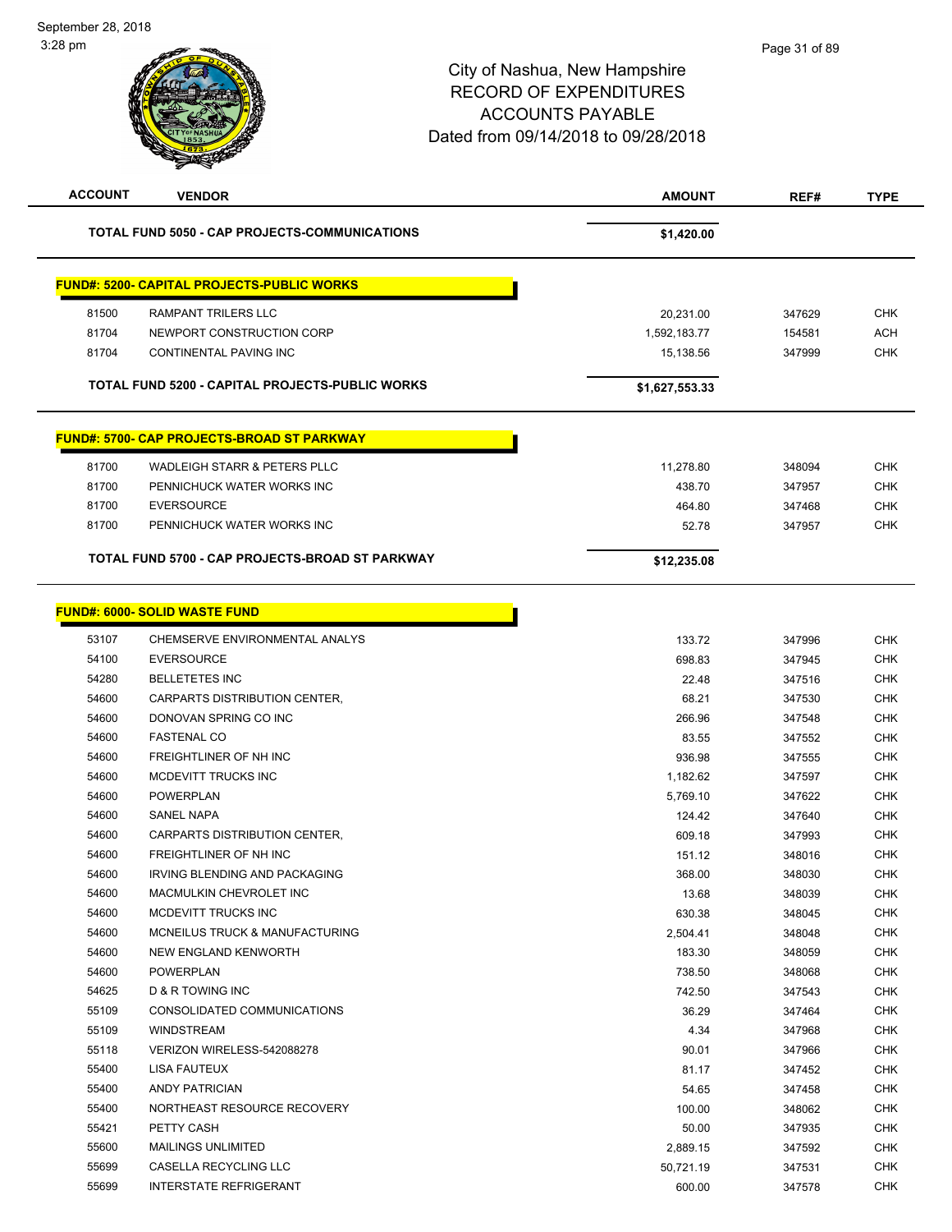-

| <b>ACCOUNT</b> | <b>VENDOR</b>                                     | <b>AMOUNT</b>  | REF#   | <b>TYPE</b> |
|----------------|---------------------------------------------------|----------------|--------|-------------|
|                | TOTAL FUND 5050 - CAP PROJECTS-COMMUNICATIONS     | \$1,420.00     |        |             |
|                | <b>FUND#: 5200- CAPITAL PROJECTS-PUBLIC WORKS</b> |                |        |             |
| 81500          | <b>RAMPANT TRILERS LLC</b>                        | 20,231.00      | 347629 | <b>CHK</b>  |
| 81704          | NEWPORT CONSTRUCTION CORP                         | 1,592,183.77   | 154581 | <b>ACH</b>  |
| 81704          | CONTINENTAL PAVING INC                            | 15,138.56      | 347999 | <b>CHK</b>  |
|                | TOTAL FUND 5200 - CAPITAL PROJECTS-PUBLIC WORKS   | \$1,627,553.33 |        |             |
|                | <b>FUND#: 5700- CAP PROJECTS-BROAD ST PARKWAY</b> |                |        |             |
| 81700          | <b>WADLEIGH STARR &amp; PETERS PLLC</b>           | 11,278.80      | 348094 | <b>CHK</b>  |
| 81700          | PENNICHUCK WATER WORKS INC                        | 438.70         | 347957 | <b>CHK</b>  |
| 81700          | <b>EVERSOURCE</b>                                 | 464.80         | 347468 | <b>CHK</b>  |
| 81700          | PENNICHUCK WATER WORKS INC                        | 52.78          | 347957 | <b>CHK</b>  |
|                | TOTAL FUND 5700 - CAP PROJECTS-BROAD ST PARKWAY   | \$12,235.08    |        |             |
|                |                                                   |                |        |             |
|                | <b>FUND#: 6000- SOLID WASTE FUND</b>              |                |        |             |
| 53107          | CHEMSERVE ENVIRONMENTAL ANALYS                    | 133.72         | 347996 | <b>CHK</b>  |
| 54100          | <b>EVERSOURCE</b>                                 | 698.83         | 347945 | <b>CHK</b>  |
| 54280          | <b>BELLETETES INC</b>                             | 22.48          | 347516 | <b>CHK</b>  |
| 54600          | CARPARTS DISTRIBUTION CENTER,                     | 68.21          | 347530 | <b>CHK</b>  |
| 54600          | DONOVAN SPRING CO INC                             | 266.96         | 347548 | <b>CHK</b>  |
| 54600          | <b>FASTENAL CO</b>                                | 83.55          | 347552 | <b>CHK</b>  |
| 54600          | FREIGHTLINER OF NH INC                            | 936.98         | 347555 | <b>CHK</b>  |
| 54600          | MCDEVITT TRUCKS INC                               | 1,182.62       | 347597 | <b>CHK</b>  |
| 54600          | <b>POWERPLAN</b>                                  | 5,769.10       | 347622 | <b>CHK</b>  |
| 54600          | <b>SANEL NAPA</b>                                 | 124.42         | 347640 | <b>CHK</b>  |
| 54600          | CARPARTS DISTRIBUTION CENTER,                     | 609.18         | 347993 | <b>CHK</b>  |
| 54600          | FREIGHTLINER OF NH INC                            | 151.12         | 348016 | <b>CHK</b>  |
| 54600          | IRVING BLENDING AND PACKAGING                     | 368.00         | 348030 | <b>CHK</b>  |
| 54600          | MACMULKIN CHEVROLET INC                           | 13.68          | 348039 | <b>CHK</b>  |
| 54600          | MCDEVITT TRUCKS INC                               | 630.38         | 348045 | <b>CHK</b>  |
| 54600          | MCNEILUS TRUCK & MANUFACTURING                    | 2,504.41       | 348048 | <b>CHK</b>  |
| 54600          | NEW ENGLAND KENWORTH                              | 183.30         | 348059 | <b>CHK</b>  |
| 54600          | <b>POWERPLAN</b>                                  | 738.50         | 348068 | <b>CHK</b>  |
| 54625          | D & R TOWING INC                                  | 742.50         | 347543 | <b>CHK</b>  |
| 55109          | CONSOLIDATED COMMUNICATIONS                       | 36.29          | 347464 | <b>CHK</b>  |
| 55109          | <b>WINDSTREAM</b>                                 | 4.34           | 347968 | <b>CHK</b>  |
| 55118          | VERIZON WIRELESS-542088278                        | 90.01          | 347966 | <b>CHK</b>  |
| 55400          | LISA FAUTEUX                                      | 81.17          | 347452 | <b>CHK</b>  |
| 55400          | ANDY PATRICIAN                                    | 54.65          | 347458 | <b>CHK</b>  |
| 55400          | NORTHEAST RESOURCE RECOVERY                       | 100.00         | 348062 | <b>CHK</b>  |
| 55421          | PETTY CASH                                        | 50.00          | 347935 | <b>CHK</b>  |
| 55600          | <b>MAILINGS UNLIMITED</b>                         | 2,889.15       | 347592 | <b>CHK</b>  |
| 55699          | CASELLA RECYCLING LLC                             | 50,721.19      | 347531 | <b>CHK</b>  |
| 55699          | <b>INTERSTATE REFRIGERANT</b>                     | 600.00         | 347578 | <b>CHK</b>  |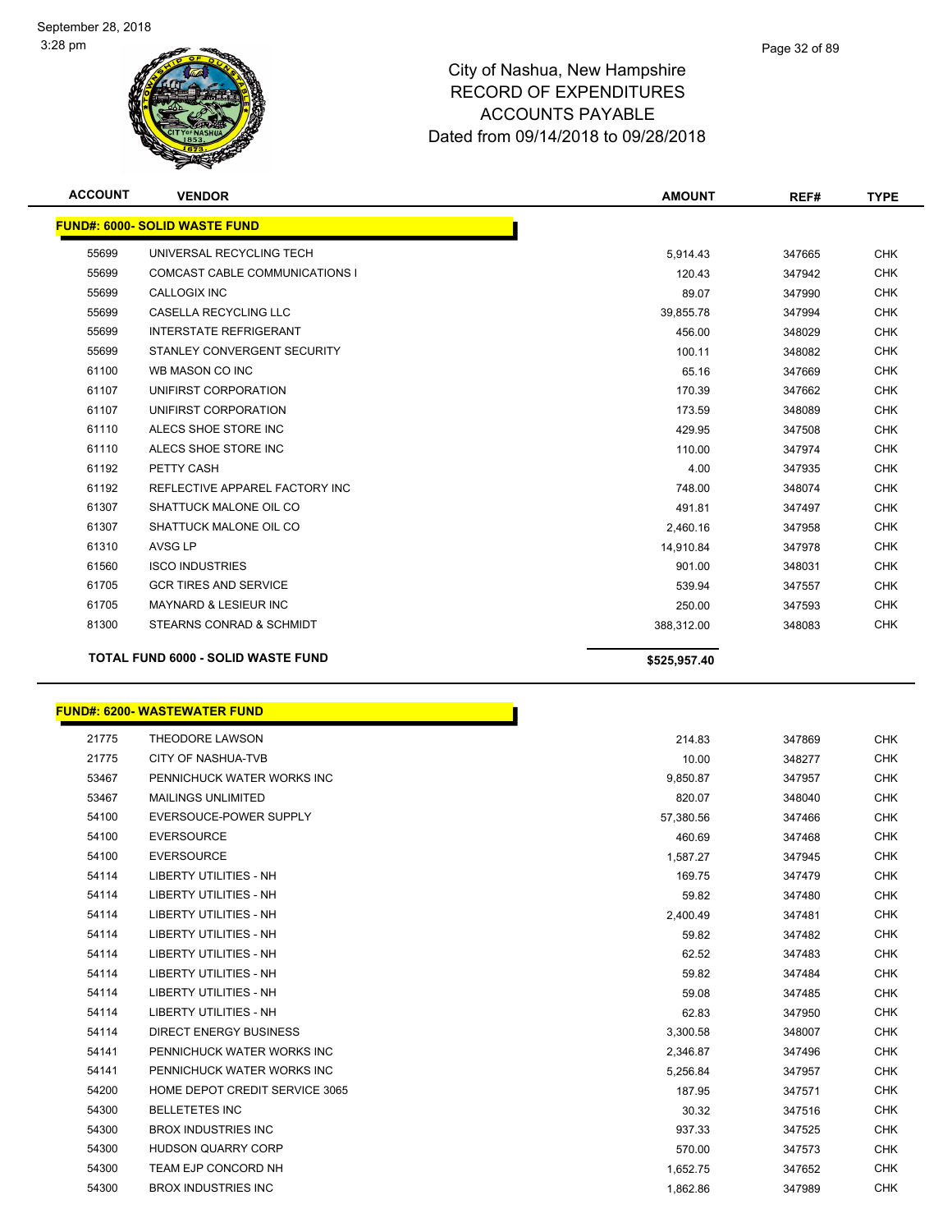

| <b>ACCOUNT</b> | <b>VENDOR</b>                             | <b>AMOUNT</b> | REF#   | <b>TYPE</b> |
|----------------|-------------------------------------------|---------------|--------|-------------|
|                | <b>FUND#: 6000- SOLID WASTE FUND</b>      |               |        |             |
| 55699          | UNIVERSAL RECYCLING TECH                  | 5,914.43      | 347665 | <b>CHK</b>  |
| 55699          | <b>COMCAST CABLE COMMUNICATIONS I</b>     | 120.43        | 347942 | <b>CHK</b>  |
| 55699          | <b>CALLOGIX INC</b>                       | 89.07         | 347990 | <b>CHK</b>  |
| 55699          | <b>CASELLA RECYCLING LLC</b>              | 39,855.78     | 347994 | <b>CHK</b>  |
| 55699          | <b>INTERSTATE REFRIGERANT</b>             | 456.00        | 348029 | <b>CHK</b>  |
| 55699          | STANLEY CONVERGENT SECURITY               | 100.11        | 348082 | <b>CHK</b>  |
| 61100          | WB MASON CO INC                           | 65.16         | 347669 | <b>CHK</b>  |
| 61107          | UNIFIRST CORPORATION                      | 170.39        | 347662 | <b>CHK</b>  |
| 61107          | UNIFIRST CORPORATION                      | 173.59        | 348089 | <b>CHK</b>  |
| 61110          | ALECS SHOE STORE INC                      | 429.95        | 347508 | <b>CHK</b>  |
| 61110          | ALECS SHOE STORE INC                      | 110.00        | 347974 | <b>CHK</b>  |
| 61192          | PETTY CASH                                | 4.00          | 347935 | <b>CHK</b>  |
| 61192          | REFLECTIVE APPAREL FACTORY INC            | 748.00        | 348074 | <b>CHK</b>  |
| 61307          | SHATTUCK MALONE OIL CO                    | 491.81        | 347497 | <b>CHK</b>  |
| 61307          | SHATTUCK MALONE OIL CO                    | 2,460.16      | 347958 | <b>CHK</b>  |
| 61310          | AVSG LP                                   | 14,910.84     | 347978 | <b>CHK</b>  |
| 61560          | <b>ISCO INDUSTRIES</b>                    | 901.00        | 348031 | <b>CHK</b>  |
| 61705          | <b>GCR TIRES AND SERVICE</b>              | 539.94        | 347557 | <b>CHK</b>  |
| 61705          | <b>MAYNARD &amp; LESIEUR INC</b>          | 250.00        | 347593 | <b>CHK</b>  |
| 81300          | STEARNS CONRAD & SCHMIDT                  | 388,312.00    | 348083 | <b>CHK</b>  |
|                | <b>TOTAL FUND 6000 - SOLID WASTE FUND</b> | \$525,957.40  |        |             |

### **FUND#: 6200- WASTEWATER FUND**

| 21775 | <b>THEODORE LAWSON</b>         | 214.83    | 347869 | CHK        |
|-------|--------------------------------|-----------|--------|------------|
| 21775 | CITY OF NASHUA-TVB             | 10.00     | 348277 | <b>CHK</b> |
| 53467 | PENNICHUCK WATER WORKS INC     | 9,850.87  | 347957 | <b>CHK</b> |
| 53467 | <b>MAILINGS UNLIMITED</b>      | 820.07    | 348040 | <b>CHK</b> |
| 54100 | EVERSOUCE-POWER SUPPLY         | 57,380.56 | 347466 | <b>CHK</b> |
| 54100 | <b>EVERSOURCE</b>              | 460.69    | 347468 | <b>CHK</b> |
| 54100 | <b>EVERSOURCE</b>              | 1,587.27  | 347945 | <b>CHK</b> |
| 54114 | <b>LIBERTY UTILITIES - NH</b>  | 169.75    | 347479 | <b>CHK</b> |
| 54114 | <b>LIBERTY UTILITIES - NH</b>  | 59.82     | 347480 | <b>CHK</b> |
| 54114 | <b>LIBERTY UTILITIES - NH</b>  | 2,400.49  | 347481 | CHK        |
| 54114 | <b>LIBERTY UTILITIES - NH</b>  | 59.82     | 347482 | <b>CHK</b> |
| 54114 | <b>LIBERTY UTILITIES - NH</b>  | 62.52     | 347483 | <b>CHK</b> |
| 54114 | <b>LIBERTY UTILITIES - NH</b>  | 59.82     | 347484 | <b>CHK</b> |
| 54114 | <b>LIBERTY UTILITIES - NH</b>  | 59.08     | 347485 | <b>CHK</b> |
| 54114 | <b>LIBERTY UTILITIES - NH</b>  | 62.83     | 347950 | <b>CHK</b> |
| 54114 | <b>DIRECT ENERGY BUSINESS</b>  | 3,300.58  | 348007 | <b>CHK</b> |
| 54141 | PENNICHUCK WATER WORKS INC     | 2,346.87  | 347496 | <b>CHK</b> |
| 54141 | PENNICHUCK WATER WORKS INC     | 5,256.84  | 347957 | CHK        |
| 54200 | HOME DEPOT CREDIT SERVICE 3065 | 187.95    | 347571 | <b>CHK</b> |
| 54300 | <b>BELLETETES INC</b>          | 30.32     | 347516 | <b>CHK</b> |
| 54300 | <b>BROX INDUSTRIES INC</b>     | 937.33    | 347525 | <b>CHK</b> |
| 54300 | <b>HUDSON QUARRY CORP</b>      | 570.00    | 347573 | <b>CHK</b> |
| 54300 | TEAM EJP CONCORD NH            | 1,652.75  | 347652 | <b>CHK</b> |
| 54300 | <b>BROX INDUSTRIES INC</b>     | 1,862.86  | 347989 | <b>CHK</b> |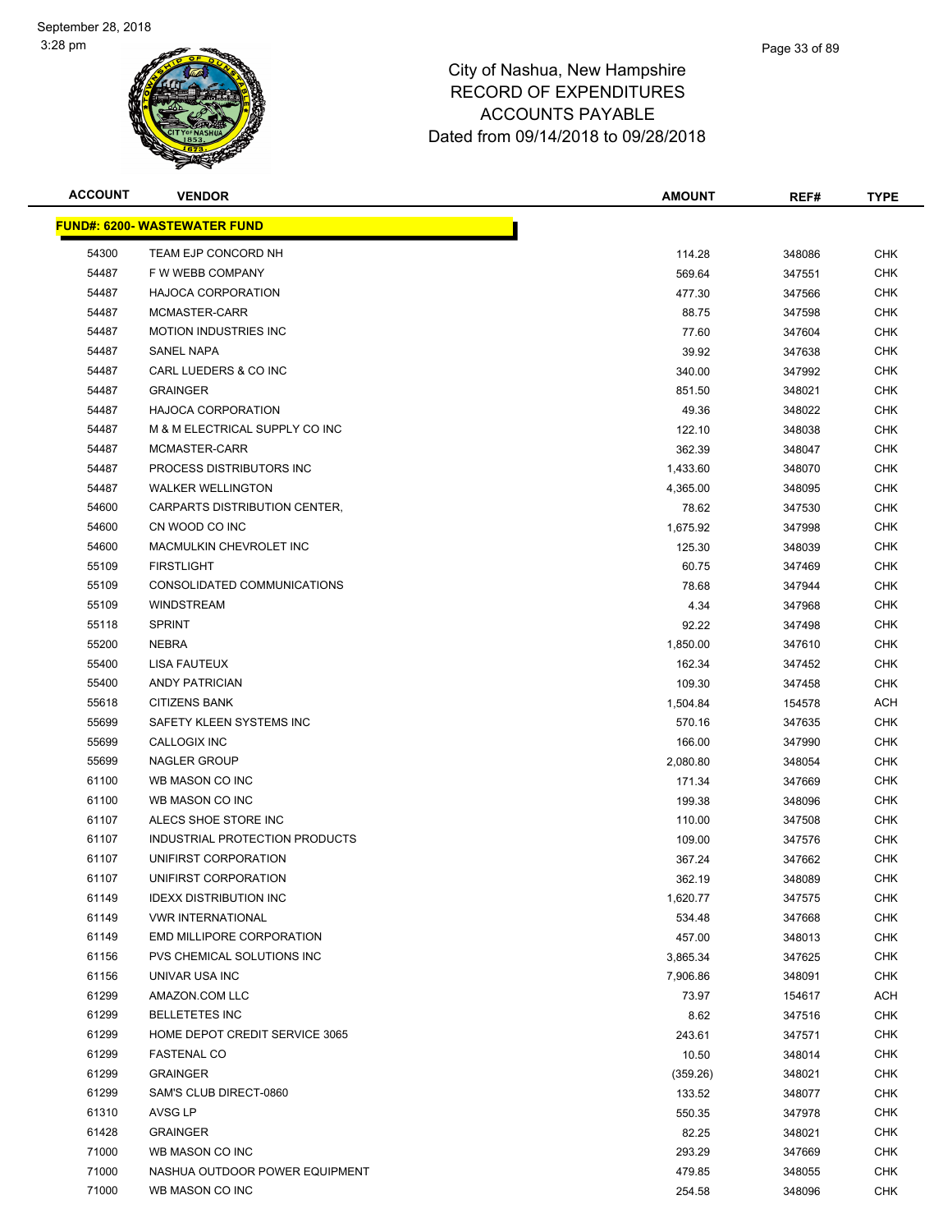

| <b>ACCOUNT</b> | <b>VENDOR</b>                       | <b>AMOUNT</b> | REF#   | <b>TYPE</b> |
|----------------|-------------------------------------|---------------|--------|-------------|
|                | <b>FUND#: 6200- WASTEWATER FUND</b> |               |        |             |
| 54300          | TEAM EJP CONCORD NH                 | 114.28        | 348086 | <b>CHK</b>  |
| 54487          | F W WEBB COMPANY                    | 569.64        | 347551 | <b>CHK</b>  |
| 54487          | <b>HAJOCA CORPORATION</b>           | 477.30        | 347566 | CHK         |
| 54487          | MCMASTER-CARR                       | 88.75         | 347598 | <b>CHK</b>  |
| 54487          | <b>MOTION INDUSTRIES INC</b>        | 77.60         | 347604 | CHK         |
| 54487          | <b>SANEL NAPA</b>                   | 39.92         | 347638 | <b>CHK</b>  |
| 54487          | CARL LUEDERS & CO INC               | 340.00        | 347992 | CHK         |
| 54487          | <b>GRAINGER</b>                     | 851.50        | 348021 | <b>CHK</b>  |
| 54487          | <b>HAJOCA CORPORATION</b>           | 49.36         | 348022 | <b>CHK</b>  |
| 54487          | M & M ELECTRICAL SUPPLY CO INC      | 122.10        | 348038 | CHK         |
| 54487          | MCMASTER-CARR                       | 362.39        | 348047 | CHK         |
| 54487          | PROCESS DISTRIBUTORS INC            | 1,433.60      | 348070 | CHK         |
| 54487          | <b>WALKER WELLINGTON</b>            | 4,365.00      | 348095 | CHK         |
| 54600          | CARPARTS DISTRIBUTION CENTER,       | 78.62         | 347530 | CHK         |
| 54600          | CN WOOD CO INC                      | 1,675.92      | 347998 | <b>CHK</b>  |
| 54600          | MACMULKIN CHEVROLET INC             | 125.30        | 348039 | CHK         |
| 55109          | <b>FIRSTLIGHT</b>                   | 60.75         | 347469 | <b>CHK</b>  |
| 55109          | CONSOLIDATED COMMUNICATIONS         | 78.68         | 347944 | <b>CHK</b>  |
| 55109          | <b>WINDSTREAM</b>                   | 4.34          | 347968 | <b>CHK</b>  |
| 55118          | <b>SPRINT</b>                       | 92.22         | 347498 | <b>CHK</b>  |
| 55200          | <b>NEBRA</b>                        | 1,850.00      | 347610 | CHK         |
| 55400          | LISA FAUTEUX                        | 162.34        | 347452 | CHK         |
| 55400          | <b>ANDY PATRICIAN</b>               | 109.30        | 347458 | CHK         |
| 55618          | <b>CITIZENS BANK</b>                | 1,504.84      | 154578 | ACH         |
| 55699          | SAFETY KLEEN SYSTEMS INC            | 570.16        | 347635 | CHK         |
| 55699          | CALLOGIX INC                        | 166.00        | 347990 | <b>CHK</b>  |
| 55699          | <b>NAGLER GROUP</b>                 | 2,080.80      | 348054 | CHK         |
| 61100          | WB MASON CO INC                     | 171.34        | 347669 | <b>CHK</b>  |
| 61100          | WB MASON CO INC                     | 199.38        | 348096 | CHK         |
| 61107          | ALECS SHOE STORE INC                | 110.00        | 347508 | CHK         |
| 61107          | INDUSTRIAL PROTECTION PRODUCTS      | 109.00        | 347576 | CHK         |
| 61107          | UNIFIRST CORPORATION                | 367.24        | 347662 | CHK         |
| 61107          | UNIFIRST CORPORATION                | 362.19        | 348089 | <b>CHK</b>  |
| 61149          | <b>IDEXX DISTRIBUTION INC</b>       | 1,620.77      | 347575 | <b>CHK</b>  |
| 61149          | <b>VWR INTERNATIONAL</b>            | 534.48        | 347668 | CHK         |
| 61149          | <b>EMD MILLIPORE CORPORATION</b>    | 457.00        | 348013 | <b>CHK</b>  |
| 61156          | PVS CHEMICAL SOLUTIONS INC          | 3,865.34      | 347625 | <b>CHK</b>  |
| 61156          | UNIVAR USA INC                      | 7,906.86      | 348091 | <b>CHK</b>  |
| 61299          | AMAZON.COM LLC                      | 73.97         | 154617 | ACH         |
| 61299          | <b>BELLETETES INC</b>               | 8.62          | 347516 | <b>CHK</b>  |
| 61299          | HOME DEPOT CREDIT SERVICE 3065      | 243.61        | 347571 | <b>CHK</b>  |
| 61299          | <b>FASTENAL CO</b>                  | 10.50         | 348014 | <b>CHK</b>  |
| 61299          | <b>GRAINGER</b>                     | (359.26)      | 348021 | <b>CHK</b>  |
| 61299          | SAM'S CLUB DIRECT-0860              | 133.52        | 348077 | <b>CHK</b>  |
| 61310          | AVSG LP                             | 550.35        | 347978 | <b>CHK</b>  |
| 61428          | <b>GRAINGER</b>                     | 82.25         | 348021 | <b>CHK</b>  |
| 71000          | WB MASON CO INC                     | 293.29        | 347669 | <b>CHK</b>  |
| 71000          | NASHUA OUTDOOR POWER EQUIPMENT      | 479.85        | 348055 | <b>CHK</b>  |
| 71000          | WB MASON CO INC                     | 254.58        | 348096 | <b>CHK</b>  |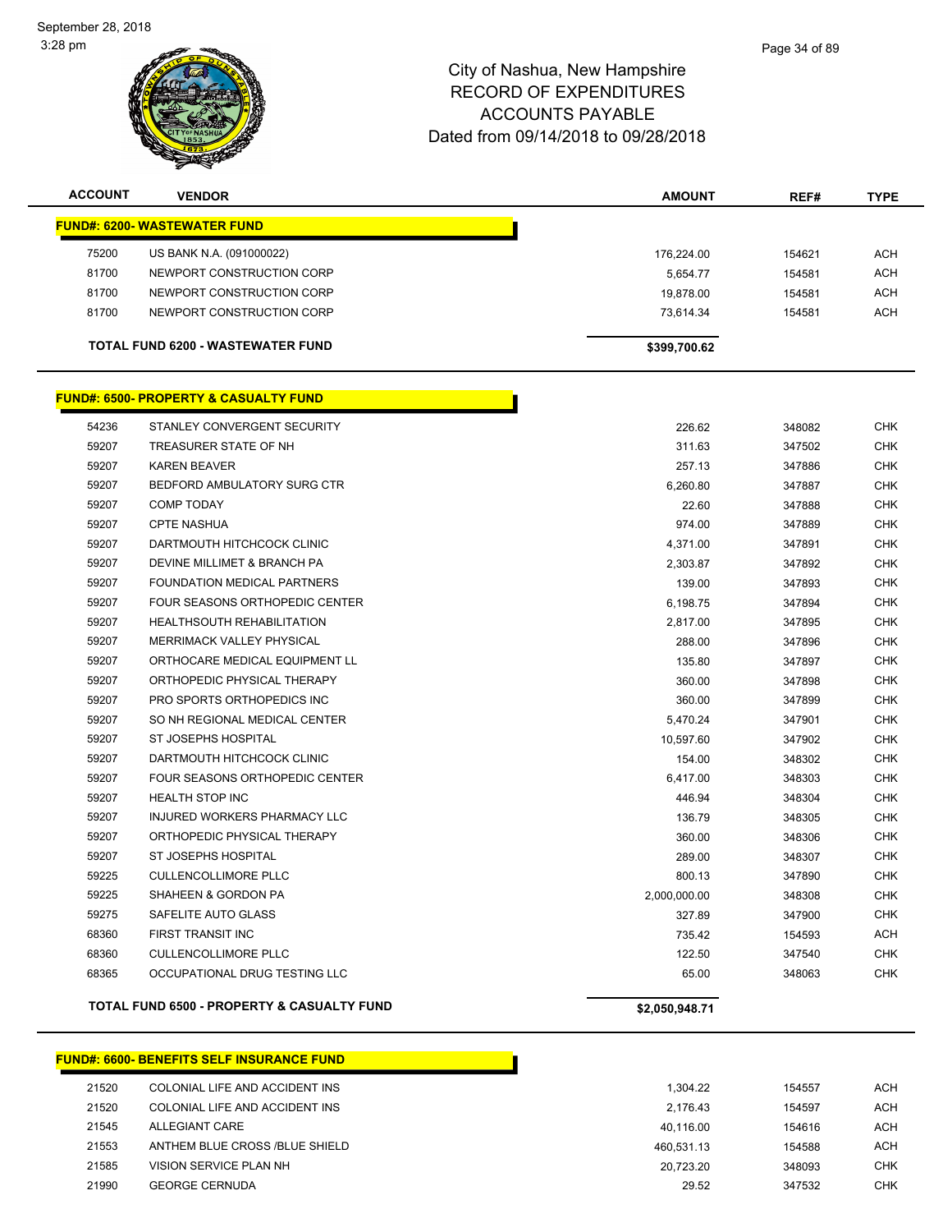September 28, 2018 3:28 pm



## City of Nashua, New Hampshire RECORD OF EXPENDITURES ACCOUNTS PAYABLE Dated from 09/14/2018 to 09/28/2018

| <b>ACCOUNT</b>                      | <b>VENDOR</b>                                         | <b>AMOUNT</b>  | REF#   | <b>TYPE</b> |  |
|-------------------------------------|-------------------------------------------------------|----------------|--------|-------------|--|
| <b>FUND#: 6200- WASTEWATER FUND</b> |                                                       |                |        |             |  |
| 75200                               | US BANK N.A. (091000022)                              | 176,224.00     | 154621 | ACH         |  |
| 81700                               | NEWPORT CONSTRUCTION CORP                             | 5,654.77       | 154581 | <b>ACH</b>  |  |
| 81700                               | NEWPORT CONSTRUCTION CORP                             | 19,878.00      | 154581 | <b>ACH</b>  |  |
| 81700                               | NEWPORT CONSTRUCTION CORP                             | 73,614.34      | 154581 | <b>ACH</b>  |  |
|                                     | TOTAL FUND 6200 - WASTEWATER FUND                     | \$399,700.62   |        |             |  |
|                                     | <u>FUND#: 6500- PROPERTY &amp; CASUALTY FUND</u>      |                |        |             |  |
| 54236                               | STANLEY CONVERGENT SECURITY                           | 226.62         | 348082 | <b>CHK</b>  |  |
| 59207                               | TREASURER STATE OF NH                                 | 311.63         | 347502 | <b>CHK</b>  |  |
| 59207                               | <b>KAREN BEAVER</b>                                   | 257.13         | 347886 | <b>CHK</b>  |  |
| 59207                               | BEDFORD AMBULATORY SURG CTR                           | 6,260.80       | 347887 | <b>CHK</b>  |  |
| 59207                               | <b>COMP TODAY</b>                                     | 22.60          | 347888 | <b>CHK</b>  |  |
| 59207                               | <b>CPTE NASHUA</b>                                    | 974.00         | 347889 | <b>CHK</b>  |  |
| 59207                               | DARTMOUTH HITCHCOCK CLINIC                            | 4,371.00       | 347891 | <b>CHK</b>  |  |
| 59207                               | DEVINE MILLIMET & BRANCH PA                           | 2,303.87       | 347892 | <b>CHK</b>  |  |
| 59207                               | FOUNDATION MEDICAL PARTNERS                           | 139.00         | 347893 | CHK         |  |
| 59207                               | FOUR SEASONS ORTHOPEDIC CENTER                        | 6,198.75       | 347894 | <b>CHK</b>  |  |
| 59207                               | <b>HEALTHSOUTH REHABILITATION</b>                     | 2,817.00       | 347895 | <b>CHK</b>  |  |
| 59207                               | MERRIMACK VALLEY PHYSICAL                             | 288.00         | 347896 | CHK         |  |
| 59207                               | ORTHOCARE MEDICAL EQUIPMENT LL                        | 135.80         | 347897 | <b>CHK</b>  |  |
| 59207                               | ORTHOPEDIC PHYSICAL THERAPY                           | 360.00         | 347898 | <b>CHK</b>  |  |
| 59207                               | PRO SPORTS ORTHOPEDICS INC                            | 360.00         | 347899 | <b>CHK</b>  |  |
| 59207                               | SO NH REGIONAL MEDICAL CENTER                         | 5,470.24       | 347901 | <b>CHK</b>  |  |
| 59207                               | ST JOSEPHS HOSPITAL                                   | 10,597.60      | 347902 | <b>CHK</b>  |  |
| 59207                               | DARTMOUTH HITCHCOCK CLINIC                            | 154.00         | 348302 | <b>CHK</b>  |  |
| 59207                               | FOUR SEASONS ORTHOPEDIC CENTER                        | 6,417.00       | 348303 | <b>CHK</b>  |  |
| 59207                               | <b>HEALTH STOP INC</b>                                | 446.94         | 348304 | CHK         |  |
| 59207                               | INJURED WORKERS PHARMACY LLC                          | 136.79         | 348305 | CHK         |  |
| 59207                               | ORTHOPEDIC PHYSICAL THERAPY                           | 360.00         | 348306 | CHK         |  |
| 59207                               | <b>ST JOSEPHS HOSPITAL</b>                            | 289.00         | 348307 | CHK         |  |
| 59225                               | <b>CULLENCOLLIMORE PLLC</b>                           | 800.13         | 347890 | <b>CHK</b>  |  |
| 59225                               | SHAHEEN & GORDON PA                                   | 2,000,000.00   | 348308 | <b>CHK</b>  |  |
| 59275                               | SAFELITE AUTO GLASS                                   | 327.89         | 347900 | <b>CHK</b>  |  |
| 68360                               | FIRST TRANSIT INC                                     | 735.42         | 154593 | <b>ACH</b>  |  |
| 68360                               | <b>CULLENCOLLIMORE PLLC</b>                           | 122.50         | 347540 | <b>CHK</b>  |  |
| 68365                               | OCCUPATIONAL DRUG TESTING LLC                         | 65.00          | 348063 | <b>CHK</b>  |  |
|                                     | <b>TOTAL FUND 6500 - PROPERTY &amp; CASUALTY FUND</b> | \$2,050,948.71 |        |             |  |
|                                     |                                                       |                |        |             |  |

## **FUND#: 6600- BENEFITS SELF INSURANCE FUND** 21520 COLONIAL LIFE AND ACCIDENT INS 1,304.22 154557 ACH 21520 COLONIAL LIFE AND ACCIDENT INS 2,176.43 2,176.43 154597 ACH ALLEGIANT CARE 40,116.00 154616 ACH 21553 ANTHEM BLUE CROSS /BLUE SHIELD **1996 120 ACH 120 ACH 215458** ACH 460,531.13 154588 ACH VISION SERVICE PLAN NH 20,723.20 348093 CHK GEORGE CERNUDA 29.52 347532 CHK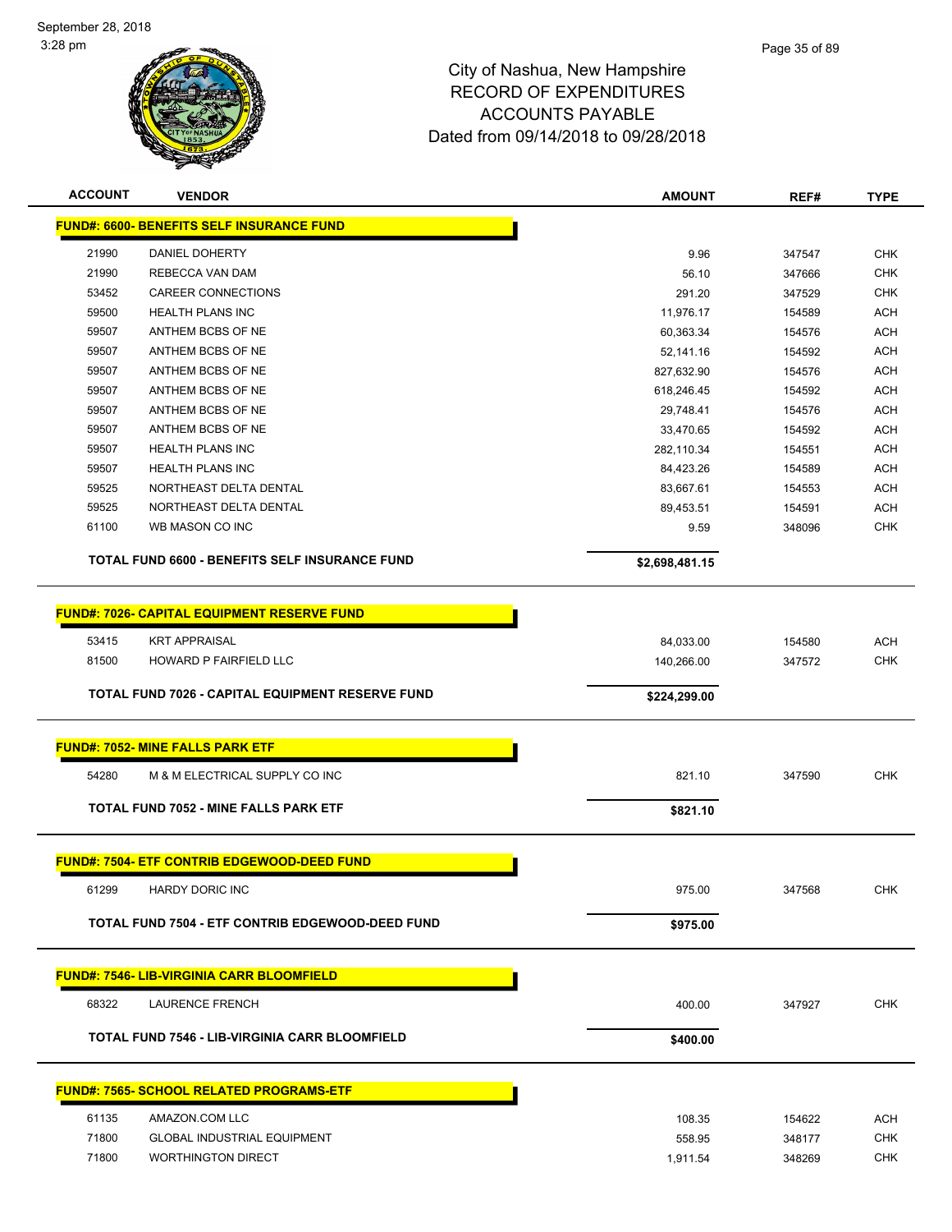

| <b>ACCOUNT</b> | <b>VENDOR</b>                                         | <b>AMOUNT</b>  | REF#             | <b>TYPE</b> |
|----------------|-------------------------------------------------------|----------------|------------------|-------------|
|                | <b>FUND#: 6600- BENEFITS SELF INSURANCE FUND</b>      |                |                  |             |
|                |                                                       |                |                  | <b>CHK</b>  |
| 21990<br>21990 | DANIEL DOHERTY<br>REBECCA VAN DAM                     | 9.96<br>56.10  | 347547           | <b>CHK</b>  |
| 53452          | <b>CAREER CONNECTIONS</b>                             | 291.20         | 347666           | <b>CHK</b>  |
| 59500          | <b>HEALTH PLANS INC</b>                               | 11,976.17      | 347529<br>154589 | <b>ACH</b>  |
| 59507          | ANTHEM BCBS OF NE                                     | 60,363.34      | 154576           | <b>ACH</b>  |
| 59507          | ANTHEM BCBS OF NE                                     | 52,141.16      | 154592           | <b>ACH</b>  |
| 59507          | ANTHEM BCBS OF NE                                     | 827,632.90     | 154576           | <b>ACH</b>  |
| 59507          | ANTHEM BCBS OF NE                                     | 618,246.45     | 154592           | <b>ACH</b>  |
| 59507          | ANTHEM BCBS OF NE                                     | 29,748.41      | 154576           | <b>ACH</b>  |
| 59507          | ANTHEM BCBS OF NE                                     | 33,470.65      | 154592           | <b>ACH</b>  |
| 59507          | <b>HEALTH PLANS INC</b>                               | 282,110.34     | 154551           | <b>ACH</b>  |
| 59507          | <b>HEALTH PLANS INC</b>                               | 84,423.26      | 154589           | <b>ACH</b>  |
| 59525          | NORTHEAST DELTA DENTAL                                | 83,667.61      | 154553           | <b>ACH</b>  |
| 59525          | NORTHEAST DELTA DENTAL                                | 89,453.51      | 154591           | <b>ACH</b>  |
| 61100          | WB MASON CO INC                                       | 9.59           | 348096           | <b>CHK</b>  |
|                |                                                       |                |                  |             |
|                | <b>TOTAL FUND 6600 - BENEFITS SELF INSURANCE FUND</b> | \$2,698,481.15 |                  |             |
|                |                                                       |                |                  |             |
|                | <b>FUND#: 7026- CAPITAL EQUIPMENT RESERVE FUND</b>    |                |                  |             |
| 53415          | <b>KRT APPRAISAL</b>                                  | 84,033.00      | 154580           | <b>ACH</b>  |
| 81500          | HOWARD P FAIRFIELD LLC                                | 140,266.00     | 347572           | <b>CHK</b>  |
|                | TOTAL FUND 7026 - CAPITAL EQUIPMENT RESERVE FUND      |                |                  |             |
|                |                                                       | \$224,299.00   |                  |             |
|                |                                                       |                |                  |             |
|                | <b>FUND#: 7052- MINE FALLS PARK ETF</b>               |                |                  |             |
| 54280          | M & M ELECTRICAL SUPPLY CO INC                        | 821.10         | 347590           | <b>CHK</b>  |
|                | <b>TOTAL FUND 7052 - MINE FALLS PARK ETF</b>          | \$821.10       |                  |             |
|                |                                                       |                |                  |             |
|                | <b>FUND#: 7504- ETF CONTRIB EDGEWOOD-DEED FUND</b>    |                |                  |             |
|                |                                                       |                |                  |             |
| 61299          | <b>HARDY DORIC INC</b>                                | 975.00         | 347568           | <b>CHK</b>  |
|                | TOTAL FUND 7504 - ETF CONTRIB EDGEWOOD-DEED FUND      | \$975.00       |                  |             |
|                |                                                       |                |                  |             |
|                | <b>FUND#: 7546- LIB-VIRGINIA CARR BLOOMFIELD</b>      |                |                  |             |
| 68322          |                                                       |                | 347927           | <b>CHK</b>  |
|                | <b>LAURENCE FRENCH</b>                                | 400.00         |                  |             |
|                | <b>TOTAL FUND 7546 - LIB-VIRGINIA CARR BLOOMFIELD</b> | \$400.00       |                  |             |
|                |                                                       |                |                  |             |
|                | <b>FUND#: 7565- SCHOOL RELATED PROGRAMS-ETF</b>       |                |                  |             |
|                |                                                       |                |                  |             |
| 61135          | AMAZON.COM LLC                                        | 108.35         | 154622           | <b>ACH</b>  |
| 71800          | <b>GLOBAL INDUSTRIAL EQUIPMENT</b>                    | 558.95         | 348177           | <b>CHK</b>  |
| 71800          | <b>WORTHINGTON DIRECT</b>                             | 1,911.54       | 348269           | <b>CHK</b>  |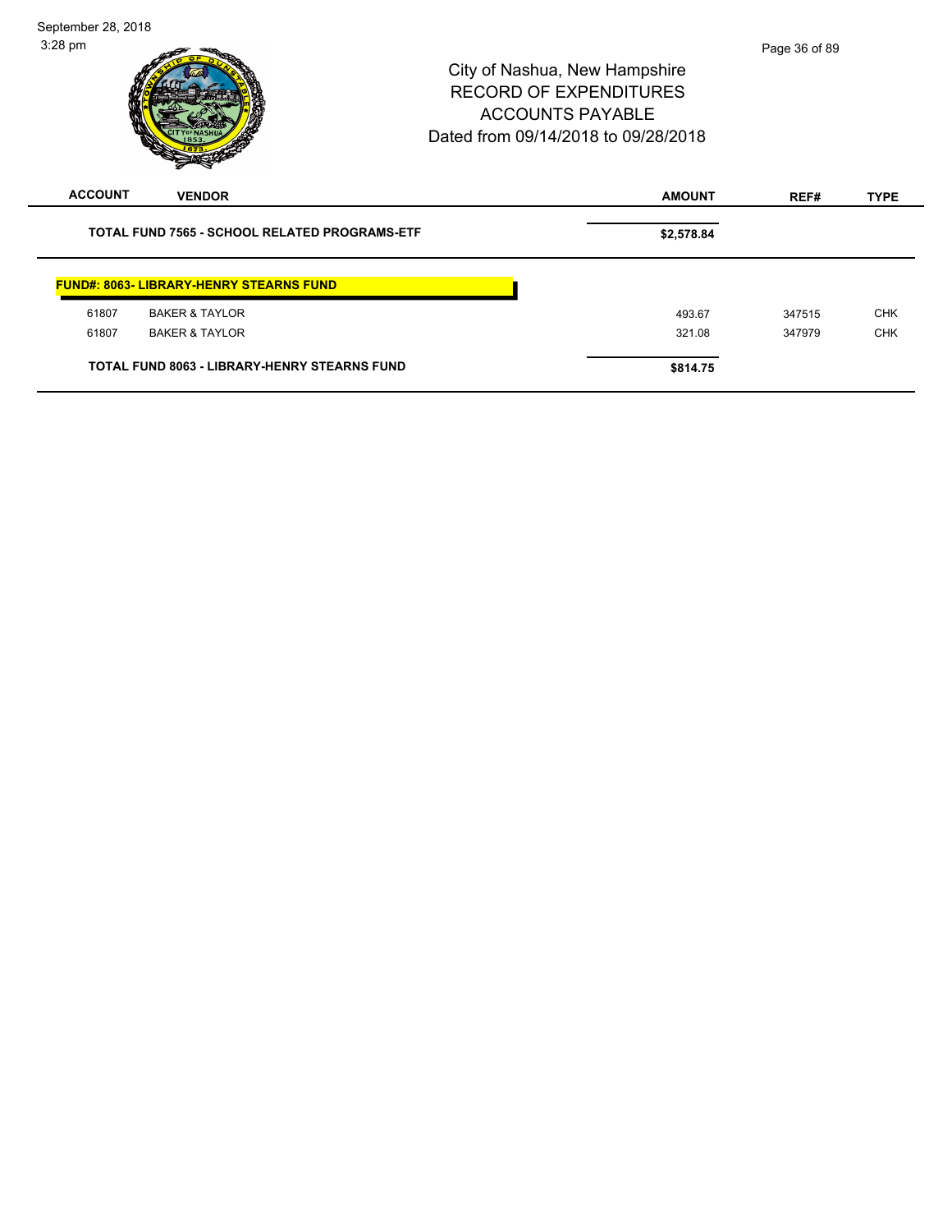| September 28, 2018<br>$3:28$ pm |                                                      | City of Nashua, New Hampshire<br><b>RECORD OF EXPENDITURES</b><br><b>ACCOUNTS PAYABLE</b><br>Dated from 09/14/2018 to 09/28/2018 | Page 36 of 89 |             |
|---------------------------------|------------------------------------------------------|----------------------------------------------------------------------------------------------------------------------------------|---------------|-------------|
| <b>ACCOUNT</b>                  | <b>VENDOR</b>                                        | <b>AMOUNT</b>                                                                                                                    | REF#          | <b>TYPE</b> |
|                                 | <b>TOTAL FUND 7565 - SCHOOL RELATED PROGRAMS-ETF</b> | \$2,578.84                                                                                                                       |               |             |
|                                 | <b>FUND#: 8063- LIBRARY-HENRY STEARNS FUND</b>       |                                                                                                                                  |               |             |
| 61807                           | <b>BAKER &amp; TAYLOR</b>                            | 493.67                                                                                                                           | 347515        | <b>CHK</b>  |
| 61807                           | <b>BAKER &amp; TAYLOR</b>                            | 321.08                                                                                                                           | 347979        | <b>CHK</b>  |
|                                 | <b>TOTAL FUND 8063 - LIBRARY-HENRY STEARNS FUND</b>  | \$814.75                                                                                                                         |               |             |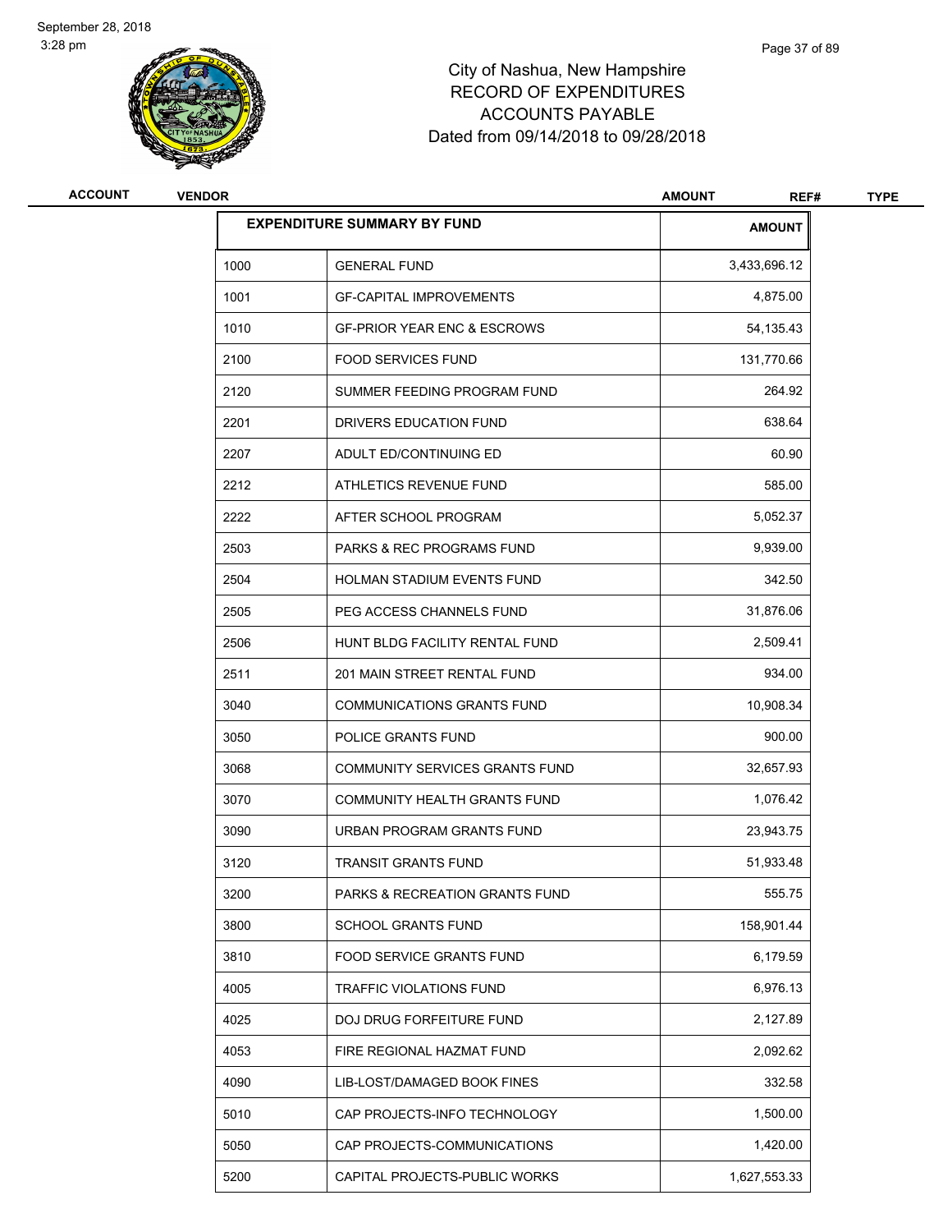

## City of Nashua, New Hampshire RECORD OF EXPENDITURES ACCOUNTS PAYABLE Dated from 09/14/2018 to 09/28/2018

| ACCOUNT | <b>VENDOR</b> |                                        | <b>AMOUNT</b><br>REF# | <b>TYPE</b> |
|---------|---------------|----------------------------------------|-----------------------|-------------|
|         |               | <b>EXPENDITURE SUMMARY BY FUND</b>     | <b>AMOUNT</b>         |             |
|         | 1000          | <b>GENERAL FUND</b>                    | 3,433,696.12          |             |
|         | 1001          | <b>GF-CAPITAL IMPROVEMENTS</b>         | 4,875.00              |             |
|         | 1010          | <b>GF-PRIOR YEAR ENC &amp; ESCROWS</b> | 54, 135.43            |             |
|         | 2100          | <b>FOOD SERVICES FUND</b>              | 131,770.66            |             |
|         | 2120          | SUMMER FEEDING PROGRAM FUND            | 264.92                |             |
|         | 2201          | DRIVERS EDUCATION FUND                 | 638.64                |             |
|         | 2207          | ADULT ED/CONTINUING ED                 | 60.90                 |             |
|         | 2212          | ATHLETICS REVENUE FUND                 | 585.00                |             |
|         | 2222          | AFTER SCHOOL PROGRAM                   | 5,052.37              |             |
|         | 2503          | PARKS & REC PROGRAMS FUND              | 9,939.00              |             |
|         | 2504          | <b>HOLMAN STADIUM EVENTS FUND</b>      | 342.50                |             |
|         | 2505          | PEG ACCESS CHANNELS FUND               | 31,876.06             |             |
|         | 2506          | HUNT BLDG FACILITY RENTAL FUND         | 2,509.41              |             |
|         | 2511          | 201 MAIN STREET RENTAL FUND            | 934.00                |             |
|         | 3040          | <b>COMMUNICATIONS GRANTS FUND</b>      | 10,908.34             |             |
|         | 3050          | POLICE GRANTS FUND                     | 900.00                |             |
|         | 3068          | COMMUNITY SERVICES GRANTS FUND         | 32,657.93             |             |
|         | 3070          | COMMUNITY HEALTH GRANTS FUND           | 1,076.42              |             |
|         | 3090          | URBAN PROGRAM GRANTS FUND              | 23,943.75             |             |
|         | 3120          | <b>TRANSIT GRANTS FUND</b>             | 51,933.48             |             |
|         | 3200          | PARKS & RECREATION GRANTS FUND         | 555.75                |             |
|         | 3800          | SCHOOL GRANTS FUND                     | 158,901.44            |             |
|         | 3810          | FOOD SERVICE GRANTS FUND               | 6,179.59              |             |
|         | 4005          | <b>TRAFFIC VIOLATIONS FUND</b>         | 6,976.13              |             |
|         | 4025          | DOJ DRUG FORFEITURE FUND               | 2,127.89              |             |
|         | 4053          | FIRE REGIONAL HAZMAT FUND              | 2,092.62              |             |
|         | 4090          | LIB-LOST/DAMAGED BOOK FINES            | 332.58                |             |
|         | 5010          | CAP PROJECTS-INFO TECHNOLOGY           | 1,500.00              |             |
|         | 5050          | CAP PROJECTS-COMMUNICATIONS            | 1,420.00              |             |
|         | 5200          | CAPITAL PROJECTS-PUBLIC WORKS          | 1,627,553.33          |             |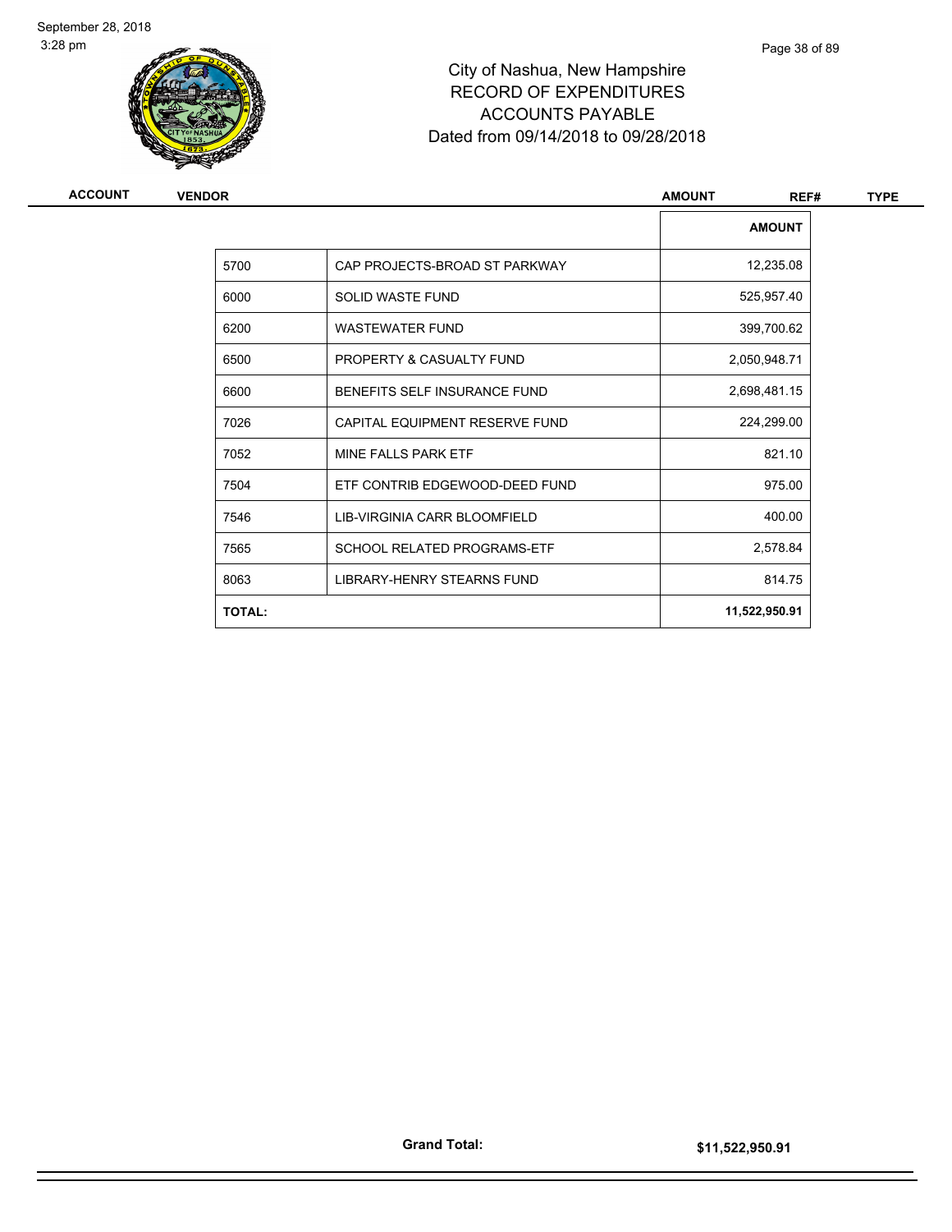

## City of Nashua, New Hampshire RECORD OF EXPENDITURES ACCOUNTS PAYABLE Dated from 09/14/2018 to 09/28/2018

| <b>ACCOUNT</b> | <b>VENDOR</b> |                                    | <b>AMOUNT</b><br>REF# | <b>TYPE</b> |
|----------------|---------------|------------------------------------|-----------------------|-------------|
|                |               |                                    | <b>AMOUNT</b>         |             |
|                | 5700          | CAP PROJECTS-BROAD ST PARKWAY      | 12,235.08             |             |
|                | 6000          | <b>SOLID WASTE FUND</b>            | 525,957.40            |             |
|                | 6200          | <b>WASTEWATER FUND</b>             | 399,700.62            |             |
|                | 6500          | PROPERTY & CASUALTY FUND           | 2,050,948.71          |             |
|                | 6600          | BENEFITS SELF INSURANCE FUND       | 2,698,481.15          |             |
|                | 7026          | CAPITAL EQUIPMENT RESERVE FUND     | 224,299.00            |             |
|                | 7052          | <b>MINE FALLS PARK ETF</b>         | 821.10                |             |
|                | 7504          | ETF CONTRIB EDGEWOOD-DEED FUND     | 975.00                |             |
|                | 7546          | LIB-VIRGINIA CARR BLOOMFIELD       | 400.00                |             |
|                | 7565          | <b>SCHOOL RELATED PROGRAMS-ETF</b> | 2,578.84              |             |
|                | 8063          | LIBRARY-HENRY STEARNS FUND         | 814.75                |             |
|                | <b>TOTAL:</b> |                                    | 11,522,950.91         |             |
|                |               |                                    |                       |             |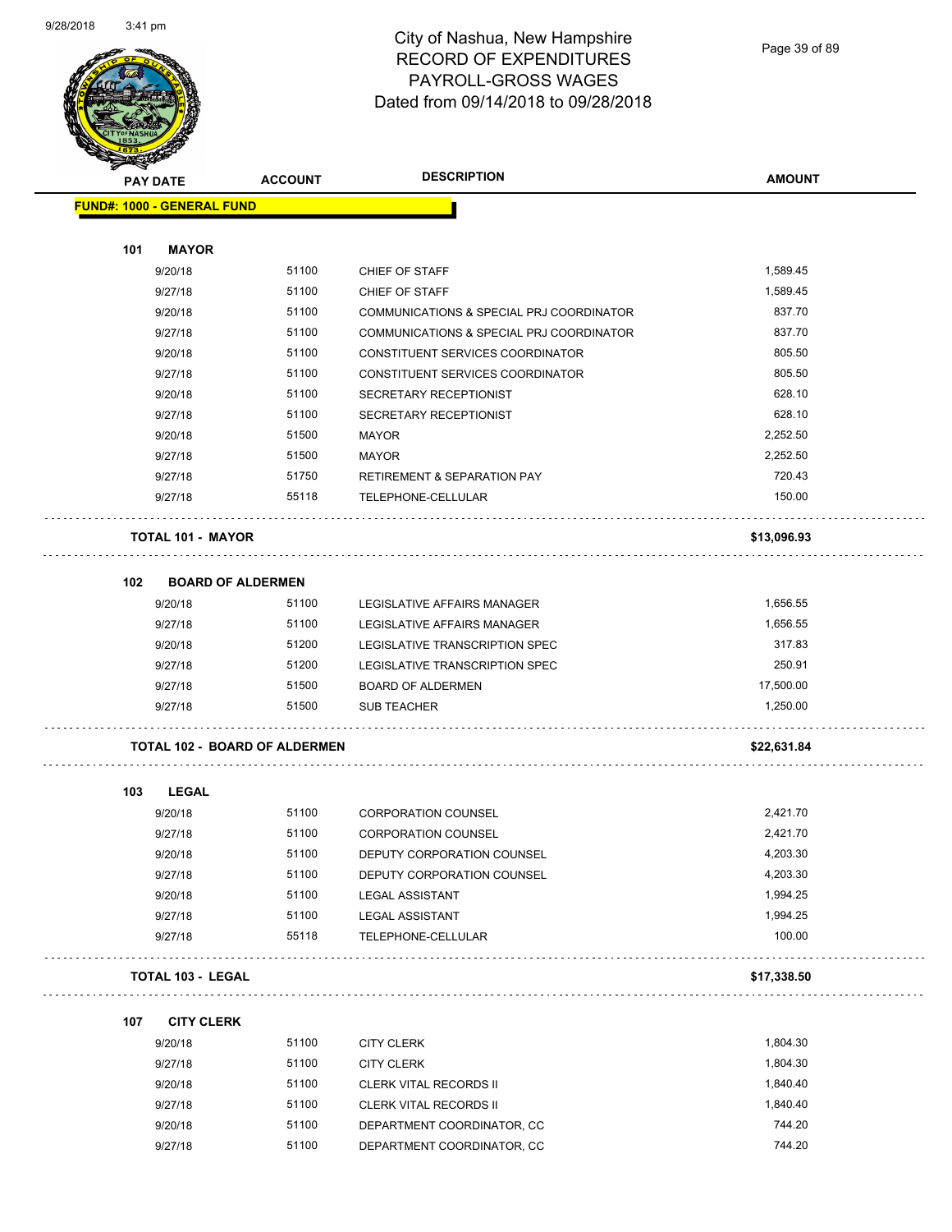

Page 39 of 89

| <b>STATER</b>                        |                |                                          |               |
|--------------------------------------|----------------|------------------------------------------|---------------|
| <b>PAY DATE</b>                      | <b>ACCOUNT</b> | <b>DESCRIPTION</b>                       | <b>AMOUNT</b> |
| <b>FUND#: 1000 - GENERAL FUND</b>    |                |                                          |               |
|                                      |                |                                          |               |
| <b>MAYOR</b><br>101                  |                |                                          |               |
| 9/20/18                              | 51100          | CHIEF OF STAFF                           | 1,589.45      |
| 9/27/18                              | 51100          | CHIEF OF STAFF                           | 1,589.45      |
| 9/20/18                              | 51100          | COMMUNICATIONS & SPECIAL PRJ COORDINATOR | 837.70        |
| 9/27/18                              | 51100          | COMMUNICATIONS & SPECIAL PRJ COORDINATOR | 837.70        |
| 9/20/18                              | 51100          | CONSTITUENT SERVICES COORDINATOR         | 805.50        |
| 9/27/18                              | 51100          | CONSTITUENT SERVICES COORDINATOR         | 805.50        |
| 9/20/18                              | 51100          | SECRETARY RECEPTIONIST                   | 628.10        |
| 9/27/18                              | 51100          | SECRETARY RECEPTIONIST                   | 628.10        |
| 9/20/18                              | 51500          | <b>MAYOR</b>                             | 2,252.50      |
| 9/27/18                              | 51500          | <b>MAYOR</b>                             | 2,252.50      |
| 9/27/18                              | 51750          | RETIREMENT & SEPARATION PAY              | 720.43        |
| 9/27/18                              | 55118          | TELEPHONE-CELLULAR                       | 150.00        |
|                                      |                |                                          |               |
| <b>TOTAL 101 - MAYOR</b>             |                |                                          | \$13,096.93   |
|                                      |                |                                          |               |
| 102<br><b>BOARD OF ALDERMEN</b>      |                |                                          |               |
| 9/20/18                              | 51100          | LEGISLATIVE AFFAIRS MANAGER              | 1,656.55      |
| 9/27/18                              | 51100          | LEGISLATIVE AFFAIRS MANAGER              | 1,656.55      |
| 9/20/18                              | 51200          | LEGISLATIVE TRANSCRIPTION SPEC           | 317.83        |
| 9/27/18                              | 51200          | LEGISLATIVE TRANSCRIPTION SPEC           | 250.91        |
| 9/27/18                              | 51500          | <b>BOARD OF ALDERMEN</b>                 | 17,500.00     |
| 9/27/18                              | 51500          | <b>SUB TEACHER</b>                       | 1,250.00      |
| <b>TOTAL 102 - BOARD OF ALDERMEN</b> |                |                                          | \$22,631.84   |
|                                      |                |                                          |               |
| 103<br><b>LEGAL</b><br>9/20/18       | 51100          | <b>CORPORATION COUNSEL</b>               | 2,421.70      |
| 9/27/18                              | 51100          | <b>CORPORATION COUNSEL</b>               | 2,421.70      |
| 9/20/18                              | 51100          | DEPUTY CORPORATION COUNSEL               | 4,203.30      |
| 9/27/18                              | 51100          | DEPUTY CORPORATION COUNSEL               | 4,203.30      |
| 9/20/18                              | 51100          | <b>LEGAL ASSISTANT</b>                   | 1,994.25      |
| 9/27/18                              | 51100          | <b>LEGAL ASSISTANT</b>                   | 1,994.25      |
| 9/27/18                              | 55118          | TELEPHONE-CELLULAR                       | 100.00        |
|                                      |                |                                          |               |
| <b>TOTAL 103 - LEGAL</b>             |                |                                          | \$17,338.50   |
| <b>CITY CLERK</b><br>107             |                |                                          |               |
| 9/20/18                              | 51100          | <b>CITY CLERK</b>                        | 1,804.30      |
| 9/27/18                              | 51100          | <b>CITY CLERK</b>                        | 1,804.30      |
| 9/20/18                              | 51100          | <b>CLERK VITAL RECORDS II</b>            | 1,840.40      |
| 9/27/18                              | 51100          | <b>CLERK VITAL RECORDS II</b>            | 1,840.40      |

# 9/20/18 51100 DEPARTMENT COORDINATOR, CC 744.20 9/27/18 51100 DEPARTMENT COORDINATOR, CC 744.20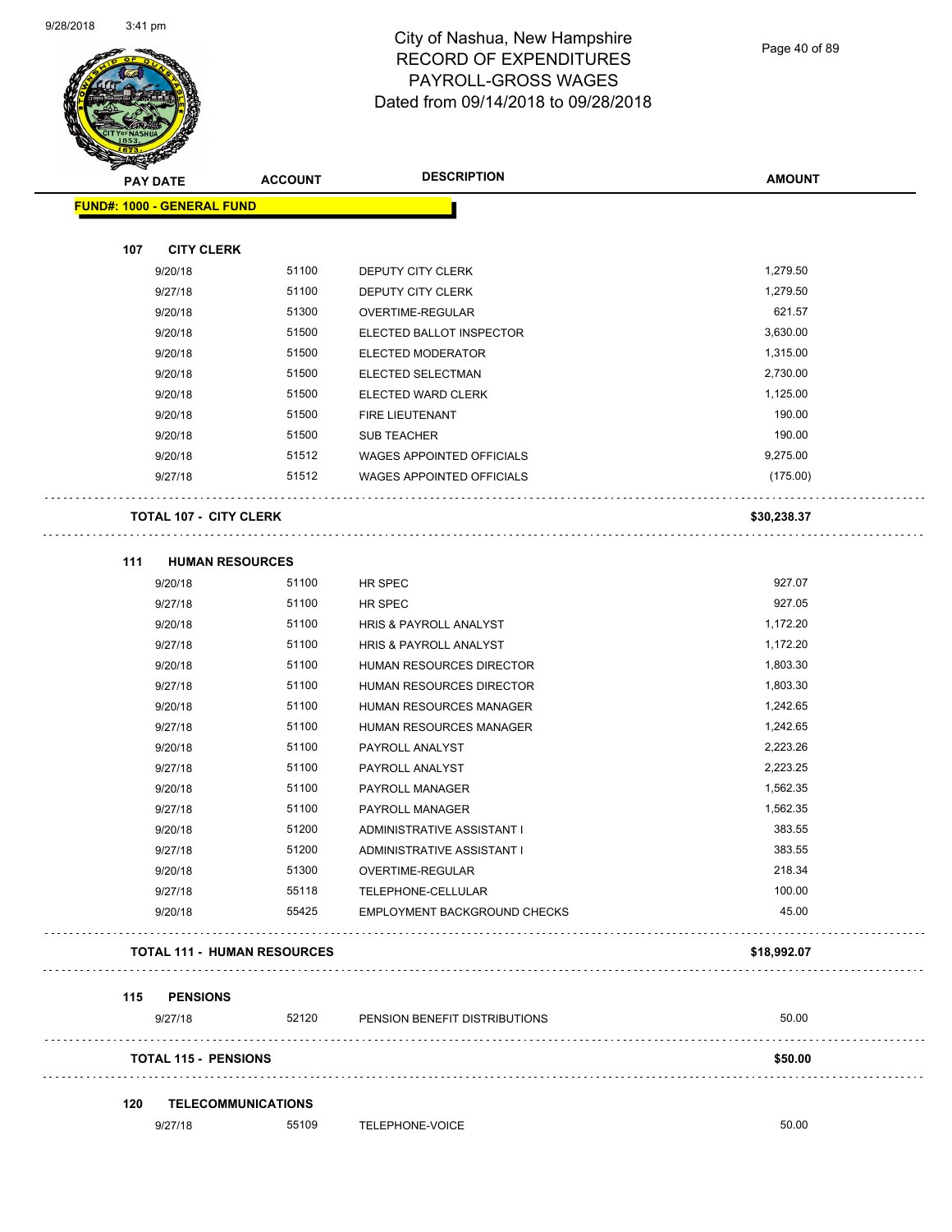

Page 40 of 89

**AMOUNT**

|     | <b>FUND#: 1000 - GENERAL FUND</b>  |                |                                        |             |
|-----|------------------------------------|----------------|----------------------------------------|-------------|
|     |                                    |                |                                        |             |
| 107 | <b>CITY CLERK</b>                  |                |                                        | 1,279.50    |
|     | 9/20/18                            | 51100<br>51100 | DEPUTY CITY CLERK                      | 1,279.50    |
|     | 9/27/18                            | 51300          | DEPUTY CITY CLERK                      | 621.57      |
|     | 9/20/18<br>9/20/18                 | 51500          | OVERTIME-REGULAR                       | 3,630.00    |
|     |                                    | 51500          | ELECTED BALLOT INSPECTOR               | 1,315.00    |
|     | 9/20/18<br>9/20/18                 | 51500          | ELECTED MODERATOR<br>ELECTED SELECTMAN | 2,730.00    |
|     | 9/20/18                            | 51500          | ELECTED WARD CLERK                     | 1,125.00    |
|     | 9/20/18                            | 51500          | FIRE LIEUTENANT                        | 190.00      |
|     | 9/20/18                            | 51500          | <b>SUB TEACHER</b>                     | 190.00      |
|     | 9/20/18                            | 51512          | WAGES APPOINTED OFFICIALS              | 9,275.00    |
|     | 9/27/18                            | 51512          | <b>WAGES APPOINTED OFFICIALS</b>       | (175.00)    |
|     |                                    |                |                                        |             |
|     | <b>TOTAL 107 - CITY CLERK</b>      |                |                                        | \$30,238.37 |
| 111 | <b>HUMAN RESOURCES</b>             |                |                                        |             |
|     | 9/20/18                            | 51100          | HR SPEC                                | 927.07      |
|     | 9/27/18                            | 51100          | HR SPEC                                | 927.05      |
|     | 9/20/18                            | 51100          | HRIS & PAYROLL ANALYST                 | 1,172.20    |
|     | 9/27/18                            | 51100          | <b>HRIS &amp; PAYROLL ANALYST</b>      | 1,172.20    |
|     | 9/20/18                            | 51100          | HUMAN RESOURCES DIRECTOR               | 1,803.30    |
|     | 9/27/18                            | 51100          | HUMAN RESOURCES DIRECTOR               | 1,803.30    |
|     | 9/20/18                            | 51100          | HUMAN RESOURCES MANAGER                | 1,242.65    |
|     | 9/27/18                            | 51100          | HUMAN RESOURCES MANAGER                | 1,242.65    |
|     | 9/20/18                            | 51100          | PAYROLL ANALYST                        | 2,223.26    |
|     | 9/27/18                            | 51100          | PAYROLL ANALYST                        | 2,223.25    |
|     | 9/20/18                            | 51100          | PAYROLL MANAGER                        | 1,562.35    |
|     | 9/27/18                            | 51100          | PAYROLL MANAGER                        | 1,562.35    |
|     | 9/20/18                            | 51200          | ADMINISTRATIVE ASSISTANT I             | 383.55      |
|     | 9/27/18                            | 51200          | ADMINISTRATIVE ASSISTANT I             | 383.55      |
|     | 9/20/18                            | 51300          | OVERTIME-REGULAR                       | 218.34      |
|     | 9/27/18                            | 55118          | TELEPHONE-CELLULAR                     | 100.00      |
|     | 9/20/18                            | 55425          | <b>EMPLOYMENT BACKGROUND CHECKS</b>    | 45.00       |
|     | <b>TOTAL 111 - HUMAN RESOURCES</b> |                |                                        | \$18,992.07 |
|     |                                    |                |                                        |             |
|     | 115 PENSIONS                       |                |                                        |             |
|     | 9/27/18                            | 52120          | PENSION BENEFIT DISTRIBUTIONS          | 50.00       |
|     | <b>TOTAL 115 - PENSIONS</b>        |                |                                        | \$50.00     |
| 120 | TELECOMMUNICATIONS                 |                |                                        |             |
|     | 9/27/18                            | 55109          | TELEPHONE-VOICE                        | 50.00       |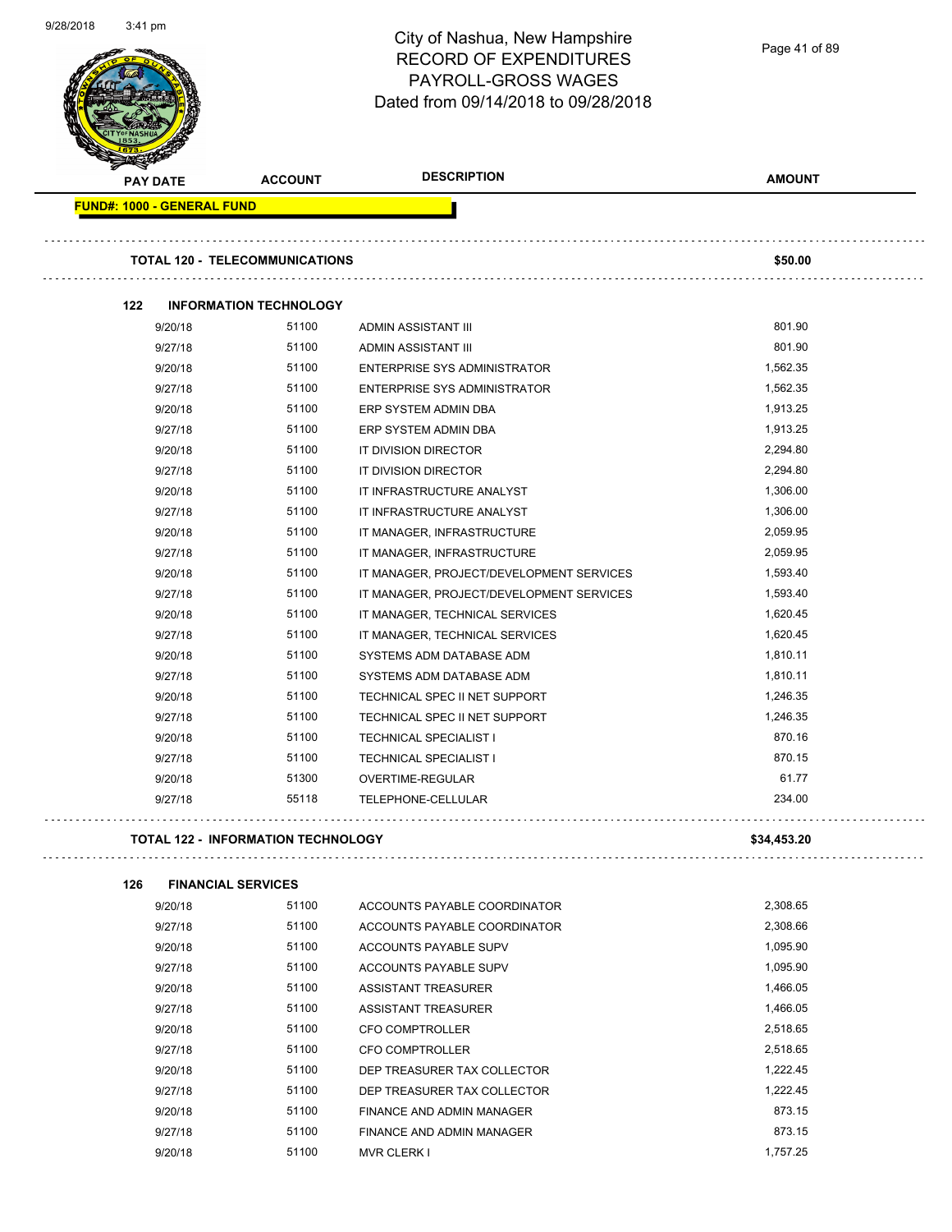| 9/28/2018 | $3:41 \text{ pm}$                 |                                           | City of Nashua, New Hampshire<br><b>RECORD OF EXPENDITURES</b><br>PAYROLL-GROSS WAGES<br>Dated from 09/14/2018 to 09/28/2018 | Page 41 of 89 |
|-----------|-----------------------------------|-------------------------------------------|------------------------------------------------------------------------------------------------------------------------------|---------------|
|           | <b>PAY DATE</b>                   | <b>ACCOUNT</b>                            | <b>DESCRIPTION</b>                                                                                                           | <b>AMOUNT</b> |
|           | <b>FUND#: 1000 - GENERAL FUND</b> |                                           |                                                                                                                              |               |
|           |                                   | <b>TOTAL 120 - TELECOMMUNICATIONS</b>     |                                                                                                                              | \$50.00       |
|           | 122                               | <b>INFORMATION TECHNOLOGY</b>             |                                                                                                                              |               |
|           | 9/20/18                           | 51100                                     | ADMIN ASSISTANT III                                                                                                          | 801.90        |
|           | 9/27/18                           | 51100                                     | ADMIN ASSISTANT III                                                                                                          | 801.90        |
|           | 9/20/18                           | 51100                                     | ENTERPRISE SYS ADMINISTRATOR                                                                                                 | 1,562.35      |
|           | 9/27/18                           | 51100                                     | ENTERPRISE SYS ADMINISTRATOR                                                                                                 | 1,562.35      |
|           | 9/20/18                           | 51100                                     | ERP SYSTEM ADMIN DBA                                                                                                         | 1,913.25      |
|           | 9/27/18                           | 51100                                     | ERP SYSTEM ADMIN DBA                                                                                                         | 1,913.25      |
|           | 9/20/18                           | 51100                                     | IT DIVISION DIRECTOR                                                                                                         | 2,294.80      |
|           | 9/27/18                           | 51100                                     | IT DIVISION DIRECTOR                                                                                                         | 2,294.80      |
|           | 9/20/18                           | 51100                                     | IT INFRASTRUCTURE ANALYST                                                                                                    | 1,306.00      |
|           | 9/27/18                           | 51100                                     | IT INFRASTRUCTURE ANALYST                                                                                                    | 1,306.00      |
|           | 9/20/18                           | 51100                                     | IT MANAGER, INFRASTRUCTURE                                                                                                   | 2,059.95      |
|           | 9/27/18                           | 51100                                     | IT MANAGER, INFRASTRUCTURE                                                                                                   | 2,059.95      |
|           | 9/20/18                           | 51100                                     | IT MANAGER, PROJECT/DEVELOPMENT SERVICES                                                                                     | 1,593.40      |
|           | 9/27/18                           | 51100                                     | IT MANAGER, PROJECT/DEVELOPMENT SERVICES                                                                                     | 1,593.40      |
|           | 9/20/18                           | 51100                                     | IT MANAGER, TECHNICAL SERVICES                                                                                               | 1,620.45      |
|           | 9/27/18                           | 51100                                     | IT MANAGER, TECHNICAL SERVICES                                                                                               | 1,620.45      |
|           | 9/20/18                           | 51100                                     | SYSTEMS ADM DATABASE ADM                                                                                                     | 1,810.11      |
|           | 9/27/18                           | 51100                                     | SYSTEMS ADM DATABASE ADM                                                                                                     | 1,810.11      |
|           | 9/20/18                           | 51100                                     | TECHNICAL SPEC II NET SUPPORT                                                                                                | 1,246.35      |
|           | 9/27/18                           | 51100                                     | TECHNICAL SPEC II NET SUPPORT                                                                                                | 1,246.35      |
|           | 9/20/18                           | 51100                                     | <b>TECHNICAL SPECIALIST I</b>                                                                                                | 870.16        |
|           | 9/27/18                           | 51100                                     | <b>TECHNICAL SPECIALIST I</b>                                                                                                | 870.15        |
|           | 9/20/18                           | 51300                                     | OVERTIME-REGULAR                                                                                                             | 61.77         |
|           | 9/27/18                           | 55118                                     | TELEPHONE-CELLULAR                                                                                                           | 234.00        |
|           |                                   | <b>TOTAL 122 - INFORMATION TECHNOLOGY</b> |                                                                                                                              | \$34,453.20   |
|           | 126                               | <b>FINANCIAL SERVICES</b>                 |                                                                                                                              |               |
|           | 9/20/18                           | 51100                                     | ACCOUNTS PAYABLE COORDINATOR                                                                                                 | 2,308.65      |
|           | 9/27/18                           | 51100                                     | ACCOUNTS PAYABLE COORDINATOR                                                                                                 | 2,308.66      |
|           | 9/20/18                           | 51100                                     | ACCOUNTS PAYABLE SUPV                                                                                                        | 1,095.90      |
|           | 9/27/18                           | 51100                                     | ACCOUNTS PAYABLE SUPV                                                                                                        | 1,095.90      |
|           | 9/20/18                           | 51100                                     | ASSISTANT TREASURER                                                                                                          | 1,466.05      |
|           | 9/27/18                           | 51100                                     | ASSISTANT TREASURER                                                                                                          | 1,466.05      |
|           | 9/20/18                           | 51100                                     | CFO COMPTROLLER                                                                                                              | 2,518.65      |
|           | 9/27/18                           | 51100                                     | CFO COMPTROLLER                                                                                                              | 2,518.65      |
|           | 9/20/18                           | 51100                                     | DEP TREASURER TAX COLLECTOR                                                                                                  | 1,222.45      |
|           | 9/27/18                           | 51100                                     | DEP TREASURER TAX COLLECTOR                                                                                                  | 1,222.45      |
|           | 9/20/18                           | 51100                                     | FINANCE AND ADMIN MANAGER                                                                                                    | 873.15        |

9/27/18 51100 FINANCE AND ADMIN MANAGER 9/20/18 51100 MVR CLERK I 1,757.25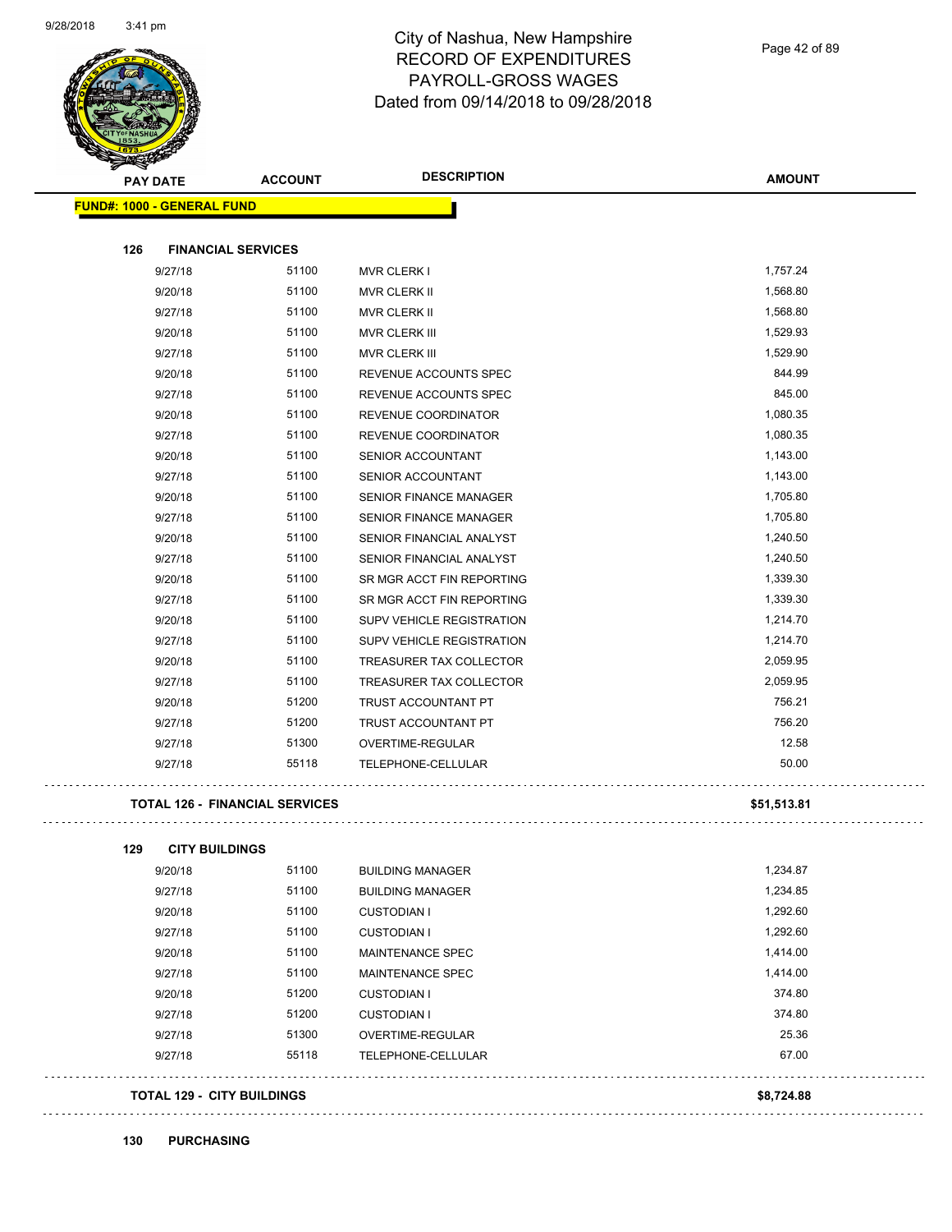

Page 42 of 89

| <b>PAY DATE</b>                       | <b>ACCOUNT</b> | <b>DESCRIPTION</b>            | <b>AMOUNT</b> |
|---------------------------------------|----------------|-------------------------------|---------------|
| FUND#: 1000 - GENERAL FUND            |                |                               |               |
| <b>FINANCIAL SERVICES</b><br>126      |                |                               |               |
| 9/27/18                               | 51100          | <b>MVR CLERK I</b>            | 1,757.24      |
| 9/20/18                               | 51100          | <b>MVR CLERK II</b>           | 1,568.80      |
| 9/27/18                               | 51100          | MVR CLERK II                  | 1,568.80      |
| 9/20/18                               | 51100          | MVR CLERK III                 | 1,529.93      |
| 9/27/18                               | 51100          | MVR CLERK III                 | 1,529.90      |
| 9/20/18                               | 51100          | REVENUE ACCOUNTS SPEC         | 844.99        |
| 9/27/18                               | 51100          | REVENUE ACCOUNTS SPEC         | 845.00        |
| 9/20/18                               | 51100          | REVENUE COORDINATOR           | 1,080.35      |
| 9/27/18                               | 51100          | REVENUE COORDINATOR           | 1,080.35      |
| 9/20/18                               | 51100          | SENIOR ACCOUNTANT             | 1,143.00      |
| 9/27/18                               | 51100          | SENIOR ACCOUNTANT             | 1,143.00      |
| 9/20/18                               | 51100          | <b>SENIOR FINANCE MANAGER</b> | 1,705.80      |
| 9/27/18                               | 51100          | <b>SENIOR FINANCE MANAGER</b> | 1,705.80      |
| 9/20/18                               | 51100          | SENIOR FINANCIAL ANALYST      | 1,240.50      |
| 9/27/18                               | 51100          | SENIOR FINANCIAL ANALYST      | 1,240.50      |
| 9/20/18                               | 51100          | SR MGR ACCT FIN REPORTING     | 1,339.30      |
| 9/27/18                               | 51100          | SR MGR ACCT FIN REPORTING     | 1,339.30      |
| 9/20/18                               | 51100          | SUPV VEHICLE REGISTRATION     | 1,214.70      |
| 9/27/18                               | 51100          | SUPV VEHICLE REGISTRATION     | 1,214.70      |
| 9/20/18                               | 51100          | TREASURER TAX COLLECTOR       | 2,059.95      |
| 9/27/18                               | 51100          | TREASURER TAX COLLECTOR       | 2,059.95      |
| 9/20/18                               | 51200          | TRUST ACCOUNTANT PT           | 756.21        |
| 9/27/18                               | 51200          | TRUST ACCOUNTANT PT           | 756.20        |
| 9/27/18                               | 51300          | OVERTIME-REGULAR              | 12.58         |
| 9/27/18                               | 55118          | TELEPHONE-CELLULAR            | 50.00         |
| <b>TOTAL 126 - FINANCIAL SERVICES</b> |                |                               | \$51,513.81   |
| 129<br><b>CITY BUILDINGS</b>          |                |                               |               |
| 9/20/18                               | 51100          | <b>BUILDING MANAGER</b>       | 1,234.87      |
| 9/27/18                               | 51100          | <b>BUILDING MANAGER</b>       | 1,234.85      |
| 9/20/18                               | 51100          | <b>CUSTODIAN I</b>            | 1,292.60      |
| 9/27/18                               | 51100          | <b>CUSTODIAN I</b>            | 1,292.60      |
| 9/20/18                               | 51100          | MAINTENANCE SPEC              | 1,414.00      |
| 9/27/18                               | 51100          | MAINTENANCE SPEC              | 1,414.00      |
| 9/20/18                               | 51200          | <b>CUSTODIAN I</b>            | 374.80        |
| 9/27/18                               | 51200          | <b>CUSTODIAN I</b>            | 374.80        |
| 9/27/18                               | 51300          | OVERTIME-REGULAR              | 25.36         |
| 9/27/18                               | 55118          | TELEPHONE-CELLULAR            | 67.00         |
|                                       |                |                               |               |

#### **130 PURCHASING**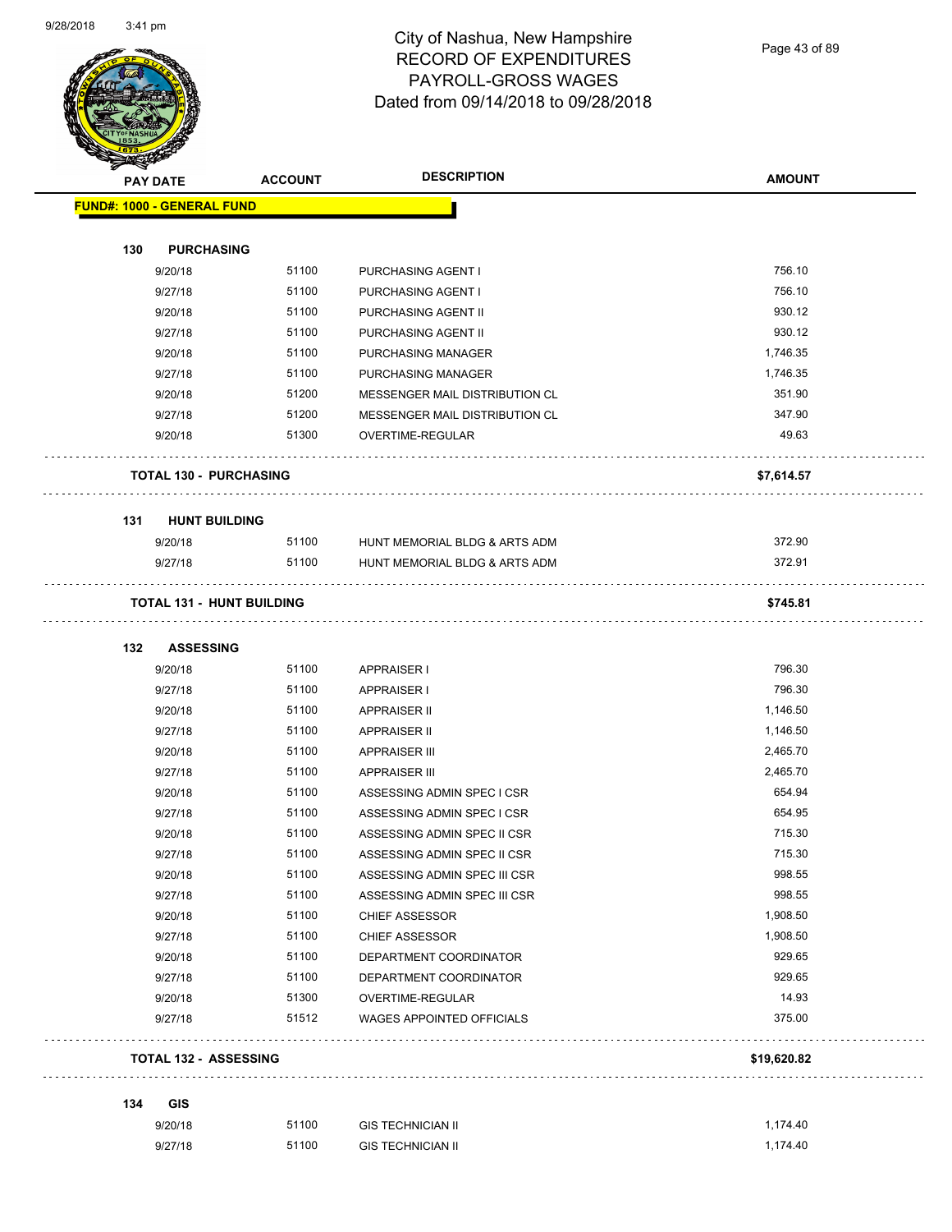

Page 43 of 89

| T<br>$\tilde{\phantom{a}}$ | <b>PAY DATE</b>                   | <b>ACCOUNT</b> | <b>DESCRIPTION</b>               | <b>AMOUNT</b> |
|----------------------------|-----------------------------------|----------------|----------------------------------|---------------|
|                            | <b>FUND#: 1000 - GENERAL FUND</b> |                |                                  |               |
| 130                        | <b>PURCHASING</b>                 |                |                                  |               |
|                            | 9/20/18                           | 51100          | PURCHASING AGENT I               | 756.10        |
|                            | 9/27/18                           | 51100          | PURCHASING AGENT I               | 756.10        |
|                            | 9/20/18                           | 51100          | PURCHASING AGENT II              | 930.12        |
|                            | 9/27/18                           | 51100          | PURCHASING AGENT II              | 930.12        |
|                            | 9/20/18                           | 51100          | PURCHASING MANAGER               | 1,746.35      |
|                            | 9/27/18                           | 51100          | PURCHASING MANAGER               | 1,746.35      |
|                            | 9/20/18                           | 51200          | MESSENGER MAIL DISTRIBUTION CL   | 351.90        |
|                            | 9/27/18                           | 51200          | MESSENGER MAIL DISTRIBUTION CL   | 347.90        |
|                            | 9/20/18                           | 51300          | OVERTIME-REGULAR                 | 49.63         |
|                            | <b>TOTAL 130 - PURCHASING</b>     |                |                                  | \$7,614.57    |
| 131                        | <b>HUNT BUILDING</b>              |                |                                  |               |
|                            | 9/20/18                           | 51100          | HUNT MEMORIAL BLDG & ARTS ADM    | 372.90        |
|                            | 9/27/18                           | 51100          | HUNT MEMORIAL BLDG & ARTS ADM    | 372.91        |
|                            | <b>TOTAL 131 - HUNT BUILDING</b>  |                |                                  | \$745.81      |
| 132                        | <b>ASSESSING</b>                  |                |                                  |               |
|                            | 9/20/18                           | 51100          | <b>APPRAISER I</b>               | 796.30        |
|                            | 9/27/18                           | 51100          | <b>APPRAISER I</b>               | 796.30        |
|                            | 9/20/18                           | 51100          | <b>APPRAISER II</b>              | 1,146.50      |
|                            | 9/27/18                           | 51100          | <b>APPRAISER II</b>              | 1,146.50      |
|                            | 9/20/18                           | 51100          | <b>APPRAISER III</b>             | 2,465.70      |
|                            | 9/27/18                           | 51100          | <b>APPRAISER III</b>             | 2,465.70      |
|                            | 9/20/18                           | 51100          | ASSESSING ADMIN SPEC I CSR       | 654.94        |
|                            | 9/27/18                           | 51100          | ASSESSING ADMIN SPEC I CSR       | 654.95        |
|                            | 9/20/18                           | 51100          | ASSESSING ADMIN SPEC II CSR      | 715.30        |
|                            | 9/27/18                           | 51100          | ASSESSING ADMIN SPEC II CSR      | 715.30        |
|                            | 9/20/18                           | 51100          | ASSESSING ADMIN SPEC III CSR     | 998.55        |
|                            | 9/27/18                           | 51100          | ASSESSING ADMIN SPEC III CSR     | 998.55        |
|                            | 9/20/18                           | 51100          | <b>CHIEF ASSESSOR</b>            | 1,908.50      |
|                            | 9/27/18                           | 51100          | <b>CHIEF ASSESSOR</b>            | 1,908.50      |
|                            | 9/20/18                           | 51100          | DEPARTMENT COORDINATOR           | 929.65        |
|                            | 9/27/18                           | 51100          | DEPARTMENT COORDINATOR           | 929.65        |
|                            | 9/20/18                           | 51300          | OVERTIME-REGULAR                 | 14.93         |
|                            | 9/27/18                           | 51512          | <b>WAGES APPOINTED OFFICIALS</b> | 375.00        |
|                            | <b>TOTAL 132 - ASSESSING</b>      |                |                                  | \$19,620.82   |
| 134                        | <b>GIS</b>                        |                |                                  |               |
|                            | 9/20/18                           | 51100          | <b>GIS TECHNICIAN II</b>         | 1,174.40      |
|                            | 9/27/18                           | 51100          | <b>GIS TECHNICIAN II</b>         | 1,174.40      |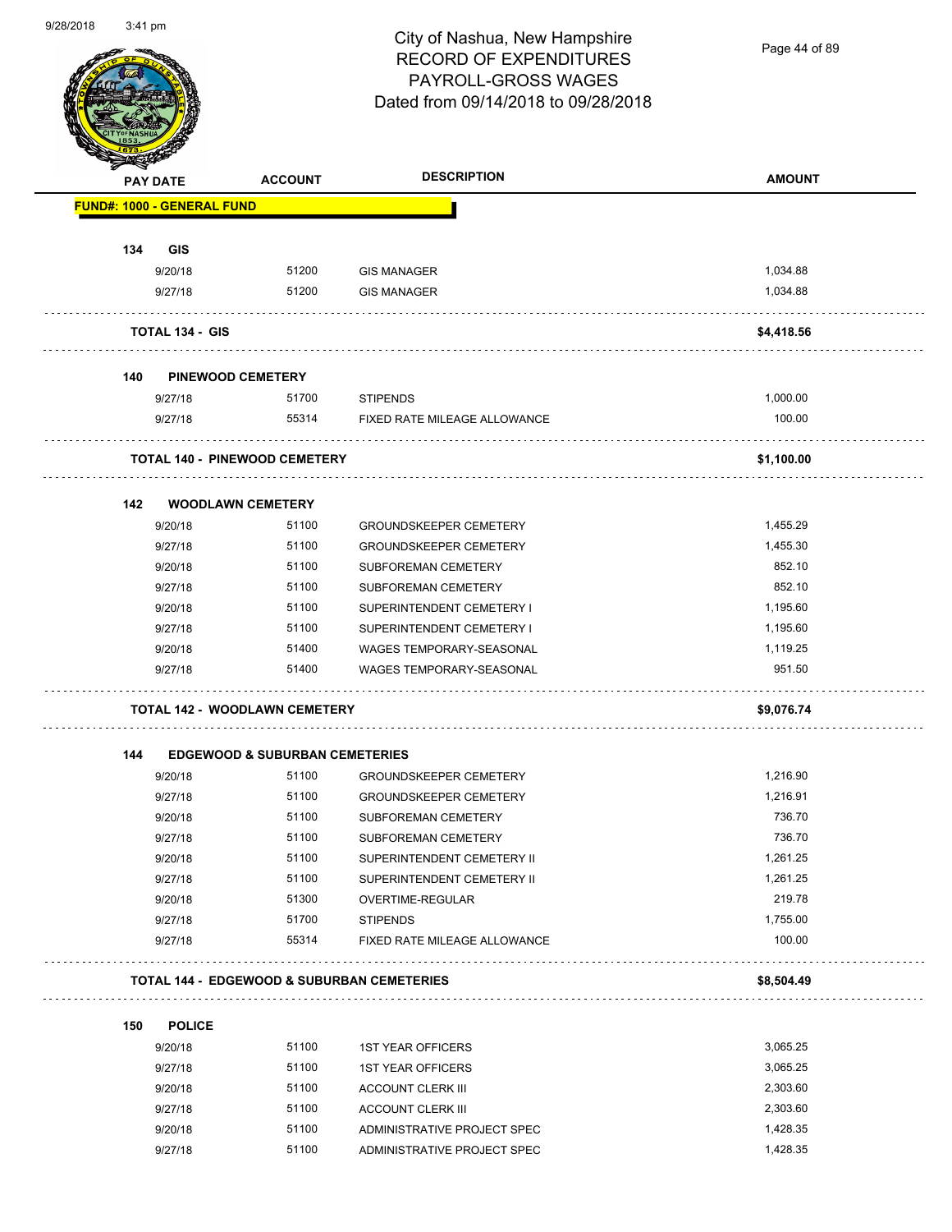

Page 44 of 89

| <b>STARS OF</b> |                                   |                                           |                                            |               |
|-----------------|-----------------------------------|-------------------------------------------|--------------------------------------------|---------------|
|                 | <b>PAY DATE</b>                   | <b>ACCOUNT</b>                            | <b>DESCRIPTION</b>                         | <b>AMOUNT</b> |
|                 | <b>FUND#: 1000 - GENERAL FUND</b> |                                           |                                            |               |
|                 |                                   |                                           |                                            |               |
| 134             | <b>GIS</b>                        |                                           |                                            |               |
|                 | 9/20/18                           | 51200                                     | <b>GIS MANAGER</b>                         | 1,034.88      |
|                 | 9/27/18                           | 51200                                     | <b>GIS MANAGER</b>                         | 1,034.88      |
|                 | <b>TOTAL 134 - GIS</b>            |                                           |                                            | \$4,418.56    |
| 140             |                                   | <b>PINEWOOD CEMETERY</b>                  |                                            |               |
|                 | 9/27/18                           | 51700                                     | <b>STIPENDS</b>                            | 1,000.00      |
|                 | 9/27/18                           | 55314                                     | FIXED RATE MILEAGE ALLOWANCE               | 100.00        |
|                 |                                   | <b>TOTAL 140 - PINEWOOD CEMETERY</b>      |                                            | \$1,100.00    |
| 142             |                                   | <b>WOODLAWN CEMETERY</b>                  |                                            |               |
|                 | 9/20/18                           | 51100                                     | <b>GROUNDSKEEPER CEMETERY</b>              | 1,455.29      |
|                 | 9/27/18                           | 51100                                     | <b>GROUNDSKEEPER CEMETERY</b>              | 1,455.30      |
|                 | 9/20/18                           | 51100                                     | SUBFOREMAN CEMETERY                        | 852.10        |
|                 | 9/27/18                           | 51100                                     | SUBFOREMAN CEMETERY                        | 852.10        |
|                 | 9/20/18                           | 51100                                     | SUPERINTENDENT CEMETERY I                  | 1,195.60      |
|                 | 9/27/18                           | 51100                                     | SUPERINTENDENT CEMETERY I                  | 1,195.60      |
|                 | 9/20/18                           | 51400                                     | WAGES TEMPORARY-SEASONAL                   | 1,119.25      |
|                 | 9/27/18                           | 51400                                     | WAGES TEMPORARY-SEASONAL                   | 951.50        |
|                 |                                   | <b>TOTAL 142 - WOODLAWN CEMETERY</b>      |                                            | \$9,076.74    |
| 144             |                                   | <b>EDGEWOOD &amp; SUBURBAN CEMETERIES</b> |                                            |               |
|                 | 9/20/18                           | 51100                                     | <b>GROUNDSKEEPER CEMETERY</b>              | 1,216.90      |
|                 | 9/27/18                           | 51100                                     | <b>GROUNDSKEEPER CEMETERY</b>              | 1,216.91      |
|                 | 9/20/18                           | 51100                                     | SUBFOREMAN CEMETERY                        | 736.70        |
|                 | 9/27/18                           | 51100                                     | SUBFOREMAN CEMETERY                        | 736.70        |
|                 | 9/20/18                           | 51100                                     | SUPERINTENDENT CEMETERY II                 | 1,261.25      |
|                 | 9/27/18                           | 51100                                     | SUPERINTENDENT CEMETERY II                 | 1,261.25      |
|                 | 9/20/18                           | 51300                                     | OVERTIME-REGULAR                           | 219.78        |
|                 | 9/27/18                           | 51700                                     | <b>STIPENDS</b>                            | 1,755.00      |
|                 | 9/27/18                           | 55314                                     | FIXED RATE MILEAGE ALLOWANCE               | 100.00        |
|                 |                                   |                                           | TOTAL 144 - EDGEWOOD & SUBURBAN CEMETERIES | \$8,504.49    |
| 150             | <b>POLICE</b>                     |                                           |                                            |               |
|                 | 9/20/18                           | 51100                                     | <b>1ST YEAR OFFICERS</b>                   | 3,065.25      |
|                 | 9/27/18                           | 51100                                     | <b>1ST YEAR OFFICERS</b>                   | 3,065.25      |
|                 | 9/20/18                           | 51100                                     | <b>ACCOUNT CLERK III</b>                   | 2,303.60      |
|                 | 9/27/18                           | 51100                                     | <b>ACCOUNT CLERK III</b>                   | 2,303.60      |
|                 | 9/20/18                           | 51100                                     | ADMINISTRATIVE PROJECT SPEC                | 1,428.35      |
|                 |                                   |                                           |                                            |               |

9/27/18 51100 ADMINISTRATIVE PROJECT SPEC 1,428.35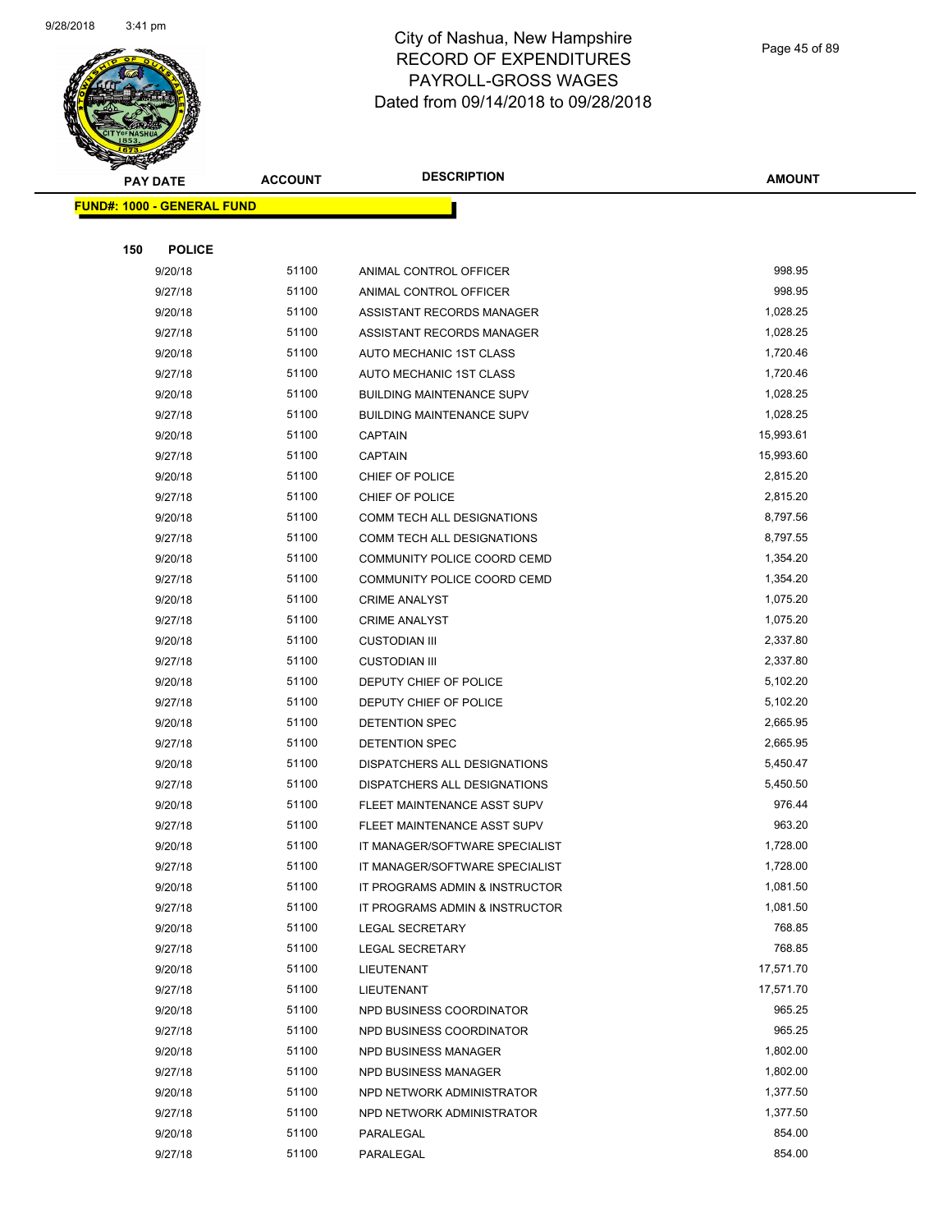

Page 45 of 89

|     | <b>PAY DATE</b>                    | <b>ACCOUNT</b> | <b>DESCRIPTION</b>               | <b>AMOUNT</b> |
|-----|------------------------------------|----------------|----------------------------------|---------------|
|     | <u> FUND#: 1000 - GENERAL FUND</u> |                |                                  |               |
|     |                                    |                |                                  |               |
| 150 | <b>POLICE</b>                      |                |                                  |               |
|     | 9/20/18                            | 51100          | ANIMAL CONTROL OFFICER           | 998.95        |
|     | 9/27/18                            | 51100          | ANIMAL CONTROL OFFICER           | 998.95        |
|     | 9/20/18                            | 51100          | ASSISTANT RECORDS MANAGER        | 1,028.25      |
|     | 9/27/18                            | 51100          | ASSISTANT RECORDS MANAGER        | 1,028.25      |
|     | 9/20/18                            | 51100          | AUTO MECHANIC 1ST CLASS          | 1,720.46      |
|     | 9/27/18                            | 51100          | AUTO MECHANIC 1ST CLASS          | 1,720.46      |
|     | 9/20/18                            | 51100          | <b>BUILDING MAINTENANCE SUPV</b> | 1,028.25      |
|     | 9/27/18                            | 51100          | <b>BUILDING MAINTENANCE SUPV</b> | 1,028.25      |
|     | 9/20/18                            | 51100          | <b>CAPTAIN</b>                   | 15,993.61     |
|     | 9/27/18                            | 51100          | CAPTAIN                          | 15,993.60     |
|     | 9/20/18                            | 51100          | CHIEF OF POLICE                  | 2,815.20      |
|     | 9/27/18                            | 51100          | CHIEF OF POLICE                  | 2,815.20      |
|     | 9/20/18                            | 51100          | COMM TECH ALL DESIGNATIONS       | 8,797.56      |
|     | 9/27/18                            | 51100          | COMM TECH ALL DESIGNATIONS       | 8,797.55      |
|     | 9/20/18                            | 51100          | COMMUNITY POLICE COORD CEMD      | 1,354.20      |
|     | 9/27/18                            | 51100          | COMMUNITY POLICE COORD CEMD      | 1,354.20      |
|     | 9/20/18                            | 51100          | <b>CRIME ANALYST</b>             | 1,075.20      |
|     | 9/27/18                            | 51100          | <b>CRIME ANALYST</b>             | 1,075.20      |
|     | 9/20/18                            | 51100          | <b>CUSTODIAN III</b>             | 2,337.80      |
|     | 9/27/18                            | 51100          | <b>CUSTODIAN III</b>             | 2,337.80      |
|     | 9/20/18                            | 51100          | DEPUTY CHIEF OF POLICE           | 5,102.20      |
|     | 9/27/18                            | 51100          | DEPUTY CHIEF OF POLICE           | 5,102.20      |
|     | 9/20/18                            | 51100          | DETENTION SPEC                   | 2,665.95      |
|     | 9/27/18                            | 51100          | DETENTION SPEC                   | 2,665.95      |
|     | 9/20/18                            | 51100          | DISPATCHERS ALL DESIGNATIONS     | 5,450.47      |
|     | 9/27/18                            | 51100          | DISPATCHERS ALL DESIGNATIONS     | 5,450.50      |
|     | 9/20/18                            | 51100          | FLEET MAINTENANCE ASST SUPV      | 976.44        |
|     | 9/27/18                            | 51100          | FLEET MAINTENANCE ASST SUPV      | 963.20        |
|     | 9/20/18                            | 51100          | IT MANAGER/SOFTWARE SPECIALIST   | 1,728.00      |
|     | 9/27/18                            | 51100          | IT MANAGER/SOFTWARE SPECIALIST   | 1,728.00      |
|     | 9/20/18                            | 51100          | IT PROGRAMS ADMIN & INSTRUCTOR   | 1,081.50      |
|     | 9/27/18                            | 51100          | IT PROGRAMS ADMIN & INSTRUCTOR   | 1,081.50      |
|     | 9/20/18                            | 51100          | <b>LEGAL SECRETARY</b>           | 768.85        |
|     | 9/27/18                            | 51100          | <b>LEGAL SECRETARY</b>           | 768.85        |
|     | 9/20/18                            | 51100          | LIEUTENANT                       | 17,571.70     |
|     | 9/27/18                            | 51100          | LIEUTENANT                       | 17,571.70     |
|     | 9/20/18                            | 51100          | NPD BUSINESS COORDINATOR         | 965.25        |
|     | 9/27/18                            | 51100          | NPD BUSINESS COORDINATOR         | 965.25        |
|     | 9/20/18                            | 51100          | NPD BUSINESS MANAGER             | 1,802.00      |
|     | 9/27/18                            | 51100          | NPD BUSINESS MANAGER             | 1,802.00      |
|     | 9/20/18                            | 51100          | NPD NETWORK ADMINISTRATOR        | 1,377.50      |
|     | 9/27/18                            | 51100          | NPD NETWORK ADMINISTRATOR        | 1,377.50      |
|     | 9/20/18                            | 51100          | PARALEGAL                        | 854.00        |
|     | 9/27/18                            | 51100          | PARALEGAL                        | 854.00        |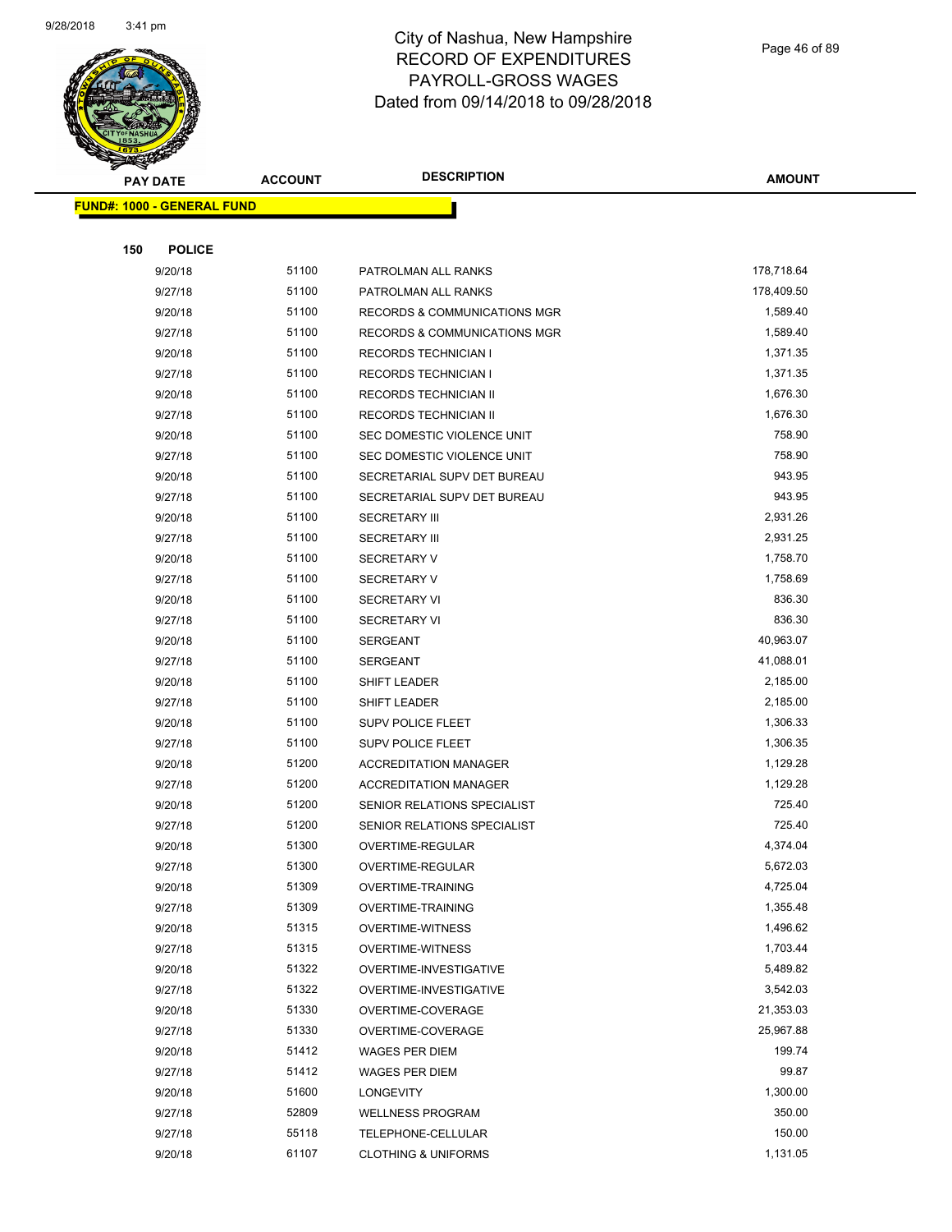

Page 46 of 89

| <b>PAY DATE</b>                   | <b>ACCOUNT</b> | <b>DESCRIPTION</b>             | <b>AMOUNT</b> |
|-----------------------------------|----------------|--------------------------------|---------------|
| <b>FUND#: 1000 - GENERAL FUND</b> |                |                                |               |
|                                   |                |                                |               |
| 150<br><b>POLICE</b>              |                |                                |               |
| 9/20/18                           | 51100          | PATROLMAN ALL RANKS            | 178,718.64    |
| 9/27/18                           | 51100          | PATROLMAN ALL RANKS            | 178,409.50    |
| 9/20/18                           | 51100          | RECORDS & COMMUNICATIONS MGR   | 1,589.40      |
| 9/27/18                           | 51100          | RECORDS & COMMUNICATIONS MGR   | 1,589.40      |
| 9/20/18                           | 51100          | RECORDS TECHNICIAN I           | 1,371.35      |
| 9/27/18                           | 51100          | <b>RECORDS TECHNICIAN I</b>    | 1,371.35      |
| 9/20/18                           | 51100          | RECORDS TECHNICIAN II          | 1,676.30      |
| 9/27/18                           | 51100          | RECORDS TECHNICIAN II          | 1,676.30      |
| 9/20/18                           | 51100          | SEC DOMESTIC VIOLENCE UNIT     | 758.90        |
| 9/27/18                           | 51100          | SEC DOMESTIC VIOLENCE UNIT     | 758.90        |
| 9/20/18                           | 51100          | SECRETARIAL SUPV DET BUREAU    | 943.95        |
| 9/27/18                           | 51100          | SECRETARIAL SUPV DET BUREAU    | 943.95        |
| 9/20/18                           | 51100          | <b>SECRETARY III</b>           | 2,931.26      |
| 9/27/18                           | 51100          | <b>SECRETARY III</b>           | 2,931.25      |
| 9/20/18                           | 51100          | <b>SECRETARY V</b>             | 1,758.70      |
| 9/27/18                           | 51100          | SECRETARY V                    | 1,758.69      |
| 9/20/18                           | 51100          | <b>SECRETARY VI</b>            | 836.30        |
| 9/27/18                           | 51100          | SECRETARY VI                   | 836.30        |
| 9/20/18                           | 51100          | <b>SERGEANT</b>                | 40,963.07     |
| 9/27/18                           | 51100          | SERGEANT                       | 41,088.01     |
| 9/20/18                           | 51100          | SHIFT LEADER                   | 2,185.00      |
| 9/27/18                           | 51100          | SHIFT LEADER                   | 2,185.00      |
| 9/20/18                           | 51100          | <b>SUPV POLICE FLEET</b>       | 1,306.33      |
| 9/27/18                           | 51100          | <b>SUPV POLICE FLEET</b>       | 1,306.35      |
| 9/20/18                           | 51200          | <b>ACCREDITATION MANAGER</b>   | 1,129.28      |
| 9/27/18                           | 51200          | <b>ACCREDITATION MANAGER</b>   | 1,129.28      |
| 9/20/18                           | 51200          | SENIOR RELATIONS SPECIALIST    | 725.40        |
| 9/27/18                           | 51200          | SENIOR RELATIONS SPECIALIST    | 725.40        |
| 9/20/18                           | 51300          | OVERTIME-REGULAR               | 4,374.04      |
| 9/27/18                           | 51300          | OVERTIME-REGULAR               | 5,672.03      |
| 9/20/18                           | 51309          | OVERTIME-TRAINING              | 4,725.04      |
| 9/27/18                           | 51309          | <b>OVERTIME-TRAINING</b>       | 1,355.48      |
| 9/20/18                           | 51315          | <b>OVERTIME-WITNESS</b>        | 1,496.62      |
| 9/27/18                           | 51315          | OVERTIME-WITNESS               | 1,703.44      |
| 9/20/18                           | 51322          | OVERTIME-INVESTIGATIVE         | 5,489.82      |
| 9/27/18                           | 51322          | OVERTIME-INVESTIGATIVE         | 3,542.03      |
| 9/20/18                           | 51330          | OVERTIME-COVERAGE              | 21,353.03     |
| 9/27/18                           | 51330          | OVERTIME-COVERAGE              | 25,967.88     |
| 9/20/18                           | 51412          | WAGES PER DIEM                 | 199.74        |
| 9/27/18                           | 51412          | WAGES PER DIEM                 | 99.87         |
| 9/20/18                           | 51600          | LONGEVITY                      | 1,300.00      |
| 9/27/18                           | 52809          | <b>WELLNESS PROGRAM</b>        | 350.00        |
| 9/27/18                           | 55118          | TELEPHONE-CELLULAR             | 150.00        |
| 9/20/18                           | 61107          | <b>CLOTHING &amp; UNIFORMS</b> | 1,131.05      |
|                                   |                |                                |               |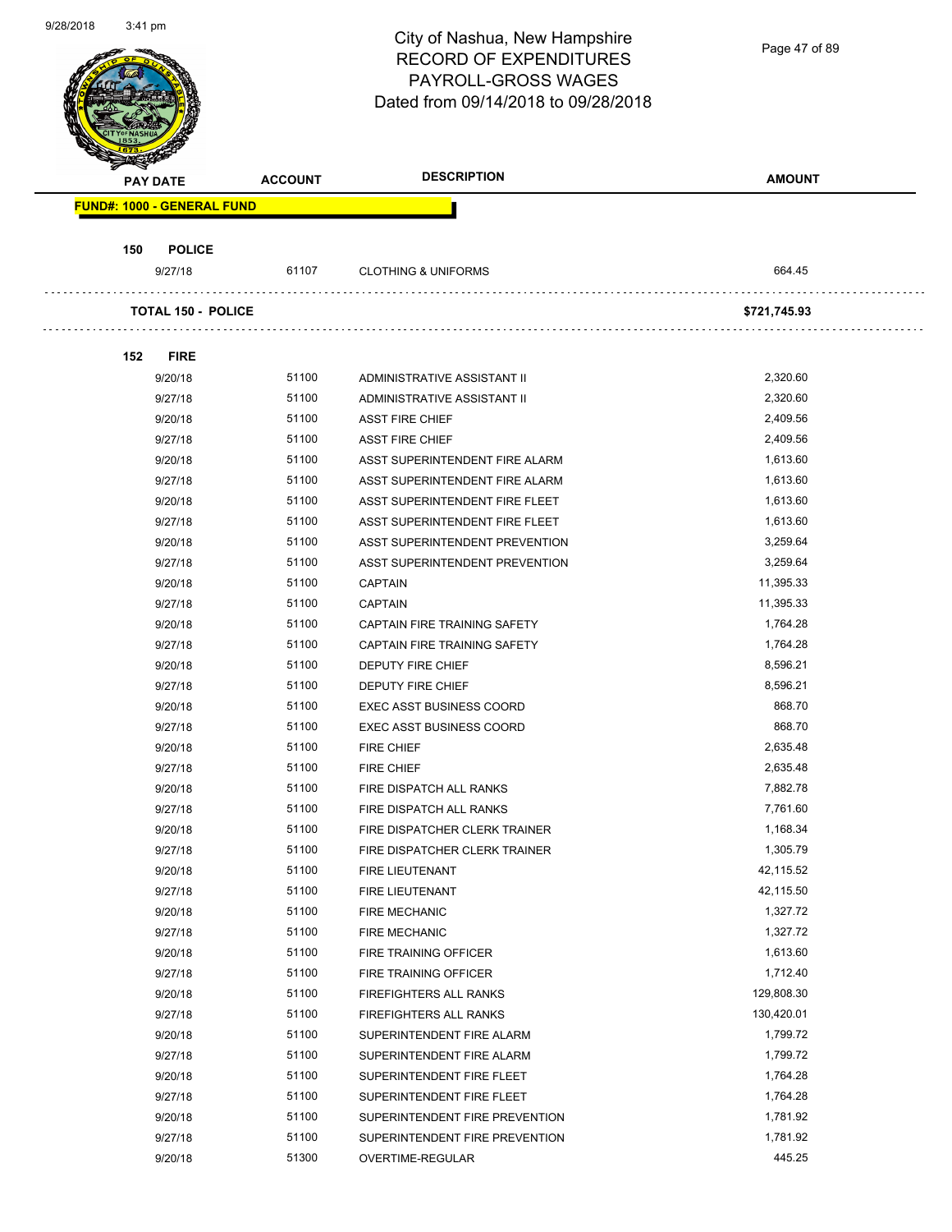Page 47 of 89

|     | <b>PAY DATE</b>                   | <b>ACCOUNT</b> | <b>DESCRIPTION</b>              | <b>AMOUNT</b> |
|-----|-----------------------------------|----------------|---------------------------------|---------------|
|     | <b>FUND#: 1000 - GENERAL FUND</b> |                |                                 |               |
| 150 | <b>POLICE</b>                     |                |                                 |               |
|     | 9/27/18                           | 61107          | <b>CLOTHING &amp; UNIFORMS</b>  | 664.45        |
|     | <b>TOTAL 150 - POLICE</b>         |                |                                 | \$721,745.93  |
| 152 | <b>FIRE</b>                       |                |                                 |               |
|     | 9/20/18                           | 51100          | ADMINISTRATIVE ASSISTANT II     | 2,320.60      |
|     | 9/27/18                           | 51100          | ADMINISTRATIVE ASSISTANT II     | 2,320.60      |
|     | 9/20/18                           | 51100          | <b>ASST FIRE CHIEF</b>          | 2,409.56      |
|     | 9/27/18                           | 51100          | <b>ASST FIRE CHIEF</b>          | 2,409.56      |
|     | 9/20/18                           | 51100          | ASST SUPERINTENDENT FIRE ALARM  | 1,613.60      |
|     | 9/27/18                           | 51100          | ASST SUPERINTENDENT FIRE ALARM  | 1,613.60      |
|     | 9/20/18                           | 51100          | ASST SUPERINTENDENT FIRE FLEET  | 1,613.60      |
|     | 9/27/18                           | 51100          | ASST SUPERINTENDENT FIRE FLEET  | 1,613.60      |
|     | 9/20/18                           | 51100          | ASST SUPERINTENDENT PREVENTION  | 3,259.64      |
|     | 9/27/18                           | 51100          | ASST SUPERINTENDENT PREVENTION  | 3,259.64      |
|     | 9/20/18                           | 51100          | <b>CAPTAIN</b>                  | 11,395.33     |
|     | 9/27/18                           | 51100          | <b>CAPTAIN</b>                  | 11,395.33     |
|     | 9/20/18                           | 51100          | CAPTAIN FIRE TRAINING SAFETY    | 1,764.28      |
|     | 9/27/18                           | 51100          | CAPTAIN FIRE TRAINING SAFETY    | 1,764.28      |
|     | 9/20/18                           | 51100          | DEPUTY FIRE CHIEF               | 8,596.21      |
|     | 9/27/18                           | 51100          | DEPUTY FIRE CHIEF               | 8,596.21      |
|     | 9/20/18                           | 51100          | <b>EXEC ASST BUSINESS COORD</b> | 868.70        |
|     | 9/27/18                           | 51100          | <b>EXEC ASST BUSINESS COORD</b> | 868.70        |
|     | 9/20/18                           | 51100          | <b>FIRE CHIEF</b>               | 2,635.48      |
|     | 9/27/18                           | 51100          | <b>FIRE CHIEF</b>               | 2,635.48      |
|     | 9/20/18                           | 51100          | FIRE DISPATCH ALL RANKS         | 7,882.78      |
|     | 9/27/18                           | 51100          | FIRE DISPATCH ALL RANKS         | 7,761.60      |
|     | 9/20/18                           | 51100          | FIRE DISPATCHER CLERK TRAINER   | 1,168.34      |
|     | 9/27/18                           | 51100          | FIRE DISPATCHER CLERK TRAINER   | 1,305.79      |
|     | 9/20/18                           | 51100          | FIRE LIEUTENANT                 | 42,115.52     |
|     | 9/27/18                           | 51100          | <b>FIRE LIEUTENANT</b>          | 42,115.50     |
|     | 9/20/18                           | 51100          | FIRE MECHANIC                   | 1,327.72      |
|     | 9/27/18                           | 51100          | <b>FIRE MECHANIC</b>            | 1,327.72      |
|     | 9/20/18                           | 51100          | FIRE TRAINING OFFICER           | 1,613.60      |
|     | 9/27/18                           | 51100          | FIRE TRAINING OFFICER           | 1,712.40      |
|     | 9/20/18                           | 51100          | FIREFIGHTERS ALL RANKS          | 129,808.30    |
|     | 9/27/18                           | 51100          | FIREFIGHTERS ALL RANKS          | 130,420.01    |
|     | 9/20/18                           | 51100          | SUPERINTENDENT FIRE ALARM       | 1,799.72      |
|     | 9/27/18                           | 51100          | SUPERINTENDENT FIRE ALARM       | 1,799.72      |
|     | 9/20/18                           | 51100          | SUPERINTENDENT FIRE FLEET       | 1,764.28      |
|     | 9/27/18                           | 51100          | SUPERINTENDENT FIRE FLEET       | 1,764.28      |
|     | 9/20/18                           | 51100          | SUPERINTENDENT FIRE PREVENTION  | 1,781.92      |
|     | 9/27/18                           | 51100          | SUPERINTENDENT FIRE PREVENTION  | 1,781.92      |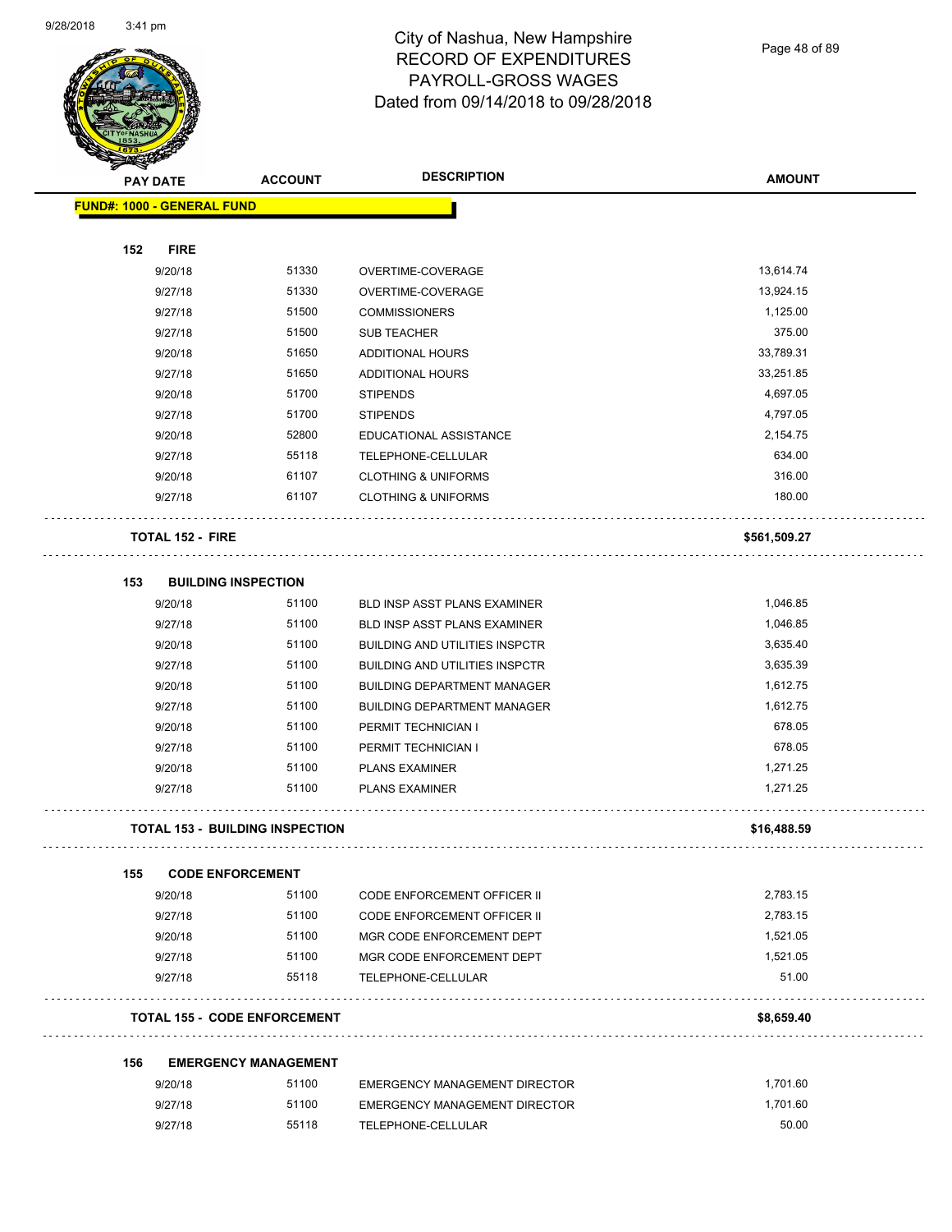

Page 48 of 89

| <b>SARAHA</b><br><b>PAY DATE</b> |                            | <b>DESCRIPTION</b><br><b>ACCOUNT</b>   | <b>AMOUNT</b>                         |              |
|----------------------------------|----------------------------|----------------------------------------|---------------------------------------|--------------|
|                                  | FUND#: 1000 - GENERAL FUND |                                        |                                       |              |
|                                  |                            |                                        |                                       |              |
| 152                              | <b>FIRE</b>                |                                        |                                       |              |
|                                  | 9/20/18                    | 51330                                  | OVERTIME-COVERAGE                     | 13,614.74    |
|                                  | 9/27/18                    | 51330                                  | OVERTIME-COVERAGE                     | 13,924.15    |
|                                  | 9/27/18                    | 51500                                  | <b>COMMISSIONERS</b>                  | 1,125.00     |
|                                  | 9/27/18                    | 51500                                  | <b>SUB TEACHER</b>                    | 375.00       |
|                                  | 9/20/18                    | 51650                                  | <b>ADDITIONAL HOURS</b>               | 33,789.31    |
|                                  | 9/27/18                    | 51650                                  | ADDITIONAL HOURS                      | 33,251.85    |
|                                  | 9/20/18                    | 51700                                  | <b>STIPENDS</b>                       | 4,697.05     |
|                                  | 9/27/18                    | 51700                                  | <b>STIPENDS</b>                       | 4,797.05     |
|                                  | 9/20/18                    | 52800                                  | EDUCATIONAL ASSISTANCE                | 2,154.75     |
|                                  | 9/27/18                    | 55118                                  | TELEPHONE-CELLULAR                    | 634.00       |
|                                  | 9/20/18                    | 61107                                  | <b>CLOTHING &amp; UNIFORMS</b>        | 316.00       |
|                                  | 9/27/18                    | 61107                                  | <b>CLOTHING &amp; UNIFORMS</b>        | 180.00       |
|                                  | <b>TOTAL 152 - FIRE</b>    |                                        |                                       | \$561,509.27 |
| 153                              |                            | <b>BUILDING INSPECTION</b>             |                                       |              |
|                                  | 9/20/18                    | 51100                                  | <b>BLD INSP ASST PLANS EXAMINER</b>   | 1,046.85     |
|                                  | 9/27/18                    | 51100                                  | BLD INSP ASST PLANS EXAMINER          | 1,046.85     |
|                                  | 9/20/18                    | 51100                                  | <b>BUILDING AND UTILITIES INSPCTR</b> | 3,635.40     |
|                                  | 9/27/18                    | 51100                                  | <b>BUILDING AND UTILITIES INSPCTR</b> | 3,635.39     |
|                                  | 9/20/18                    | 51100                                  | <b>BUILDING DEPARTMENT MANAGER</b>    | 1,612.75     |
|                                  | 9/27/18                    | 51100                                  | <b>BUILDING DEPARTMENT MANAGER</b>    | 1,612.75     |
|                                  | 9/20/18                    | 51100                                  | PERMIT TECHNICIAN I                   | 678.05       |
|                                  | 9/27/18                    | 51100                                  | PERMIT TECHNICIAN I                   | 678.05       |
|                                  | 9/20/18                    | 51100                                  | <b>PLANS EXAMINER</b>                 | 1,271.25     |
|                                  | 9/27/18                    | 51100                                  | <b>PLANS EXAMINER</b>                 | 1,271.25     |
|                                  |                            | <b>TOTAL 153 - BUILDING INSPECTION</b> |                                       | \$16,488.59  |
| 155                              |                            | <b>CODE ENFORCEMENT</b>                |                                       |              |
|                                  | 9/20/18                    | 51100                                  | <b>CODE ENFORCEMENT OFFICER II</b>    | 2,783.15     |
|                                  | 9/27/18                    | 51100                                  | <b>CODE ENFORCEMENT OFFICER II</b>    | 2,783.15     |
|                                  | 9/20/18                    | 51100                                  | MGR CODE ENFORCEMENT DEPT             | 1,521.05     |
|                                  | 9/27/18                    | 51100                                  | MGR CODE ENFORCEMENT DEPT             | 1,521.05     |
|                                  | 9/27/18                    | 55118                                  | TELEPHONE-CELLULAR                    | 51.00        |
|                                  |                            | <b>TOTAL 155 - CODE ENFORCEMENT</b>    |                                       | \$8,659.40   |
| 156                              |                            | <b>EMERGENCY MANAGEMENT</b>            |                                       |              |
|                                  | 9/20/18                    | 51100                                  | <b>EMERGENCY MANAGEMENT DIRECTOR</b>  | 1,701.60     |
|                                  | 9/27/18                    | 51100                                  | <b>EMERGENCY MANAGEMENT DIRECTOR</b>  | 1,701.60     |
|                                  | 9/27/18                    | 55118                                  | TELEPHONE-CELLULAR                    | 50.00        |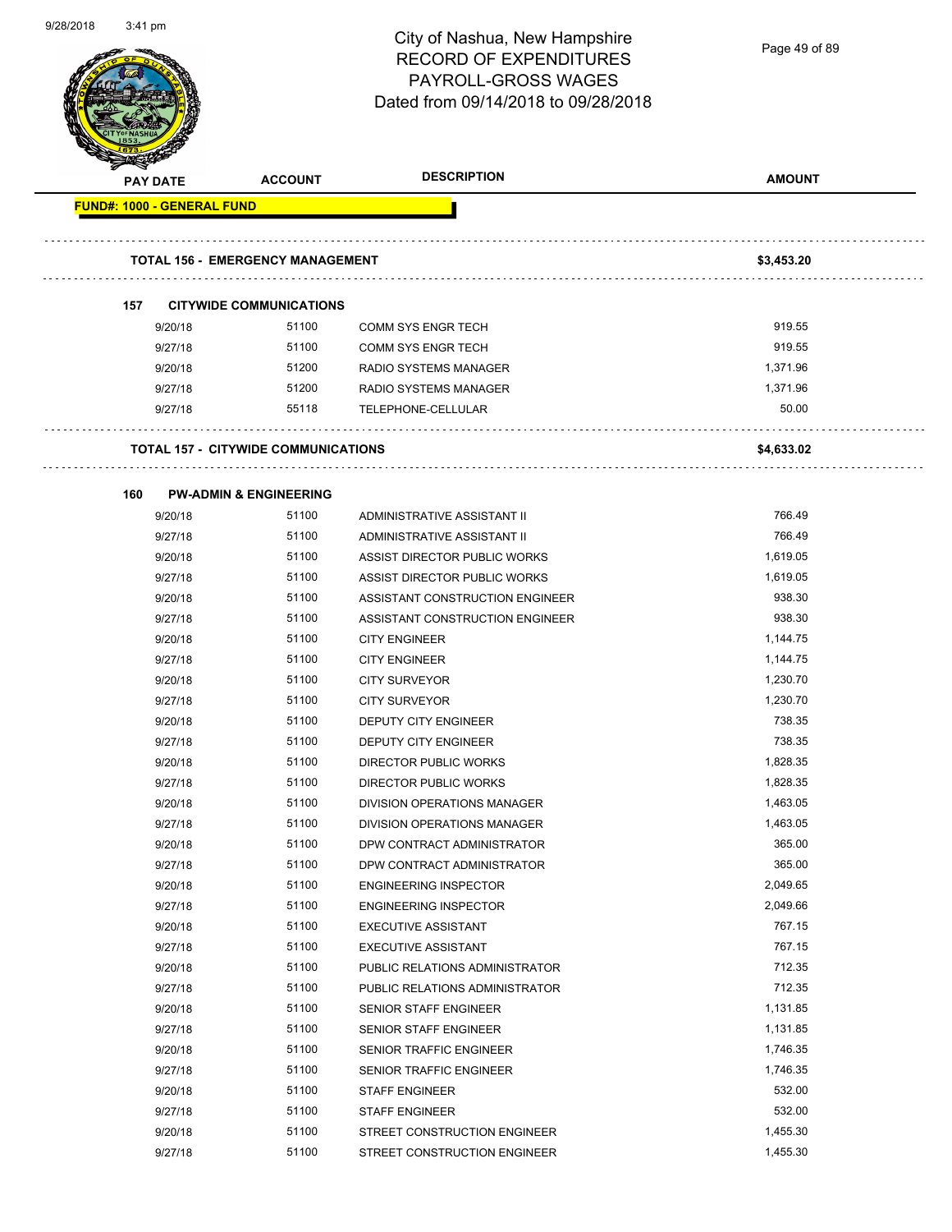| 9/28/2018 | $3:41 \text{ pm}$                 |                                            | City of Nashua, New Hampshire<br><b>RECORD OF EXPENDITURES</b><br><b>PAYROLL-GROSS WAGES</b><br>Dated from 09/14/2018 to 09/28/2018 | Page 49 of 89        |
|-----------|-----------------------------------|--------------------------------------------|-------------------------------------------------------------------------------------------------------------------------------------|----------------------|
|           | <b>PAY DATE</b>                   | <b>ACCOUNT</b>                             | <b>DESCRIPTION</b>                                                                                                                  | <b>AMOUNT</b>        |
|           | <b>FUND#: 1000 - GENERAL FUND</b> |                                            |                                                                                                                                     |                      |
|           |                                   | <b>TOTAL 156 - EMERGENCY MANAGEMENT</b>    |                                                                                                                                     | \$3,453.20           |
|           | 157                               | <b>CITYWIDE COMMUNICATIONS</b>             |                                                                                                                                     |                      |
|           | 9/20/18                           | 51100                                      | <b>COMM SYS ENGR TECH</b>                                                                                                           | 919.55               |
|           | 9/27/18                           | 51100                                      | COMM SYS ENGR TECH                                                                                                                  | 919.55               |
|           | 9/20/18                           | 51200                                      | RADIO SYSTEMS MANAGER                                                                                                               | 1,371.96             |
|           | 9/27/18                           | 51200                                      | RADIO SYSTEMS MANAGER                                                                                                               | 1,371.96             |
|           | 9/27/18                           | 55118                                      | TELEPHONE-CELLULAR                                                                                                                  | 50.00                |
|           |                                   | <b>TOTAL 157 - CITYWIDE COMMUNICATIONS</b> |                                                                                                                                     | \$4,633.02           |
|           | 160                               | <b>PW-ADMIN &amp; ENGINEERING</b>          |                                                                                                                                     |                      |
|           | 9/20/18                           | 51100                                      | ADMINISTRATIVE ASSISTANT II                                                                                                         | 766.49               |
|           | 9/27/18                           | 51100                                      | ADMINISTRATIVE ASSISTANT II                                                                                                         | 766.49               |
|           | 9/20/18                           | 51100                                      | ASSIST DIRECTOR PUBLIC WORKS                                                                                                        | 1,619.05             |
|           | 9/27/18                           | 51100                                      | ASSIST DIRECTOR PUBLIC WORKS                                                                                                        | 1,619.05             |
|           | 9/20/18                           | 51100                                      | ASSISTANT CONSTRUCTION ENGINEER                                                                                                     | 938.30               |
|           | 9/27/18                           | 51100                                      | ASSISTANT CONSTRUCTION ENGINEER                                                                                                     | 938.30               |
|           | 9/20/18                           | 51100                                      | <b>CITY ENGINEER</b>                                                                                                                | 1,144.75             |
|           | 9/27/18                           | 51100                                      | <b>CITY ENGINEER</b>                                                                                                                | 1,144.75             |
|           | 9/20/18                           | 51100                                      | <b>CITY SURVEYOR</b>                                                                                                                | 1,230.70             |
|           | 9/27/18                           | 51100                                      | <b>CITY SURVEYOR</b>                                                                                                                | 1,230.70             |
|           | 9/20/18                           | 51100                                      | DEPUTY CITY ENGINEER                                                                                                                | 738.35               |
|           | 9/27/18                           | 51100                                      | DEPUTY CITY ENGINEER                                                                                                                | 738.35               |
|           | 9/20/18                           | 51100                                      | DIRECTOR PUBLIC WORKS                                                                                                               | 1,828.35             |
|           | 9/27/18                           | 51100                                      | <b>DIRECTOR PUBLIC WORKS</b>                                                                                                        | 1,828.35             |
|           | 9/20/18                           | 51100                                      | DIVISION OPERATIONS MANAGER                                                                                                         | 1,463.05             |
|           | 9/27/18                           | 51100                                      | DIVISION OPERATIONS MANAGER                                                                                                         | 1,463.05             |
|           | 9/20/18                           | 51100                                      | DPW CONTRACT ADMINISTRATOR                                                                                                          | 365.00               |
|           | 9/27/18                           | 51100                                      | DPW CONTRACT ADMINISTRATOR                                                                                                          | 365.00               |
|           | 9/20/18                           | 51100                                      | <b>ENGINEERING INSPECTOR</b>                                                                                                        | 2,049.65             |
|           | 9/27/18                           | 51100                                      | <b>ENGINEERING INSPECTOR</b>                                                                                                        | 2,049.66             |
|           | 9/20/18                           | 51100                                      | <b>EXECUTIVE ASSISTANT</b>                                                                                                          | 767.15               |
|           | 9/27/18                           | 51100                                      | <b>EXECUTIVE ASSISTANT</b>                                                                                                          | 767.15               |
|           | 9/20/18                           | 51100                                      | PUBLIC RELATIONS ADMINISTRATOR                                                                                                      | 712.35               |
|           | 9/27/18                           | 51100                                      | PUBLIC RELATIONS ADMINISTRATOR                                                                                                      | 712.35               |
|           | 9/20/18                           | 51100                                      | SENIOR STAFF ENGINEER                                                                                                               | 1,131.85             |
|           | 9/27/18                           | 51100                                      | SENIOR STAFF ENGINEER                                                                                                               | 1,131.85             |
|           | 9/20/18                           | 51100                                      | SENIOR TRAFFIC ENGINEER                                                                                                             | 1,746.35             |
|           | 9/27/18                           | 51100                                      | SENIOR TRAFFIC ENGINEER                                                                                                             | 1,746.35             |
|           | 9/20/18                           | 51100                                      | <b>STAFF ENGINEER</b>                                                                                                               | 532.00               |
|           | 9/27/18                           | 51100                                      | STAFF ENGINEER                                                                                                                      | 532.00               |
|           | 9/20/18                           | 51100<br>51100                             | STREET CONSTRUCTION ENGINEER                                                                                                        | 1,455.30<br>1,455.30 |
|           | 9/27/18                           |                                            | STREET CONSTRUCTION ENGINEER                                                                                                        |                      |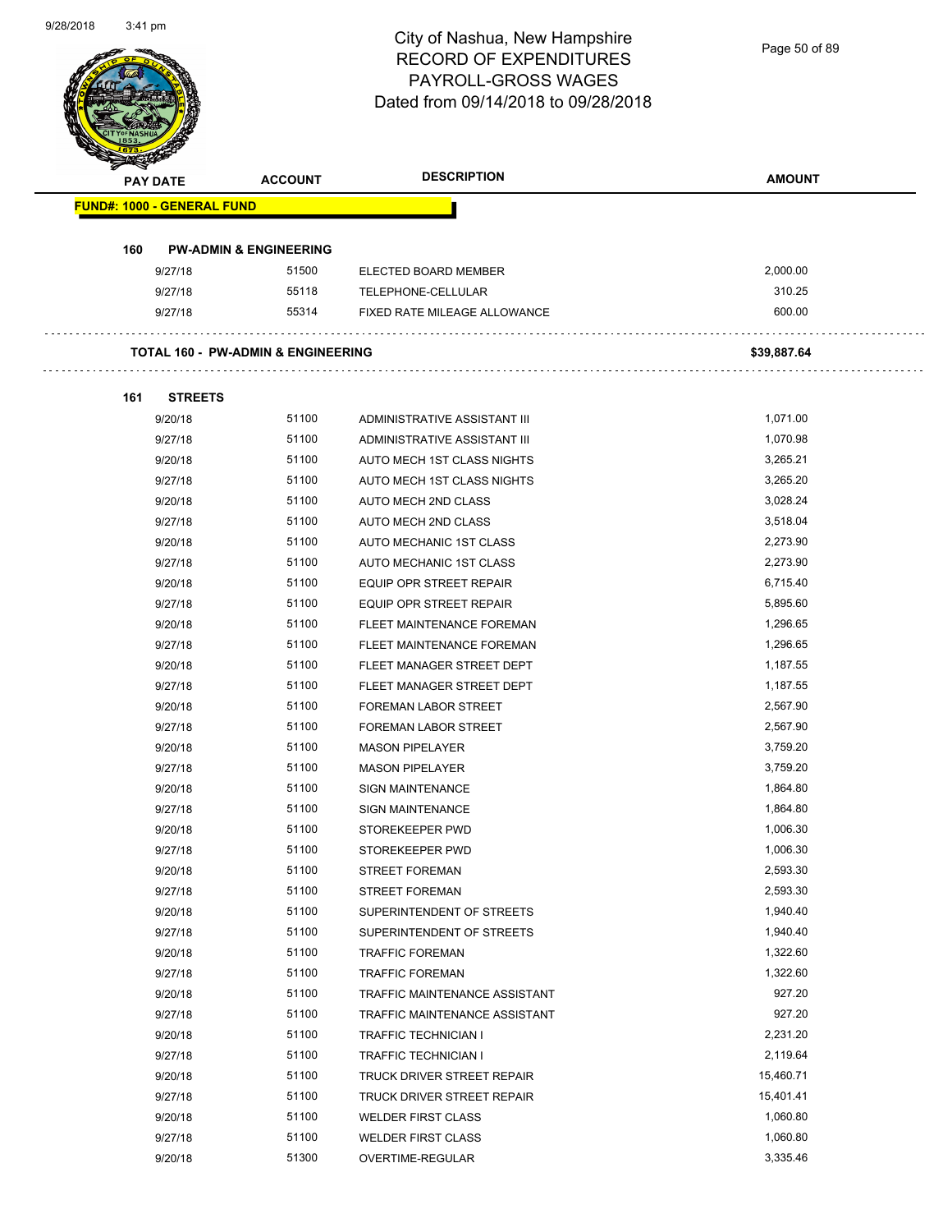Page 50 of 89

| <b>PAY DATE</b>                   | <b>ACCOUNT</b>                                | <b>DESCRIPTION</b>             | <b>AMOUNT</b> |
|-----------------------------------|-----------------------------------------------|--------------------------------|---------------|
| <b>FUND#: 1000 - GENERAL FUND</b> |                                               |                                |               |
| 160                               | <b>PW-ADMIN &amp; ENGINEERING</b>             |                                |               |
| 9/27/18                           | 51500                                         | ELECTED BOARD MEMBER           | 2,000.00      |
| 9/27/18                           | 55118                                         | TELEPHONE-CELLULAR             | 310.25        |
| 9/27/18                           | 55314                                         | FIXED RATE MILEAGE ALLOWANCE   | 600.00        |
|                                   | <b>TOTAL 160 - PW-ADMIN &amp; ENGINEERING</b> |                                | \$39,887.64   |
|                                   |                                               |                                |               |
| 161                               | <b>STREETS</b>                                |                                |               |
| 9/20/18                           | 51100                                         | ADMINISTRATIVE ASSISTANT III   | 1,071.00      |
| 9/27/18                           | 51100                                         | ADMINISTRATIVE ASSISTANT III   | 1,070.98      |
| 9/20/18                           | 51100                                         | AUTO MECH 1ST CLASS NIGHTS     | 3,265.21      |
| 9/27/18                           | 51100                                         | AUTO MECH 1ST CLASS NIGHTS     | 3,265.20      |
| 9/20/18                           | 51100                                         | AUTO MECH 2ND CLASS            | 3,028.24      |
| 9/27/18                           | 51100                                         | AUTO MECH 2ND CLASS            | 3,518.04      |
| 9/20/18                           | 51100                                         | AUTO MECHANIC 1ST CLASS        | 2,273.90      |
| 9/27/18                           | 51100                                         | AUTO MECHANIC 1ST CLASS        | 2,273.90      |
| 9/20/18                           | 51100                                         | <b>EQUIP OPR STREET REPAIR</b> | 6,715.40      |
| 9/27/18                           | 51100                                         | <b>EQUIP OPR STREET REPAIR</b> | 5,895.60      |
| 9/20/18                           | 51100                                         | FLEET MAINTENANCE FOREMAN      | 1,296.65      |
| 9/27/18                           | 51100                                         | FLEET MAINTENANCE FOREMAN      | 1,296.65      |
| 9/20/18                           | 51100                                         | FLEET MANAGER STREET DEPT      | 1,187.55      |
| 9/27/18                           | 51100                                         | FLEET MANAGER STREET DEPT      | 1,187.55      |
| 9/20/18                           | 51100                                         | <b>FOREMAN LABOR STREET</b>    | 2,567.90      |
| 9/27/18                           | 51100                                         | <b>FOREMAN LABOR STREET</b>    | 2,567.90      |
| 9/20/18                           | 51100                                         | <b>MASON PIPELAYER</b>         | 3,759.20      |
| 9/27/18                           | 51100                                         | <b>MASON PIPELAYER</b>         | 3,759.20      |
| 9/20/18                           | 51100                                         | <b>SIGN MAINTENANCE</b>        | 1,864.80      |
| 9/27/18                           | 51100                                         | <b>SIGN MAINTENANCE</b>        | 1,864.80      |
| 9/20/18                           | 51100                                         | STOREKEEPER PWD                | 1,006.30      |
| 9/27/18                           | 51100                                         | STOREKEEPER PWD                | 1,006.30      |
| 9/20/18                           | 51100                                         | STREET FOREMAN                 | 2,593.30      |
| 9/27/18                           | 51100                                         | <b>STREET FOREMAN</b>          | 2,593.30      |
| 9/20/18                           | 51100                                         | SUPERINTENDENT OF STREETS      | 1,940.40      |
| 9/27/18                           | 51100                                         | SUPERINTENDENT OF STREETS      | 1,940.40      |
| 9/20/18                           | 51100                                         | <b>TRAFFIC FOREMAN</b>         | 1,322.60      |
| 9/27/18                           | 51100                                         | <b>TRAFFIC FOREMAN</b>         | 1,322.60      |
| 9/20/18                           | 51100                                         | TRAFFIC MAINTENANCE ASSISTANT  | 927.20        |
| 9/27/18                           | 51100                                         | TRAFFIC MAINTENANCE ASSISTANT  | 927.20        |
| 9/20/18                           | 51100                                         | <b>TRAFFIC TECHNICIAN I</b>    | 2,231.20      |
| 9/27/18                           | 51100                                         | <b>TRAFFIC TECHNICIAN I</b>    | 2,119.64      |
| 9/20/18                           | 51100                                         | TRUCK DRIVER STREET REPAIR     | 15,460.71     |
| 9/27/18                           | 51100                                         | TRUCK DRIVER STREET REPAIR     | 15,401.41     |
| 9/20/18                           | 51100                                         | <b>WELDER FIRST CLASS</b>      | 1,060.80      |
| 9/27/18                           | 51100                                         | <b>WELDER FIRST CLASS</b>      | 1,060.80      |
|                                   |                                               |                                |               |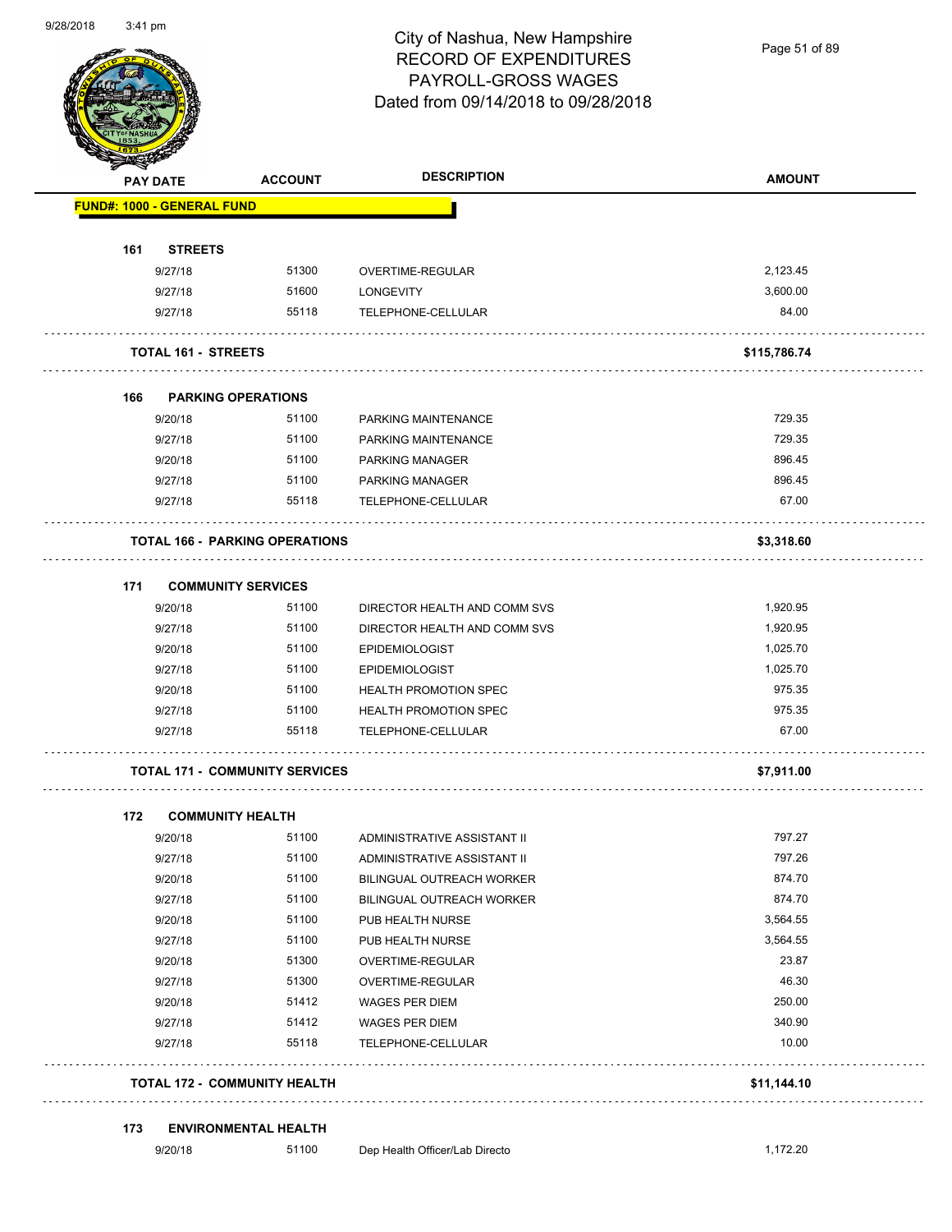

Page 51 of 89

|     | <b>PAY DATE</b>                   | <b>ACCOUNT</b>                        | <b>DESCRIPTION</b>               | <b>AMOUNT</b> |
|-----|-----------------------------------|---------------------------------------|----------------------------------|---------------|
|     | <b>FUND#: 1000 - GENERAL FUND</b> |                                       |                                  |               |
|     |                                   |                                       |                                  |               |
| 161 | <b>STREETS</b><br>9/27/18         | 51300                                 | OVERTIME-REGULAR                 | 2,123.45      |
|     | 9/27/18                           | 51600                                 | LONGEVITY                        | 3,600.00      |
|     | 9/27/18                           | 55118                                 | TELEPHONE-CELLULAR               | 84.00         |
|     | <b>TOTAL 161 - STREETS</b>        |                                       |                                  | \$115,786.74  |
| 166 | <b>PARKING OPERATIONS</b>         |                                       |                                  |               |
|     | 9/20/18                           | 51100                                 | PARKING MAINTENANCE              | 729.35        |
|     | 9/27/18                           | 51100                                 | PARKING MAINTENANCE              | 729.35        |
|     | 9/20/18                           | 51100                                 | <b>PARKING MANAGER</b>           | 896.45        |
|     | 9/27/18                           | 51100                                 | <b>PARKING MANAGER</b>           | 896.45        |
|     | 9/27/18                           | 55118                                 | TELEPHONE-CELLULAR               | 67.00         |
|     |                                   | <b>TOTAL 166 - PARKING OPERATIONS</b> |                                  | \$3,318.60    |
| 171 | <b>COMMUNITY SERVICES</b>         |                                       |                                  |               |
|     | 9/20/18                           | 51100                                 | DIRECTOR HEALTH AND COMM SVS     | 1,920.95      |
|     | 9/27/18                           | 51100                                 | DIRECTOR HEALTH AND COMM SVS     | 1,920.95      |
|     | 9/20/18                           | 51100                                 | <b>EPIDEMIOLOGIST</b>            | 1,025.70      |
|     | 9/27/18                           | 51100                                 | <b>EPIDEMIOLOGIST</b>            | 1,025.70      |
|     | 9/20/18                           | 51100                                 | HEALTH PROMOTION SPEC            | 975.35        |
|     | 9/27/18                           | 51100                                 | <b>HEALTH PROMOTION SPEC</b>     | 975.35        |
|     | 9/27/18                           | 55118                                 | TELEPHONE-CELLULAR               | 67.00         |
|     |                                   | <b>TOTAL 171 - COMMUNITY SERVICES</b> |                                  | \$7,911.00    |
| 172 | <b>COMMUNITY HEALTH</b>           |                                       |                                  |               |
|     | 9/20/18                           | 51100                                 | ADMINISTRATIVE ASSISTANT II      | 797.27        |
|     | 9/27/18                           | 51100                                 | ADMINISTRATIVE ASSISTANT II      | 797.26        |
|     | 9/20/18                           | 51100                                 | <b>BILINGUAL OUTREACH WORKER</b> | 874.70        |
|     | 9/27/18                           | 51100                                 | BILINGUAL OUTREACH WORKER        | 874.70        |
|     | 9/20/18                           | 51100                                 | PUB HEALTH NURSE                 | 3,564.55      |
|     | 9/27/18                           | 51100                                 | PUB HEALTH NURSE                 | 3,564.55      |
|     | 9/20/18                           | 51300                                 | OVERTIME-REGULAR                 | 23.87         |
|     | 9/27/18                           | 51300                                 | OVERTIME-REGULAR                 | 46.30         |
|     | 9/20/18                           | 51412                                 | WAGES PER DIEM                   | 250.00        |
|     | 9/27/18                           | 51412                                 | WAGES PER DIEM                   | 340.90        |
|     | 9/27/18                           | 55118                                 | TELEPHONE-CELLULAR               | 10.00         |
|     |                                   |                                       |                                  |               |

#### **173 ENVIRONMENTAL HEALTH**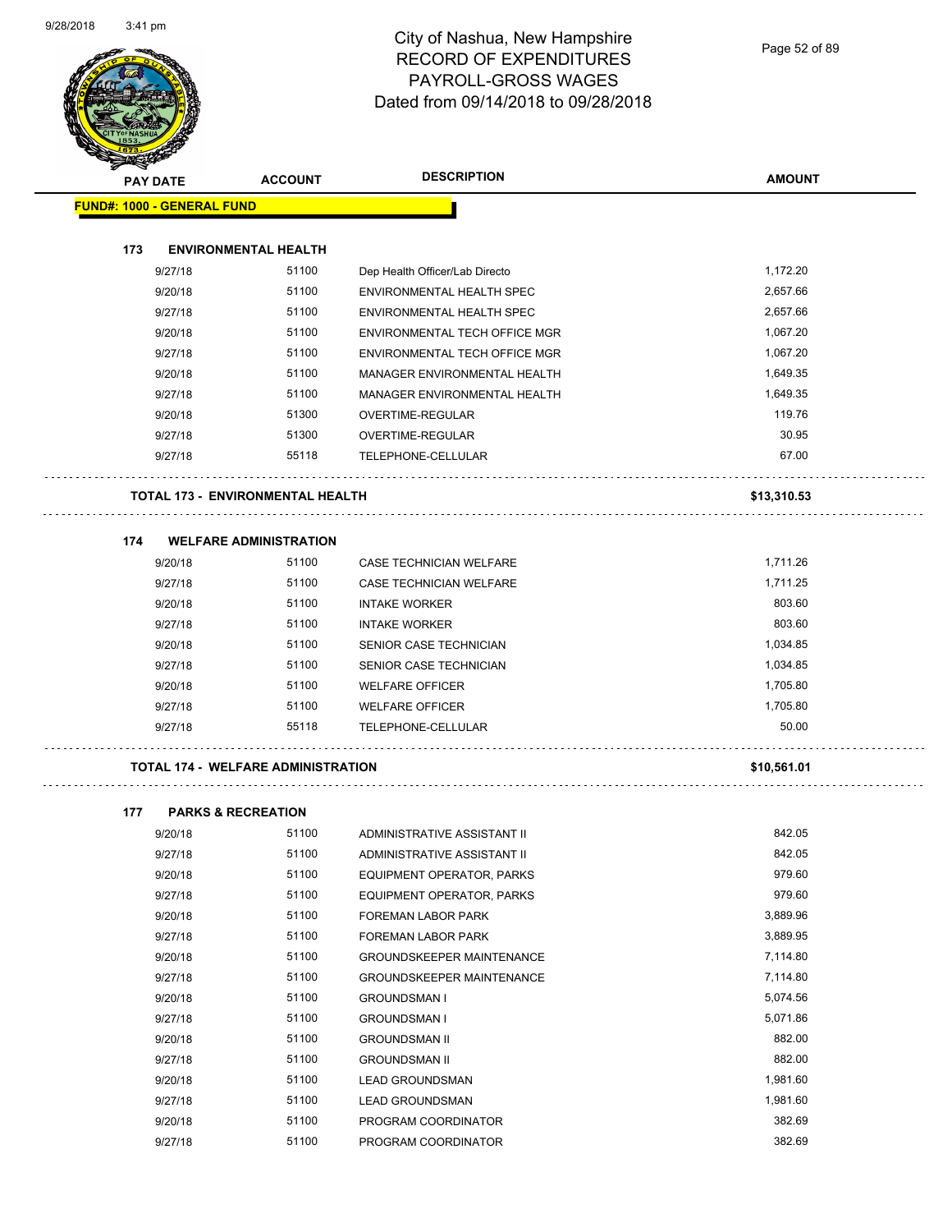Page 52 of 89

| <b>Andri</b> | <b>PAY DATE</b>                   | <b>ACCOUNT</b>                            | <b>DESCRIPTION</b>                   | <b>AMOUNT</b> |
|--------------|-----------------------------------|-------------------------------------------|--------------------------------------|---------------|
|              | <b>FUND#: 1000 - GENERAL FUND</b> |                                           |                                      |               |
|              |                                   |                                           |                                      |               |
| 173          |                                   | <b>ENVIRONMENTAL HEALTH</b>               |                                      |               |
|              | 9/27/18                           | 51100                                     | Dep Health Officer/Lab Directo       | 1,172.20      |
|              | 9/20/18                           | 51100                                     | ENVIRONMENTAL HEALTH SPEC            | 2,657.66      |
|              | 9/27/18                           | 51100                                     | ENVIRONMENTAL HEALTH SPEC            | 2,657.66      |
|              | 9/20/18                           | 51100                                     | <b>ENVIRONMENTAL TECH OFFICE MGR</b> | 1,067.20      |
|              | 9/27/18                           | 51100                                     | <b>ENVIRONMENTAL TECH OFFICE MGR</b> | 1,067.20      |
|              | 9/20/18                           | 51100                                     | MANAGER ENVIRONMENTAL HEALTH         | 1,649.35      |
|              | 9/27/18                           | 51100                                     | MANAGER ENVIRONMENTAL HEALTH         | 1,649.35      |
|              | 9/20/18                           | 51300                                     | OVERTIME-REGULAR                     | 119.76        |
|              | 9/27/18                           | 51300                                     | OVERTIME-REGULAR                     | 30.95         |
|              | 9/27/18                           | 55118                                     | TELEPHONE-CELLULAR                   | 67.00         |
|              |                                   | <b>TOTAL 173 - ENVIRONMENTAL HEALTH</b>   |                                      | \$13,310.53   |
|              |                                   |                                           |                                      |               |
| 174          |                                   | <b>WELFARE ADMINISTRATION</b>             |                                      |               |
|              | 9/20/18                           | 51100                                     | CASE TECHNICIAN WELFARE              | 1,711.26      |
|              | 9/27/18                           | 51100                                     | <b>CASE TECHNICIAN WELFARE</b>       | 1,711.25      |
|              | 9/20/18                           | 51100                                     | <b>INTAKE WORKER</b>                 | 803.60        |
|              | 9/27/18                           | 51100                                     | <b>INTAKE WORKER</b>                 | 803.60        |
|              | 9/20/18                           | 51100                                     | SENIOR CASE TECHNICIAN               | 1,034.85      |
|              | 9/27/18                           | 51100                                     | SENIOR CASE TECHNICIAN               | 1,034.85      |
|              | 9/20/18                           | 51100                                     | <b>WELFARE OFFICER</b>               | 1,705.80      |
|              | 9/27/18                           | 51100                                     | <b>WELFARE OFFICER</b>               | 1,705.80      |
|              | 9/27/18                           | 55118                                     | TELEPHONE-CELLULAR                   | 50.00         |
|              |                                   | <b>TOTAL 174 - WELFARE ADMINISTRATION</b> |                                      | \$10,561.01   |
| 177          |                                   | <b>PARKS &amp; RECREATION</b>             |                                      |               |
|              | 9/20/18                           | 51100                                     | ADMINISTRATIVE ASSISTANT II          | 842.05        |
|              | 9/27/18                           | 51100                                     | ADMINISTRATIVE ASSISTANT II          | 842.05        |
|              | 9/20/18                           | 51100                                     | EQUIPMENT OPERATOR, PARKS            | 979.60        |
|              | 9/27/18                           | 51100                                     | EQUIPMENT OPERATOR, PARKS            | 979.60        |
|              | 9/20/18                           | 51100                                     | FOREMAN LABOR PARK                   | 3,889.96      |
|              | 9/27/18                           | 51100                                     | FOREMAN LABOR PARK                   | 3,889.95      |
|              | 9/20/18                           | 51100                                     | <b>GROUNDSKEEPER MAINTENANCE</b>     | 7,114.80      |
|              | 9/27/18                           | 51100                                     | <b>GROUNDSKEEPER MAINTENANCE</b>     | 7,114.80      |
|              | 9/20/18                           | 51100                                     | <b>GROUNDSMAN I</b>                  | 5,074.56      |
|              | 9/27/18                           | 51100                                     | <b>GROUNDSMAN I</b>                  | 5,071.86      |
|              | 9/20/18                           | 51100                                     | <b>GROUNDSMAN II</b>                 | 882.00        |
|              | 9/27/18                           | 51100                                     | <b>GROUNDSMAN II</b>                 | 882.00        |
|              | 9/20/18                           | 51100                                     |                                      | 1,981.60      |
|              |                                   | 51100                                     | <b>LEAD GROUNDSMAN</b>               | 1,981.60      |
|              | 9/27/18                           |                                           | LEAD GROUNDSMAN                      |               |

9/20/18 51100 PROGRAM COORDINATOR 382.69 9/27/18 51100 PROGRAM COORDINATOR 382.69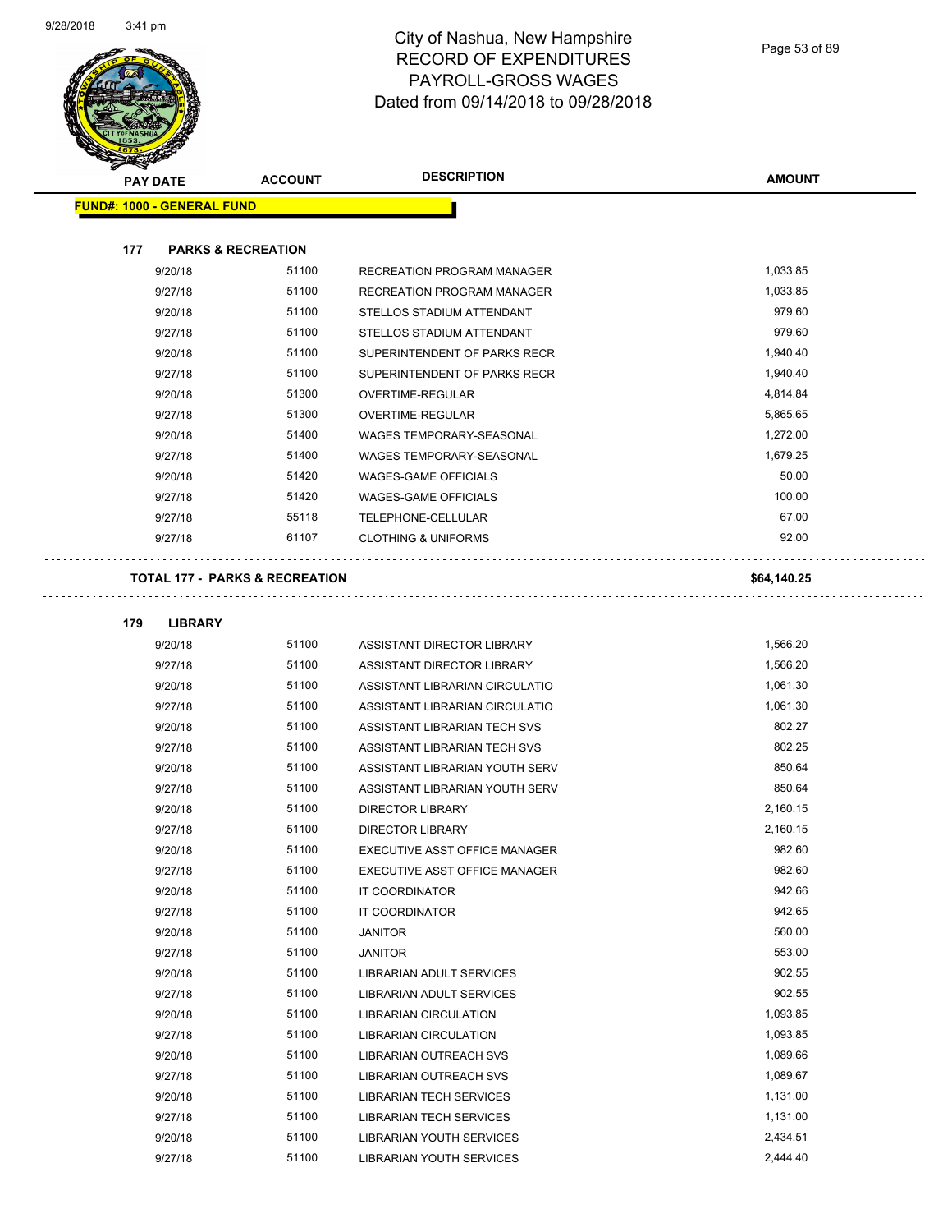

Page 53 of 89

| <b>PAY DATE</b>                           | <b>ACCOUNT</b>                | <b>DESCRIPTION</b>              | <b>AMOUNT</b> |
|-------------------------------------------|-------------------------------|---------------------------------|---------------|
| <b>FUND#: 1000 - GENERAL FUND</b>         |                               |                                 |               |
|                                           |                               |                                 |               |
| 177                                       | <b>PARKS &amp; RECREATION</b> |                                 |               |
| 9/20/18                                   | 51100                         | RECREATION PROGRAM MANAGER      | 1,033.85      |
| 9/27/18                                   | 51100                         | RECREATION PROGRAM MANAGER      | 1,033.85      |
| 9/20/18                                   | 51100                         | STELLOS STADIUM ATTENDANT       | 979.60        |
| 9/27/18                                   | 51100                         | STELLOS STADIUM ATTENDANT       | 979.60        |
| 9/20/18                                   | 51100                         | SUPERINTENDENT OF PARKS RECR    | 1,940.40      |
| 9/27/18                                   | 51100                         | SUPERINTENDENT OF PARKS RECR    | 1,940.40      |
| 9/20/18                                   | 51300                         | OVERTIME-REGULAR                | 4,814.84      |
| 9/27/18                                   | 51300                         | OVERTIME-REGULAR                | 5,865.65      |
| 9/20/18                                   | 51400                         | WAGES TEMPORARY-SEASONAL        | 1,272.00      |
| 9/27/18                                   | 51400                         | WAGES TEMPORARY-SEASONAL        | 1,679.25      |
| 9/20/18                                   | 51420                         | <b>WAGES-GAME OFFICIALS</b>     | 50.00         |
| 9/27/18                                   | 51420                         | <b>WAGES-GAME OFFICIALS</b>     | 100.00        |
| 9/27/18                                   | 55118                         | TELEPHONE-CELLULAR              | 67.00         |
| 9/27/18                                   | 61107                         | <b>CLOTHING &amp; UNIFORMS</b>  | 92.00         |
| <b>TOTAL 177 - PARKS &amp; RECREATION</b> |                               |                                 | \$64,140.25   |
| 179<br><b>LIBRARY</b>                     |                               |                                 |               |
| 9/20/18                                   | 51100                         | ASSISTANT DIRECTOR LIBRARY      | 1,566.20      |
| 9/27/18                                   | 51100                         | ASSISTANT DIRECTOR LIBRARY      | 1,566.20      |
| 9/20/18                                   | 51100                         | ASSISTANT LIBRARIAN CIRCULATIO  | 1,061.30      |
| 9/27/18                                   | 51100                         | ASSISTANT LIBRARIAN CIRCULATIO  | 1,061.30      |
| 9/20/18                                   | 51100                         | ASSISTANT LIBRARIAN TECH SVS    | 802.27        |
| 9/27/18                                   | 51100                         | ASSISTANT LIBRARIAN TECH SVS    | 802.25        |
| 9/20/18                                   | 51100                         | ASSISTANT LIBRARIAN YOUTH SERV  | 850.64        |
| 9/27/18                                   | 51100                         | ASSISTANT LIBRARIAN YOUTH SERV  | 850.64        |
| 9/20/18                                   | 51100                         | <b>DIRECTOR LIBRARY</b>         | 2,160.15      |
| 9/27/18                                   | 51100                         | <b>DIRECTOR LIBRARY</b>         | 2,160.15      |
| 9/20/18                                   | 51100                         | EXECUTIVE ASST OFFICE MANAGER   | 982.60        |
| 9/27/18                                   | 51100                         | EXECUTIVE ASST OFFICE MANAGER   | 982.60        |
| 9/20/18                                   | 51100                         | IT COORDINATOR                  | 942.66        |
| 9/27/18                                   | 51100                         | IT COORDINATOR                  | 942.65        |
| 9/20/18                                   | 51100                         | <b>JANITOR</b>                  | 560.00        |
| 9/27/18                                   | 51100                         | <b>JANITOR</b>                  | 553.00        |
| 9/20/18                                   | 51100                         | <b>LIBRARIAN ADULT SERVICES</b> | 902.55        |
| 9/27/18                                   | 51100                         | <b>LIBRARIAN ADULT SERVICES</b> | 902.55        |
| 9/20/18                                   | 51100                         | <b>LIBRARIAN CIRCULATION</b>    | 1,093.85      |
| 9/27/18                                   | 51100                         | LIBRARIAN CIRCULATION           | 1,093.85      |
| 9/20/18                                   | 51100                         | LIBRARIAN OUTREACH SVS          | 1,089.66      |
| 9/27/18                                   | 51100                         | LIBRARIAN OUTREACH SVS          | 1,089.67      |
| 9/20/18                                   | 51100                         | <b>LIBRARIAN TECH SERVICES</b>  | 1,131.00      |
| 9/27/18                                   | 51100                         | <b>LIBRARIAN TECH SERVICES</b>  | 1,131.00      |
| 9/20/18                                   | 51100                         | LIBRARIAN YOUTH SERVICES        | 2,434.51      |
| 9/27/18                                   | 51100                         | LIBRARIAN YOUTH SERVICES        | 2,444.40      |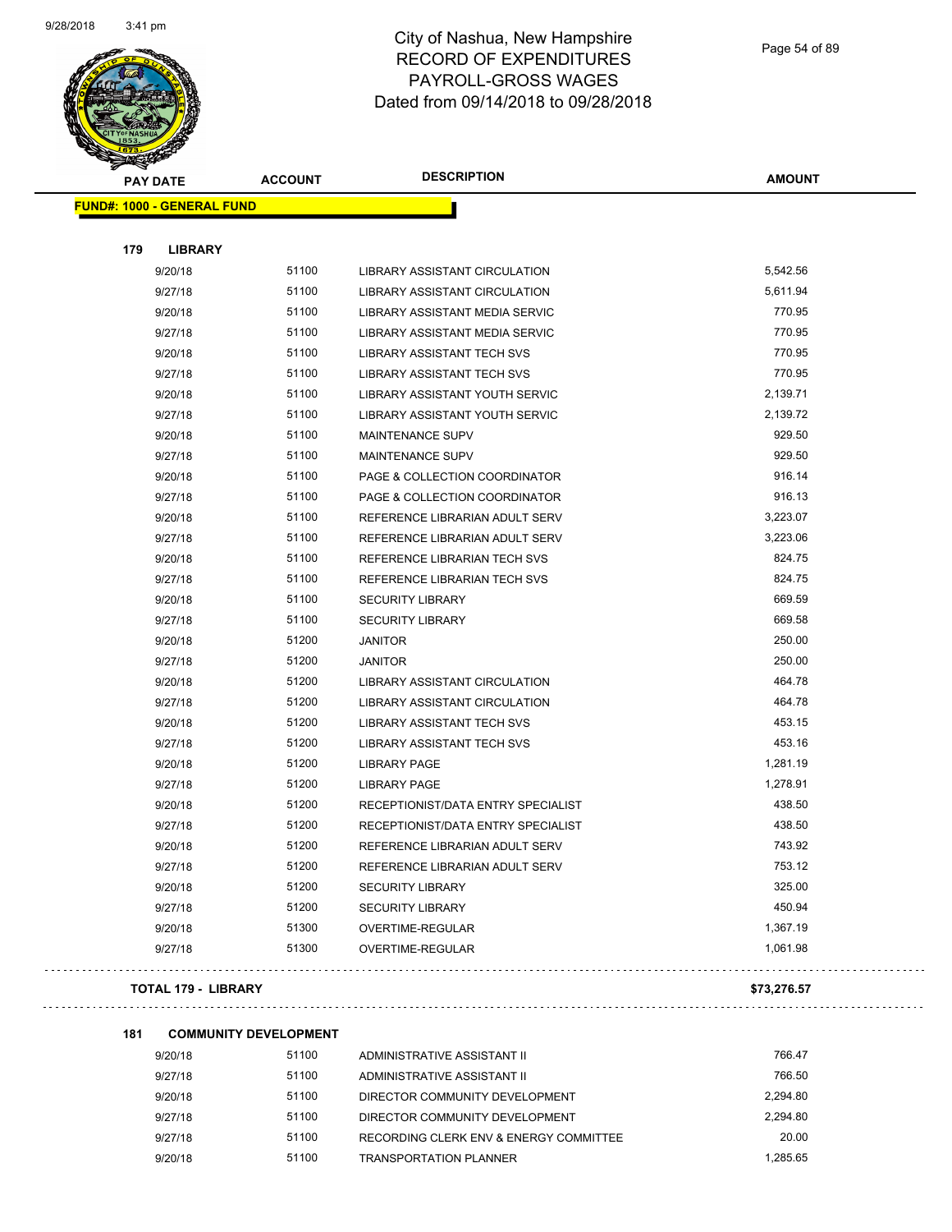

Page 54 of 89

| <b>PAY DATE</b>                   | <b>ACCOUNT</b> | <b>DESCRIPTION</b>                 | <b>AMOUNT</b> |
|-----------------------------------|----------------|------------------------------------|---------------|
| <b>FUND#: 1000 - GENERAL FUND</b> |                |                                    |               |
| 179<br><b>LIBRARY</b>             |                |                                    |               |
| 9/20/18                           | 51100          | LIBRARY ASSISTANT CIRCULATION      | 5,542.56      |
| 9/27/18                           | 51100          | LIBRARY ASSISTANT CIRCULATION      | 5,611.94      |
| 9/20/18                           | 51100          | LIBRARY ASSISTANT MEDIA SERVIC     | 770.95        |
| 9/27/18                           | 51100          | LIBRARY ASSISTANT MEDIA SERVIC     | 770.95        |
| 9/20/18                           | 51100          | <b>LIBRARY ASSISTANT TECH SVS</b>  | 770.95        |
| 9/27/18                           | 51100          | LIBRARY ASSISTANT TECH SVS         | 770.95        |
| 9/20/18                           | 51100          | LIBRARY ASSISTANT YOUTH SERVIC     | 2,139.71      |
| 9/27/18                           | 51100          | LIBRARY ASSISTANT YOUTH SERVIC     | 2,139.72      |
| 9/20/18                           | 51100          | <b>MAINTENANCE SUPV</b>            | 929.50        |
| 9/27/18                           | 51100          | MAINTENANCE SUPV                   | 929.50        |
| 9/20/18                           | 51100          | PAGE & COLLECTION COORDINATOR      | 916.14        |
| 9/27/18                           | 51100          | PAGE & COLLECTION COORDINATOR      | 916.13        |
| 9/20/18                           | 51100          | REFERENCE LIBRARIAN ADULT SERV     | 3,223.07      |
| 9/27/18                           | 51100          | REFERENCE LIBRARIAN ADULT SERV     | 3,223.06      |
| 9/20/18                           | 51100          | REFERENCE LIBRARIAN TECH SVS       | 824.75        |
| 9/27/18                           | 51100          | REFERENCE LIBRARIAN TECH SVS       | 824.75        |
| 9/20/18                           | 51100          | <b>SECURITY LIBRARY</b>            | 669.59        |
| 9/27/18                           | 51100          | <b>SECURITY LIBRARY</b>            | 669.58        |
| 9/20/18                           | 51200          | JANITOR                            | 250.00        |
| 9/27/18                           | 51200          | <b>JANITOR</b>                     | 250.00        |
| 9/20/18                           | 51200          | LIBRARY ASSISTANT CIRCULATION      | 464.78        |
| 9/27/18                           | 51200          | LIBRARY ASSISTANT CIRCULATION      | 464.78        |
| 9/20/18                           | 51200          | LIBRARY ASSISTANT TECH SVS         | 453.15        |
| 9/27/18                           | 51200          | LIBRARY ASSISTANT TECH SVS         | 453.16        |
| 9/20/18                           | 51200          | <b>LIBRARY PAGE</b>                | 1,281.19      |
| 9/27/18                           | 51200          | <b>LIBRARY PAGE</b>                | 1,278.91      |
| 9/20/18                           | 51200          | RECEPTIONIST/DATA ENTRY SPECIALIST | 438.50        |
| 9/27/18                           | 51200          | RECEPTIONIST/DATA ENTRY SPECIALIST | 438.50        |
| 9/20/18                           | 51200          | REFERENCE LIBRARIAN ADULT SERV     | 743.92        |
| 9/27/18                           | 51200          | REFERENCE LIBRARIAN ADULT SERV     | 753.12        |
| 9/20/18                           | 51200          | <b>SECURITY LIBRARY</b>            | 325.00        |
| 9/27/18                           | 51200          | <b>SECURITY LIBRARY</b>            | 450.94        |
| 9/20/18                           | 51300          | OVERTIME-REGULAR                   | 1,367.19      |
| 9/27/18                           | 51300          | OVERTIME-REGULAR                   | 1,061.98      |
| <b>TOTAL 179 - LIBRARY</b>        |                |                                    | \$73,276.57   |

| 181 | <b>COMMUNITY DEVELOPMENT</b> |       |                                        |          |
|-----|------------------------------|-------|----------------------------------------|----------|
|     | 9/20/18                      | 51100 | ADMINISTRATIVE ASSISTANT II            | 766.47   |
|     | 9/27/18                      | 51100 | ADMINISTRATIVE ASSISTANT II            | 766.50   |
|     | 9/20/18                      | 51100 | DIRECTOR COMMUNITY DEVELOPMENT         | 2.294.80 |
|     | 9/27/18                      | 51100 | DIRECTOR COMMUNITY DEVELOPMENT         | 2.294.80 |
|     | 9/27/18                      | 51100 | RECORDING CLERK ENV & ENERGY COMMITTEE | 20.00    |
|     | 9/20/18                      | 51100 | <b>TRANSPORTATION PLANNER</b>          | 1.285.65 |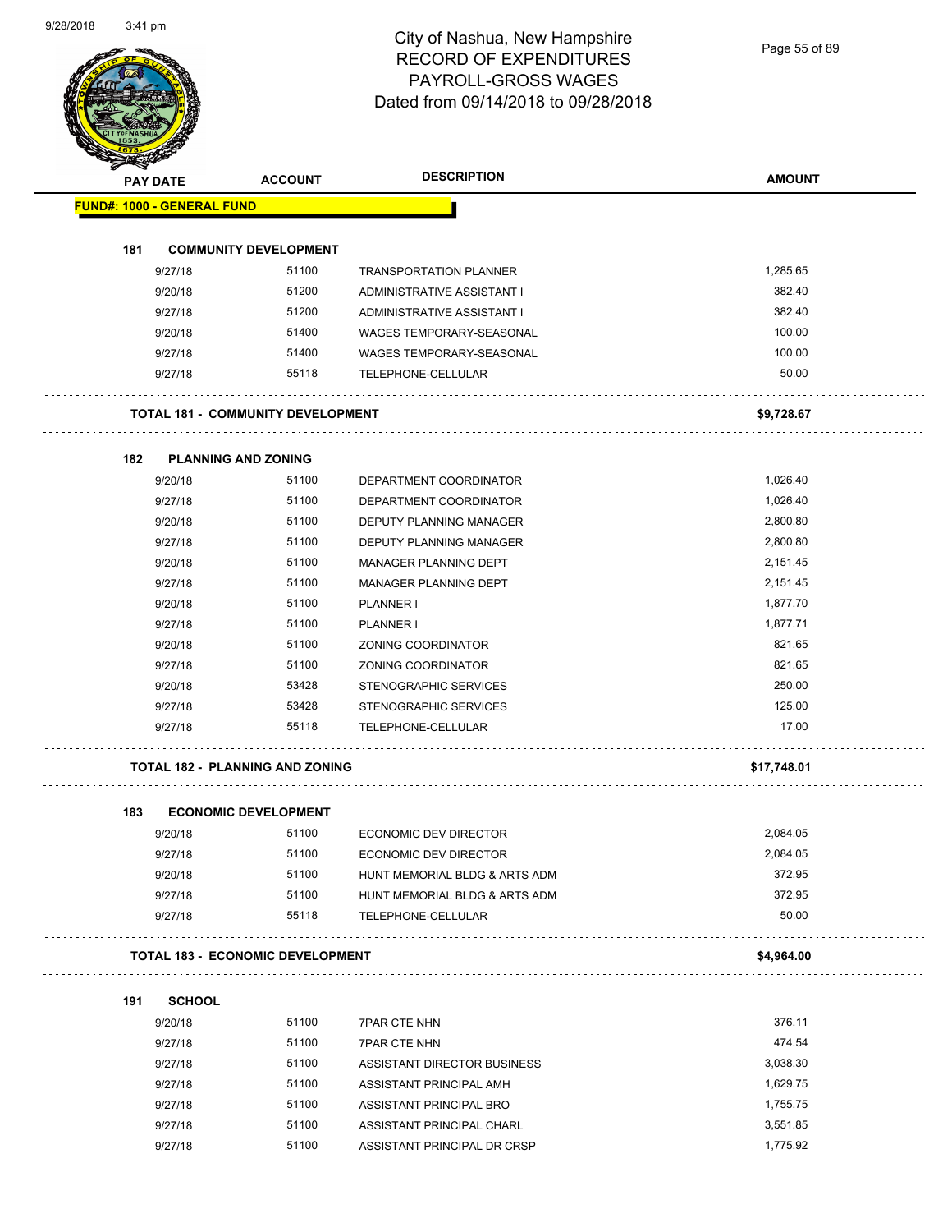Page 55 of 89

|                                   | <b>PAY DATE</b> | <b>ACCOUNT</b>                           | <b>DESCRIPTION</b>            | <b>AMOUNT</b> |
|-----------------------------------|-----------------|------------------------------------------|-------------------------------|---------------|
| <b>FUND#: 1000 - GENERAL FUND</b> |                 |                                          |                               |               |
|                                   |                 |                                          |                               |               |
| 181                               | 9/27/18         | <b>COMMUNITY DEVELOPMENT</b><br>51100    | <b>TRANSPORTATION PLANNER</b> | 1,285.65      |
|                                   | 9/20/18         | 51200                                    | ADMINISTRATIVE ASSISTANT I    | 382.40        |
|                                   | 9/27/18         | 51200                                    | ADMINISTRATIVE ASSISTANT I    | 382.40        |
|                                   | 9/20/18         | 51400                                    | WAGES TEMPORARY-SEASONAL      | 100.00        |
|                                   | 9/27/18         | 51400                                    | WAGES TEMPORARY-SEASONAL      | 100.00        |
|                                   | 9/27/18         | 55118                                    | TELEPHONE-CELLULAR            | 50.00         |
|                                   |                 | <b>TOTAL 181 - COMMUNITY DEVELOPMENT</b> |                               | \$9,728.67    |
|                                   |                 |                                          |                               |               |
| 182                               | 9/20/18         | <b>PLANNING AND ZONING</b><br>51100      | DEPARTMENT COORDINATOR        | 1,026.40      |
|                                   | 9/27/18         | 51100                                    | DEPARTMENT COORDINATOR        | 1,026.40      |
|                                   | 9/20/18         | 51100                                    | DEPUTY PLANNING MANAGER       | 2,800.80      |
|                                   | 9/27/18         | 51100                                    | DEPUTY PLANNING MANAGER       | 2,800.80      |
|                                   | 9/20/18         | 51100                                    | <b>MANAGER PLANNING DEPT</b>  | 2,151.45      |
|                                   | 9/27/18         | 51100                                    | <b>MANAGER PLANNING DEPT</b>  | 2,151.45      |
|                                   | 9/20/18         | 51100                                    | <b>PLANNER I</b>              | 1,877.70      |
|                                   | 9/27/18         | 51100                                    | PLANNER I                     | 1,877.71      |
|                                   | 9/20/18         | 51100                                    | ZONING COORDINATOR            | 821.65        |
|                                   | 9/27/18         | 51100                                    | ZONING COORDINATOR            | 821.65        |
|                                   | 9/20/18         | 53428                                    | STENOGRAPHIC SERVICES         | 250.00        |
|                                   | 9/27/18         | 53428                                    | STENOGRAPHIC SERVICES         | 125.00        |
|                                   | 9/27/18         | 55118                                    | TELEPHONE-CELLULAR            | 17.00         |
|                                   |                 | <b>TOTAL 182 - PLANNING AND ZONING</b>   |                               | \$17,748.01   |
| 183                               |                 | <b>ECONOMIC DEVELOPMENT</b>              |                               |               |
|                                   | 9/20/18         | 51100                                    | ECONOMIC DEV DIRECTOR         | 2,084.05      |
|                                   | 9/27/18         | 51100                                    | ECONOMIC DEV DIRECTOR         | 2,084.05      |
|                                   | 9/20/18         | 51100                                    | HUNT MEMORIAL BLDG & ARTS ADM | 372.95        |
|                                   | 9/27/18         | 51100                                    | HUNT MEMORIAL BLDG & ARTS ADM | 372.95        |
|                                   | 9/27/18         | 55118                                    | TELEPHONE-CELLULAR            | 50.00         |
|                                   |                 | <b>TOTAL 183 - ECONOMIC DEVELOPMENT</b>  |                               | \$4,964.00    |
| 191                               | <b>SCHOOL</b>   |                                          |                               |               |
|                                   | 9/20/18         | 51100                                    | <b>7PAR CTE NHN</b>           | 376.11        |
|                                   | 9/27/18         | 51100                                    | <b>7PAR CTE NHN</b>           | 474.54        |
|                                   | 9/27/18         | 51100                                    | ASSISTANT DIRECTOR BUSINESS   | 3,038.30      |
|                                   | 9/27/18         | 51100                                    | ASSISTANT PRINCIPAL AMH       | 1,629.75      |
|                                   | 9/27/18         | 51100                                    | ASSISTANT PRINCIPAL BRO       | 1,755.75      |
|                                   | 9/27/18         | 51100                                    | ASSISTANT PRINCIPAL CHARL     | 3,551.85      |

9/27/18 51100 ASSISTANT PRINCIPAL DR CRSP 1,775.92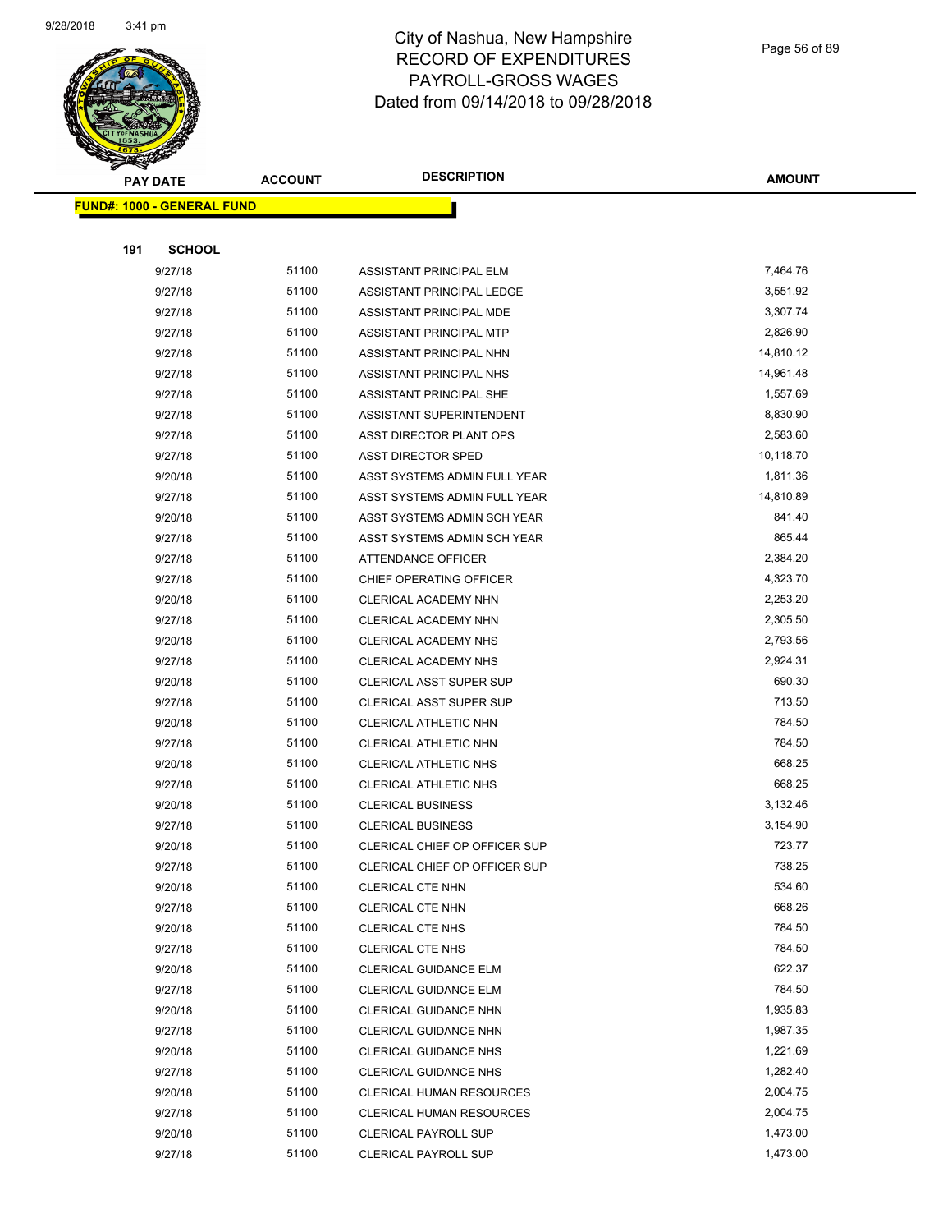

Page 56 of 89

| <b>PAY DATE</b>                   |                    | <b>ACCOUNT</b> | <b>DESCRIPTION</b>                                    | <b>AMOUNT</b>    |
|-----------------------------------|--------------------|----------------|-------------------------------------------------------|------------------|
| <b>FUND#: 1000 - GENERAL FUND</b> |                    |                |                                                       |                  |
|                                   |                    |                |                                                       |                  |
| 191                               | <b>SCHOOL</b>      |                |                                                       |                  |
|                                   | 9/27/18            | 51100          | ASSISTANT PRINCIPAL ELM                               | 7,464.76         |
|                                   | 9/27/18            | 51100          | ASSISTANT PRINCIPAL LEDGE                             | 3,551.92         |
|                                   | 9/27/18            | 51100          | ASSISTANT PRINCIPAL MDE                               | 3,307.74         |
|                                   | 9/27/18            | 51100          | ASSISTANT PRINCIPAL MTP                               | 2,826.90         |
|                                   | 9/27/18            | 51100          | ASSISTANT PRINCIPAL NHN                               | 14,810.12        |
|                                   | 9/27/18            | 51100          | ASSISTANT PRINCIPAL NHS                               | 14,961.48        |
|                                   | 9/27/18            | 51100          | ASSISTANT PRINCIPAL SHE                               | 1,557.69         |
|                                   | 9/27/18            | 51100          | ASSISTANT SUPERINTENDENT                              | 8,830.90         |
|                                   | 9/27/18            | 51100          | ASST DIRECTOR PLANT OPS                               | 2,583.60         |
|                                   | 9/27/18            | 51100          | <b>ASST DIRECTOR SPED</b>                             | 10,118.70        |
|                                   | 9/20/18            | 51100          | ASST SYSTEMS ADMIN FULL YEAR                          | 1,811.36         |
|                                   | 9/27/18            | 51100          | ASST SYSTEMS ADMIN FULL YEAR                          | 14,810.89        |
|                                   | 9/20/18            | 51100          | ASST SYSTEMS ADMIN SCH YEAR                           | 841.40           |
|                                   | 9/27/18            | 51100          | ASST SYSTEMS ADMIN SCH YEAR                           | 865.44           |
|                                   | 9/27/18            | 51100          | ATTENDANCE OFFICER                                    | 2,384.20         |
|                                   | 9/27/18            | 51100          | CHIEF OPERATING OFFICER                               | 4,323.70         |
|                                   | 9/20/18            | 51100          | CLERICAL ACADEMY NHN                                  | 2,253.20         |
|                                   | 9/27/18            | 51100          | CLERICAL ACADEMY NHN                                  | 2,305.50         |
|                                   | 9/20/18            | 51100          | CLERICAL ACADEMY NHS                                  | 2,793.56         |
|                                   | 9/27/18            | 51100          | CLERICAL ACADEMY NHS                                  | 2,924.31         |
|                                   | 9/20/18            | 51100          | <b>CLERICAL ASST SUPER SUP</b>                        | 690.30           |
|                                   | 9/27/18            | 51100          | <b>CLERICAL ASST SUPER SUP</b>                        | 713.50           |
|                                   | 9/20/18            | 51100          | CLERICAL ATHLETIC NHN                                 | 784.50           |
|                                   | 9/27/18            | 51100          | CLERICAL ATHLETIC NHN                                 | 784.50           |
|                                   | 9/20/18            | 51100          | CLERICAL ATHLETIC NHS                                 | 668.25           |
|                                   | 9/27/18            | 51100          | <b>CLERICAL ATHLETIC NHS</b>                          | 668.25           |
|                                   | 9/20/18            | 51100          | <b>CLERICAL BUSINESS</b>                              | 3,132.46         |
|                                   | 9/27/18            | 51100          | <b>CLERICAL BUSINESS</b>                              | 3,154.90         |
|                                   | 9/20/18            | 51100          | CLERICAL CHIEF OP OFFICER SUP                         | 723.77           |
|                                   | 9/27/18            | 51100          | <b>CLERICAL CHIEF OP OFFICER SUP</b>                  | 738.25           |
|                                   | 9/20/18            | 51100          | CLERICAL CTE NHN                                      | 534.60           |
|                                   | 9/27/18            | 51100          | CLERICAL CTE NHN                                      | 668.26           |
|                                   | 9/20/18            | 51100          | <b>CLERICAL CTE NHS</b>                               | 784.50           |
|                                   | 9/27/18            | 51100          | CLERICAL CTE NHS                                      | 784.50           |
|                                   | 9/20/18            | 51100<br>51100 | <b>CLERICAL GUIDANCE ELM</b>                          | 622.37<br>784.50 |
|                                   | 9/27/18            | 51100          | <b>CLERICAL GUIDANCE ELM</b>                          | 1,935.83         |
|                                   | 9/20/18            |                | <b>CLERICAL GUIDANCE NHN</b>                          | 1,987.35         |
|                                   | 9/27/18            | 51100<br>51100 | <b>CLERICAL GUIDANCE NHN</b>                          | 1,221.69         |
|                                   | 9/20/18<br>9/27/18 | 51100          | CLERICAL GUIDANCE NHS<br><b>CLERICAL GUIDANCE NHS</b> | 1,282.40         |
|                                   | 9/20/18            | 51100          | CLERICAL HUMAN RESOURCES                              | 2,004.75         |
|                                   | 9/27/18            | 51100          | CLERICAL HUMAN RESOURCES                              | 2,004.75         |
|                                   | 9/20/18            | 51100          | <b>CLERICAL PAYROLL SUP</b>                           | 1,473.00         |
|                                   | 9/27/18            | 51100          | CLERICAL PAYROLL SUP                                  | 1,473.00         |
|                                   |                    |                |                                                       |                  |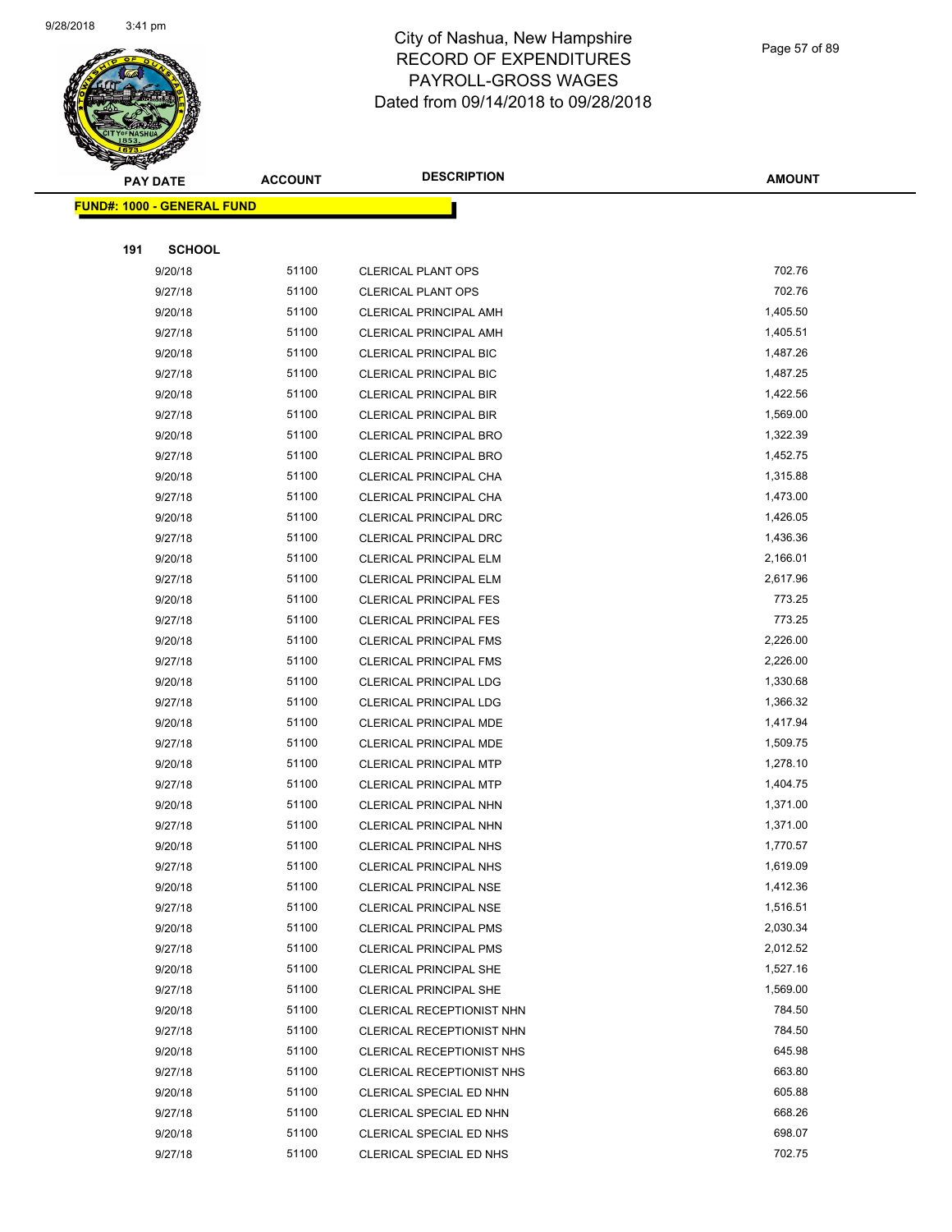

Page 57 of 89

|     | <b>PAY DATE</b>                    | <b>ACCOUNT</b> | <b>DESCRIPTION</b>                                     | <b>AMOUNT</b>        |
|-----|------------------------------------|----------------|--------------------------------------------------------|----------------------|
|     | <u> FUND#: 1000 - GENERAL FUND</u> |                |                                                        |                      |
|     |                                    |                |                                                        |                      |
| 191 | <b>SCHOOL</b>                      |                |                                                        |                      |
|     | 9/20/18                            | 51100          | <b>CLERICAL PLANT OPS</b>                              | 702.76               |
|     | 9/27/18                            | 51100          | <b>CLERICAL PLANT OPS</b>                              | 702.76               |
|     | 9/20/18                            | 51100          | <b>CLERICAL PRINCIPAL AMH</b>                          | 1,405.50             |
|     | 9/27/18                            | 51100          | <b>CLERICAL PRINCIPAL AMH</b>                          | 1,405.51             |
|     | 9/20/18                            | 51100          | CLERICAL PRINCIPAL BIC                                 | 1,487.26             |
|     | 9/27/18                            | 51100          | <b>CLERICAL PRINCIPAL BIC</b>                          | 1,487.25             |
|     | 9/20/18                            | 51100          | <b>CLERICAL PRINCIPAL BIR</b>                          | 1,422.56             |
|     | 9/27/18                            | 51100          | CLERICAL PRINCIPAL BIR                                 | 1,569.00             |
|     | 9/20/18                            | 51100          | <b>CLERICAL PRINCIPAL BRO</b>                          | 1,322.39             |
|     | 9/27/18                            | 51100          | CLERICAL PRINCIPAL BRO                                 | 1,452.75             |
|     | 9/20/18                            | 51100          | CLERICAL PRINCIPAL CHA                                 | 1,315.88             |
|     | 9/27/18                            | 51100          | CLERICAL PRINCIPAL CHA                                 | 1,473.00             |
|     | 9/20/18                            | 51100          | CLERICAL PRINCIPAL DRC                                 | 1,426.05             |
|     | 9/27/18                            | 51100          | <b>CLERICAL PRINCIPAL DRC</b>                          | 1,436.36             |
|     | 9/20/18                            | 51100          | CLERICAL PRINCIPAL ELM                                 | 2,166.01             |
|     | 9/27/18                            | 51100          | CLERICAL PRINCIPAL ELM                                 | 2,617.96             |
|     | 9/20/18                            | 51100          | <b>CLERICAL PRINCIPAL FES</b>                          | 773.25               |
|     | 9/27/18                            | 51100          | <b>CLERICAL PRINCIPAL FES</b>                          | 773.25               |
|     | 9/20/18                            | 51100          | <b>CLERICAL PRINCIPAL FMS</b>                          | 2,226.00             |
|     | 9/27/18                            | 51100          | <b>CLERICAL PRINCIPAL FMS</b>                          | 2,226.00             |
|     | 9/20/18                            | 51100          | CLERICAL PRINCIPAL LDG                                 | 1,330.68             |
|     | 9/27/18                            | 51100          | <b>CLERICAL PRINCIPAL LDG</b>                          | 1,366.32             |
|     | 9/20/18                            | 51100          | CLERICAL PRINCIPAL MDE                                 | 1,417.94             |
|     | 9/27/18                            | 51100          | CLERICAL PRINCIPAL MDE                                 | 1,509.75             |
|     | 9/20/18                            | 51100          | <b>CLERICAL PRINCIPAL MTP</b>                          | 1,278.10             |
|     | 9/27/18                            | 51100          | CLERICAL PRINCIPAL MTP                                 | 1,404.75             |
|     | 9/20/18                            | 51100          | CLERICAL PRINCIPAL NHN                                 | 1,371.00             |
|     | 9/27/18                            | 51100          | CLERICAL PRINCIPAL NHN                                 | 1,371.00             |
|     | 9/20/18                            | 51100          | <b>CLERICAL PRINCIPAL NHS</b>                          | 1,770.57             |
|     | 9/27/18                            | 51100          | CLERICAL PRINCIPAL NHS                                 | 1,619.09             |
|     | 9/20/18                            | 51100          | <b>CLERICAL PRINCIPAL NSE</b>                          | 1,412.36             |
|     | 9/27/18                            | 51100          | CLERICAL PRINCIPAL NSE                                 | 1,516.51             |
|     | 9/20/18                            | 51100          | <b>CLERICAL PRINCIPAL PMS</b>                          | 2,030.34             |
|     | 9/27/18                            | 51100          | <b>CLERICAL PRINCIPAL PMS</b>                          | 2,012.52             |
|     | 9/20/18                            | 51100          | <b>CLERICAL PRINCIPAL SHE</b>                          | 1,527.16<br>1,569.00 |
|     | 9/27/18                            | 51100          | <b>CLERICAL PRINCIPAL SHE</b>                          | 784.50               |
|     | 9/20/18                            | 51100          | CLERICAL RECEPTIONIST NHN                              |                      |
|     | 9/27/18<br>9/20/18                 | 51100<br>51100 | CLERICAL RECEPTIONIST NHN<br>CLERICAL RECEPTIONIST NHS | 784.50<br>645.98     |
|     |                                    | 51100          |                                                        | 663.80               |
|     | 9/27/18                            | 51100          | CLERICAL RECEPTIONIST NHS                              | 605.88               |
|     | 9/20/18<br>9/27/18                 | 51100          | CLERICAL SPECIAL ED NHN<br>CLERICAL SPECIAL ED NHN     | 668.26               |
|     | 9/20/18                            | 51100          | CLERICAL SPECIAL ED NHS                                | 698.07               |
|     | 9/27/18                            | 51100          | CLERICAL SPECIAL ED NHS                                | 702.75               |
|     |                                    |                |                                                        |                      |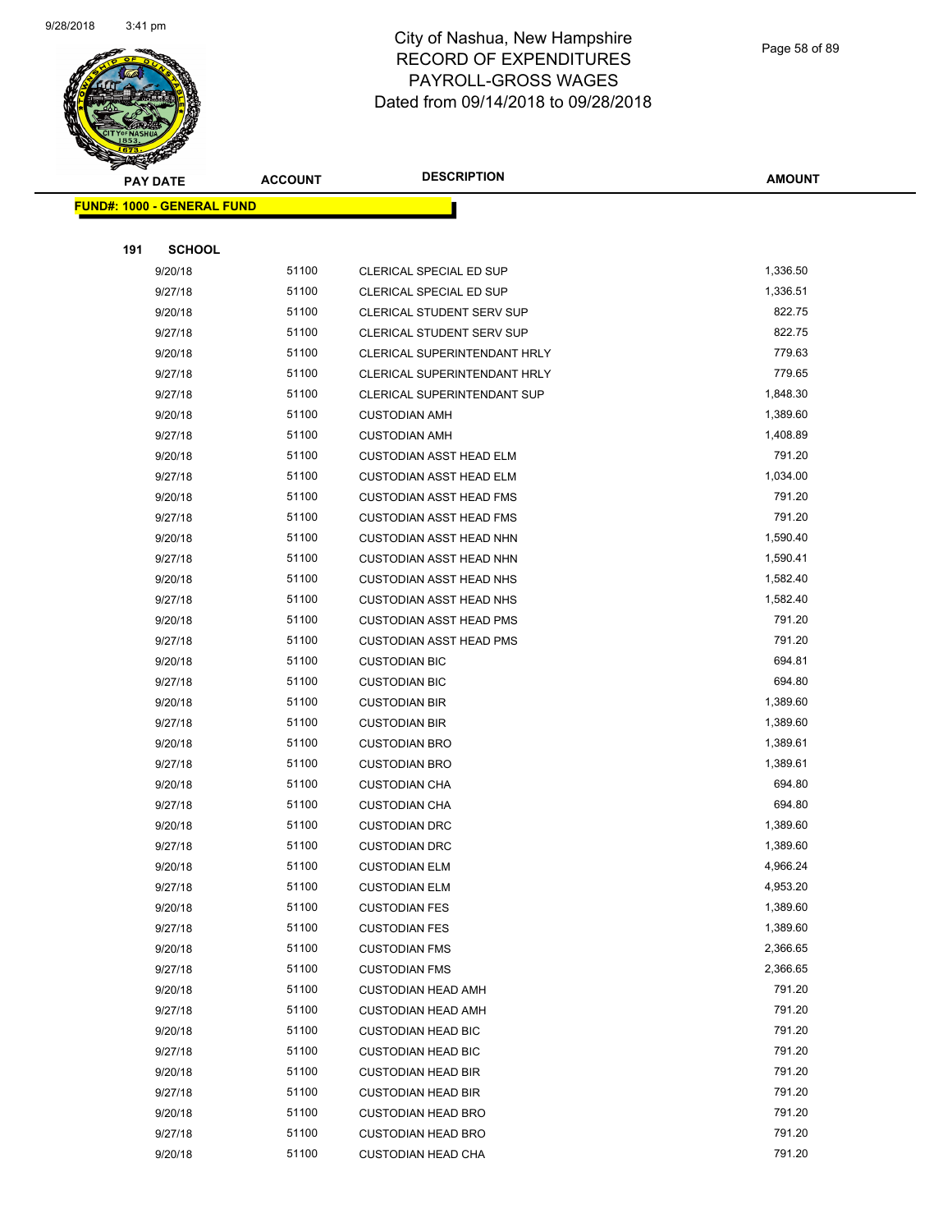

Page 58 of 89

| <b>PAY DATE</b> |                                   | <b>ACCOUNT</b> | <b>DESCRIPTION</b>             | <b>AMOUNT</b> |
|-----------------|-----------------------------------|----------------|--------------------------------|---------------|
|                 | <b>FUND#: 1000 - GENERAL FUND</b> |                |                                |               |
|                 |                                   |                |                                |               |
| 191             | <b>SCHOOL</b>                     |                |                                |               |
|                 | 9/20/18                           | 51100          | CLERICAL SPECIAL ED SUP        | 1,336.50      |
|                 | 9/27/18                           | 51100          | CLERICAL SPECIAL ED SUP        | 1,336.51      |
|                 | 9/20/18                           | 51100          | CLERICAL STUDENT SERV SUP      | 822.75        |
|                 | 9/27/18                           | 51100          | CLERICAL STUDENT SERV SUP      | 822.75        |
|                 | 9/20/18                           | 51100          | CLERICAL SUPERINTENDANT HRLY   | 779.63        |
|                 | 9/27/18                           | 51100          | CLERICAL SUPERINTENDANT HRLY   | 779.65        |
|                 | 9/27/18                           | 51100          | CLERICAL SUPERINTENDANT SUP    | 1,848.30      |
|                 | 9/20/18                           | 51100          | <b>CUSTODIAN AMH</b>           | 1,389.60      |
|                 | 9/27/18                           | 51100          | <b>CUSTODIAN AMH</b>           | 1,408.89      |
|                 | 9/20/18                           | 51100          | <b>CUSTODIAN ASST HEAD ELM</b> | 791.20        |
|                 | 9/27/18                           | 51100          | <b>CUSTODIAN ASST HEAD ELM</b> | 1,034.00      |
|                 | 9/20/18                           | 51100          | <b>CUSTODIAN ASST HEAD FMS</b> | 791.20        |
|                 | 9/27/18                           | 51100          | <b>CUSTODIAN ASST HEAD FMS</b> | 791.20        |
|                 | 9/20/18                           | 51100          | <b>CUSTODIAN ASST HEAD NHN</b> | 1,590.40      |
|                 | 9/27/18                           | 51100          | <b>CUSTODIAN ASST HEAD NHN</b> | 1,590.41      |
|                 | 9/20/18                           | 51100          | <b>CUSTODIAN ASST HEAD NHS</b> | 1,582.40      |
|                 | 9/27/18                           | 51100          | <b>CUSTODIAN ASST HEAD NHS</b> | 1,582.40      |
|                 | 9/20/18                           | 51100          | <b>CUSTODIAN ASST HEAD PMS</b> | 791.20        |
|                 | 9/27/18                           | 51100          | <b>CUSTODIAN ASST HEAD PMS</b> | 791.20        |
|                 | 9/20/18                           | 51100          | <b>CUSTODIAN BIC</b>           | 694.81        |
|                 | 9/27/18                           | 51100          | <b>CUSTODIAN BIC</b>           | 694.80        |
|                 | 9/20/18                           | 51100          | <b>CUSTODIAN BIR</b>           | 1,389.60      |
|                 | 9/27/18                           | 51100          | <b>CUSTODIAN BIR</b>           | 1,389.60      |
|                 | 9/20/18                           | 51100          | <b>CUSTODIAN BRO</b>           | 1,389.61      |
|                 | 9/27/18                           | 51100          | <b>CUSTODIAN BRO</b>           | 1,389.61      |
|                 | 9/20/18                           | 51100          | <b>CUSTODIAN CHA</b>           | 694.80        |
|                 | 9/27/18                           | 51100          | <b>CUSTODIAN CHA</b>           | 694.80        |
|                 | 9/20/18                           | 51100          | <b>CUSTODIAN DRC</b>           | 1,389.60      |
|                 | 9/27/18                           | 51100          | <b>CUSTODIAN DRC</b>           | 1,389.60      |
|                 | 9/20/18                           | 51100          | <b>CUSTODIAN ELM</b>           | 4,966.24      |
|                 | 9/27/18                           | 51100          | <b>CUSTODIAN ELM</b>           | 4,953.20      |
|                 | 9/20/18                           | 51100          | <b>CUSTODIAN FES</b>           | 1,389.60      |
|                 | 9/27/18                           | 51100          | <b>CUSTODIAN FES</b>           | 1,389.60      |
|                 | 9/20/18                           | 51100          | <b>CUSTODIAN FMS</b>           | 2,366.65      |
|                 | 9/27/18                           | 51100          | <b>CUSTODIAN FMS</b>           | 2,366.65      |
|                 | 9/20/18                           | 51100          | <b>CUSTODIAN HEAD AMH</b>      | 791.20        |
|                 | 9/27/18                           | 51100          | <b>CUSTODIAN HEAD AMH</b>      | 791.20        |
|                 | 9/20/18                           | 51100          | <b>CUSTODIAN HEAD BIC</b>      | 791.20        |
|                 | 9/27/18                           | 51100          | <b>CUSTODIAN HEAD BIC</b>      | 791.20        |
|                 | 9/20/18                           | 51100          | <b>CUSTODIAN HEAD BIR</b>      | 791.20        |
|                 | 9/27/18                           | 51100          | <b>CUSTODIAN HEAD BIR</b>      | 791.20        |
|                 | 9/20/18                           | 51100          | <b>CUSTODIAN HEAD BRO</b>      | 791.20        |
|                 | 9/27/18                           | 51100          | <b>CUSTODIAN HEAD BRO</b>      | 791.20        |
|                 | 9/20/18                           | 51100          | <b>CUSTODIAN HEAD CHA</b>      | 791.20        |
|                 |                                   |                |                                |               |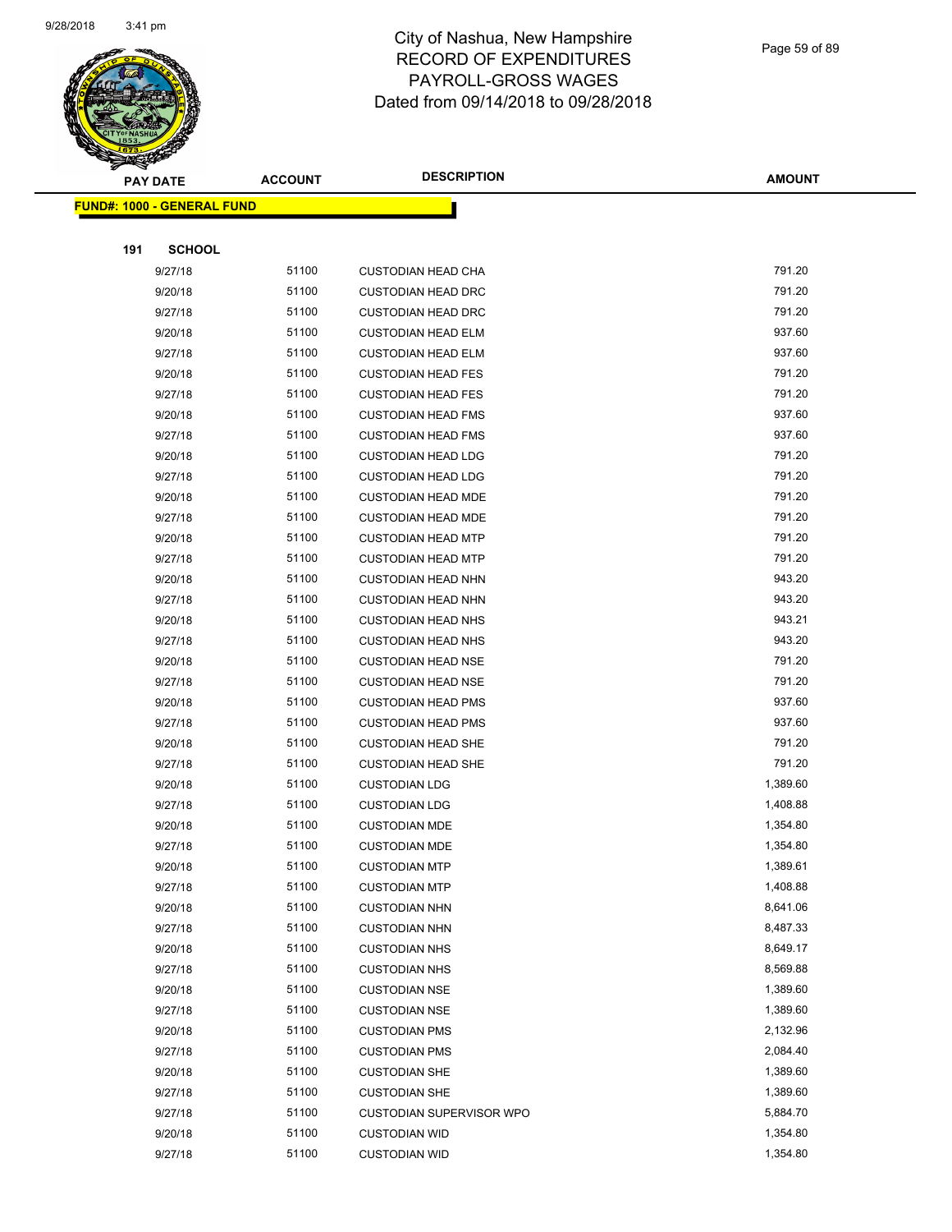

Page 59 of 89

|     | <b>PAY DATE</b>                   | <b>ACCOUNT</b> | <b>DESCRIPTION</b>        | <b>AMOUNT</b> |
|-----|-----------------------------------|----------------|---------------------------|---------------|
|     | <b>FUND#: 1000 - GENERAL FUND</b> |                |                           |               |
|     |                                   |                |                           |               |
| 191 | <b>SCHOOL</b>                     |                |                           |               |
|     | 9/27/18                           | 51100          | <b>CUSTODIAN HEAD CHA</b> | 791.20        |
|     | 9/20/18                           | 51100          | <b>CUSTODIAN HEAD DRC</b> | 791.20        |
|     | 9/27/18                           | 51100          | <b>CUSTODIAN HEAD DRC</b> | 791.20        |
|     | 9/20/18                           | 51100          | <b>CUSTODIAN HEAD ELM</b> | 937.60        |
|     | 9/27/18                           | 51100          | <b>CUSTODIAN HEAD ELM</b> | 937.60        |
|     | 9/20/18                           | 51100          | <b>CUSTODIAN HEAD FES</b> | 791.20        |
|     | 9/27/18                           | 51100          | <b>CUSTODIAN HEAD FES</b> | 791.20        |
|     | 9/20/18                           | 51100          | <b>CUSTODIAN HEAD FMS</b> | 937.60        |
|     | 9/27/18                           | 51100          | <b>CUSTODIAN HEAD FMS</b> | 937.60        |
|     | 9/20/18                           | 51100          | <b>CUSTODIAN HEAD LDG</b> | 791.20        |
|     | 9/27/18                           | 51100          | <b>CUSTODIAN HEAD LDG</b> | 791.20        |
|     | 9/20/18                           | 51100          | <b>CUSTODIAN HEAD MDE</b> | 791.20        |
|     | 9/27/18                           | 51100          | <b>CUSTODIAN HEAD MDE</b> | 791.20        |
|     | 9/20/18                           | 51100          | <b>CUSTODIAN HEAD MTP</b> | 791.20        |
|     | 9/27/18                           | 51100          | <b>CUSTODIAN HEAD MTP</b> | 791.20        |
|     | 9/20/18                           | 51100          | <b>CUSTODIAN HEAD NHN</b> | 943.20        |
|     | 9/27/18                           | 51100          | <b>CUSTODIAN HEAD NHN</b> | 943.20        |
|     | 9/20/18                           | 51100          | <b>CUSTODIAN HEAD NHS</b> | 943.21        |
|     | 9/27/18                           | 51100          | <b>CUSTODIAN HEAD NHS</b> | 943.20        |
|     | 9/20/18                           | 51100          | <b>CUSTODIAN HEAD NSE</b> | 791.20        |
|     | 9/27/18                           | 51100          | <b>CUSTODIAN HEAD NSE</b> | 791.20        |
|     | 9/20/18                           | 51100          | <b>CUSTODIAN HEAD PMS</b> | 937.60        |
|     | 9/27/18                           | 51100          | <b>CUSTODIAN HEAD PMS</b> | 937.60        |
|     | 9/20/18                           | 51100          | <b>CUSTODIAN HEAD SHE</b> | 791.20        |
|     | 9/27/18                           | 51100          | <b>CUSTODIAN HEAD SHE</b> | 791.20        |
|     | 9/20/18                           | 51100          | <b>CUSTODIAN LDG</b>      | 1,389.60      |
|     | 9/27/18                           | 51100          | <b>CUSTODIAN LDG</b>      | 1,408.88      |
|     | 9/20/18                           | 51100          | <b>CUSTODIAN MDE</b>      | 1,354.80      |
|     | 9/27/18                           | 51100          | <b>CUSTODIAN MDE</b>      | 1,354.80      |
|     | 9/20/18                           | 51100          | <b>CUSTODIAN MTP</b>      | 1,389.61      |
|     | 9/27/18                           | 51100          | <b>CUSTODIAN MTP</b>      | 1,408.88      |
|     | 9/20/18                           | 51100          | <b>CUSTODIAN NHN</b>      | 8,641.06      |
|     | 9/27/18                           | 51100          | <b>CUSTODIAN NHN</b>      | 8,487.33      |
|     | 9/20/18                           | 51100          | <b>CUSTODIAN NHS</b>      | 8,649.17      |
|     | 9/27/18                           | 51100          | <b>CUSTODIAN NHS</b>      | 8,569.88      |
|     | 9/20/18                           | 51100          | <b>CUSTODIAN NSE</b>      | 1,389.60      |
|     | 9/27/18                           | 51100          | <b>CUSTODIAN NSE</b>      | 1,389.60      |
|     | 9/20/18                           | 51100          | <b>CUSTODIAN PMS</b>      | 2,132.96      |
|     | 9/27/18                           | 51100          | <b>CUSTODIAN PMS</b>      | 2,084.40      |
|     | 9/20/18                           | 51100          | <b>CUSTODIAN SHE</b>      | 1,389.60      |
|     | 9/27/18                           | 51100          | <b>CUSTODIAN SHE</b>      | 1,389.60      |
|     | 9/27/18                           | 51100          | CUSTODIAN SUPERVISOR WPO  | 5,884.70      |
|     | 9/20/18                           | 51100          | <b>CUSTODIAN WID</b>      | 1,354.80      |
|     | 9/27/18                           | 51100          | <b>CUSTODIAN WID</b>      | 1,354.80      |
|     |                                   |                |                           |               |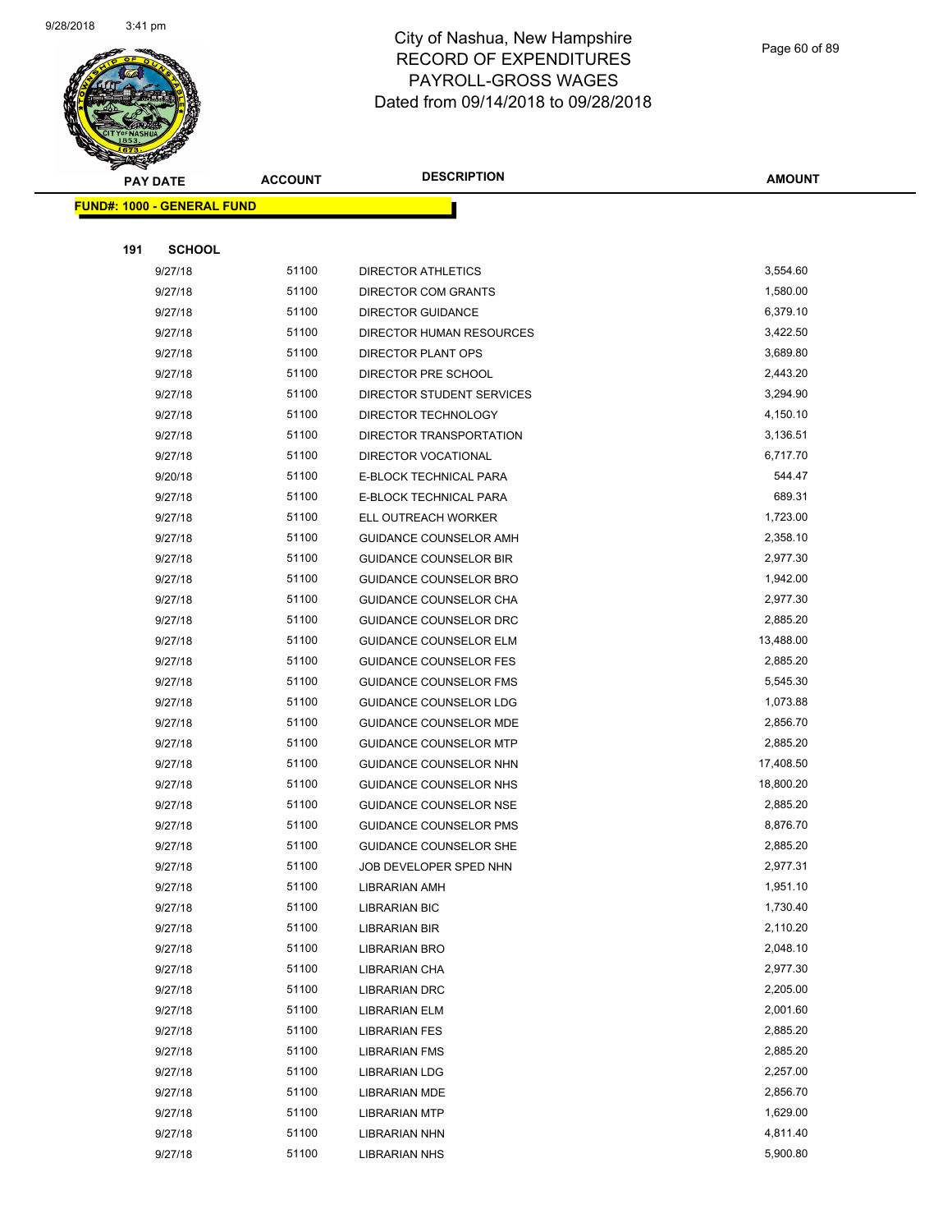

Page 60 of 89

|     | <b>PAY DATE</b>                   | <b>ACCOUNT</b> | <b>DESCRIPTION</b>                           | <b>AMOUNT</b>        |
|-----|-----------------------------------|----------------|----------------------------------------------|----------------------|
|     | <b>FUND#: 1000 - GENERAL FUND</b> |                |                                              |                      |
|     |                                   |                |                                              |                      |
| 191 | <b>SCHOOL</b>                     |                |                                              |                      |
|     | 9/27/18                           | 51100          | DIRECTOR ATHLETICS                           | 3,554.60             |
|     | 9/27/18                           | 51100          | DIRECTOR COM GRANTS                          | 1,580.00             |
|     | 9/27/18                           | 51100          | <b>DIRECTOR GUIDANCE</b>                     | 6,379.10             |
|     | 9/27/18                           | 51100          | DIRECTOR HUMAN RESOURCES                     | 3,422.50             |
|     | 9/27/18                           | 51100          | DIRECTOR PLANT OPS                           | 3,689.80             |
|     | 9/27/18                           | 51100          | DIRECTOR PRE SCHOOL                          | 2,443.20             |
|     | 9/27/18                           | 51100          | DIRECTOR STUDENT SERVICES                    | 3,294.90             |
|     | 9/27/18                           | 51100          | DIRECTOR TECHNOLOGY                          | 4,150.10             |
|     | 9/27/18                           | 51100          | DIRECTOR TRANSPORTATION                      | 3,136.51             |
|     | 9/27/18                           | 51100          | DIRECTOR VOCATIONAL                          | 6,717.70             |
|     | 9/20/18                           | 51100          | E-BLOCK TECHNICAL PARA                       | 544.47               |
|     | 9/27/18                           | 51100          | E-BLOCK TECHNICAL PARA                       | 689.31               |
|     | 9/27/18                           | 51100          | ELL OUTREACH WORKER                          | 1,723.00             |
|     | 9/27/18                           | 51100          | <b>GUIDANCE COUNSELOR AMH</b>                | 2,358.10             |
|     | 9/27/18                           | 51100          | <b>GUIDANCE COUNSELOR BIR</b>                | 2,977.30             |
|     | 9/27/18                           | 51100          | GUIDANCE COUNSELOR BRO                       | 1,942.00             |
|     | 9/27/18                           | 51100          | GUIDANCE COUNSELOR CHA                       | 2,977.30             |
|     | 9/27/18                           | 51100          | GUIDANCE COUNSELOR DRC                       | 2,885.20             |
|     | 9/27/18                           | 51100          | <b>GUIDANCE COUNSELOR ELM</b>                | 13,488.00            |
|     | 9/27/18                           | 51100          | <b>GUIDANCE COUNSELOR FES</b>                | 2,885.20             |
|     | 9/27/18                           | 51100          | <b>GUIDANCE COUNSELOR FMS</b>                | 5,545.30             |
|     | 9/27/18                           | 51100          | <b>GUIDANCE COUNSELOR LDG</b>                | 1,073.88             |
|     | 9/27/18                           | 51100          | GUIDANCE COUNSELOR MDE                       | 2,856.70             |
|     | 9/27/18                           | 51100          | <b>GUIDANCE COUNSELOR MTP</b>                | 2,885.20             |
|     | 9/27/18                           | 51100          | GUIDANCE COUNSELOR NHN                       | 17,408.50            |
|     | 9/27/18                           | 51100          | GUIDANCE COUNSELOR NHS                       | 18,800.20            |
|     | 9/27/18                           | 51100          | <b>GUIDANCE COUNSELOR NSE</b>                | 2,885.20             |
|     | 9/27/18                           | 51100          | <b>GUIDANCE COUNSELOR PMS</b>                | 8,876.70             |
|     | 9/27/18                           | 51100          | <b>GUIDANCE COUNSELOR SHE</b>                | 2,885.20             |
|     | 9/27/18                           | 51100          | JOB DEVELOPER SPED NHN                       | 2,977.31             |
|     | 9/27/18                           | 51100          | LIBRARIAN AMH                                | 1,951.10             |
|     | 9/27/18                           | 51100          | <b>LIBRARIAN BIC</b>                         | 1,730.40             |
|     | 9/27/18                           | 51100          | <b>LIBRARIAN BIR</b>                         | 2,110.20             |
|     | 9/27/18                           | 51100          | <b>LIBRARIAN BRO</b>                         | 2,048.10             |
|     | 9/27/18                           | 51100          | LIBRARIAN CHA                                | 2,977.30<br>2,205.00 |
|     | 9/27/18                           | 51100<br>51100 | <b>LIBRARIAN DRC</b>                         | 2,001.60             |
|     | 9/27/18                           | 51100          | <b>LIBRARIAN ELM</b>                         | 2,885.20             |
|     | 9/27/18<br>9/27/18                | 51100          | <b>LIBRARIAN FES</b><br><b>LIBRARIAN FMS</b> | 2,885.20             |
|     |                                   | 51100          | <b>LIBRARIAN LDG</b>                         | 2,257.00             |
|     | 9/27/18<br>9/27/18                | 51100          | LIBRARIAN MDE                                | 2,856.70             |
|     | 9/27/18                           | 51100          | <b>LIBRARIAN MTP</b>                         | 1,629.00             |
|     | 9/27/18                           | 51100          | LIBRARIAN NHN                                | 4,811.40             |
|     | 9/27/18                           | 51100          | <b>LIBRARIAN NHS</b>                         | 5,900.80             |
|     |                                   |                |                                              |                      |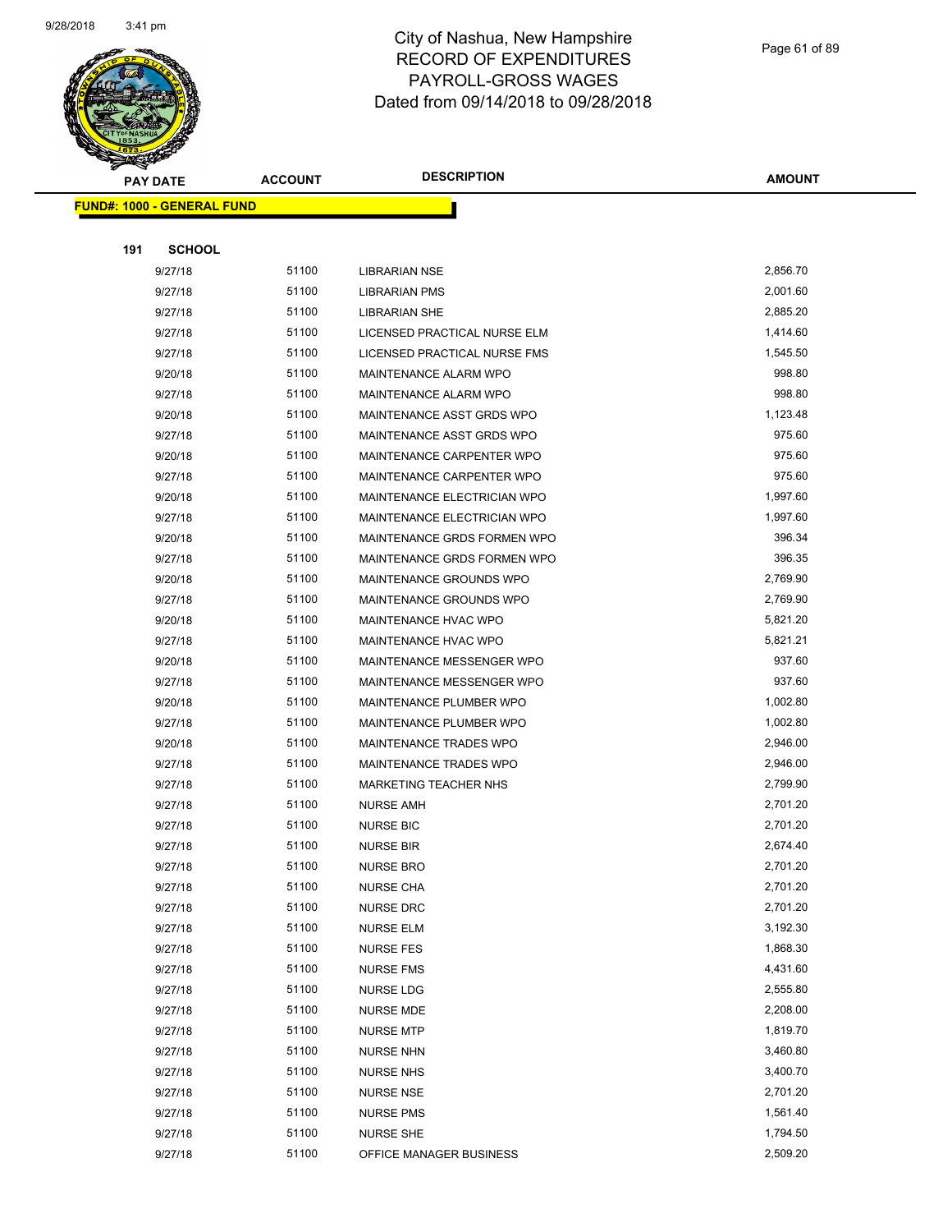

Page 61 of 89

|     | <b>PAY DATE</b>                    | <b>ACCOUNT</b> | <b>DESCRIPTION</b>           | <b>AMOUNT</b> |
|-----|------------------------------------|----------------|------------------------------|---------------|
|     | <u> FUND#: 1000 - GENERAL FUND</u> |                |                              |               |
|     |                                    |                |                              |               |
| 191 | <b>SCHOOL</b>                      |                |                              |               |
|     | 9/27/18                            | 51100          | LIBRARIAN NSE                | 2,856.70      |
|     | 9/27/18                            | 51100          | <b>LIBRARIAN PMS</b>         | 2,001.60      |
|     | 9/27/18                            | 51100          | <b>LIBRARIAN SHE</b>         | 2,885.20      |
|     | 9/27/18                            | 51100          | LICENSED PRACTICAL NURSE ELM | 1,414.60      |
|     | 9/27/18                            | 51100          | LICENSED PRACTICAL NURSE FMS | 1,545.50      |
|     | 9/20/18                            | 51100          | MAINTENANCE ALARM WPO        | 998.80        |
|     | 9/27/18                            | 51100          | <b>MAINTENANCE ALARM WPO</b> | 998.80        |
|     | 9/20/18                            | 51100          | MAINTENANCE ASST GRDS WPO    | 1,123.48      |
|     | 9/27/18                            | 51100          | MAINTENANCE ASST GRDS WPO    | 975.60        |
|     | 9/20/18                            | 51100          | MAINTENANCE CARPENTER WPO    | 975.60        |
|     | 9/27/18                            | 51100          | MAINTENANCE CARPENTER WPO    | 975.60        |
|     | 9/20/18                            | 51100          | MAINTENANCE ELECTRICIAN WPO  | 1,997.60      |
|     | 9/27/18                            | 51100          | MAINTENANCE ELECTRICIAN WPO  | 1,997.60      |
|     | 9/20/18                            | 51100          | MAINTENANCE GRDS FORMEN WPO  | 396.34        |
|     | 9/27/18                            | 51100          | MAINTENANCE GRDS FORMEN WPO  | 396.35        |
|     | 9/20/18                            | 51100          | MAINTENANCE GROUNDS WPO      | 2,769.90      |
|     | 9/27/18                            | 51100          | MAINTENANCE GROUNDS WPO      | 2,769.90      |
|     | 9/20/18                            | 51100          | <b>MAINTENANCE HVAC WPO</b>  | 5,821.20      |
|     | 9/27/18                            | 51100          | MAINTENANCE HVAC WPO         | 5,821.21      |
|     | 9/20/18                            | 51100          | MAINTENANCE MESSENGER WPO    | 937.60        |
|     | 9/27/18                            | 51100          | MAINTENANCE MESSENGER WPO    | 937.60        |
|     | 9/20/18                            | 51100          | MAINTENANCE PLUMBER WPO      | 1,002.80      |
|     | 9/27/18                            | 51100          | MAINTENANCE PLUMBER WPO      | 1,002.80      |
|     | 9/20/18                            | 51100          | MAINTENANCE TRADES WPO       | 2,946.00      |
|     | 9/27/18                            | 51100          | MAINTENANCE TRADES WPO       | 2,946.00      |
|     | 9/27/18                            | 51100          | <b>MARKETING TEACHER NHS</b> | 2,799.90      |
|     | 9/27/18                            | 51100          | <b>NURSE AMH</b>             | 2,701.20      |
|     | 9/27/18                            | 51100          | <b>NURSE BIC</b>             | 2,701.20      |
|     | 9/27/18                            | 51100          | <b>NURSE BIR</b>             | 2,674.40      |
|     | 9/27/18                            | 51100          | <b>NURSE BRO</b>             | 2,701.20      |
|     | 9/27/18                            | 51100          | <b>NURSE CHA</b>             | 2,701.20      |
|     | 9/27/18                            | 51100          | <b>NURSE DRC</b>             | 2,701.20      |
|     | 9/27/18                            | 51100          | <b>NURSE ELM</b>             | 3,192.30      |
|     | 9/27/18                            | 51100          | <b>NURSE FES</b>             | 1,868.30      |
|     | 9/27/18                            | 51100          | <b>NURSE FMS</b>             | 4,431.60      |
|     | 9/27/18                            | 51100          | <b>NURSE LDG</b>             | 2,555.80      |
|     | 9/27/18                            | 51100          | NURSE MDE                    | 2,208.00      |
|     | 9/27/18                            | 51100          | <b>NURSE MTP</b>             | 1,819.70      |
|     | 9/27/18                            | 51100          | <b>NURSE NHN</b>             | 3,460.80      |
|     | 9/27/18                            | 51100          | NURSE NHS                    | 3,400.70      |
|     | 9/27/18                            | 51100          | <b>NURSE NSE</b>             | 2,701.20      |
|     | 9/27/18                            | 51100          | <b>NURSE PMS</b>             | 1,561.40      |
|     | 9/27/18                            | 51100          | <b>NURSE SHE</b>             | 1,794.50      |
|     | 9/27/18                            | 51100          | OFFICE MANAGER BUSINESS      | 2,509.20      |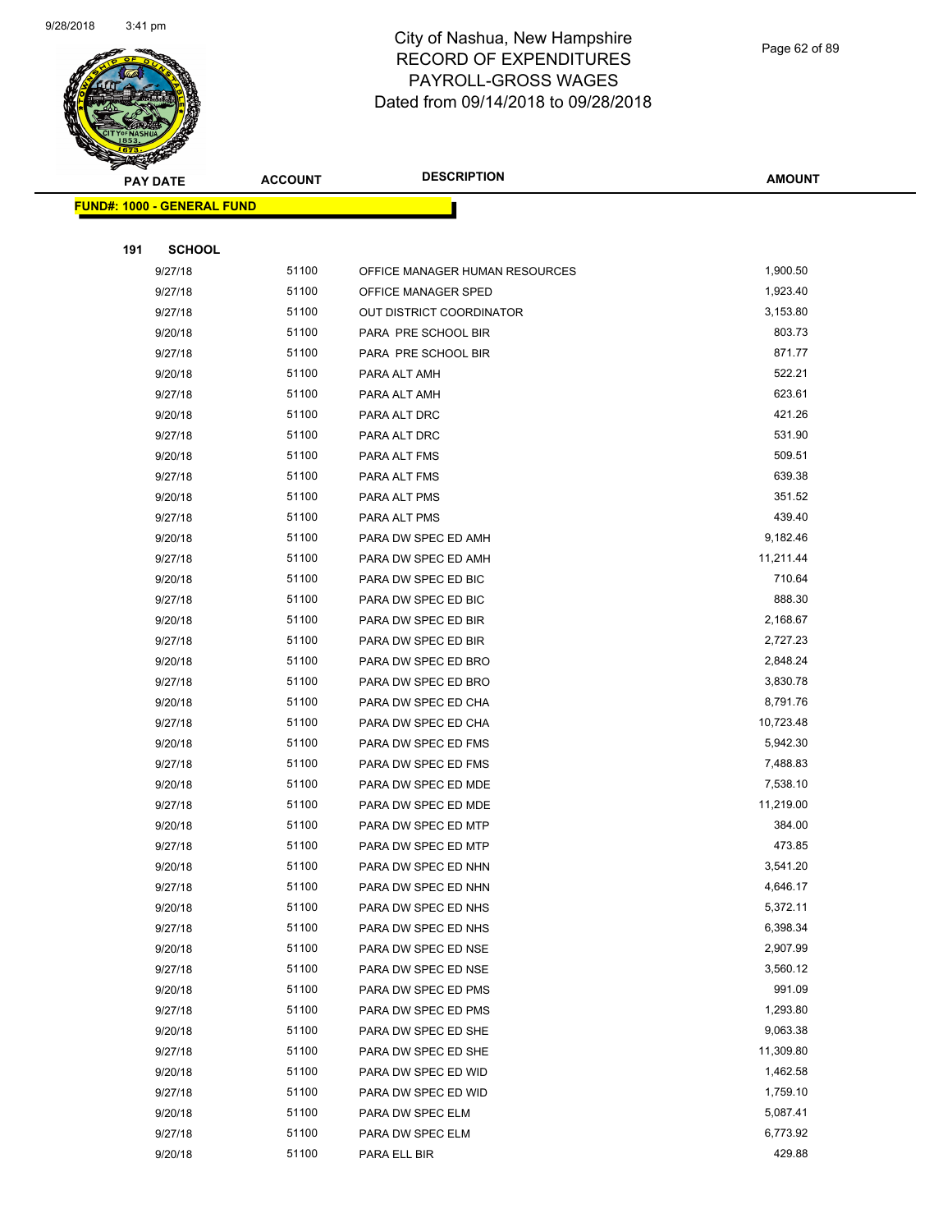

|     | <b>PAY DATE</b>                   | <b>ACCOUNT</b> | <b>DESCRIPTION</b>             | <b>AMOUNT</b> |
|-----|-----------------------------------|----------------|--------------------------------|---------------|
|     | <b>FUND#: 1000 - GENERAL FUND</b> |                |                                |               |
|     |                                   |                |                                |               |
| 191 | <b>SCHOOL</b>                     |                |                                |               |
|     | 9/27/18                           | 51100          | OFFICE MANAGER HUMAN RESOURCES | 1,900.50      |
|     | 9/27/18                           | 51100          | OFFICE MANAGER SPED            | 1,923.40      |
|     | 9/27/18                           | 51100          | OUT DISTRICT COORDINATOR       | 3,153.80      |
|     | 9/20/18                           | 51100          | PARA PRE SCHOOL BIR            | 803.73        |
|     | 9/27/18                           | 51100          | PARA PRE SCHOOL BIR            | 871.77        |
|     | 9/20/18                           | 51100          | PARA ALT AMH                   | 522.21        |
|     | 9/27/18                           | 51100          | PARA ALT AMH                   | 623.61        |
|     | 9/20/18                           | 51100          | PARA ALT DRC                   | 421.26        |
|     | 9/27/18                           | 51100          | PARA ALT DRC                   | 531.90        |
|     | 9/20/18                           | 51100          | PARA ALT FMS                   | 509.51        |
|     | 9/27/18                           | 51100          | PARA ALT FMS                   | 639.38        |
|     | 9/20/18                           | 51100          | PARA ALT PMS                   | 351.52        |
|     | 9/27/18                           | 51100          | PARA ALT PMS                   | 439.40        |
|     | 9/20/18                           | 51100          | PARA DW SPEC ED AMH            | 9,182.46      |
|     | 9/27/18                           | 51100          | PARA DW SPEC ED AMH            | 11,211.44     |
|     | 9/20/18                           | 51100          | PARA DW SPEC ED BIC            | 710.64        |
|     | 9/27/18                           | 51100          | PARA DW SPEC ED BIC            | 888.30        |
|     | 9/20/18                           | 51100          | PARA DW SPEC ED BIR            | 2,168.67      |
|     | 9/27/18                           | 51100          | PARA DW SPEC ED BIR            | 2,727.23      |
|     | 9/20/18                           | 51100          | PARA DW SPEC ED BRO            | 2,848.24      |
|     | 9/27/18                           | 51100          | PARA DW SPEC ED BRO            | 3,830.78      |
|     | 9/20/18                           | 51100          | PARA DW SPEC ED CHA            | 8,791.76      |
|     | 9/27/18                           | 51100          | PARA DW SPEC ED CHA            | 10,723.48     |
|     | 9/20/18                           | 51100          | PARA DW SPEC ED FMS            | 5,942.30      |
|     | 9/27/18                           | 51100          | PARA DW SPEC ED FMS            | 7,488.83      |
|     | 9/20/18                           | 51100          | PARA DW SPEC ED MDE            | 7,538.10      |
|     | 9/27/18                           | 51100          | PARA DW SPEC ED MDE            | 11,219.00     |
|     | 9/20/18                           | 51100          | PARA DW SPEC ED MTP            | 384.00        |
|     | 9/27/18                           | 51100          | PARA DW SPEC ED MTP            | 473.85        |
|     | 9/20/18                           | 51100          | PARA DW SPEC ED NHN            | 3,541.20      |
|     | 9/27/18                           | 51100          | PARA DW SPEC ED NHN            | 4,646.17      |
|     | 9/20/18                           | 51100          | PARA DW SPEC ED NHS            | 5,372.11      |
|     | 9/27/18                           | 51100          | PARA DW SPEC ED NHS            | 6,398.34      |
|     | 9/20/18                           | 51100          | PARA DW SPEC ED NSE            | 2,907.99      |
|     | 9/27/18                           | 51100          | PARA DW SPEC ED NSE            | 3,560.12      |
|     | 9/20/18                           | 51100          | PARA DW SPEC ED PMS            | 991.09        |
|     | 9/27/18                           | 51100          | PARA DW SPEC ED PMS            | 1,293.80      |
|     | 9/20/18                           | 51100          | PARA DW SPEC ED SHE            | 9,063.38      |
|     | 9/27/18                           | 51100          | PARA DW SPEC ED SHE            | 11,309.80     |
|     | 9/20/18                           | 51100          | PARA DW SPEC ED WID            | 1,462.58      |
|     | 9/27/18                           | 51100          | PARA DW SPEC ED WID            | 1,759.10      |
|     | 9/20/18                           | 51100          | PARA DW SPEC ELM               | 5,087.41      |
|     | 9/27/18                           | 51100          | PARA DW SPEC ELM               | 6,773.92      |
|     | 9/20/18                           | 51100          | PARA ELL BIR                   | 429.88        |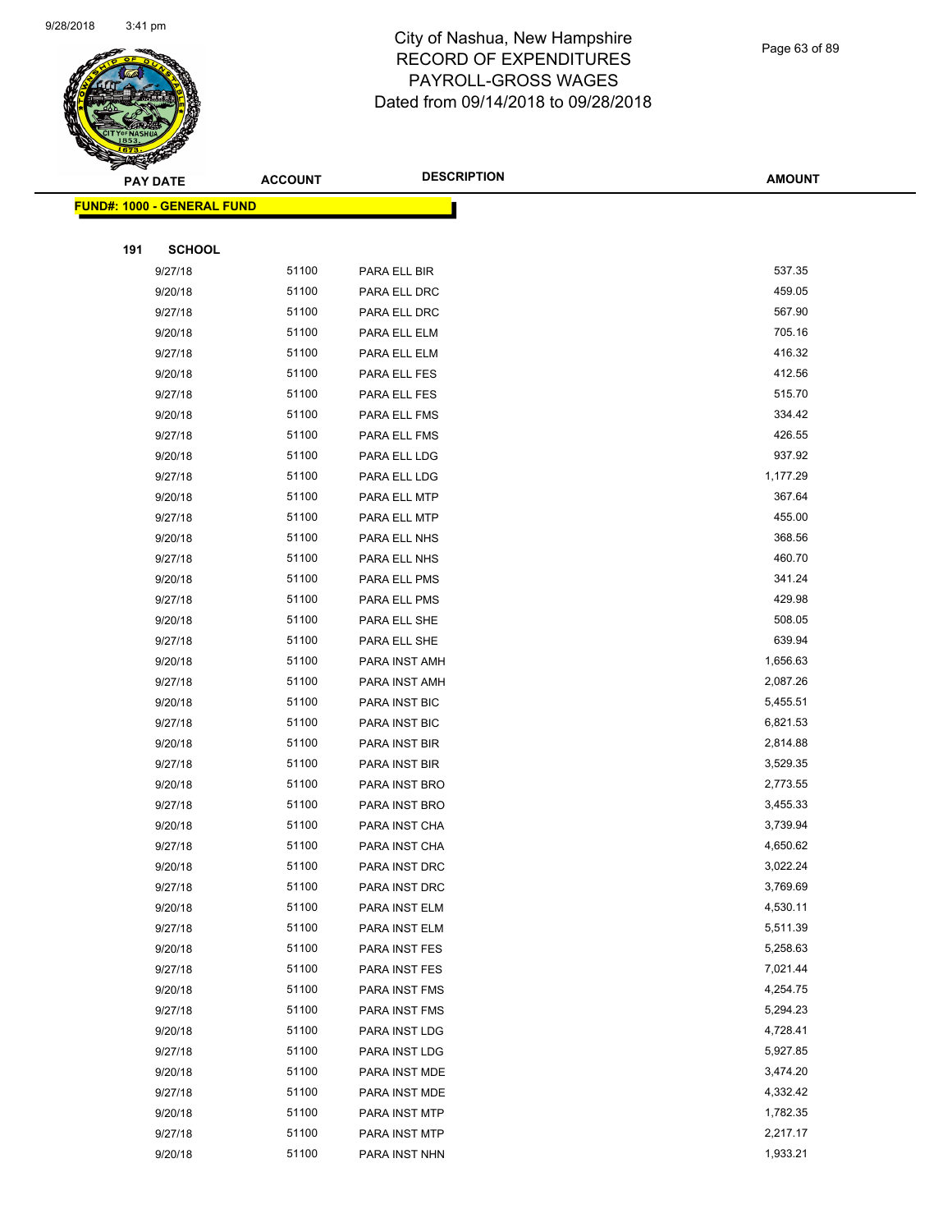

Page 63 of 89

| <b>PAY DATE</b>                    | <b>ACCOUNT</b> | <b>DESCRIPTION</b> | <b>AMOUNT</b> |
|------------------------------------|----------------|--------------------|---------------|
| <u> FUND#: 1000 - GENERAL FUND</u> |                |                    |               |
|                                    |                |                    |               |
| <b>SCHOOL</b><br>191               |                |                    |               |
| 9/27/18                            | 51100          | PARA ELL BIR       | 537.35        |
| 9/20/18                            | 51100          | PARA ELL DRC       | 459.05        |
| 9/27/18                            | 51100          | PARA ELL DRC       | 567.90        |
| 9/20/18                            | 51100          | PARA ELL ELM       | 705.16        |
| 9/27/18                            | 51100          | PARA ELL ELM       | 416.32        |
| 9/20/18                            | 51100          | PARA ELL FES       | 412.56        |
| 9/27/18                            | 51100          | PARA ELL FES       | 515.70        |
| 9/20/18                            | 51100          | PARA ELL FMS       | 334.42        |
| 9/27/18                            | 51100          | PARA ELL FMS       | 426.55        |
| 9/20/18                            | 51100          | PARA ELL LDG       | 937.92        |
| 9/27/18                            | 51100          | PARA ELL LDG       | 1,177.29      |
| 9/20/18                            | 51100          | PARA ELL MTP       | 367.64        |
| 9/27/18                            | 51100          | PARA ELL MTP       | 455.00        |
| 9/20/18                            | 51100          | PARA ELL NHS       | 368.56        |
| 9/27/18                            | 51100          | PARA ELL NHS       | 460.70        |
| 9/20/18                            | 51100          | PARA ELL PMS       | 341.24        |
| 9/27/18                            | 51100          | PARA ELL PMS       | 429.98        |
| 9/20/18                            | 51100          | PARA ELL SHE       | 508.05        |
| 9/27/18                            | 51100          | PARA ELL SHE       | 639.94        |
| 9/20/18                            | 51100          | PARA INST AMH      | 1,656.63      |
| 9/27/18                            | 51100          | PARA INST AMH      | 2,087.26      |
| 9/20/18                            | 51100          | PARA INST BIC      | 5,455.51      |
| 9/27/18                            | 51100          | PARA INST BIC      | 6,821.53      |
| 9/20/18                            | 51100          | PARA INST BIR      | 2,814.88      |
| 9/27/18                            | 51100          | PARA INST BIR      | 3,529.35      |
| 9/20/18                            | 51100          | PARA INST BRO      | 2,773.55      |
| 9/27/18                            | 51100          | PARA INST BRO      | 3,455.33      |
| 9/20/18                            | 51100          | PARA INST CHA      | 3,739.94      |
| 9/27/18                            | 51100          | PARA INST CHA      | 4,650.62      |
| 9/20/18                            | 51100          | PARA INST DRC      | 3,022.24      |
| 9/27/18                            | 51100          | PARA INST DRC      | 3,769.69      |
| 9/20/18                            | 51100          | PARA INST ELM      | 4,530.11      |
| 9/27/18                            | 51100          | PARA INST ELM      | 5,511.39      |
| 9/20/18                            | 51100          | PARA INST FES      | 5,258.63      |
| 9/27/18                            | 51100          | PARA INST FES      | 7,021.44      |
| 9/20/18                            | 51100          | PARA INST FMS      | 4,254.75      |
| 9/27/18                            | 51100          | PARA INST FMS      | 5,294.23      |
| 9/20/18                            | 51100          | PARA INST LDG      | 4,728.41      |
| 9/27/18                            | 51100          | PARA INST LDG      | 5,927.85      |
| 9/20/18                            | 51100          | PARA INST MDE      | 3,474.20      |
| 9/27/18                            | 51100          | PARA INST MDE      | 4,332.42      |
| 9/20/18                            | 51100          | PARA INST MTP      | 1,782.35      |
| 9/27/18                            | 51100          | PARA INST MTP      | 2,217.17      |
| 9/20/18                            | 51100          | PARA INST NHN      | 1,933.21      |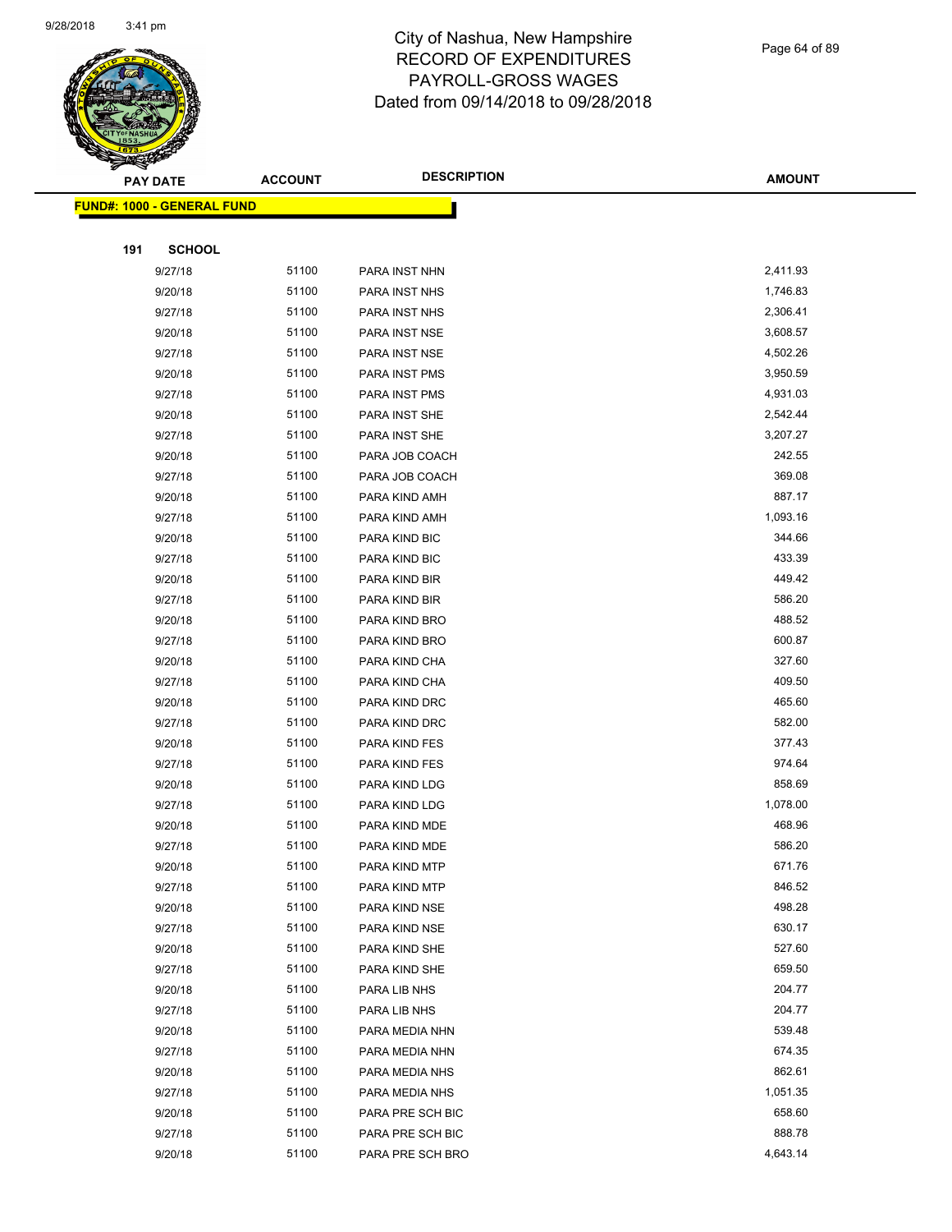

Page 64 of 89

|     | <b>PAY DATE</b>                   | <b>ACCOUNT</b> | <b>DESCRIPTION</b> | <b>AMOUNT</b>    |
|-----|-----------------------------------|----------------|--------------------|------------------|
|     | <b>FUND#: 1000 - GENERAL FUND</b> |                |                    |                  |
|     |                                   |                |                    |                  |
| 191 | <b>SCHOOL</b>                     |                |                    |                  |
|     | 9/27/18                           | 51100          | PARA INST NHN      | 2,411.93         |
|     | 9/20/18                           | 51100          | PARA INST NHS      | 1,746.83         |
|     | 9/27/18                           | 51100          | PARA INST NHS      | 2,306.41         |
|     | 9/20/18                           | 51100          | PARA INST NSE      | 3,608.57         |
|     | 9/27/18                           | 51100          | PARA INST NSE      | 4,502.26         |
|     | 9/20/18                           | 51100          | PARA INST PMS      | 3,950.59         |
|     | 9/27/18                           | 51100          | PARA INST PMS      | 4,931.03         |
|     | 9/20/18                           | 51100          | PARA INST SHE      | 2,542.44         |
|     | 9/27/18                           | 51100          | PARA INST SHE      | 3,207.27         |
|     | 9/20/18                           | 51100          | PARA JOB COACH     | 242.55           |
|     | 9/27/18                           | 51100          | PARA JOB COACH     | 369.08           |
|     | 9/20/18                           | 51100          | PARA KIND AMH      | 887.17           |
|     | 9/27/18                           | 51100          | PARA KIND AMH      | 1,093.16         |
|     | 9/20/18                           | 51100          | PARA KIND BIC      | 344.66           |
|     | 9/27/18                           | 51100          | PARA KIND BIC      | 433.39           |
|     | 9/20/18                           | 51100          | PARA KIND BIR      | 449.42           |
|     | 9/27/18                           | 51100          | PARA KIND BIR      | 586.20           |
|     | 9/20/18                           | 51100          | PARA KIND BRO      | 488.52           |
|     | 9/27/18                           | 51100          | PARA KIND BRO      | 600.87           |
|     | 9/20/18                           | 51100          | PARA KIND CHA      | 327.60           |
|     | 9/27/18                           | 51100          | PARA KIND CHA      | 409.50           |
|     | 9/20/18                           | 51100          | PARA KIND DRC      | 465.60           |
|     | 9/27/18                           | 51100          | PARA KIND DRC      | 582.00           |
|     | 9/20/18                           | 51100          | PARA KIND FES      | 377.43           |
|     | 9/27/18                           | 51100          | PARA KIND FES      | 974.64           |
|     | 9/20/18                           | 51100          | PARA KIND LDG      | 858.69           |
|     | 9/27/18                           | 51100          | PARA KIND LDG      | 1,078.00         |
|     | 9/20/18                           | 51100          | PARA KIND MDE      | 468.96           |
|     | 9/27/18                           | 51100          | PARA KIND MDE      | 586.20           |
|     | 9/20/18                           | 51100          | PARA KIND MTP      | 671.76           |
|     | 9/27/18                           | 51100          | PARA KIND MTP      | 846.52           |
|     | 9/20/18                           | 51100          | PARA KIND NSE      | 498.28           |
|     | 9/27/18                           | 51100          | PARA KIND NSE      | 630.17           |
|     | 9/20/18                           | 51100          | PARA KIND SHE      | 527.60           |
|     | 9/27/18                           | 51100          | PARA KIND SHE      | 659.50           |
|     | 9/20/18                           | 51100          | PARA LIB NHS       | 204.77           |
|     | 9/27/18                           | 51100          | PARA LIB NHS       | 204.77           |
|     | 9/20/18                           | 51100          | PARA MEDIA NHN     | 539.48           |
|     | 9/27/18                           | 51100          | PARA MEDIA NHN     | 674.35           |
|     | 9/20/18                           | 51100          | PARA MEDIA NHS     | 862.61           |
|     | 9/27/18                           | 51100          | PARA MEDIA NHS     | 1,051.35         |
|     | 9/20/18                           | 51100          | PARA PRE SCH BIC   | 658.60<br>888.78 |
|     | 9/27/18                           | 51100          | PARA PRE SCH BIC   |                  |
|     | 9/20/18                           | 51100          | PARA PRE SCH BRO   | 4,643.14         |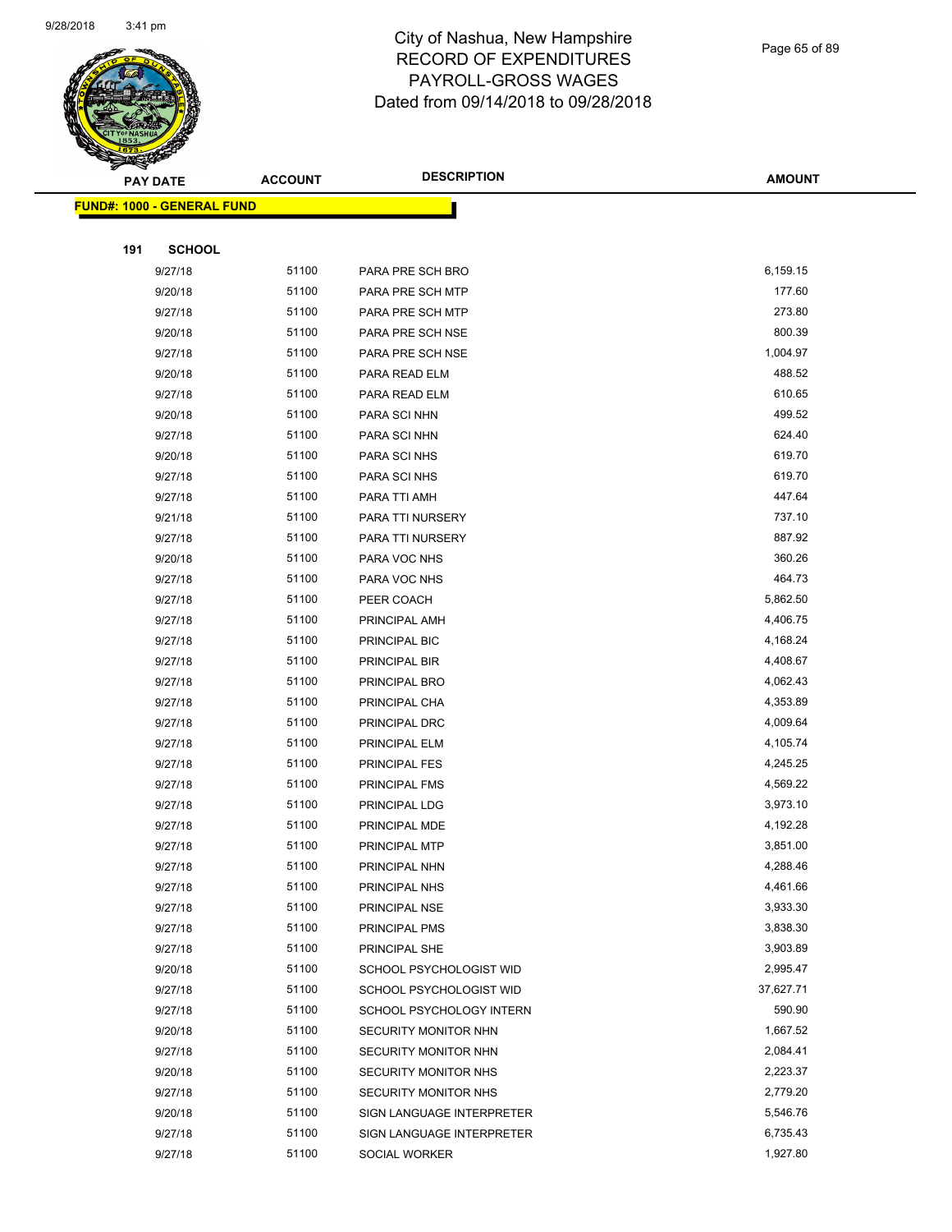

#### Page 65 of 89

| $\tilde{\phantom{a}}$ | <b>PAY DATE</b>                   | <b>ACCOUNT</b> | <b>DESCRIPTION</b>        | <b>AMOUNT</b>        |
|-----------------------|-----------------------------------|----------------|---------------------------|----------------------|
|                       | <b>FUND#: 1000 - GENERAL FUND</b> |                |                           |                      |
|                       |                                   |                |                           |                      |
| 191                   | <b>SCHOOL</b>                     |                |                           |                      |
|                       | 9/27/18                           | 51100          | PARA PRE SCH BRO          | 6,159.15             |
|                       | 9/20/18                           | 51100          | PARA PRE SCH MTP          | 177.60               |
|                       | 9/27/18                           | 51100          | PARA PRE SCH MTP          | 273.80               |
|                       | 9/20/18                           | 51100          | PARA PRE SCH NSE          | 800.39               |
|                       | 9/27/18                           | 51100          | PARA PRE SCH NSE          | 1,004.97             |
|                       | 9/20/18                           | 51100          | PARA READ ELM             | 488.52               |
|                       | 9/27/18                           | 51100          | PARA READ ELM             | 610.65               |
|                       | 9/20/18                           | 51100          | PARA SCI NHN              | 499.52               |
|                       | 9/27/18                           | 51100          | PARA SCI NHN              | 624.40               |
|                       | 9/20/18                           | 51100          | PARA SCI NHS              | 619.70               |
|                       | 9/27/18                           | 51100          | PARA SCI NHS              | 619.70               |
|                       | 9/27/18                           | 51100          | PARA TTI AMH              | 447.64               |
|                       | 9/21/18                           | 51100          | PARA TTI NURSERY          | 737.10               |
|                       | 9/27/18                           | 51100          | PARA TTI NURSERY          | 887.92               |
|                       | 9/20/18                           | 51100          | PARA VOC NHS              | 360.26               |
|                       | 9/27/18                           | 51100          | PARA VOC NHS              | 464.73               |
|                       | 9/27/18                           | 51100          | PEER COACH                | 5,862.50             |
|                       | 9/27/18                           | 51100          | PRINCIPAL AMH             | 4,406.75             |
|                       | 9/27/18                           | 51100          | PRINCIPAL BIC             | 4,168.24             |
|                       | 9/27/18                           | 51100          | PRINCIPAL BIR             | 4,408.67             |
|                       | 9/27/18                           | 51100          | PRINCIPAL BRO             | 4,062.43             |
|                       | 9/27/18                           | 51100          | PRINCIPAL CHA             | 4,353.89             |
|                       | 9/27/18                           | 51100          | PRINCIPAL DRC             | 4,009.64             |
|                       | 9/27/18                           | 51100          | PRINCIPAL ELM             | 4,105.74             |
|                       | 9/27/18                           | 51100          | PRINCIPAL FES             | 4,245.25             |
|                       | 9/27/18                           | 51100          | PRINCIPAL FMS             | 4,569.22             |
|                       | 9/27/18                           | 51100          | PRINCIPAL LDG             | 3,973.10             |
|                       | 9/27/18                           | 51100          | PRINCIPAL MDE             | 4,192.28             |
|                       | 9/27/18                           | 51100          | PRINCIPAL MTP             | 3,851.00             |
|                       | 9/27/18                           | 51100          | PRINCIPAL NHN             | 4,288.46             |
|                       | 9/27/18                           | 51100          | PRINCIPAL NHS             | 4,461.66             |
|                       | 9/27/18                           | 51100          | PRINCIPAL NSE             | 3,933.30             |
|                       | 9/27/18                           | 51100          | PRINCIPAL PMS             | 3,838.30             |
|                       | 9/27/18                           | 51100          | PRINCIPAL SHE             | 3,903.89             |
|                       | 9/20/18                           | 51100          | SCHOOL PSYCHOLOGIST WID   | 2,995.47             |
|                       | 9/27/18                           | 51100          | SCHOOL PSYCHOLOGIST WID   | 37,627.71            |
|                       | 9/27/18                           | 51100          | SCHOOL PSYCHOLOGY INTERN  | 590.90               |
|                       | 9/20/18                           | 51100          | SECURITY MONITOR NHN      | 1,667.52             |
|                       | 9/27/18                           | 51100          | SECURITY MONITOR NHN      | 2,084.41             |
|                       | 9/20/18                           | 51100<br>51100 | SECURITY MONITOR NHS      | 2,223.37             |
|                       | 9/27/18                           | 51100          | SECURITY MONITOR NHS      | 2,779.20<br>5,546.76 |
|                       | 9/20/18<br>9/27/18                | 51100          | SIGN LANGUAGE INTERPRETER | 6,735.43             |
|                       |                                   | 51100          | SIGN LANGUAGE INTERPRETER |                      |
|                       | 9/27/18                           |                | SOCIAL WORKER             | 1,927.80             |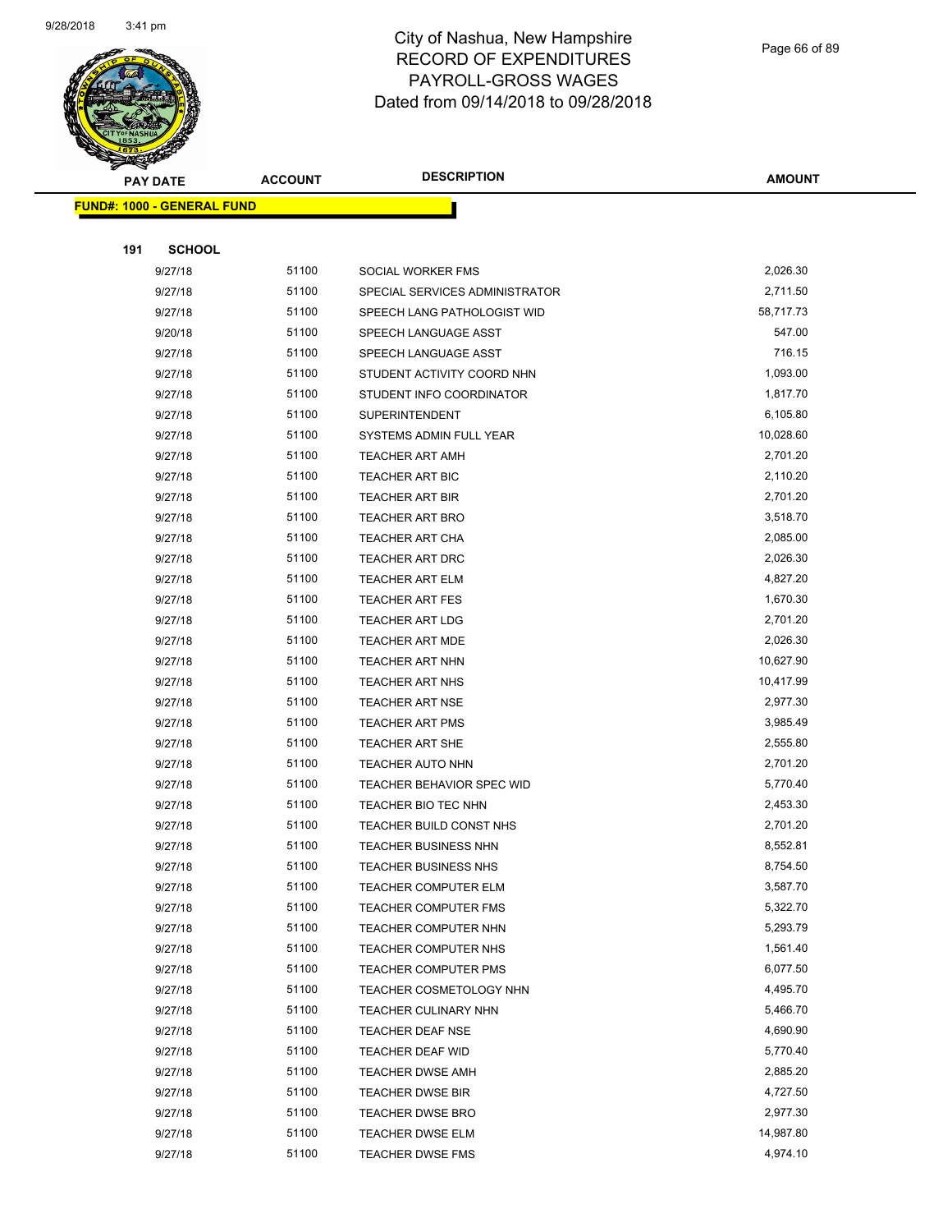

Page 66 of 89

| <b>PAY DATE</b>                   | <b>ACCOUNT</b> | <b>DESCRIPTION</b>             | <b>AMOUNT</b> |
|-----------------------------------|----------------|--------------------------------|---------------|
| <b>FUND#: 1000 - GENERAL FUND</b> |                |                                |               |
|                                   |                |                                |               |
| 191<br><b>SCHOOL</b>              |                |                                |               |
| 9/27/18                           | 51100          | SOCIAL WORKER FMS              | 2,026.30      |
| 9/27/18                           | 51100          | SPECIAL SERVICES ADMINISTRATOR | 2,711.50      |
| 9/27/18                           | 51100          | SPEECH LANG PATHOLOGIST WID    | 58,717.73     |
| 9/20/18                           | 51100          | SPEECH LANGUAGE ASST           | 547.00        |
| 9/27/18                           | 51100          | SPEECH LANGUAGE ASST           | 716.15        |
| 9/27/18                           | 51100          | STUDENT ACTIVITY COORD NHN     | 1,093.00      |
| 9/27/18                           | 51100          | STUDENT INFO COORDINATOR       | 1,817.70      |
| 9/27/18                           | 51100          | <b>SUPERINTENDENT</b>          | 6,105.80      |
| 9/27/18                           | 51100          | SYSTEMS ADMIN FULL YEAR        | 10,028.60     |
| 9/27/18                           | 51100          | <b>TEACHER ART AMH</b>         | 2,701.20      |
| 9/27/18                           | 51100          | <b>TEACHER ART BIC</b>         | 2,110.20      |
| 9/27/18                           | 51100          | <b>TEACHER ART BIR</b>         | 2,701.20      |
| 9/27/18                           | 51100          | TEACHER ART BRO                | 3,518.70      |
| 9/27/18                           | 51100          | TEACHER ART CHA                | 2,085.00      |
| 9/27/18                           | 51100          | <b>TEACHER ART DRC</b>         | 2,026.30      |
| 9/27/18                           | 51100          | <b>TEACHER ART ELM</b>         | 4,827.20      |
| 9/27/18                           | 51100          | <b>TEACHER ART FES</b>         | 1,670.30      |
| 9/27/18                           | 51100          | <b>TEACHER ART LDG</b>         | 2,701.20      |
| 9/27/18                           | 51100          | <b>TEACHER ART MDE</b>         | 2,026.30      |
| 9/27/18                           | 51100          | <b>TEACHER ART NHN</b>         | 10,627.90     |
| 9/27/18                           | 51100          | <b>TEACHER ART NHS</b>         | 10,417.99     |
| 9/27/18                           | 51100          | TEACHER ART NSE                | 2,977.30      |
| 9/27/18                           | 51100          | <b>TEACHER ART PMS</b>         | 3,985.49      |
| 9/27/18                           | 51100          | TEACHER ART SHE                | 2,555.80      |
| 9/27/18                           | 51100          | <b>TEACHER AUTO NHN</b>        | 2,701.20      |
| 9/27/18                           | 51100          | TEACHER BEHAVIOR SPEC WID      | 5,770.40      |
| 9/27/18                           | 51100          | TEACHER BIO TEC NHN            | 2,453.30      |
| 9/27/18                           | 51100          | TEACHER BUILD CONST NHS        | 2,701.20      |
| 9/27/18                           | 51100          | TEACHER BUSINESS NHN           | 8,552.81      |
| 9/27/18                           | 51100          | <b>TEACHER BUSINESS NHS</b>    | 8,754.50      |
| 9/27/18                           | 51100          | <b>TEACHER COMPUTER ELM</b>    | 3,587.70      |
| 9/27/18                           | 51100          | <b>TEACHER COMPUTER FMS</b>    | 5,322.70      |
| 9/27/18                           | 51100          | TEACHER COMPUTER NHN           | 5,293.79      |
| 9/27/18                           | 51100          | TEACHER COMPUTER NHS           | 1,561.40      |
| 9/27/18                           | 51100          | <b>TEACHER COMPUTER PMS</b>    | 6,077.50      |
| 9/27/18                           | 51100          | <b>TEACHER COSMETOLOGY NHN</b> | 4,495.70      |
| 9/27/18                           | 51100          | TEACHER CULINARY NHN           | 5,466.70      |
| 9/27/18                           | 51100          | TEACHER DEAF NSE               | 4,690.90      |
| 9/27/18                           | 51100          | TEACHER DEAF WID               | 5,770.40      |
| 9/27/18                           | 51100          | <b>TEACHER DWSE AMH</b>        | 2,885.20      |
| 9/27/18                           | 51100          | <b>TEACHER DWSE BIR</b>        | 4,727.50      |
| 9/27/18                           | 51100          | <b>TEACHER DWSE BRO</b>        | 2,977.30      |
| 9/27/18                           | 51100          | <b>TEACHER DWSE ELM</b>        | 14,987.80     |
| 9/27/18                           | 51100          | <b>TEACHER DWSE FMS</b>        | 4,974.10      |
|                                   |                |                                |               |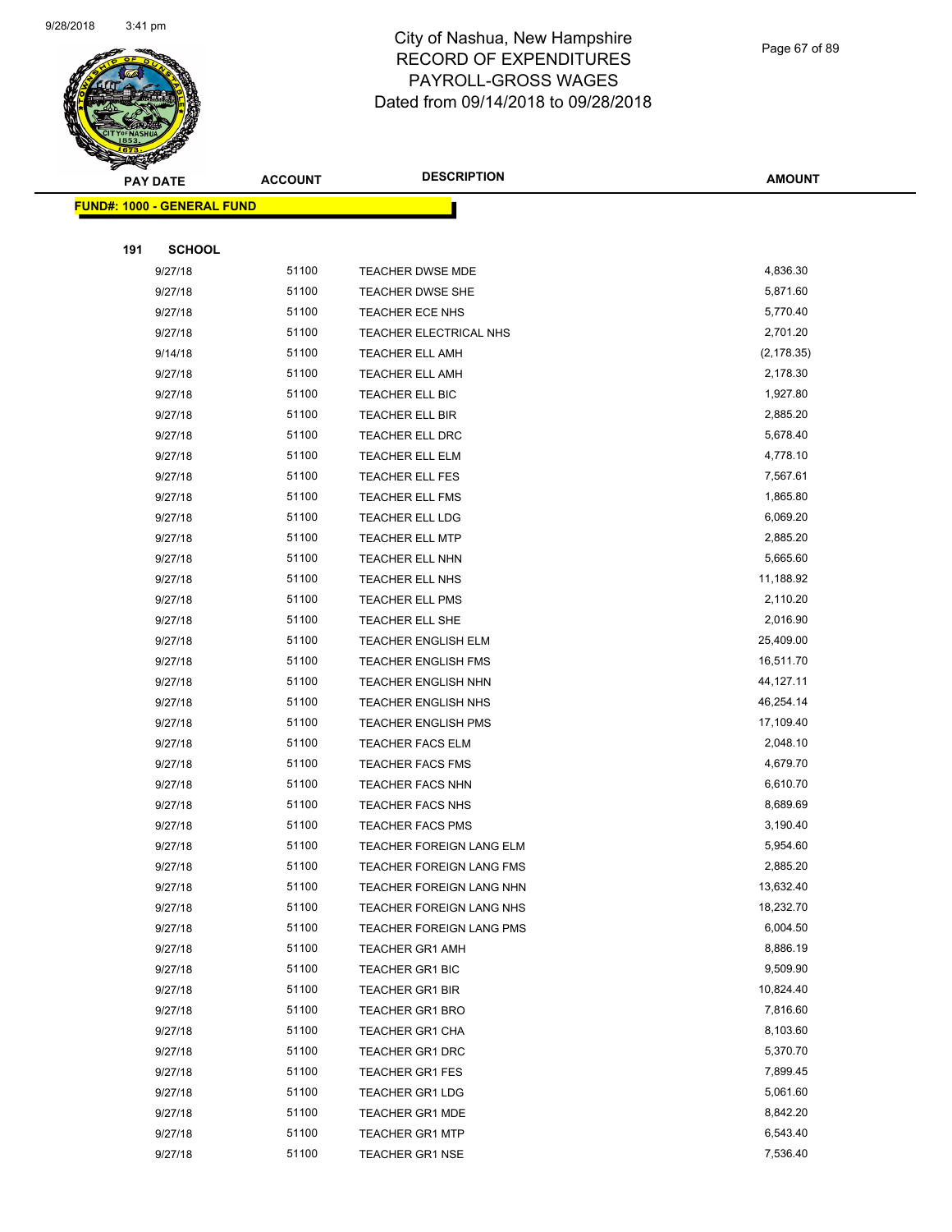

Page 67 of 89

| <b>PAY DATE</b>                   | <b>ACCOUNT</b> | <b>DESCRIPTION</b>              | <b>AMOUNT</b> |
|-----------------------------------|----------------|---------------------------------|---------------|
| <b>FUND#: 1000 - GENERAL FUND</b> |                |                                 |               |
|                                   |                |                                 |               |
| 191<br><b>SCHOOL</b>              |                |                                 |               |
| 9/27/18                           | 51100          | TEACHER DWSE MDE                | 4,836.30      |
| 9/27/18                           | 51100          | <b>TEACHER DWSE SHE</b>         | 5,871.60      |
| 9/27/18                           | 51100          | TEACHER ECE NHS                 | 5,770.40      |
| 9/27/18                           | 51100          | TEACHER ELECTRICAL NHS          | 2,701.20      |
| 9/14/18                           | 51100          | <b>TEACHER ELL AMH</b>          | (2, 178.35)   |
| 9/27/18                           | 51100          | <b>TEACHER ELL AMH</b>          | 2,178.30      |
| 9/27/18                           | 51100          | <b>TEACHER ELL BIC</b>          | 1,927.80      |
| 9/27/18                           | 51100          | TEACHER ELL BIR                 | 2,885.20      |
| 9/27/18                           | 51100          | TEACHER ELL DRC                 | 5,678.40      |
| 9/27/18                           | 51100          | TEACHER ELL ELM                 | 4,778.10      |
| 9/27/18                           | 51100          | TEACHER ELL FES                 | 7,567.61      |
| 9/27/18                           | 51100          | TEACHER ELL FMS                 | 1,865.80      |
| 9/27/18                           | 51100          | TEACHER ELL LDG                 | 6,069.20      |
| 9/27/18                           | 51100          | <b>TEACHER ELL MTP</b>          | 2,885.20      |
| 9/27/18                           | 51100          | TEACHER ELL NHN                 | 5,665.60      |
| 9/27/18                           | 51100          | <b>TEACHER ELL NHS</b>          | 11,188.92     |
| 9/27/18                           | 51100          | <b>TEACHER ELL PMS</b>          | 2,110.20      |
| 9/27/18                           | 51100          | TEACHER ELL SHE                 | 2,016.90      |
| 9/27/18                           | 51100          | TEACHER ENGLISH ELM             | 25,409.00     |
| 9/27/18                           | 51100          | TEACHER ENGLISH FMS             | 16,511.70     |
| 9/27/18                           | 51100          | TEACHER ENGLISH NHN             | 44,127.11     |
| 9/27/18                           | 51100          | TEACHER ENGLISH NHS             | 46,254.14     |
| 9/27/18                           | 51100          | <b>TEACHER ENGLISH PMS</b>      | 17,109.40     |
| 9/27/18                           | 51100          | <b>TEACHER FACS ELM</b>         | 2,048.10      |
| 9/27/18                           | 51100          | <b>TEACHER FACS FMS</b>         | 4,679.70      |
| 9/27/18                           | 51100          | <b>TEACHER FACS NHN</b>         | 6,610.70      |
| 9/27/18                           | 51100          | <b>TEACHER FACS NHS</b>         | 8,689.69      |
| 9/27/18                           | 51100          | <b>TEACHER FACS PMS</b>         | 3,190.40      |
| 9/27/18                           | 51100          | TEACHER FOREIGN LANG ELM        | 5,954.60      |
| 9/27/18                           | 51100          | <b>TEACHER FOREIGN LANG FMS</b> | 2,885.20      |
| 9/27/18                           | 51100          | TEACHER FOREIGN LANG NHN        | 13,632.40     |
| 9/27/18                           | 51100          | TEACHER FOREIGN LANG NHS        | 18,232.70     |
| 9/27/18                           | 51100          | TEACHER FOREIGN LANG PMS        | 6,004.50      |
| 9/27/18                           | 51100          | <b>TEACHER GR1 AMH</b>          | 8,886.19      |
| 9/27/18                           | 51100          | <b>TEACHER GR1 BIC</b>          | 9,509.90      |
| 9/27/18                           | 51100          | TEACHER GR1 BIR                 | 10,824.40     |
| 9/27/18                           | 51100          | <b>TEACHER GR1 BRO</b>          | 7,816.60      |
| 9/27/18                           | 51100          | TEACHER GR1 CHA                 | 8,103.60      |
| 9/27/18                           | 51100          | <b>TEACHER GR1 DRC</b>          | 5,370.70      |
| 9/27/18                           | 51100          | TEACHER GR1 FES                 | 7,899.45      |
| 9/27/18                           | 51100          | <b>TEACHER GR1 LDG</b>          | 5,061.60      |
| 9/27/18                           | 51100          | <b>TEACHER GR1 MDE</b>          | 8,842.20      |
| 9/27/18                           | 51100          | <b>TEACHER GR1 MTP</b>          | 6,543.40      |
| 9/27/18                           | 51100          | <b>TEACHER GR1 NSE</b>          | 7,536.40      |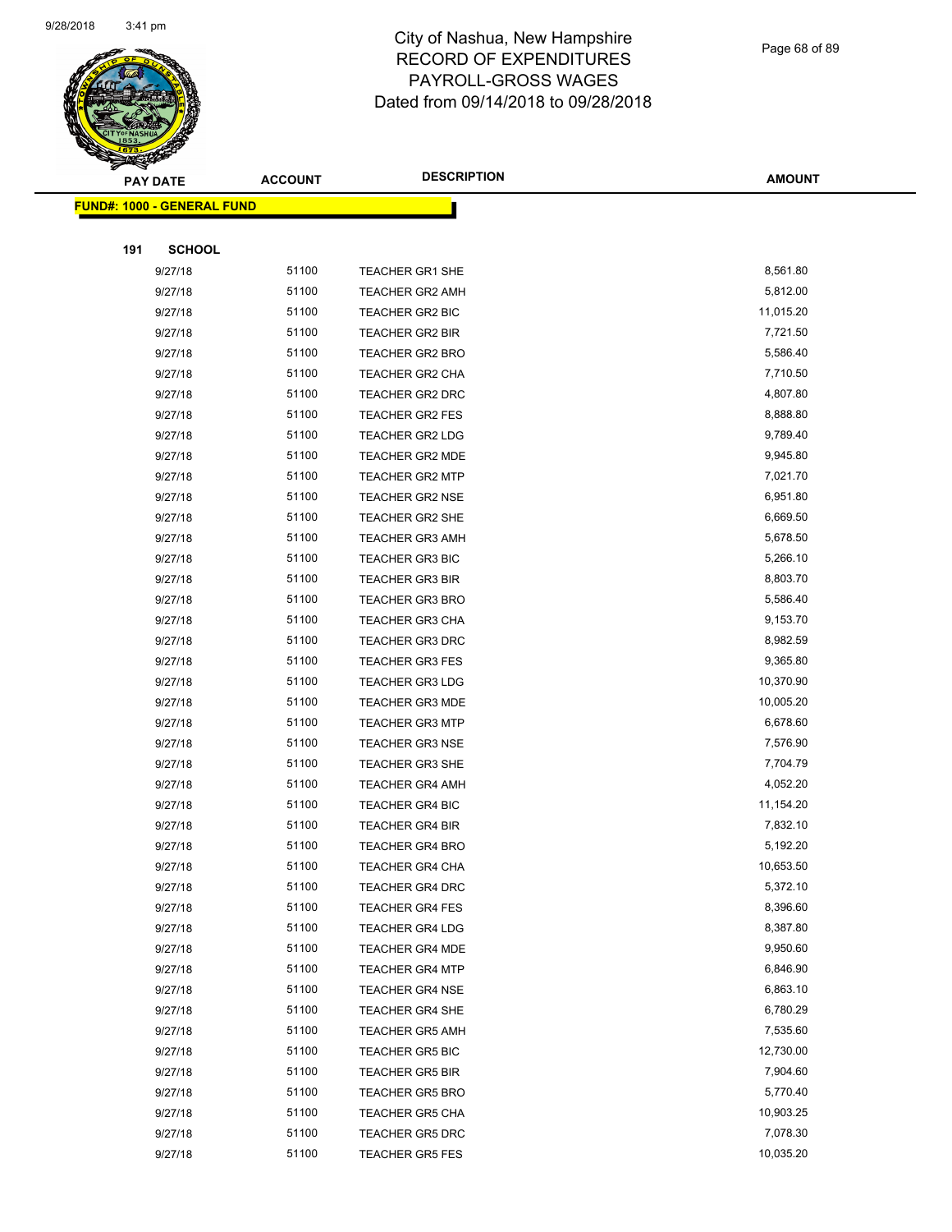

Page 68 of 89

| <b>PAY DATE</b>                    | <b>ACCOUNT</b> | <b>DESCRIPTION</b>     | <b>AMOUNT</b> |
|------------------------------------|----------------|------------------------|---------------|
| <u> FUND#: 1000 - GENERAL FUND</u> |                |                        |               |
|                                    |                |                        |               |
| 191<br><b>SCHOOL</b>               |                |                        |               |
| 9/27/18                            | 51100          | TEACHER GR1 SHE        | 8,561.80      |
| 9/27/18                            | 51100          | TEACHER GR2 AMH        | 5,812.00      |
| 9/27/18                            | 51100          | <b>TEACHER GR2 BIC</b> | 11,015.20     |
| 9/27/18                            | 51100          | <b>TEACHER GR2 BIR</b> | 7,721.50      |
| 9/27/18                            | 51100          | <b>TEACHER GR2 BRO</b> | 5,586.40      |
| 9/27/18                            | 51100          | <b>TEACHER GR2 CHA</b> | 7,710.50      |
| 9/27/18                            | 51100          | TEACHER GR2 DRC        | 4,807.80      |
| 9/27/18                            | 51100          | <b>TEACHER GR2 FES</b> | 8,888.80      |
| 9/27/18                            | 51100          | TEACHER GR2 LDG        | 9,789.40      |
| 9/27/18                            | 51100          | <b>TEACHER GR2 MDE</b> | 9,945.80      |
| 9/27/18                            | 51100          | <b>TEACHER GR2 MTP</b> | 7,021.70      |
| 9/27/18                            | 51100          | <b>TEACHER GR2 NSE</b> | 6,951.80      |
| 9/27/18                            | 51100          | <b>TEACHER GR2 SHE</b> | 6,669.50      |
| 9/27/18                            | 51100          | <b>TEACHER GR3 AMH</b> | 5,678.50      |
| 9/27/18                            | 51100          | <b>TEACHER GR3 BIC</b> | 5,266.10      |
| 9/27/18                            | 51100          | <b>TEACHER GR3 BIR</b> | 8,803.70      |
| 9/27/18                            | 51100          | <b>TEACHER GR3 BRO</b> | 5,586.40      |
| 9/27/18                            | 51100          | <b>TEACHER GR3 CHA</b> | 9,153.70      |
| 9/27/18                            | 51100          | <b>TEACHER GR3 DRC</b> | 8,982.59      |
| 9/27/18                            | 51100          | <b>TEACHER GR3 FES</b> | 9,365.80      |
| 9/27/18                            | 51100          | <b>TEACHER GR3 LDG</b> | 10,370.90     |
| 9/27/18                            | 51100          | <b>TEACHER GR3 MDE</b> | 10,005.20     |
| 9/27/18                            | 51100          | <b>TEACHER GR3 MTP</b> | 6,678.60      |
| 9/27/18                            | 51100          | <b>TEACHER GR3 NSE</b> | 7,576.90      |
| 9/27/18                            | 51100          | <b>TEACHER GR3 SHE</b> | 7,704.79      |
| 9/27/18                            | 51100          | <b>TEACHER GR4 AMH</b> | 4,052.20      |
| 9/27/18                            | 51100          | <b>TEACHER GR4 BIC</b> | 11,154.20     |
| 9/27/18                            | 51100          | <b>TEACHER GR4 BIR</b> | 7,832.10      |
| 9/27/18                            | 51100          | <b>TEACHER GR4 BRO</b> | 5,192.20      |
| 9/27/18                            | 51100          | <b>TEACHER GR4 CHA</b> | 10,653.50     |
| 9/27/18                            | 51100          | <b>TEACHER GR4 DRC</b> | 5,372.10      |
| 9/27/18                            | 51100          | <b>TEACHER GR4 FES</b> | 8,396.60      |
| 9/27/18                            | 51100          | <b>TEACHER GR4 LDG</b> | 8,387.80      |
| 9/27/18                            | 51100          | <b>TEACHER GR4 MDE</b> | 9,950.60      |
| 9/27/18                            | 51100          | <b>TEACHER GR4 MTP</b> | 6,846.90      |
| 9/27/18                            | 51100          | <b>TEACHER GR4 NSE</b> | 6,863.10      |
| 9/27/18                            | 51100          | <b>TEACHER GR4 SHE</b> | 6,780.29      |
| 9/27/18                            | 51100          | <b>TEACHER GR5 AMH</b> | 7,535.60      |
| 9/27/18                            | 51100          | <b>TEACHER GR5 BIC</b> | 12,730.00     |
| 9/27/18                            | 51100          | <b>TEACHER GR5 BIR</b> | 7,904.60      |
| 9/27/18                            | 51100          | TEACHER GR5 BRO        | 5,770.40      |
| 9/27/18                            | 51100          | <b>TEACHER GR5 CHA</b> | 10,903.25     |
| 9/27/18                            | 51100          | <b>TEACHER GR5 DRC</b> | 7,078.30      |
| 9/27/18                            | 51100          | <b>TEACHER GR5 FES</b> | 10,035.20     |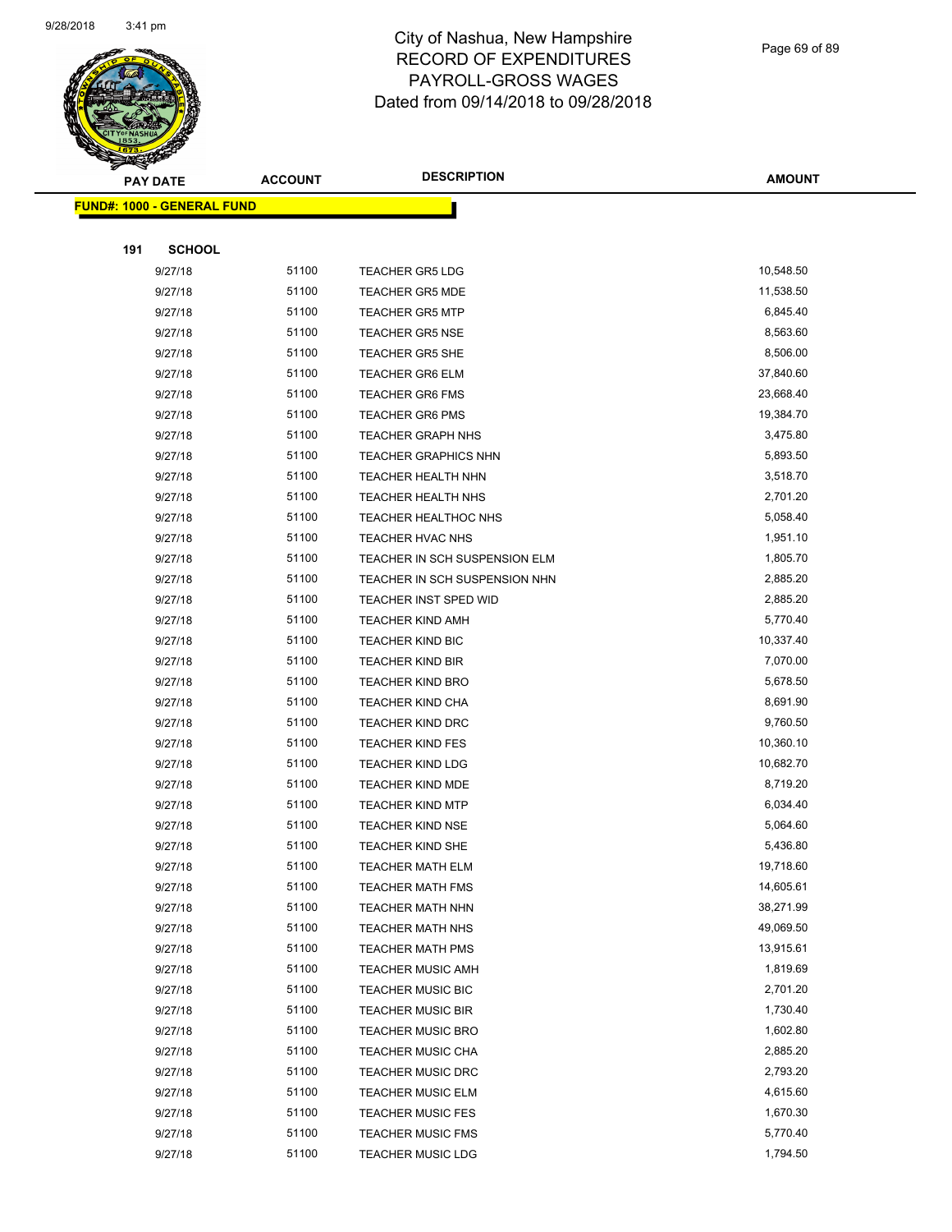

Page 69 of 89

| $\tilde{\phantom{a}}$ | <b>PAY DATE</b>                   | <b>ACCOUNT</b> | <b>DESCRIPTION</b>            | <b>AMOUNT</b> |
|-----------------------|-----------------------------------|----------------|-------------------------------|---------------|
|                       | <b>FUND#: 1000 - GENERAL FUND</b> |                |                               |               |
|                       |                                   |                |                               |               |
| 191                   | <b>SCHOOL</b>                     |                |                               |               |
|                       | 9/27/18                           | 51100          | <b>TEACHER GR5 LDG</b>        | 10,548.50     |
|                       | 9/27/18                           | 51100          | <b>TEACHER GR5 MDE</b>        | 11,538.50     |
|                       | 9/27/18                           | 51100          | <b>TEACHER GR5 MTP</b>        | 6,845.40      |
|                       | 9/27/18                           | 51100          | <b>TEACHER GR5 NSE</b>        | 8,563.60      |
|                       | 9/27/18                           | 51100          | <b>TEACHER GR5 SHE</b>        | 8,506.00      |
|                       | 9/27/18                           | 51100          | <b>TEACHER GR6 ELM</b>        | 37,840.60     |
|                       | 9/27/18                           | 51100          | <b>TEACHER GR6 FMS</b>        | 23,668.40     |
|                       | 9/27/18                           | 51100          | <b>TEACHER GR6 PMS</b>        | 19,384.70     |
|                       | 9/27/18                           | 51100          | <b>TEACHER GRAPH NHS</b>      | 3,475.80      |
|                       | 9/27/18                           | 51100          | <b>TEACHER GRAPHICS NHN</b>   | 5,893.50      |
|                       | 9/27/18                           | 51100          | TEACHER HEALTH NHN            | 3,518.70      |
|                       | 9/27/18                           | 51100          | TEACHER HEALTH NHS            | 2,701.20      |
|                       | 9/27/18                           | 51100          | <b>TEACHER HEALTHOC NHS</b>   | 5,058.40      |
|                       | 9/27/18                           | 51100          | TEACHER HVAC NHS              | 1,951.10      |
|                       | 9/27/18                           | 51100          | TEACHER IN SCH SUSPENSION ELM | 1,805.70      |
|                       | 9/27/18                           | 51100          | TEACHER IN SCH SUSPENSION NHN | 2,885.20      |
|                       | 9/27/18                           | 51100          | TEACHER INST SPED WID         | 2,885.20      |
|                       | 9/27/18                           | 51100          | <b>TEACHER KIND AMH</b>       | 5,770.40      |
|                       | 9/27/18                           | 51100          | <b>TEACHER KIND BIC</b>       | 10,337.40     |
|                       | 9/27/18                           | 51100          | <b>TEACHER KIND BIR</b>       | 7,070.00      |
|                       | 9/27/18                           | 51100          | <b>TEACHER KIND BRO</b>       | 5,678.50      |
|                       | 9/27/18                           | 51100          | <b>TEACHER KIND CHA</b>       | 8,691.90      |
|                       | 9/27/18                           | 51100          | <b>TEACHER KIND DRC</b>       | 9,760.50      |
|                       | 9/27/18                           | 51100          | <b>TEACHER KIND FES</b>       | 10,360.10     |
|                       | 9/27/18                           | 51100          | <b>TEACHER KIND LDG</b>       | 10,682.70     |
|                       | 9/27/18                           | 51100          | <b>TEACHER KIND MDE</b>       | 8,719.20      |
|                       | 9/27/18                           | 51100          | <b>TEACHER KIND MTP</b>       | 6,034.40      |
|                       | 9/27/18                           | 51100          | <b>TEACHER KIND NSE</b>       | 5,064.60      |
|                       | 9/27/18                           | 51100          | <b>TEACHER KIND SHE</b>       | 5,436.80      |
|                       | 9/27/18                           | 51100          | TEACHER MATH ELM              | 19,718.60     |
|                       | 9/27/18                           | 51100          | <b>TEACHER MATH FMS</b>       | 14,605.61     |
|                       | 9/27/18                           | 51100          | TEACHER MATH NHN              | 38,271.99     |
|                       | 9/27/18                           | 51100          | <b>TEACHER MATH NHS</b>       | 49,069.50     |
|                       | 9/27/18                           | 51100          | <b>TEACHER MATH PMS</b>       | 13,915.61     |
|                       | 9/27/18                           | 51100          | <b>TEACHER MUSIC AMH</b>      | 1,819.69      |
|                       | 9/27/18                           | 51100          | <b>TEACHER MUSIC BIC</b>      | 2,701.20      |
|                       | 9/27/18                           | 51100          | <b>TEACHER MUSIC BIR</b>      | 1,730.40      |
|                       | 9/27/18                           | 51100          | <b>TEACHER MUSIC BRO</b>      | 1,602.80      |
|                       | 9/27/18                           | 51100          | <b>TEACHER MUSIC CHA</b>      | 2,885.20      |
|                       | 9/27/18                           | 51100          | <b>TEACHER MUSIC DRC</b>      | 2,793.20      |
|                       | 9/27/18                           | 51100          | <b>TEACHER MUSIC ELM</b>      | 4,615.60      |
|                       | 9/27/18                           | 51100          | <b>TEACHER MUSIC FES</b>      | 1,670.30      |
|                       | 9/27/18                           | 51100          | <b>TEACHER MUSIC FMS</b>      | 5,770.40      |
|                       | 9/27/18                           | 51100          | <b>TEACHER MUSIC LDG</b>      | 1,794.50      |
|                       |                                   |                |                               |               |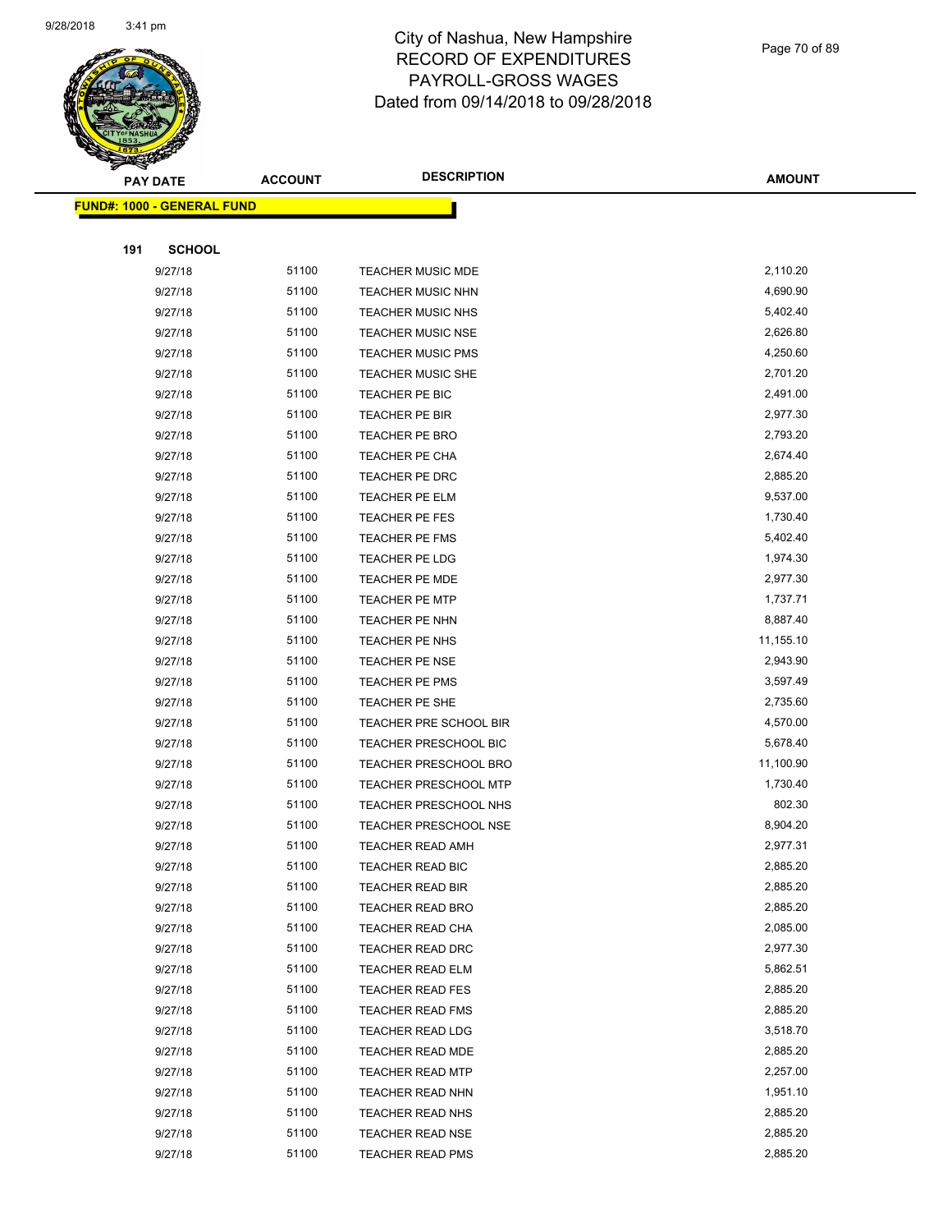

Page 70 of 89

|     | <b>PAY DATE</b>                   | <b>ACCOUNT</b> | <b>DESCRIPTION</b>           | <b>AMOUNT</b> |
|-----|-----------------------------------|----------------|------------------------------|---------------|
|     | <b>FUND#: 1000 - GENERAL FUND</b> |                |                              |               |
|     |                                   |                |                              |               |
| 191 | <b>SCHOOL</b>                     |                |                              |               |
|     | 9/27/18                           | 51100          | TEACHER MUSIC MDE            | 2,110.20      |
|     | 9/27/18                           | 51100          | <b>TEACHER MUSIC NHN</b>     | 4,690.90      |
|     | 9/27/18                           | 51100          | <b>TEACHER MUSIC NHS</b>     | 5,402.40      |
|     | 9/27/18                           | 51100          | <b>TEACHER MUSIC NSE</b>     | 2,626.80      |
|     | 9/27/18                           | 51100          | <b>TEACHER MUSIC PMS</b>     | 4,250.60      |
|     | 9/27/18                           | 51100          | <b>TEACHER MUSIC SHE</b>     | 2,701.20      |
|     | 9/27/18                           | 51100          | TEACHER PE BIC               | 2,491.00      |
|     | 9/27/18                           | 51100          | TEACHER PE BIR               | 2,977.30      |
|     | 9/27/18                           | 51100          | <b>TEACHER PE BRO</b>        | 2,793.20      |
|     | 9/27/18                           | 51100          | TEACHER PE CHA               | 2,674.40      |
|     | 9/27/18                           | 51100          | TEACHER PE DRC               | 2,885.20      |
|     | 9/27/18                           | 51100          | <b>TEACHER PE ELM</b>        | 9,537.00      |
|     | 9/27/18                           | 51100          | <b>TEACHER PE FES</b>        | 1,730.40      |
|     | 9/27/18                           | 51100          | TEACHER PE FMS               | 5,402.40      |
|     | 9/27/18                           | 51100          | TEACHER PE LDG               | 1,974.30      |
|     | 9/27/18                           | 51100          | TEACHER PE MDE               | 2,977.30      |
|     | 9/27/18                           | 51100          | <b>TEACHER PE MTP</b>        | 1,737.71      |
|     | 9/27/18                           | 51100          | TEACHER PE NHN               | 8,887.40      |
|     | 9/27/18                           | 51100          | TEACHER PE NHS               | 11,155.10     |
|     | 9/27/18                           | 51100          | TEACHER PE NSE               | 2,943.90      |
|     | 9/27/18                           | 51100          | <b>TEACHER PE PMS</b>        | 3,597.49      |
|     | 9/27/18                           | 51100          | TEACHER PE SHE               | 2,735.60      |
|     | 9/27/18                           | 51100          | TEACHER PRE SCHOOL BIR       | 4,570.00      |
|     | 9/27/18                           | 51100          | <b>TEACHER PRESCHOOL BIC</b> | 5,678.40      |
|     | 9/27/18                           | 51100          | <b>TEACHER PRESCHOOL BRO</b> | 11,100.90     |
|     | 9/27/18                           | 51100          | <b>TEACHER PRESCHOOL MTP</b> | 1,730.40      |
|     | 9/27/18                           | 51100          | TEACHER PRESCHOOL NHS        | 802.30        |
|     | 9/27/18                           | 51100          | <b>TEACHER PRESCHOOL NSE</b> | 8,904.20      |
|     | 9/27/18                           | 51100          | <b>TEACHER READ AMH</b>      | 2,977.31      |
|     | 9/27/18                           | 51100          | <b>TEACHER READ BIC</b>      | 2,885.20      |
|     | 9/27/18                           | 51100          | <b>TEACHER READ BIR</b>      | 2,885.20      |
|     | 9/27/18                           | 51100          | <b>TEACHER READ BRO</b>      | 2,885.20      |
|     | 9/27/18                           | 51100          | TEACHER READ CHA             | 2,085.00      |
|     | 9/27/18                           | 51100          | TEACHER READ DRC             | 2,977.30      |
|     | 9/27/18                           | 51100          | <b>TEACHER READ ELM</b>      | 5,862.51      |
|     | 9/27/18                           | 51100          | <b>TEACHER READ FES</b>      | 2,885.20      |
|     | 9/27/18                           | 51100          | <b>TEACHER READ FMS</b>      | 2,885.20      |
|     | 9/27/18                           | 51100          | <b>TEACHER READ LDG</b>      | 3,518.70      |
|     | 9/27/18                           | 51100          | TEACHER READ MDE             | 2,885.20      |
|     | 9/27/18                           | 51100          | <b>TEACHER READ MTP</b>      | 2,257.00      |
|     | 9/27/18                           | 51100          | <b>TEACHER READ NHN</b>      | 1,951.10      |
|     | 9/27/18                           | 51100          | <b>TEACHER READ NHS</b>      | 2,885.20      |
|     | 9/27/18                           | 51100          | <b>TEACHER READ NSE</b>      | 2,885.20      |
|     | 9/27/18                           | 51100          | <b>TEACHER READ PMS</b>      | 2,885.20      |
|     |                                   |                |                              |               |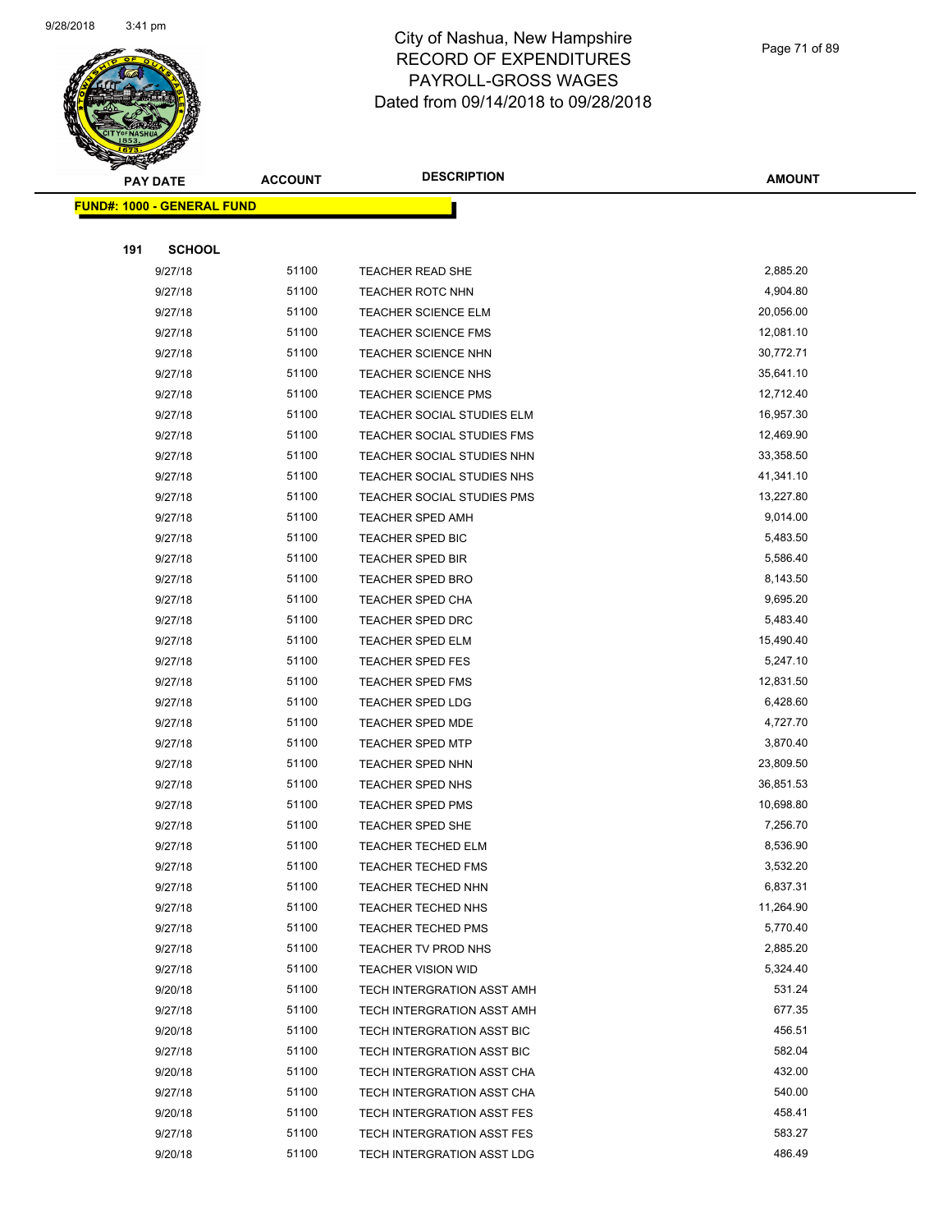

**AMOUNT**

Page 71 of 89

**FUND#: 1000 - GENERAL FUND 191 SCHOOL** 9/27/18 51100 TEACHER READ SHE 2,885.20 9/27/18 51100 TEACHER ROTC NHN 4,904.80 9/27/18 51100 TEACHER SCIENCE ELM 20,056.00 9/27/18 51100 TEACHER SCIENCE FMS 12,081.10 9/27/18 51100 TEACHER SCIENCE NHN 30,772.71 9/27/18 51100 TEACHER SCIENCE NHS 35,641.10 9/27/18 51100 TEACHER SCIENCE PMS 12,712.40 9/27/18 51100 TEACHER SOCIAL STUDIES ELM 16,957.30 9/27/18 51100 TEACHER SOCIAL STUDIES FMS 12,469.90 9/27/18 51100 TEACHER SOCIAL STUDIES NHN 33,358.50 9/27/18 51100 TEACHER SOCIAL STUDIES NHS 41,341.10 9/27/18 51100 TEACHER SOCIAL STUDIES PMS 13,227.80 9/27/18 51100 TEACHER SPED AMH 9,014.00 9/27/18 51100 TEACHER SPED BIC 5,483.50 9/27/18 51100 TEACHER SPED BIR 5,586.40 9/27/18 51100 TEACHER SPED BRO 8,143.50 9/27/18 51100 TEACHER SPED CHA 9,695.20 9/27/18 51100 TEACHER SPED DRC 5,483.40 9/27/18 51100 TEACHER SPED ELM 15,490.40 9/27/18 51100 TEACHER SPED FES 5,247.10 9/27/18 51100 TEACHER SPED FMS 12,831.50 9/27/18 51100 TEACHER SPED LDG 6,428.60 9/27/18 51100 TEACHER SPED MDE 4,727.70 9/27/18 51100 TEACHER SPED MTP 3,870.40 9/27/18 51100 TEACHER SPED NHN 23,809.50 9/27/18 51100 TEACHER SPED NHS 36,851.53 9/27/18 51100 TEACHER SPED PMS 10,698.80 9/27/18 51100 TEACHER SPED SHE 7,256.70 9/27/18 51100 TEACHER TECHED ELM 8,536.90 9/27/18 51100 TEACHER TECHED FMS 3,532.20 9/27/18 51100 TEACHER TECHED NHN 6,837.31 9/27/18 51100 TEACHER TECHED NHS 11,264.90 9/27/18 51100 TEACHER TECHED PMS 5,770.40 9/27/18 51100 TEACHER TV PROD NHS 2,885.20 9/27/18 51100 TEACHER VISION WID 5,324.40 9/20/18 51100 TECH INTERGRATION ASST AMH 531.24 9/27/18 51100 TECH INTERGRATION ASST AMH 677.35 9/20/18 51100 TECH INTERGRATION ASST BIC 456.51 9/27/18 51100 TECH INTERGRATION ASST BIC 582.04 9/20/18 51100 TECH INTERGRATION ASST CHA 432.00 9/27/18 51100 TECH INTERGRATION ASST CHA 540.00 9/20/18 51100 TECH INTERGRATION ASST FES 458.41 9/27/18 51100 TECH INTERGRATION ASST FES 583.27 9/20/18 51100 TECH INTERGRATION ASST LDG 486.49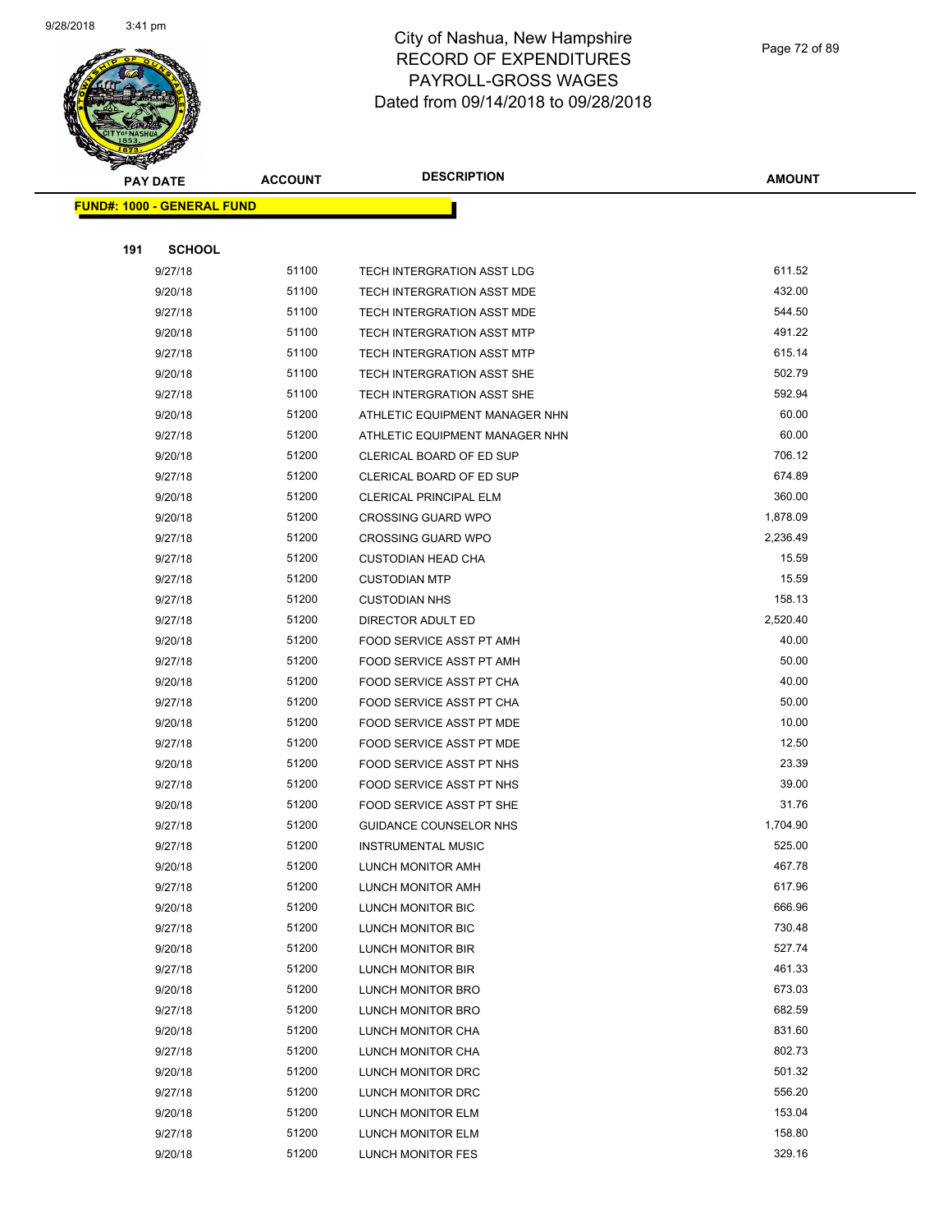

Page 72 of 89

|     | <b>PAY DATE</b>                    | <b>ACCOUNT</b> | <b>DESCRIPTION</b>             | <b>AMOUNT</b> |
|-----|------------------------------------|----------------|--------------------------------|---------------|
|     | <u> FUND#: 1000 - GENERAL FUND</u> |                |                                |               |
|     |                                    |                |                                |               |
| 191 | <b>SCHOOL</b>                      |                |                                |               |
|     | 9/27/18                            | 51100          | TECH INTERGRATION ASST LDG     | 611.52        |
|     | 9/20/18                            | 51100          | TECH INTERGRATION ASST MDE     | 432.00        |
|     | 9/27/18                            | 51100          | TECH INTERGRATION ASST MDE     | 544.50        |
|     | 9/20/18                            | 51100          | TECH INTERGRATION ASST MTP     | 491.22        |
|     | 9/27/18                            | 51100          | TECH INTERGRATION ASST MTP     | 615.14        |
|     | 9/20/18                            | 51100          | TECH INTERGRATION ASST SHE     | 502.79        |
|     | 9/27/18                            | 51100          | TECH INTERGRATION ASST SHE     | 592.94        |
|     | 9/20/18                            | 51200          | ATHLETIC EQUIPMENT MANAGER NHN | 60.00         |
|     | 9/27/18                            | 51200          | ATHLETIC EQUIPMENT MANAGER NHN | 60.00         |
|     | 9/20/18                            | 51200          | CLERICAL BOARD OF ED SUP       | 706.12        |
|     | 9/27/18                            | 51200          | CLERICAL BOARD OF ED SUP       | 674.89        |
|     | 9/20/18                            | 51200          | <b>CLERICAL PRINCIPAL ELM</b>  | 360.00        |
|     | 9/20/18                            | 51200          | <b>CROSSING GUARD WPO</b>      | 1,878.09      |
|     | 9/27/18                            | 51200          | <b>CROSSING GUARD WPO</b>      | 2,236.49      |
|     | 9/27/18                            | 51200          | <b>CUSTODIAN HEAD CHA</b>      | 15.59         |
|     | 9/27/18                            | 51200          | <b>CUSTODIAN MTP</b>           | 15.59         |
|     | 9/27/18                            | 51200          | <b>CUSTODIAN NHS</b>           | 158.13        |
|     | 9/27/18                            | 51200          | DIRECTOR ADULT ED              | 2,520.40      |
|     | 9/20/18                            | 51200          | FOOD SERVICE ASST PT AMH       | 40.00         |
|     | 9/27/18                            | 51200          | FOOD SERVICE ASST PT AMH       | 50.00         |
|     | 9/20/18                            | 51200          | FOOD SERVICE ASST PT CHA       | 40.00         |
|     | 9/27/18                            | 51200          | FOOD SERVICE ASST PT CHA       | 50.00         |
|     | 9/20/18                            | 51200          | FOOD SERVICE ASST PT MDE       | 10.00         |
|     | 9/27/18                            | 51200          | FOOD SERVICE ASST PT MDE       | 12.50         |
|     | 9/20/18                            | 51200          | FOOD SERVICE ASST PT NHS       | 23.39         |
|     | 9/27/18                            | 51200          | FOOD SERVICE ASST PT NHS       | 39.00         |
|     | 9/20/18                            | 51200          | FOOD SERVICE ASST PT SHE       | 31.76         |
|     | 9/27/18                            | 51200          | GUIDANCE COUNSELOR NHS         | 1,704.90      |
|     | 9/27/18                            | 51200          | <b>INSTRUMENTAL MUSIC</b>      | 525.00        |
|     | 9/20/18                            | 51200          | LUNCH MONITOR AMH              | 467.78        |
|     | 9/27/18                            | 51200          | LUNCH MONITOR AMH              | 617.96        |
|     | 9/20/18                            | 51200          | LUNCH MONITOR BIC              | 666.96        |
|     | 9/27/18                            | 51200          | LUNCH MONITOR BIC              | 730.48        |
|     | 9/20/18                            | 51200          | LUNCH MONITOR BIR              | 527.74        |
|     | 9/27/18                            | 51200          | LUNCH MONITOR BIR              | 461.33        |
|     | 9/20/18                            | 51200          | LUNCH MONITOR BRO              | 673.03        |
|     | 9/27/18                            | 51200          | LUNCH MONITOR BRO              | 682.59        |
|     | 9/20/18                            | 51200          | LUNCH MONITOR CHA              | 831.60        |
|     | 9/27/18                            | 51200          | LUNCH MONITOR CHA              | 802.73        |
|     | 9/20/18                            | 51200          | LUNCH MONITOR DRC              | 501.32        |
|     | 9/27/18                            | 51200          | LUNCH MONITOR DRC              | 556.20        |
|     | 9/20/18                            | 51200          | LUNCH MONITOR ELM              | 153.04        |
|     | 9/27/18                            | 51200          | LUNCH MONITOR ELM              | 158.80        |
|     | 9/20/18                            | 51200          | LUNCH MONITOR FES              | 329.16        |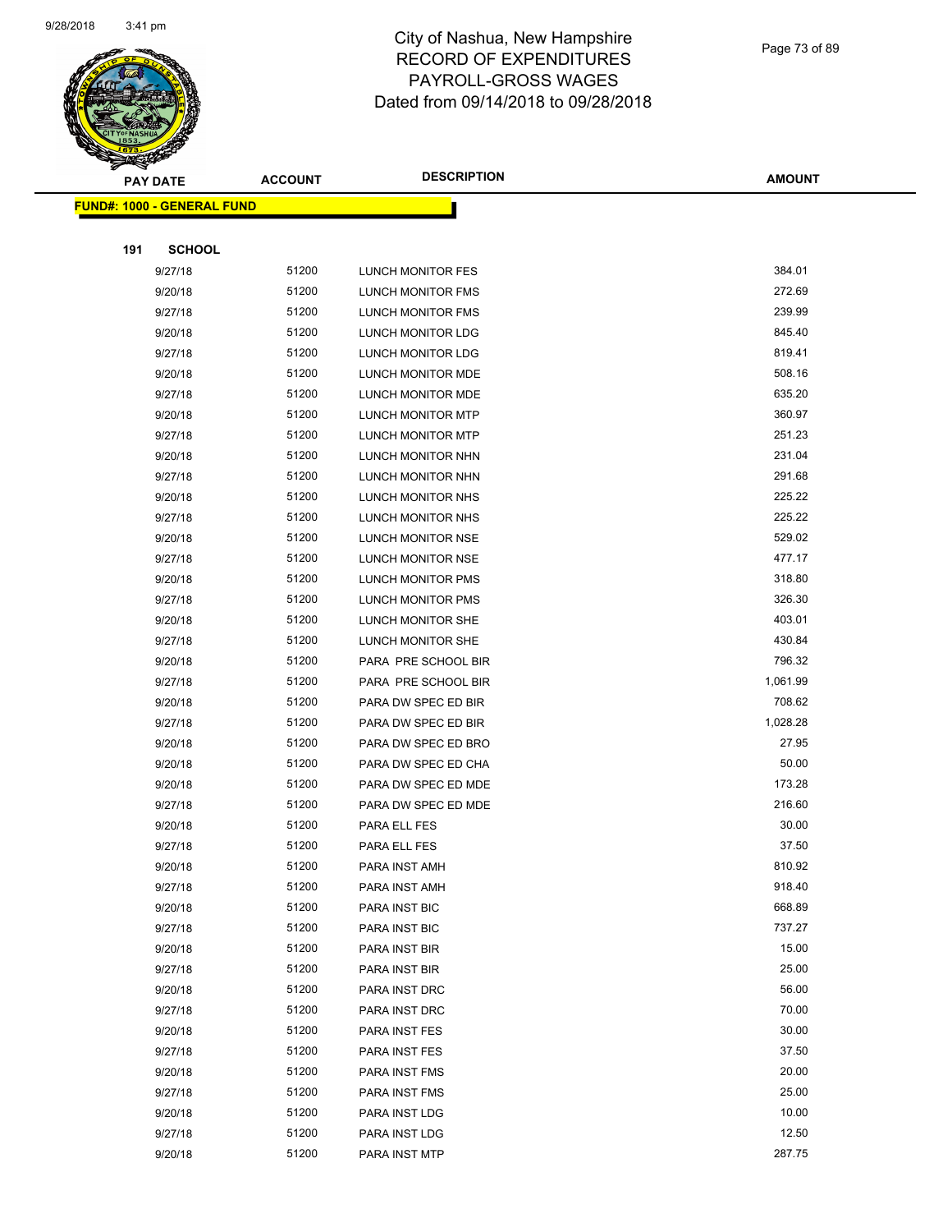

Page 73 of 89

|     | <b>PAY DATE</b>                   | <b>ACCOUNT</b> | <b>DESCRIPTION</b>             | <b>AMOUNT</b>  |
|-----|-----------------------------------|----------------|--------------------------------|----------------|
|     | <b>FUND#: 1000 - GENERAL FUND</b> |                |                                |                |
|     |                                   |                |                                |                |
| 191 | <b>SCHOOL</b>                     |                |                                |                |
|     | 9/27/18                           | 51200          | <b>LUNCH MONITOR FES</b>       | 384.01         |
|     | 9/20/18                           | 51200          | LUNCH MONITOR FMS              | 272.69         |
|     | 9/27/18                           | 51200          | LUNCH MONITOR FMS              | 239.99         |
|     | 9/20/18                           | 51200          | LUNCH MONITOR LDG              | 845.40         |
|     | 9/27/18                           | 51200          | LUNCH MONITOR LDG              | 819.41         |
|     | 9/20/18                           | 51200          | LUNCH MONITOR MDE              | 508.16         |
|     | 9/27/18                           | 51200          | LUNCH MONITOR MDE              | 635.20         |
|     | 9/20/18                           | 51200          | LUNCH MONITOR MTP              | 360.97         |
|     | 9/27/18                           | 51200          | LUNCH MONITOR MTP              | 251.23         |
|     | 9/20/18                           | 51200          | LUNCH MONITOR NHN              | 231.04         |
|     | 9/27/18                           | 51200          | LUNCH MONITOR NHN              | 291.68         |
|     | 9/20/18                           | 51200          | LUNCH MONITOR NHS              | 225.22         |
|     | 9/27/18                           | 51200          | LUNCH MONITOR NHS              | 225.22         |
|     | 9/20/18                           | 51200          | LUNCH MONITOR NSE              | 529.02         |
|     | 9/27/18                           | 51200          | LUNCH MONITOR NSE              | 477.17         |
|     | 9/20/18                           | 51200          | <b>LUNCH MONITOR PMS</b>       | 318.80         |
|     | 9/27/18                           | 51200          | LUNCH MONITOR PMS              | 326.30         |
|     | 9/20/18                           | 51200          | LUNCH MONITOR SHE              | 403.01         |
|     | 9/27/18                           | 51200          | LUNCH MONITOR SHE              | 430.84         |
|     | 9/20/18                           | 51200          | PARA PRE SCHOOL BIR            | 796.32         |
|     | 9/27/18                           | 51200          | PARA PRE SCHOOL BIR            | 1,061.99       |
|     | 9/20/18                           | 51200          | PARA DW SPEC ED BIR            | 708.62         |
|     | 9/27/18                           | 51200          | PARA DW SPEC ED BIR            | 1,028.28       |
|     | 9/20/18                           | 51200          | PARA DW SPEC ED BRO            | 27.95          |
|     | 9/20/18                           | 51200          | PARA DW SPEC ED CHA            | 50.00          |
|     | 9/20/18                           | 51200          | PARA DW SPEC ED MDE            | 173.28         |
|     | 9/27/18                           | 51200          | PARA DW SPEC ED MDE            | 216.60         |
|     | 9/20/18                           | 51200          | PARA ELL FES                   | 30.00          |
|     | 9/27/18                           | 51200          | PARA ELL FES                   | 37.50          |
|     | 9/20/18                           | 51200          | PARA INST AMH                  | 810.92         |
|     | 9/27/18                           | 51200          | PARA INST AMH                  | 918.40         |
|     | 9/20/18                           | 51200          | PARA INST BIC                  | 668.89         |
|     | 9/27/18                           | 51200          | PARA INST BIC                  | 737.27         |
|     | 9/20/18                           | 51200          | PARA INST BIR                  | 15.00          |
|     | 9/27/18                           | 51200          | PARA INST BIR                  | 25.00          |
|     | 9/20/18                           | 51200          | PARA INST DRC                  | 56.00<br>70.00 |
|     | 9/27/18                           | 51200          | PARA INST DRC                  |                |
|     | 9/20/18                           | 51200          | PARA INST FES                  | 30.00          |
|     | 9/27/18                           | 51200<br>51200 | PARA INST FES                  | 37.50<br>20.00 |
|     | 9/20/18                           | 51200          | PARA INST FMS                  | 25.00          |
|     | 9/27/18                           | 51200          | PARA INST FMS                  | 10.00          |
|     | 9/20/18                           | 51200          | PARA INST LDG<br>PARA INST LDG | 12.50          |
|     | 9/27/18<br>9/20/18                | 51200          | PARA INST MTP                  | 287.75         |
|     |                                   |                |                                |                |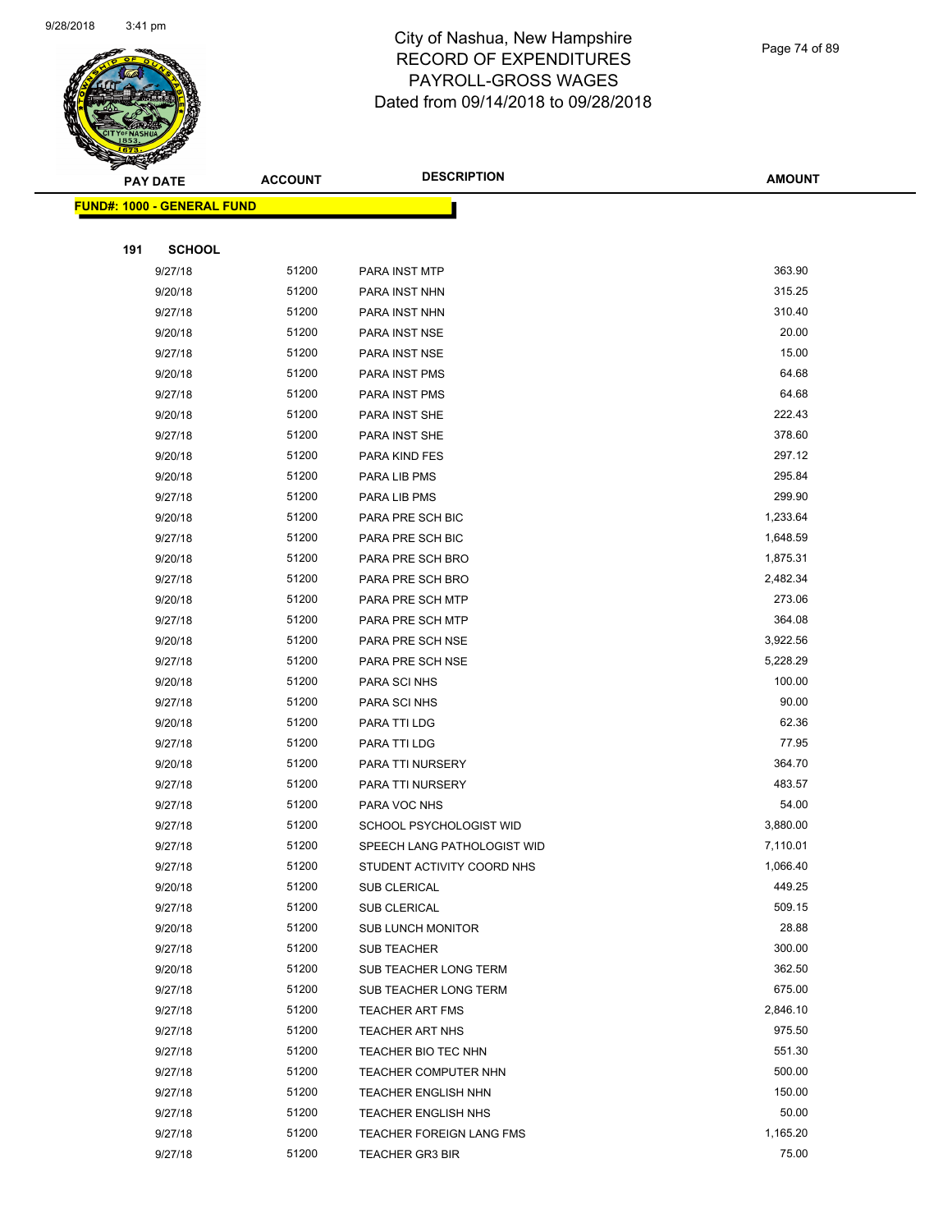

Page 74 of 89

|     | <b>PAY DATE</b>                   | <b>ACCOUNT</b> | <b>DESCRIPTION</b>          | <b>AMOUNT</b> |
|-----|-----------------------------------|----------------|-----------------------------|---------------|
|     | <b>FUND#: 1000 - GENERAL FUND</b> |                |                             |               |
|     |                                   |                |                             |               |
| 191 | <b>SCHOOL</b>                     |                |                             |               |
|     | 9/27/18                           | 51200          | PARA INST MTP               | 363.90        |
|     | 9/20/18                           | 51200          | PARA INST NHN               | 315.25        |
|     | 9/27/18                           | 51200          | PARA INST NHN               | 310.40        |
|     | 9/20/18                           | 51200          | PARA INST NSE               | 20.00         |
|     | 9/27/18                           | 51200          | PARA INST NSE               | 15.00         |
|     | 9/20/18                           | 51200          | PARA INST PMS               | 64.68         |
|     | 9/27/18                           | 51200          | PARA INST PMS               | 64.68         |
|     | 9/20/18                           | 51200          | PARA INST SHE               | 222.43        |
|     | 9/27/18                           | 51200          | PARA INST SHE               | 378.60        |
|     | 9/20/18                           | 51200          | PARA KIND FES               | 297.12        |
|     | 9/20/18                           | 51200          | PARA LIB PMS                | 295.84        |
|     | 9/27/18                           | 51200          | PARA LIB PMS                | 299.90        |
|     | 9/20/18                           | 51200          | PARA PRE SCH BIC            | 1,233.64      |
|     | 9/27/18                           | 51200          | PARA PRE SCH BIC            | 1,648.59      |
|     | 9/20/18                           | 51200          | PARA PRE SCH BRO            | 1,875.31      |
|     | 9/27/18                           | 51200          | PARA PRE SCH BRO            | 2,482.34      |
|     | 9/20/18                           | 51200          | PARA PRE SCH MTP            | 273.06        |
|     | 9/27/18                           | 51200          | PARA PRE SCH MTP            | 364.08        |
|     | 9/20/18                           | 51200          | PARA PRE SCH NSE            | 3,922.56      |
|     | 9/27/18                           | 51200          | PARA PRE SCH NSE            | 5,228.29      |
|     | 9/20/18                           | 51200          | PARA SCI NHS                | 100.00        |
|     | 9/27/18                           | 51200          | PARA SCI NHS                | 90.00         |
|     | 9/20/18                           | 51200          | PARA TTI LDG                | 62.36         |
|     | 9/27/18                           | 51200          | PARA TTI LDG                | 77.95         |
|     | 9/20/18                           | 51200          | PARA TTI NURSERY            | 364.70        |
|     | 9/27/18                           | 51200          | PARA TTI NURSERY            | 483.57        |
|     | 9/27/18                           | 51200          | PARA VOC NHS                | 54.00         |
|     | 9/27/18                           | 51200          | SCHOOL PSYCHOLOGIST WID     | 3,880.00      |
|     | 9/27/18                           | 51200          | SPEECH LANG PATHOLOGIST WID | 7,110.01      |
|     | 9/27/18                           | 51200          | STUDENT ACTIVITY COORD NHS  | 1,066.40      |
|     | 9/20/18                           | 51200          | SUB CLERICAL                | 449.25        |
|     | 9/27/18                           | 51200          | <b>SUB CLERICAL</b>         | 509.15        |
|     | 9/20/18                           | 51200          | <b>SUB LUNCH MONITOR</b>    | 28.88         |
|     | 9/27/18                           | 51200          | SUB TEACHER                 | 300.00        |
|     | 9/20/18                           | 51200          | SUB TEACHER LONG TERM       | 362.50        |
|     | 9/27/18                           | 51200          | SUB TEACHER LONG TERM       | 675.00        |
|     | 9/27/18                           | 51200          | <b>TEACHER ART FMS</b>      | 2,846.10      |
|     | 9/27/18                           | 51200          | <b>TEACHER ART NHS</b>      | 975.50        |
|     | 9/27/18                           | 51200          | TEACHER BIO TEC NHN         | 551.30        |
|     | 9/27/18                           | 51200          | TEACHER COMPUTER NHN        | 500.00        |
|     | 9/27/18                           | 51200          | <b>TEACHER ENGLISH NHN</b>  | 150.00        |
|     | 9/27/18                           | 51200          | TEACHER ENGLISH NHS         | 50.00         |
|     | 9/27/18                           | 51200          | TEACHER FOREIGN LANG FMS    | 1,165.20      |
|     | 9/27/18                           | 51200          | <b>TEACHER GR3 BIR</b>      | 75.00         |
|     |                                   |                |                             |               |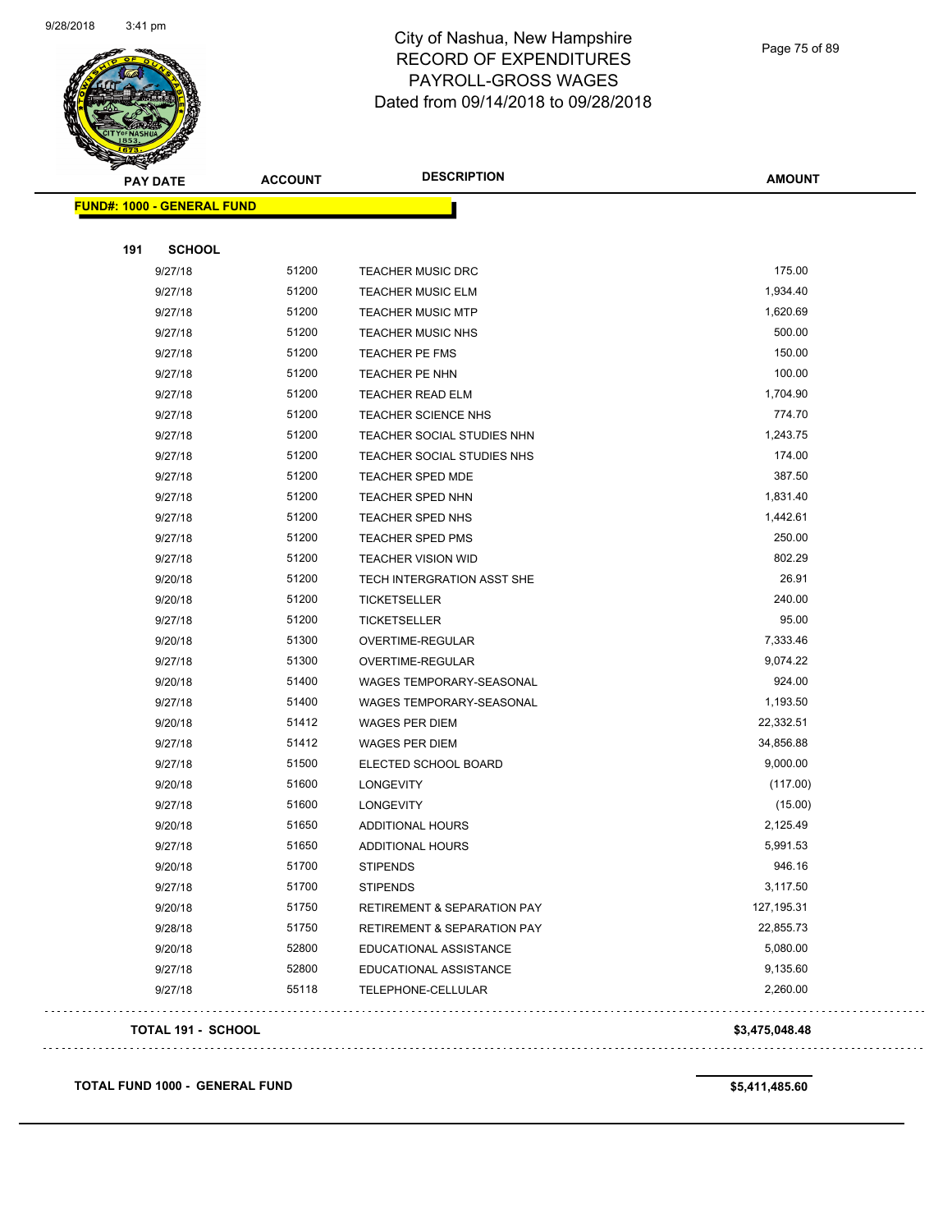

Page 75 of 89

| <b>PAY DATE</b>                   | <b>ACCOUNT</b> | <b>DESCRIPTION</b>          | <b>AMOUNT</b>  |
|-----------------------------------|----------------|-----------------------------|----------------|
| <b>FUND#: 1000 - GENERAL FUND</b> |                |                             |                |
| 191<br><b>SCHOOL</b>              |                |                             |                |
| 9/27/18                           | 51200          | <b>TEACHER MUSIC DRC</b>    | 175.00         |
| 9/27/18                           | 51200          | <b>TEACHER MUSIC ELM</b>    | 1,934.40       |
| 9/27/18                           | 51200          | <b>TEACHER MUSIC MTP</b>    | 1,620.69       |
| 9/27/18                           | 51200          | <b>TEACHER MUSIC NHS</b>    | 500.00         |
| 9/27/18                           | 51200          | TEACHER PE FMS              | 150.00         |
| 9/27/18                           | 51200          | TEACHER PE NHN              | 100.00         |
| 9/27/18                           | 51200          | <b>TEACHER READ ELM</b>     | 1,704.90       |
| 9/27/18                           | 51200          | TEACHER SCIENCE NHS         | 774.70         |
| 9/27/18                           | 51200          | TEACHER SOCIAL STUDIES NHN  | 1,243.75       |
| 9/27/18                           | 51200          | TEACHER SOCIAL STUDIES NHS  | 174.00         |
| 9/27/18                           | 51200          | TEACHER SPED MDE            | 387.50         |
| 9/27/18                           | 51200          | TEACHER SPED NHN            | 1,831.40       |
| 9/27/18                           | 51200          | <b>TEACHER SPED NHS</b>     | 1,442.61       |
| 9/27/18                           | 51200          | TEACHER SPED PMS            | 250.00         |
| 9/27/18                           | 51200          | <b>TEACHER VISION WID</b>   | 802.29         |
| 9/20/18                           | 51200          | TECH INTERGRATION ASST SHE  | 26.91          |
| 9/20/18                           | 51200          | TICKETSELLER                | 240.00         |
| 9/27/18                           | 51200          | <b>TICKETSELLER</b>         | 95.00          |
| 9/20/18                           | 51300          | OVERTIME-REGULAR            | 7,333.46       |
| 9/27/18                           | 51300          | OVERTIME-REGULAR            | 9,074.22       |
| 9/20/18                           | 51400          | WAGES TEMPORARY-SEASONAL    | 924.00         |
| 9/27/18                           | 51400          | WAGES TEMPORARY-SEASONAL    | 1,193.50       |
| 9/20/18                           | 51412          | WAGES PER DIEM              | 22,332.51      |
| 9/27/18                           | 51412          | WAGES PER DIEM              | 34,856.88      |
| 9/27/18                           | 51500          | ELECTED SCHOOL BOARD        | 9,000.00       |
| 9/20/18                           | 51600          | LONGEVITY                   | (117.00)       |
| 9/27/18                           | 51600          | LONGEVITY                   | (15.00)        |
| 9/20/18                           | 51650          | <b>ADDITIONAL HOURS</b>     | 2,125.49       |
| 9/27/18                           | 51650          | ADDITIONAL HOURS            | 5,991.53       |
| 9/20/18                           | 51700          | <b>STIPENDS</b>             | 946.16         |
| 9/27/18                           | 51700          | <b>STIPENDS</b>             | 3,117.50       |
| 9/20/18                           | 51750          | RETIREMENT & SEPARATION PAY | 127, 195.31    |
| 9/28/18                           | 51750          | RETIREMENT & SEPARATION PAY | 22,855.73      |
| 9/20/18                           | 52800          | EDUCATIONAL ASSISTANCE      | 5,080.00       |
| 9/27/18                           | 52800          | EDUCATIONAL ASSISTANCE      | 9,135.60       |
| 9/27/18                           | 55118          | TELEPHONE-CELLULAR          | 2,260.00       |
| <b>TOTAL 191 - SCHOOL</b>         |                |                             | \$3,475,048.48 |

**TOTAL FUND 1000 - GENERAL FUND \$5,411,485.60**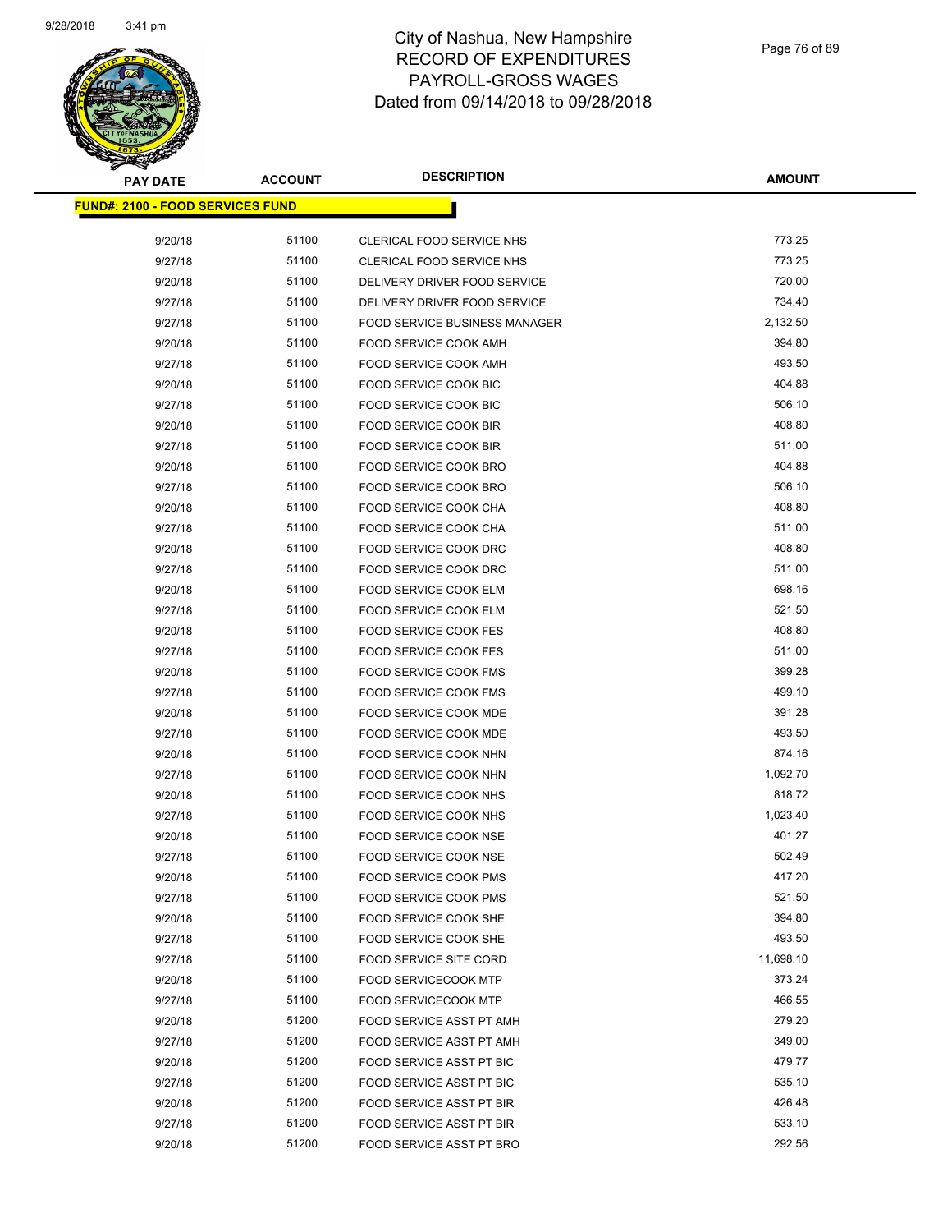

| <b>PAY DATE</b>                          | <b>ACCOUNT</b> | <b>DESCRIPTION</b>                   | <b>AMOUNT</b> |
|------------------------------------------|----------------|--------------------------------------|---------------|
| <u> FUND#: 2100 - FOOD SERVICES FUND</u> |                |                                      |               |
|                                          |                |                                      |               |
| 9/20/18                                  | 51100          | CLERICAL FOOD SERVICE NHS            | 773.25        |
| 9/27/18                                  | 51100          | CLERICAL FOOD SERVICE NHS            | 773.25        |
| 9/20/18                                  | 51100          | DELIVERY DRIVER FOOD SERVICE         | 720.00        |
| 9/27/18                                  | 51100          | DELIVERY DRIVER FOOD SERVICE         | 734.40        |
| 9/27/18                                  | 51100          | <b>FOOD SERVICE BUSINESS MANAGER</b> | 2,132.50      |
| 9/20/18                                  | 51100          | FOOD SERVICE COOK AMH                | 394.80        |
| 9/27/18                                  | 51100          | FOOD SERVICE COOK AMH                | 493.50        |
| 9/20/18                                  | 51100          | <b>FOOD SERVICE COOK BIC</b>         | 404.88        |
| 9/27/18                                  | 51100          | FOOD SERVICE COOK BIC                | 506.10        |
| 9/20/18                                  | 51100          | FOOD SERVICE COOK BIR                | 408.80        |
| 9/27/18                                  | 51100          | FOOD SERVICE COOK BIR                | 511.00        |
| 9/20/18                                  | 51100          | FOOD SERVICE COOK BRO                | 404.88        |
| 9/27/18                                  | 51100          | <b>FOOD SERVICE COOK BRO</b>         | 506.10        |
| 9/20/18                                  | 51100          | FOOD SERVICE COOK CHA                | 408.80        |
| 9/27/18                                  | 51100          | FOOD SERVICE COOK CHA                | 511.00        |
| 9/20/18                                  | 51100          | FOOD SERVICE COOK DRC                | 408.80        |
| 9/27/18                                  | 51100          | FOOD SERVICE COOK DRC                | 511.00        |
| 9/20/18                                  | 51100          | <b>FOOD SERVICE COOK ELM</b>         | 698.16        |
| 9/27/18                                  | 51100          | FOOD SERVICE COOK ELM                | 521.50        |
| 9/20/18                                  | 51100          | <b>FOOD SERVICE COOK FES</b>         | 408.80        |
| 9/27/18                                  | 51100          | <b>FOOD SERVICE COOK FES</b>         | 511.00        |
| 9/20/18                                  | 51100          | FOOD SERVICE COOK FMS                | 399.28        |
| 9/27/18                                  | 51100          | FOOD SERVICE COOK FMS                | 499.10        |
| 9/20/18                                  | 51100          | FOOD SERVICE COOK MDE                | 391.28        |
| 9/27/18                                  | 51100          | FOOD SERVICE COOK MDE                | 493.50        |
| 9/20/18                                  | 51100          | FOOD SERVICE COOK NHN                | 874.16        |
| 9/27/18                                  | 51100          | FOOD SERVICE COOK NHN                | 1,092.70      |
| 9/20/18                                  | 51100          | FOOD SERVICE COOK NHS                | 818.72        |
| 9/27/18                                  | 51100          | FOOD SERVICE COOK NHS                | 1,023.40      |
| 9/20/18                                  | 51100          | FOOD SERVICE COOK NSE                | 401.27        |
| 9/27/18                                  | 51100          | FOOD SERVICE COOK NSE                | 502.49        |
| 9/20/18                                  | 51100          | FOOD SERVICE COOK PMS                | 417.20        |
| 9/27/18                                  | 51100          | FOOD SERVICE COOK PMS                | 521.50        |
| 9/20/18                                  | 51100          | FOOD SERVICE COOK SHE                | 394.80        |
| 9/27/18                                  | 51100          | FOOD SERVICE COOK SHE                | 493.50        |
| 9/27/18                                  | 51100          | <b>FOOD SERVICE SITE CORD</b>        | 11,698.10     |
| 9/20/18                                  | 51100          | <b>FOOD SERVICECOOK MTP</b>          | 373.24        |
| 9/27/18                                  | 51100          | <b>FOOD SERVICECOOK MTP</b>          | 466.55        |
| 9/20/18                                  | 51200          | FOOD SERVICE ASST PT AMH             | 279.20        |
| 9/27/18                                  | 51200          | <b>FOOD SERVICE ASST PT AMH</b>      | 349.00        |
| 9/20/18                                  | 51200          | FOOD SERVICE ASST PT BIC             | 479.77        |
| 9/27/18                                  | 51200          | FOOD SERVICE ASST PT BIC             | 535.10        |
| 9/20/18                                  | 51200          | FOOD SERVICE ASST PT BIR             | 426.48        |
| 9/27/18                                  | 51200          | FOOD SERVICE ASST PT BIR             | 533.10        |
| 9/20/18                                  | 51200          | FOOD SERVICE ASST PT BRO             | 292.56        |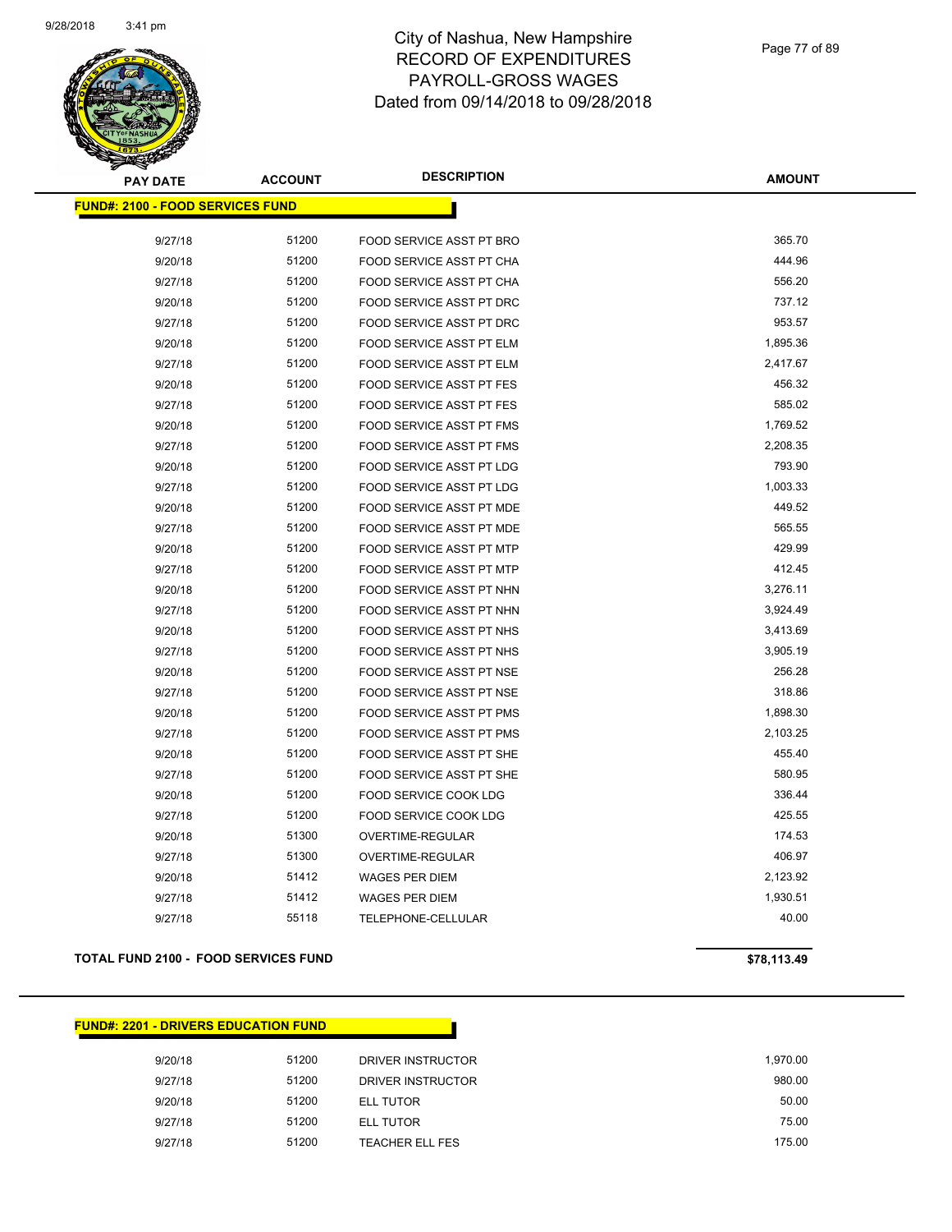

| <b>PAY DATE</b>                          | <b>ACCOUNT</b> | <b>DESCRIPTION</b>                                          | <b>AMOUNT</b> |
|------------------------------------------|----------------|-------------------------------------------------------------|---------------|
| <u> FUND#: 2100 - FOOD SERVICES FUND</u> |                |                                                             |               |
| 9/27/18                                  | 51200          | FOOD SERVICE ASST PT BRO                                    | 365.70        |
| 9/20/18                                  | 51200          | FOOD SERVICE ASST PT CHA                                    | 444.96        |
|                                          | 51200          |                                                             | 556.20        |
| 9/27/18                                  | 51200          | FOOD SERVICE ASST PT CHA                                    | 737.12        |
| 9/20/18<br>9/27/18                       | 51200          | FOOD SERVICE ASST PT DRC<br><b>FOOD SERVICE ASST PT DRC</b> | 953.57        |
|                                          | 51200          | FOOD SERVICE ASST PT ELM                                    | 1,895.36      |
| 9/20/18                                  | 51200          |                                                             | 2,417.67      |
| 9/27/18                                  | 51200          | FOOD SERVICE ASST PT ELM                                    | 456.32        |
| 9/20/18                                  |                | FOOD SERVICE ASST PT FES                                    | 585.02        |
| 9/27/18                                  | 51200          | <b>FOOD SERVICE ASST PT FES</b>                             |               |
| 9/20/18                                  | 51200          | <b>FOOD SERVICE ASST PT FMS</b>                             | 1,769.52      |
| 9/27/18                                  | 51200          | <b>FOOD SERVICE ASST PT FMS</b>                             | 2,208.35      |
| 9/20/18                                  | 51200          | FOOD SERVICE ASST PT LDG                                    | 793.90        |
| 9/27/18                                  | 51200          | FOOD SERVICE ASST PT LDG                                    | 1,003.33      |
| 9/20/18                                  | 51200          | <b>FOOD SERVICE ASST PT MDE</b>                             | 449.52        |
| 9/27/18                                  | 51200          | FOOD SERVICE ASST PT MDE                                    | 565.55        |
| 9/20/18                                  | 51200          | FOOD SERVICE ASST PT MTP                                    | 429.99        |
| 9/27/18                                  | 51200          | FOOD SERVICE ASST PT MTP                                    | 412.45        |
| 9/20/18                                  | 51200          | <b>FOOD SERVICE ASST PT NHN</b>                             | 3,276.11      |
| 9/27/18                                  | 51200          | FOOD SERVICE ASST PT NHN                                    | 3,924.49      |
| 9/20/18                                  | 51200          | <b>FOOD SERVICE ASST PT NHS</b>                             | 3,413.69      |
| 9/27/18                                  | 51200          | FOOD SERVICE ASST PT NHS                                    | 3,905.19      |
| 9/20/18                                  | 51200          | FOOD SERVICE ASST PT NSE                                    | 256.28        |
| 9/27/18                                  | 51200          | FOOD SERVICE ASST PT NSE                                    | 318.86        |
| 9/20/18                                  | 51200          | FOOD SERVICE ASST PT PMS                                    | 1,898.30      |
| 9/27/18                                  | 51200          | FOOD SERVICE ASST PT PMS                                    | 2,103.25      |
| 9/20/18                                  | 51200          | FOOD SERVICE ASST PT SHE                                    | 455.40        |
| 9/27/18                                  | 51200          | FOOD SERVICE ASST PT SHE                                    | 580.95        |
| 9/20/18                                  | 51200          | FOOD SERVICE COOK LDG                                       | 336.44        |
| 9/27/18                                  | 51200          | FOOD SERVICE COOK LDG                                       | 425.55        |
| 9/20/18                                  | 51300          | OVERTIME-REGULAR                                            | 174.53        |
| 9/27/18                                  | 51300          | OVERTIME-REGULAR                                            | 406.97        |
| 9/20/18                                  | 51412          | <b>WAGES PER DIEM</b>                                       | 2,123.92      |
| 9/27/18                                  | 51412          | <b>WAGES PER DIEM</b>                                       | 1,930.51      |
| 9/27/18                                  | 55118          | <b>TELEPHONE-CELLULAR</b>                                   | 40.00         |

## **TOTAL FUND 2100 - FOOD SERVICES FUND \$78,113.49**

## **FUND#: 2201 - DRIVERS EDUCATION FUND**

| 1.970.00 | DRIVER INSTRUCTOR      | 51200 | 9/20/18 |
|----------|------------------------|-------|---------|
| 980.00   | DRIVER INSTRUCTOR      | 51200 | 9/27/18 |
| 50.00    | ELL TUTOR              | 51200 | 9/20/18 |
| 75.00    | ELL TUTOR              | 51200 | 9/27/18 |
| 175.00   | <b>TEACHER ELL FES</b> | 51200 | 9/27/18 |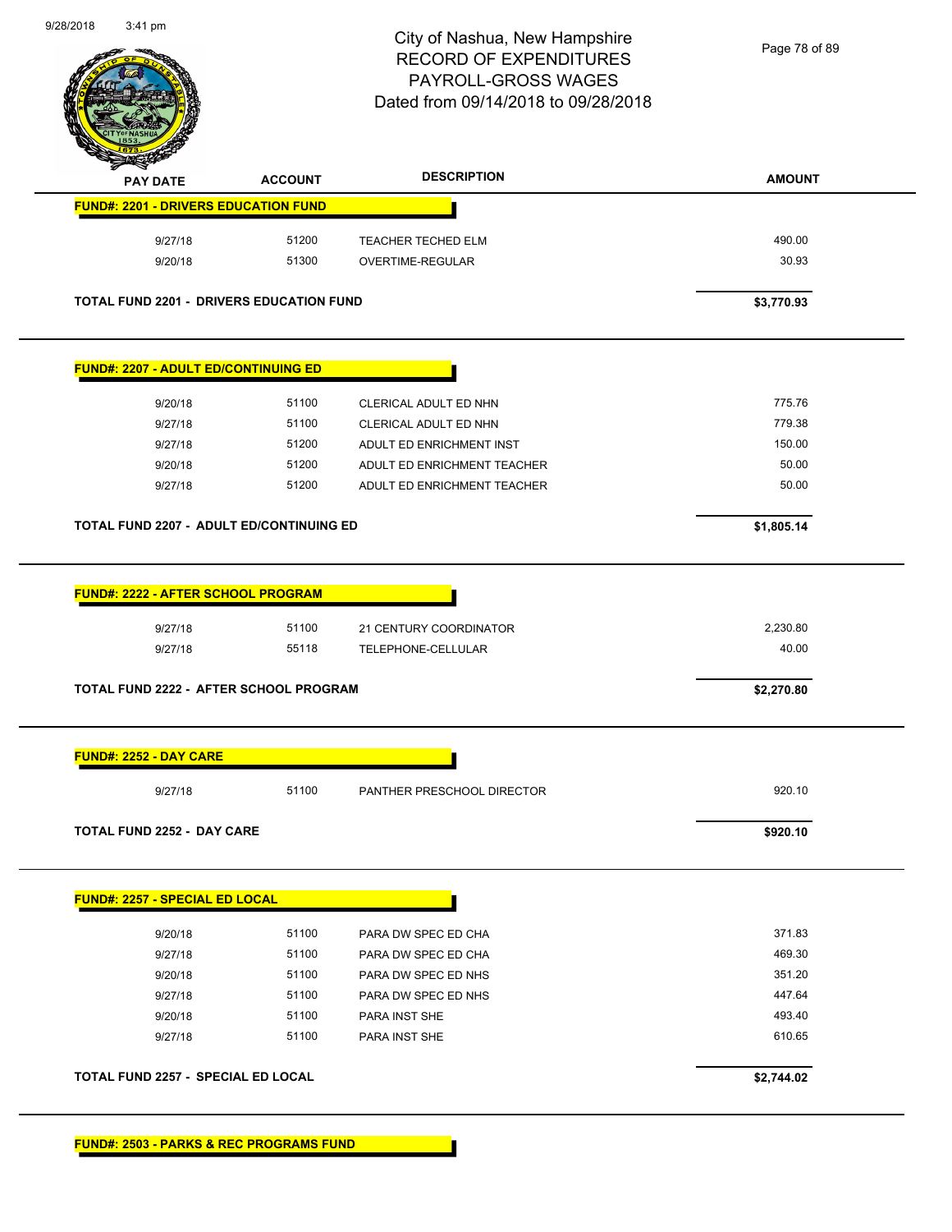

Page 78 of 89

|                                                 |                | <b>DESCRIPTION</b>                           | <b>AMOUNT</b>     |
|-------------------------------------------------|----------------|----------------------------------------------|-------------------|
| <b>FUND#: 2201 - DRIVERS EDUCATION FUND</b>     |                |                                              |                   |
| 9/27/18                                         | 51200          | TEACHER TECHED ELM                           | 490.00            |
| 9/20/18                                         | 51300          | OVERTIME-REGULAR                             | 30.93             |
| <b>TOTAL FUND 2201 - DRIVERS EDUCATION FUND</b> |                |                                              | \$3,770.93        |
| <b>FUND#: 2207 - ADULT ED/CONTINUING ED</b>     |                |                                              |                   |
| 9/20/18                                         | 51100          | CLERICAL ADULT ED NHN                        | 775.76            |
| 9/27/18                                         | 51100          | CLERICAL ADULT ED NHN                        | 779.38            |
| 9/27/18                                         | 51200          | ADULT ED ENRICHMENT INST                     | 150.00            |
| 9/20/18                                         | 51200          | ADULT ED ENRICHMENT TEACHER                  | 50.00             |
| 9/27/18                                         | 51200          | ADULT ED ENRICHMENT TEACHER                  | 50.00             |
| <b>TOTAL FUND 2207 - ADULT ED/CONTINUING ED</b> |                |                                              | \$1,805.14        |
| 9/27/18<br>9/27/18                              | 51100<br>55118 | 21 CENTURY COORDINATOR<br>TELEPHONE-CELLULAR | 2,230.80<br>40.00 |
| <b>TOTAL FUND 2222 - AFTER SCHOOL PROGRAM</b>   |                |                                              | \$2,270.80        |
| <b>FUND#: 2252 - DAY CARE</b>                   |                |                                              |                   |
| 9/27/18                                         | 51100          | PANTHER PRESCHOOL DIRECTOR                   | 920.10            |
| <b>TOTAL FUND 2252 - DAY CARE</b>               |                |                                              | \$920.10          |
| <b>FUND#: 2257 - SPECIAL ED LOCAL</b>           |                |                                              |                   |
| 9/20/18                                         | 51100          | PARA DW SPEC ED CHA                          | 371.83            |
| 9/27/18                                         | 51100          | PARA DW SPEC ED CHA                          | 469.30            |
| 9/20/18                                         | 51100          | PARA DW SPEC ED NHS                          | 351.20            |
| 9/27/18                                         | 51100          | PARA DW SPEC ED NHS                          | 447.64            |
| 9/20/18                                         | 51100          | <b>PARA INST SHE</b>                         | 493.40            |
| 9/27/18                                         | 51100          | <b>PARA INST SHE</b>                         | 610.65            |
| <b>TOTAL FUND 2257 - SPECIAL ED LOCAL</b>       |                |                                              | \$2,744.02        |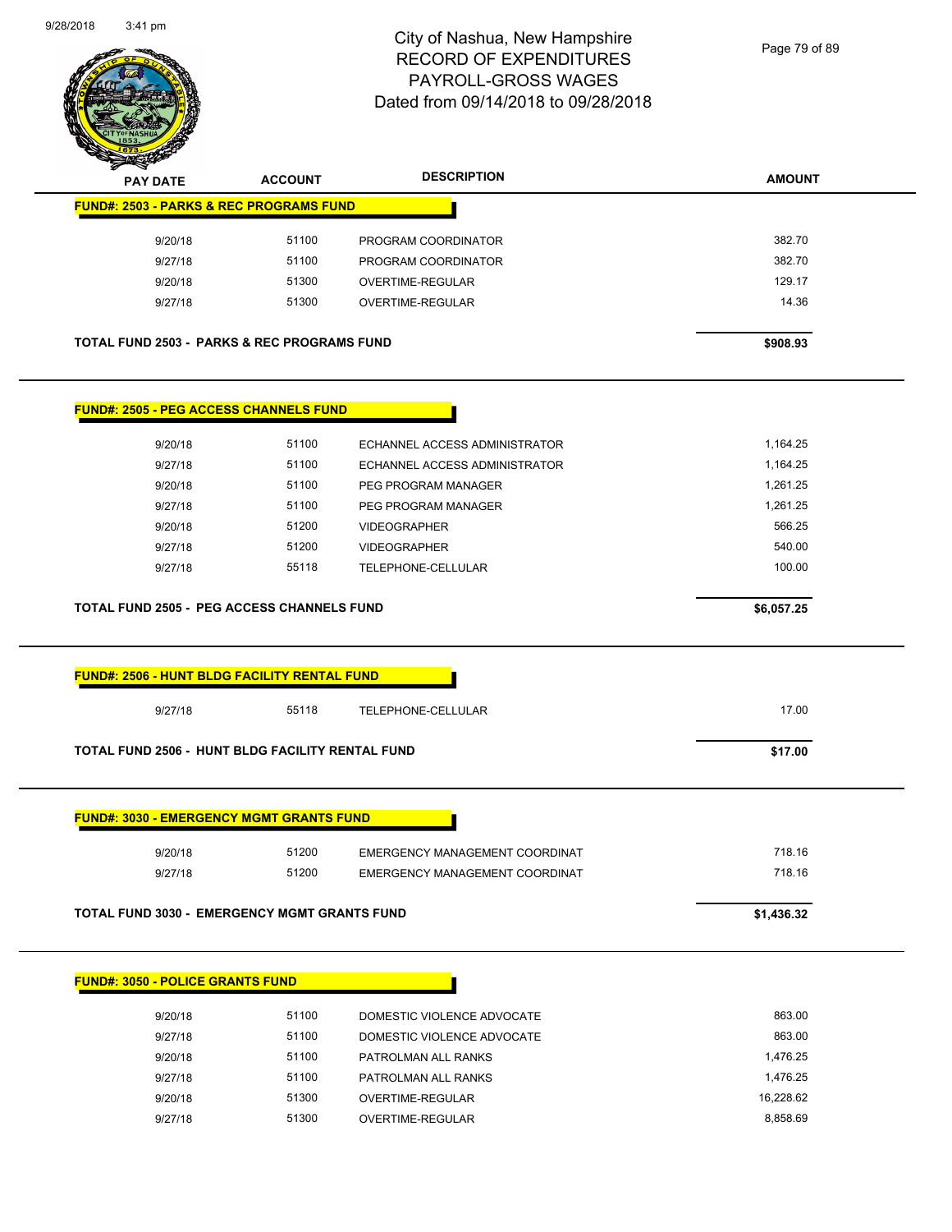

| <b>PAY DATE</b>                                        | <b>ACCOUNT</b> | <b>DESCRIPTION</b>             | <b>AMOUNT</b> |
|--------------------------------------------------------|----------------|--------------------------------|---------------|
| <b>FUND#: 2503 - PARKS &amp; REC PROGRAMS FUND</b>     |                |                                |               |
| 9/20/18                                                | 51100          | PROGRAM COORDINATOR            | 382.70        |
| 9/27/18                                                | 51100          | PROGRAM COORDINATOR            | 382.70        |
| 9/20/18                                                | 51300          | OVERTIME-REGULAR               | 129.17        |
| 9/27/18                                                | 51300          | OVERTIME-REGULAR               | 14.36         |
| <b>TOTAL FUND 2503 - PARKS &amp; REC PROGRAMS FUND</b> |                |                                | \$908.93      |
| <b>FUND#: 2505 - PEG ACCESS CHANNELS FUND</b>          |                |                                |               |
| 9/20/18                                                | 51100          | ECHANNEL ACCESS ADMINISTRATOR  | 1,164.25      |
| 9/27/18                                                | 51100          | ECHANNEL ACCESS ADMINISTRATOR  | 1,164.25      |
| 9/20/18                                                | 51100          | PEG PROGRAM MANAGER            | 1,261.25      |
| 9/27/18                                                | 51100          | PEG PROGRAM MANAGER            | 1,261.25      |
| 9/20/18                                                | 51200          | <b>VIDEOGRAPHER</b>            | 566.25        |
| 9/27/18                                                | 51200          | <b>VIDEOGRAPHER</b>            | 540.00        |
| 9/27/18                                                | 55118          | TELEPHONE-CELLULAR             | 100.00        |
| <b>TOTAL FUND 2505 - PEG ACCESS CHANNELS FUND</b>      |                |                                | \$6,057.25    |
| <b>FUND#: 2506 - HUNT BLDG FACILITY RENTAL FUND</b>    |                |                                |               |
| 9/27/18                                                | 55118          | TELEPHONE-CELLULAR             | 17.00         |
| TOTAL FUND 2506 - HUNT BLDG FACILITY RENTAL FUND       |                |                                | \$17.00       |
| <b>FUND#: 3030 - EMERGENCY MGMT GRANTS FUND</b>        |                |                                |               |
| 9/20/18                                                | 51200          | EMERGENCY MANAGEMENT COORDINAT | 718.16        |
| 9/27/18                                                | 51200          | EMERGENCY MANAGEMENT COORDINAT | 718.16        |
| <b>TOTAL FUND 3030 - EMERGENCY MGMT GRANTS FUND</b>    |                |                                | \$1,436.32    |
|                                                        |                |                                |               |

| 9/20/18 | 51100 | DOMESTIC VIOLENCE ADVOCATE | 863.00    |
|---------|-------|----------------------------|-----------|
| 9/27/18 | 51100 | DOMESTIC VIOLENCE ADVOCATE | 863.00    |
| 9/20/18 | 51100 | PATROLMAN ALL RANKS        | 1.476.25  |
| 9/27/18 | 51100 | PATROLMAN ALL RANKS        | 1.476.25  |
| 9/20/18 | 51300 | OVERTIME-REGULAR           | 16.228.62 |
| 9/27/18 | 51300 | OVERTIME-REGULAR           | 8.858.69  |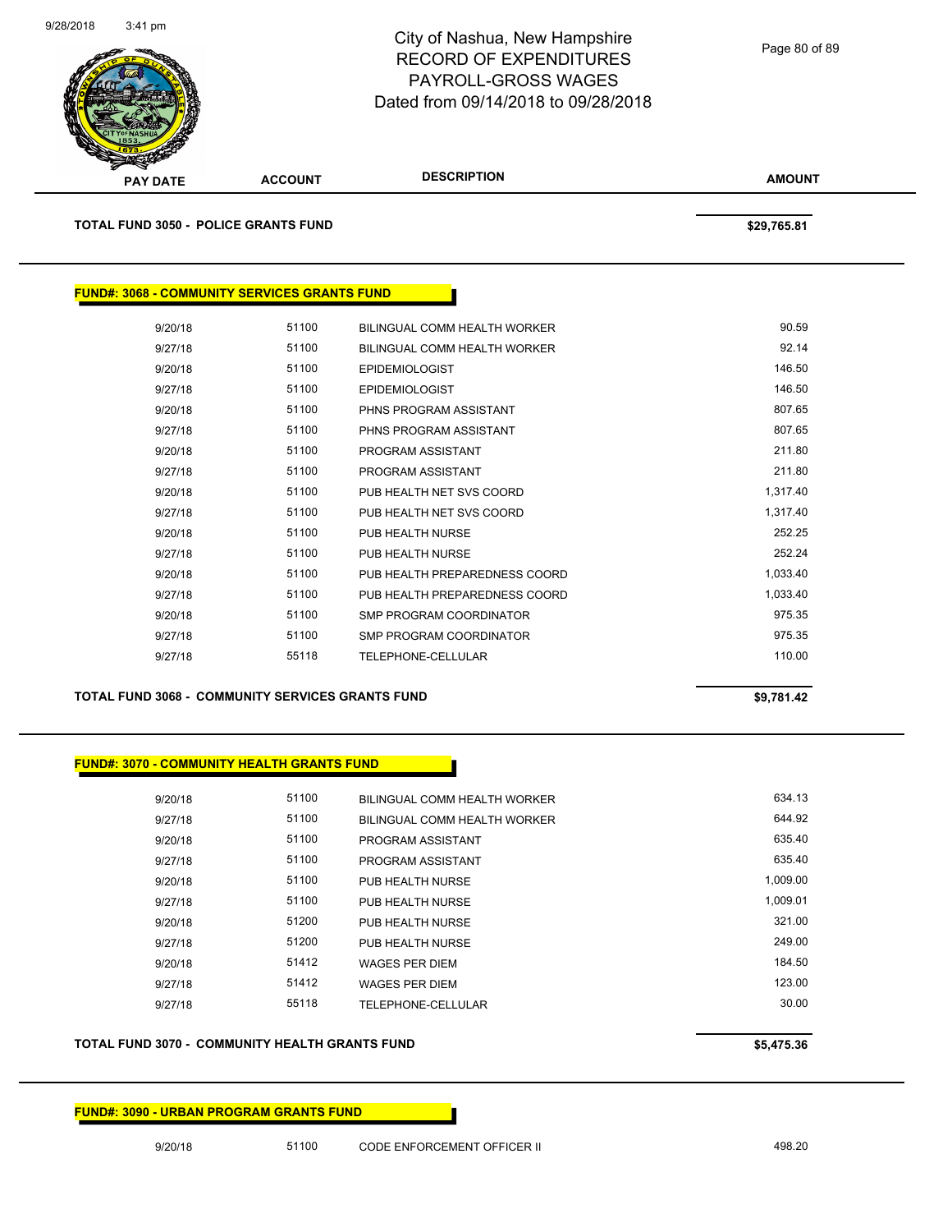

| <b>PAY DATE</b>                                     | <b>ACCOUNT</b> | <b>DESCRIPTION</b>            | <b>AMOUNT</b> |
|-----------------------------------------------------|----------------|-------------------------------|---------------|
| <b>TOTAL FUND 3050 - POLICE GRANTS FUND</b>         |                |                               | \$29,765.81   |
| <b>FUND#: 3068 - COMMUNITY SERVICES GRANTS FUND</b> |                |                               |               |
| 9/20/18                                             | 51100          | BILINGUAL COMM HEALTH WORKER  | 90.59         |
| 9/27/18                                             | 51100          | BILINGUAL COMM HEALTH WORKER  | 92.14         |
| 9/20/18                                             | 51100          | <b>EPIDEMIOLOGIST</b>         | 146.50        |
| 9/27/18                                             | 51100          | <b>EPIDEMIOLOGIST</b>         | 146.50        |
| 9/20/18                                             | 51100          | PHNS PROGRAM ASSISTANT        | 807.65        |
| 9/27/18                                             | 51100          | PHNS PROGRAM ASSISTANT        | 807.65        |
| 9/20/18                                             | 51100          | PROGRAM ASSISTANT             | 211.80        |
| 9/27/18                                             | 51100          | PROGRAM ASSISTANT             | 211.80        |
| 9/20/18                                             | 51100          | PUB HEALTH NET SVS COORD      | 1,317.40      |
| 9/27/18                                             | 51100          | PUB HEALTH NET SVS COORD      | 1,317.40      |
| 9/20/18                                             | 51100          | PUB HEALTH NURSE              | 252.25        |
| 9/27/18                                             | 51100          | PUB HEALTH NURSE              | 252.24        |
| 9/20/18                                             | 51100          | PUB HEALTH PREPAREDNESS COORD | 1,033.40      |
| 9/27/18                                             | 51100          | PUB HEALTH PREPAREDNESS COORD | 1,033.40      |
| 9/20/18                                             | 51100          | SMP PROGRAM COORDINATOR       | 975.35        |
| 9/27/18                                             | 51100          | SMP PROGRAM COORDINATOR       | 975.35        |
| 9/27/18                                             | 55118          | TELEPHONE-CELLULAR            | 110.00        |
|                                                     |                |                               |               |

**TOTAL FUND 3068 - COMMUNITY SERVICES GRANTS FUND \$9,781.42** 

### **FUND#: 3070 - COMMUNITY HEALTH GRANTS FUND**

| 9/20/18 | 51100 | BILINGUAL COMM HEALTH WORKER | 634.13   |
|---------|-------|------------------------------|----------|
| 9/27/18 | 51100 | BILINGUAL COMM HEALTH WORKER | 644.92   |
| 9/20/18 | 51100 | PROGRAM ASSISTANT            | 635.40   |
| 9/27/18 | 51100 | PROGRAM ASSISTANT            | 635.40   |
| 9/20/18 | 51100 | PUB HEALTH NURSE             | 1,009.00 |
| 9/27/18 | 51100 | PUB HEALTH NURSE             | 1.009.01 |
| 9/20/18 | 51200 | PUB HEALTH NURSE             | 321.00   |
| 9/27/18 | 51200 | PUB HEALTH NURSE             | 249.00   |
| 9/20/18 | 51412 | <b>WAGES PER DIEM</b>        | 184.50   |
| 9/27/18 | 51412 | <b>WAGES PER DIEM</b>        | 123.00   |
| 9/27/18 | 55118 | TELEPHONE-CELLULAR           | 30.00    |
|         |       |                              |          |

## **TOTAL FUND 3070 - COMMUNITY HEALTH GRANTS FUND \$5,475.36**

**FUND#: 3090 - URBAN PROGRAM GRANTS FUND**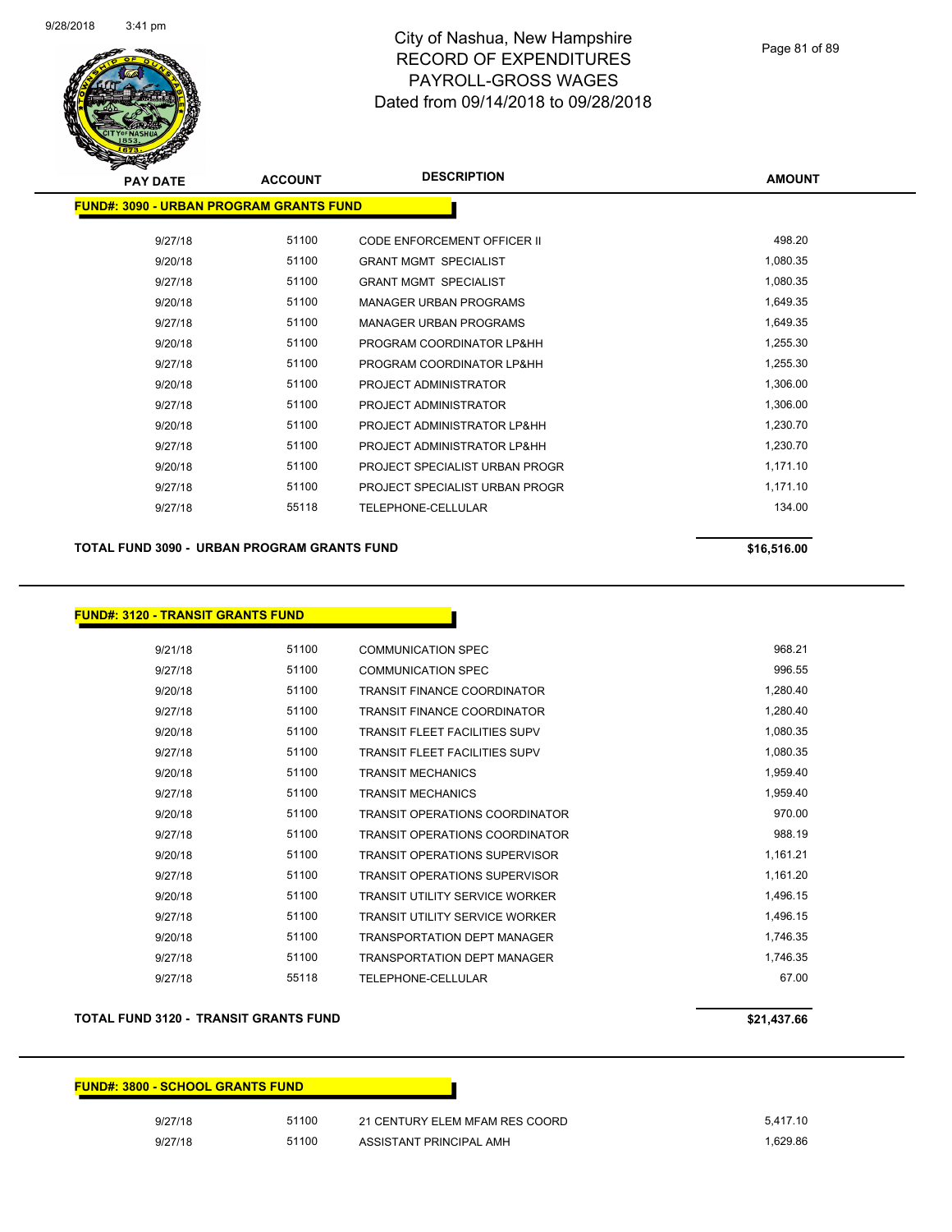

| <b>PAY DATE</b>                                 | <b>ACCOUNT</b> | <b>DESCRIPTION</b>             | <b>AMOUNT</b> |
|-------------------------------------------------|----------------|--------------------------------|---------------|
| <u> FUND#: 3090 - URBAN PROGRAM GRANTS FUND</u> |                |                                |               |
| 9/27/18                                         | 51100          | CODE ENFORCEMENT OFFICER II    | 498.20        |
| 9/20/18                                         | 51100          | <b>GRANT MGMT SPECIALIST</b>   | 1,080.35      |
| 9/27/18                                         | 51100          | <b>GRANT MGMT SPECIALIST</b>   | 1,080.35      |
| 9/20/18                                         | 51100          | <b>MANAGER URBAN PROGRAMS</b>  | 1,649.35      |
| 9/27/18                                         | 51100          | <b>MANAGER URBAN PROGRAMS</b>  | 1,649.35      |
| 9/20/18                                         | 51100          | PROGRAM COORDINATOR LP&HH      | 1,255.30      |
| 9/27/18                                         | 51100          | PROGRAM COORDINATOR LP&HH      | 1,255.30      |
| 9/20/18                                         | 51100          | PROJECT ADMINISTRATOR          | 1,306.00      |
| 9/27/18                                         | 51100          | PROJECT ADMINISTRATOR          | 1,306.00      |
| 9/20/18                                         | 51100          | PROJECT ADMINISTRATOR LP&HH    | 1,230.70      |
| 9/27/18                                         | 51100          | PROJECT ADMINISTRATOR LP&HH    | 1,230.70      |
| 9/20/18                                         | 51100          | PROJECT SPECIALIST URBAN PROGR | 1,171.10      |
| 9/27/18                                         | 51100          | PROJECT SPECIALIST URBAN PROGR | 1,171.10      |
| 9/27/18                                         | 55118          | TELEPHONE-CELLULAR             | 134.00        |

**TOTAL FUND 3090 - URBAN PROGRAM GRANTS FUND \$16,516.00 \$16,516.00** 

## **FUND#: 3120 - TRANSIT GRANTS FUND**

| 9/21/18 | 51100 | <b>COMMUNICATION SPEC</b>             | 968.21   |
|---------|-------|---------------------------------------|----------|
| 9/27/18 | 51100 | <b>COMMUNICATION SPEC</b>             | 996.55   |
| 9/20/18 | 51100 | <b>TRANSIT FINANCE COORDINATOR</b>    | 1,280.40 |
| 9/27/18 | 51100 | <b>TRANSIT FINANCE COORDINATOR</b>    | 1,280.40 |
| 9/20/18 | 51100 | <b>TRANSIT FLEET FACILITIES SUPV</b>  | 1,080.35 |
| 9/27/18 | 51100 | <b>TRANSIT FLEET FACILITIES SUPV</b>  | 1,080.35 |
| 9/20/18 | 51100 | <b>TRANSIT MECHANICS</b>              | 1,959.40 |
| 9/27/18 | 51100 | <b>TRANSIT MECHANICS</b>              | 1,959.40 |
| 9/20/18 | 51100 | <b>TRANSIT OPERATIONS COORDINATOR</b> | 970.00   |
| 9/27/18 | 51100 | <b>TRANSIT OPERATIONS COORDINATOR</b> | 988.19   |
| 9/20/18 | 51100 | <b>TRANSIT OPERATIONS SUPERVISOR</b>  | 1,161.21 |
| 9/27/18 | 51100 | <b>TRANSIT OPERATIONS SUPERVISOR</b>  | 1,161.20 |
| 9/20/18 | 51100 | <b>TRANSIT UTILITY SERVICE WORKER</b> | 1,496.15 |
| 9/27/18 | 51100 | <b>TRANSIT UTILITY SERVICE WORKER</b> | 1,496.15 |
| 9/20/18 | 51100 | <b>TRANSPORTATION DEPT MANAGER</b>    | 1,746.35 |
| 9/27/18 | 51100 | <b>TRANSPORTATION DEPT MANAGER</b>    | 1,746.35 |
| 9/27/18 | 55118 | TELEPHONE-CELLULAR                    | 67.00    |

## **TOTAL FUND 3120 - TRANSIT GRANTS FUND \$21,437.66**

| <b>FUND#: 3800 - SCHOOL GRANTS FUND</b> |       |                                |          |
|-----------------------------------------|-------|--------------------------------|----------|
| 9/27/18                                 | 51100 | 21 CENTURY ELEM MFAM RES COORD | 5,417.10 |
| 9/27/18                                 | 51100 | ASSISTANT PRINCIPAL AMH        | 1.629.86 |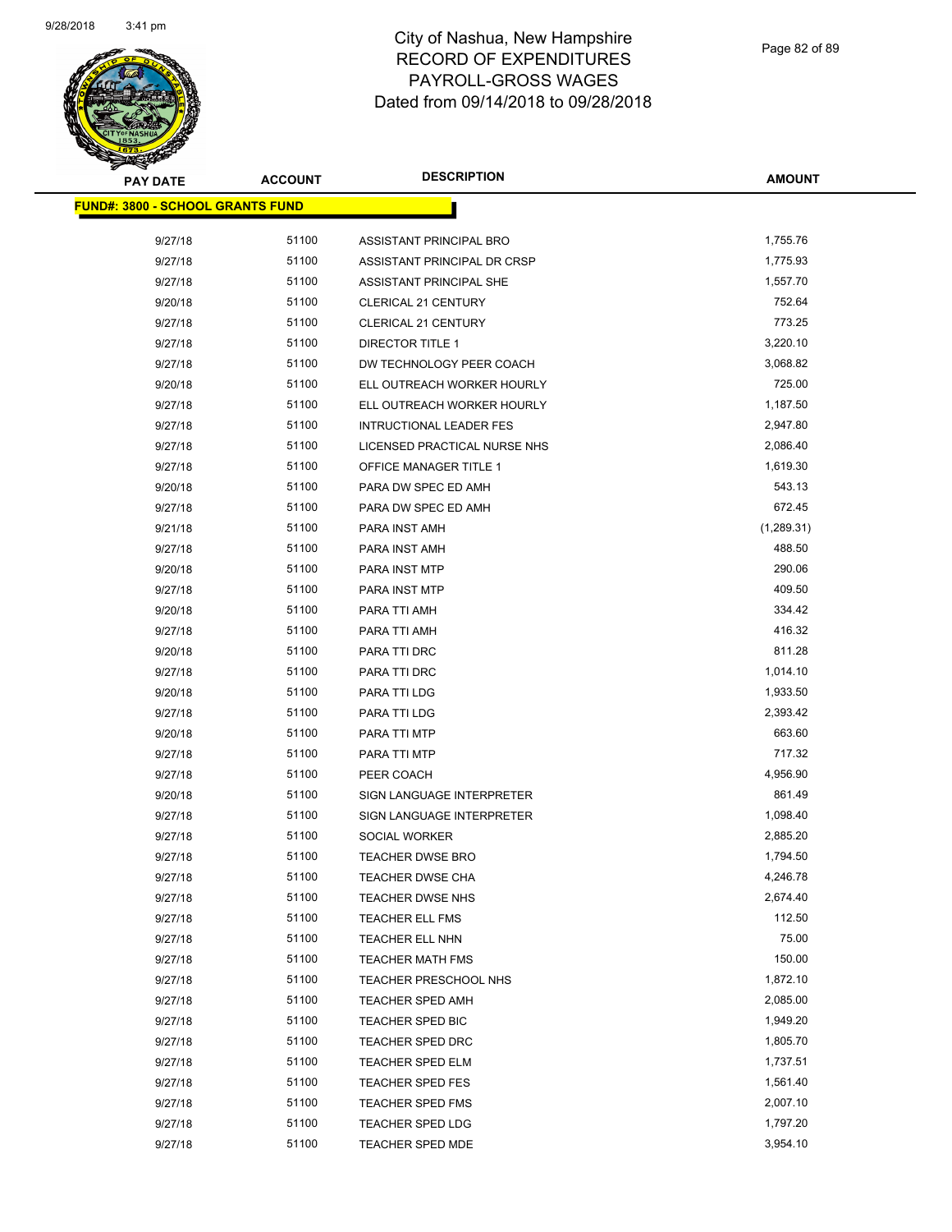

| <b>PAY DATE</b>                         | <b>ACCOUNT</b> | <b>DESCRIPTION</b>           | <b>AMOUNT</b> |
|-----------------------------------------|----------------|------------------------------|---------------|
| <b>FUND#: 3800 - SCHOOL GRANTS FUND</b> |                |                              |               |
|                                         |                |                              |               |
| 9/27/18                                 | 51100          | ASSISTANT PRINCIPAL BRO      | 1,755.76      |
| 9/27/18                                 | 51100          | ASSISTANT PRINCIPAL DR CRSP  | 1,775.93      |
| 9/27/18                                 | 51100          | ASSISTANT PRINCIPAL SHE      | 1,557.70      |
| 9/20/18                                 | 51100          | CLERICAL 21 CENTURY          | 752.64        |
| 9/27/18                                 | 51100          | CLERICAL 21 CENTURY          | 773.25        |
| 9/27/18                                 | 51100          | <b>DIRECTOR TITLE 1</b>      | 3,220.10      |
| 9/27/18                                 | 51100          | DW TECHNOLOGY PEER COACH     | 3,068.82      |
| 9/20/18                                 | 51100          | ELL OUTREACH WORKER HOURLY   | 725.00        |
| 9/27/18                                 | 51100          | ELL OUTREACH WORKER HOURLY   | 1,187.50      |
| 9/27/18                                 | 51100          | INTRUCTIONAL LEADER FES      | 2,947.80      |
| 9/27/18                                 | 51100          | LICENSED PRACTICAL NURSE NHS | 2,086.40      |
| 9/27/18                                 | 51100          | OFFICE MANAGER TITLE 1       | 1,619.30      |
| 9/20/18                                 | 51100          | PARA DW SPEC ED AMH          | 543.13        |
| 9/27/18                                 | 51100          | PARA DW SPEC ED AMH          | 672.45        |
| 9/21/18                                 | 51100          | PARA INST AMH                | (1,289.31)    |
| 9/27/18                                 | 51100          | PARA INST AMH                | 488.50        |
| 9/20/18                                 | 51100          | PARA INST MTP                | 290.06        |
| 9/27/18                                 | 51100          | <b>PARA INST MTP</b>         | 409.50        |
| 9/20/18                                 | 51100          | PARA TTI AMH                 | 334.42        |
| 9/27/18                                 | 51100          | PARA TTI AMH                 | 416.32        |
| 9/20/18                                 | 51100          | PARA TTI DRC                 | 811.28        |
| 9/27/18                                 | 51100          | PARA TTI DRC                 | 1,014.10      |
| 9/20/18                                 | 51100          | PARA TTI LDG                 | 1,933.50      |
| 9/27/18                                 | 51100          | PARA TTI LDG                 | 2,393.42      |
| 9/20/18                                 | 51100          | PARA TTI MTP                 | 663.60        |
| 9/27/18                                 | 51100          | PARA TTI MTP                 | 717.32        |
| 9/27/18                                 | 51100          | PEER COACH                   | 4,956.90      |
| 9/20/18                                 | 51100          | SIGN LANGUAGE INTERPRETER    | 861.49        |
| 9/27/18                                 | 51100          | SIGN LANGUAGE INTERPRETER    | 1,098.40      |
| 9/27/18                                 | 51100          | SOCIAL WORKER                | 2,885.20      |
| 9/27/18                                 | 51100          | <b>TEACHER DWSE BRO</b>      | 1,794.50      |
| 9/27/18                                 | 51100          | <b>TEACHER DWSE CHA</b>      | 4,246.78      |
| 9/27/18                                 | 51100          | TEACHER DWSE NHS             | 2,674.40      |
| 9/27/18                                 | 51100          | TEACHER ELL FMS              | 112.50        |
| 9/27/18                                 | 51100          | TEACHER ELL NHN              | 75.00         |
| 9/27/18                                 | 51100          | <b>TEACHER MATH FMS</b>      | 150.00        |
| 9/27/18                                 | 51100          | TEACHER PRESCHOOL NHS        | 1,872.10      |
| 9/27/18                                 | 51100          | <b>TEACHER SPED AMH</b>      | 2,085.00      |
| 9/27/18                                 | 51100          | TEACHER SPED BIC             | 1,949.20      |
| 9/27/18                                 | 51100          | TEACHER SPED DRC             | 1,805.70      |
| 9/27/18                                 | 51100          | TEACHER SPED ELM             | 1,737.51      |
| 9/27/18                                 | 51100          | <b>TEACHER SPED FES</b>      | 1,561.40      |
| 9/27/18                                 | 51100          | TEACHER SPED FMS             | 2,007.10      |
| 9/27/18                                 | 51100          | <b>TEACHER SPED LDG</b>      | 1,797.20      |
| 9/27/18                                 | 51100          | <b>TEACHER SPED MDE</b>      | 3,954.10      |
|                                         |                |                              |               |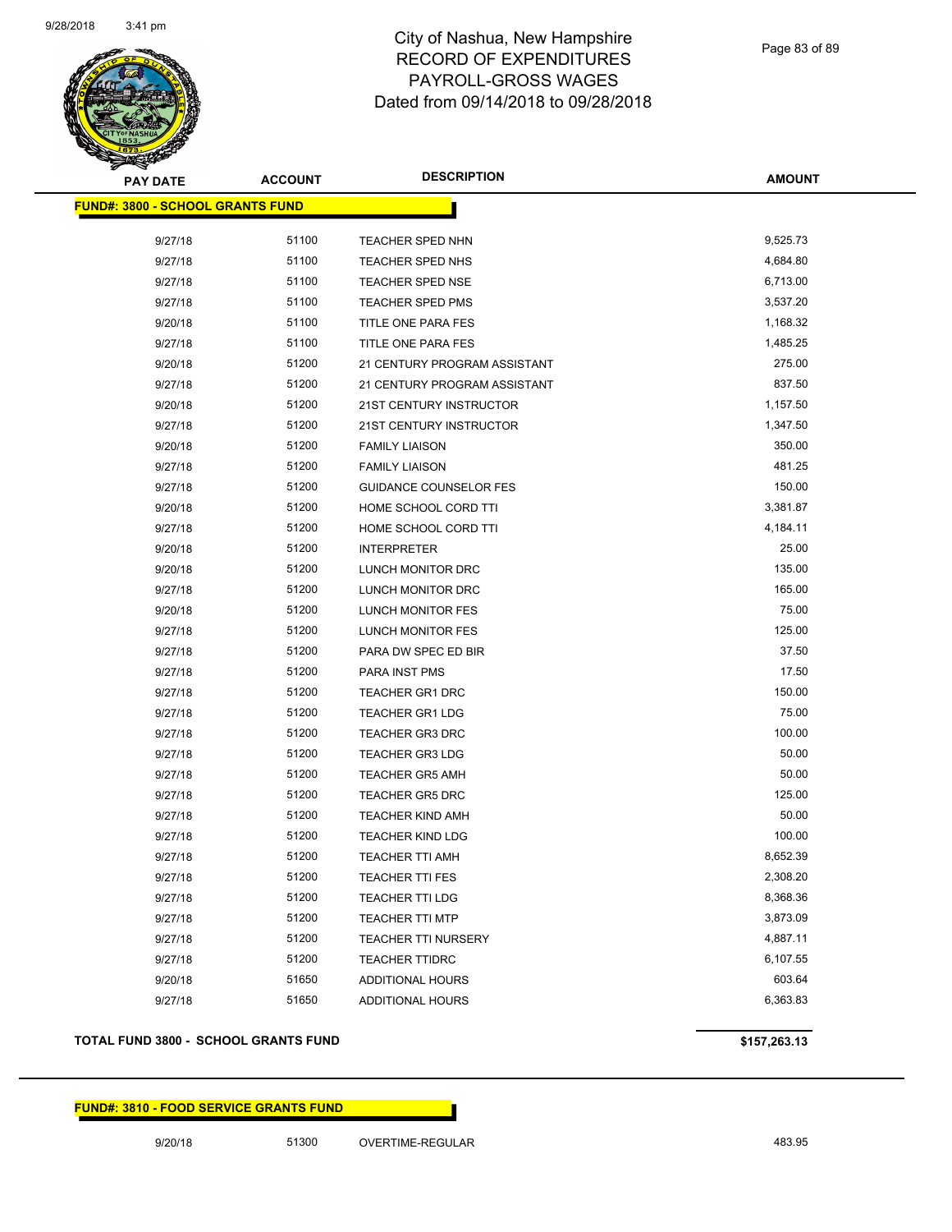

Page 83 of 89

| <b>PAY DATE</b>                         | <b>ACCOUNT</b> | <b>DESCRIPTION</b>            | <b>AMOUNT</b> |
|-----------------------------------------|----------------|-------------------------------|---------------|
| <b>FUND#: 3800 - SCHOOL GRANTS FUND</b> |                |                               |               |
| 9/27/18                                 | 51100          | TEACHER SPED NHN              | 9,525.73      |
| 9/27/18                                 | 51100          | TEACHER SPED NHS              | 4,684.80      |
| 9/27/18                                 | 51100          | TEACHER SPED NSE              | 6,713.00      |
| 9/27/18                                 | 51100          | TEACHER SPED PMS              | 3,537.20      |
| 9/20/18                                 | 51100          | TITLE ONE PARA FES            | 1,168.32      |
| 9/27/18                                 | 51100          | TITLE ONE PARA FES            | 1,485.25      |
| 9/20/18                                 | 51200          | 21 CENTURY PROGRAM ASSISTANT  | 275.00        |
| 9/27/18                                 | 51200          | 21 CENTURY PROGRAM ASSISTANT  | 837.50        |
| 9/20/18                                 | 51200          | 21ST CENTURY INSTRUCTOR       | 1,157.50      |
| 9/27/18                                 | 51200          | 21ST CENTURY INSTRUCTOR       | 1,347.50      |
| 9/20/18                                 | 51200          | <b>FAMILY LIAISON</b>         | 350.00        |
| 9/27/18                                 | 51200          | <b>FAMILY LIAISON</b>         | 481.25        |
| 9/27/18                                 | 51200          | <b>GUIDANCE COUNSELOR FES</b> | 150.00        |
| 9/20/18                                 | 51200          | HOME SCHOOL CORD TTI          | 3,381.87      |
| 9/27/18                                 | 51200          | HOME SCHOOL CORD TTI          | 4,184.11      |
| 9/20/18                                 | 51200          | <b>INTERPRETER</b>            | 25.00         |
| 9/20/18                                 | 51200          | LUNCH MONITOR DRC             | 135.00        |
| 9/27/18                                 | 51200          | LUNCH MONITOR DRC             | 165.00        |
| 9/20/18                                 | 51200          | <b>LUNCH MONITOR FES</b>      | 75.00         |
| 9/27/18                                 | 51200          | LUNCH MONITOR FES             | 125.00        |
| 9/27/18                                 | 51200          | PARA DW SPEC ED BIR           | 37.50         |
| 9/27/18                                 | 51200          | PARA INST PMS                 | 17.50         |
| 9/27/18                                 | 51200          | <b>TEACHER GR1 DRC</b>        | 150.00        |
| 9/27/18                                 | 51200          | <b>TEACHER GR1 LDG</b>        | 75.00         |
| 9/27/18                                 | 51200          | <b>TEACHER GR3 DRC</b>        | 100.00        |
| 9/27/18                                 | 51200          | <b>TEACHER GR3 LDG</b>        | 50.00         |
| 9/27/18                                 | 51200          | <b>TEACHER GR5 AMH</b>        | 50.00         |
| 9/27/18                                 | 51200          | <b>TEACHER GR5 DRC</b>        | 125.00        |
| 9/27/18                                 | 51200          | <b>TEACHER KIND AMH</b>       | 50.00         |
| 9/27/18                                 | 51200          | <b>TEACHER KIND LDG</b>       | 100.00        |
| 9/27/18                                 | 51200          | <b>TEACHER TTI AMH</b>        | 8,652.39      |
| 9/27/18                                 | 51200          | TEACHER TTI FES               | 2,308.20      |
| 9/27/18                                 | 51200          | TEACHER TTI LDG               | 8,368.36      |
| 9/27/18                                 | 51200          | <b>TEACHER TTI MTP</b>        | 3,873.09      |
| 9/27/18                                 | 51200          | TEACHER TTI NURSERY           | 4,887.11      |
| 9/27/18                                 | 51200          | <b>TEACHER TTIDRC</b>         | 6,107.55      |
| 9/20/18                                 | 51650          | ADDITIONAL HOURS              | 603.64        |
| 9/27/18                                 | 51650          | ADDITIONAL HOURS              | 6,363.83      |

## **TOTAL FUND 3800 - SCHOOL GRANTS FUND \$157,263.13**

## **FUND#: 3810 - FOOD SERVICE GRANTS FUND**

9/20/18 51300 OVERTIME-REGULAR 483.95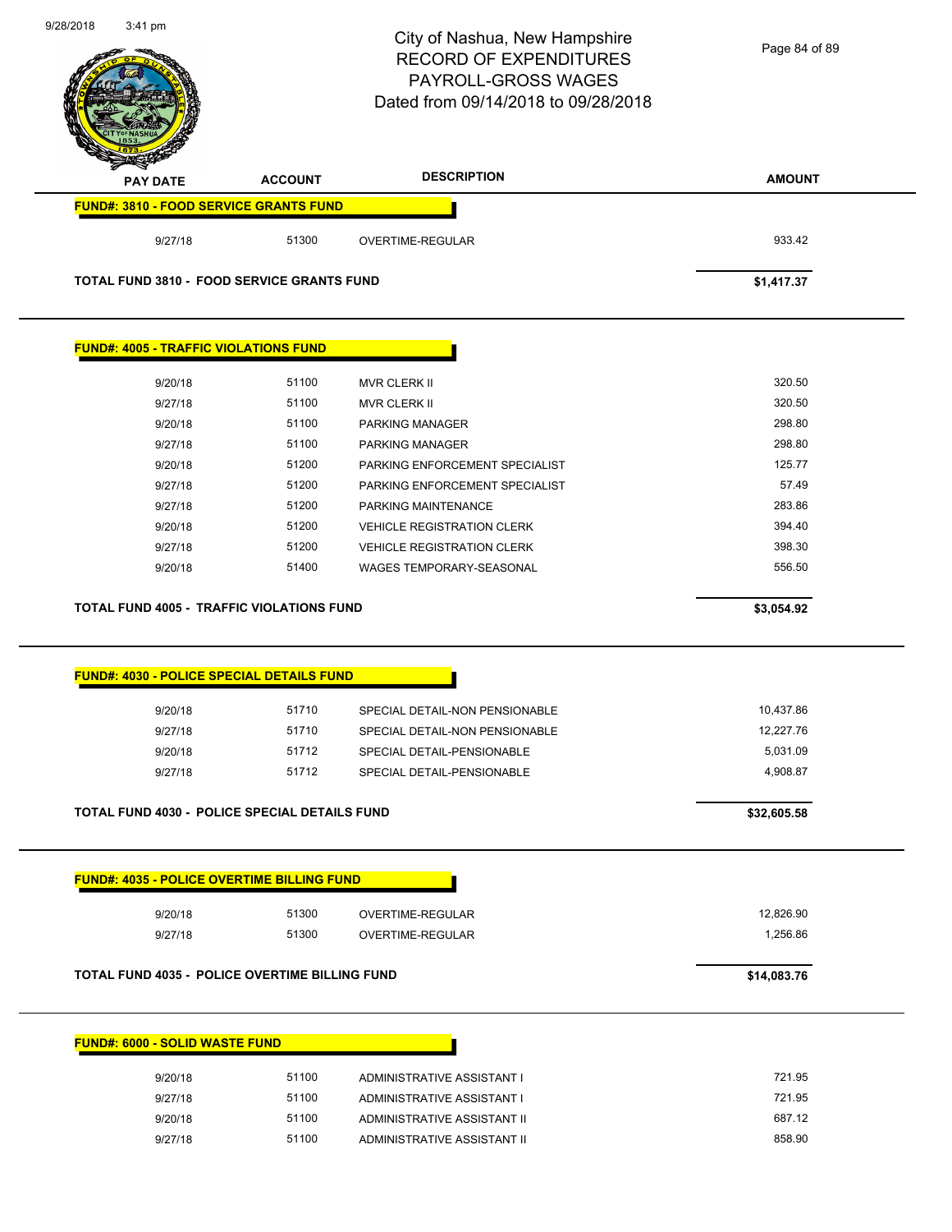|                                                                                        |                | City of Nashua, New Hampshire<br><b>RECORD OF EXPENDITURES</b><br>PAYROLL-GROSS WAGES<br>Dated from 09/14/2018 to 09/28/2018 | Page 84 of 89 |
|----------------------------------------------------------------------------------------|----------------|------------------------------------------------------------------------------------------------------------------------------|---------------|
| <b>PAY DATE</b>                                                                        | <b>ACCOUNT</b> | <b>DESCRIPTION</b>                                                                                                           | <b>AMOUNT</b> |
| <b>FUND#: 3810 - FOOD SERVICE GRANTS FUND</b>                                          |                |                                                                                                                              |               |
| 9/27/18                                                                                | 51300          | OVERTIME-REGULAR                                                                                                             | 933.42        |
| <b>TOTAL FUND 3810 - FOOD SERVICE GRANTS FUND</b>                                      |                |                                                                                                                              | \$1,417.37    |
| <b>FUND#: 4005 - TRAFFIC VIOLATIONS FUND</b>                                           |                |                                                                                                                              |               |
| 9/20/18                                                                                | 51100          | <b>MVR CLERK II</b>                                                                                                          | 320.50        |
| 9/27/18                                                                                | 51100          | <b>MVR CLERK II</b>                                                                                                          | 320.50        |
| 9/20/18                                                                                | 51100          | PARKING MANAGER                                                                                                              | 298.80        |
| 9/27/18                                                                                | 51100          | PARKING MANAGER                                                                                                              | 298.80        |
| 9/20/18                                                                                | 51200          | PARKING ENFORCEMENT SPECIALIST                                                                                               | 125.77        |
| 9/27/18                                                                                | 51200          | PARKING ENFORCEMENT SPECIALIST                                                                                               | 57.49         |
| 9/27/18                                                                                | 51200          | PARKING MAINTENANCE                                                                                                          | 283.86        |
| 9/20/18                                                                                | 51200          | <b>VEHICLE REGISTRATION CLERK</b>                                                                                            | 394.40        |
|                                                                                        | 51200          | <b>VEHICLE REGISTRATION CLERK</b>                                                                                            | 398.30        |
| 9/27/18<br>9/20/18                                                                     | 51400          | <b>WAGES TEMPORARY-SEASONAL</b>                                                                                              | 556.50        |
|                                                                                        |                |                                                                                                                              | \$3,054.92    |
| TOTAL FUND 4005 - TRAFFIC VIOLATIONS FUND<br>FUND#: 4030 - POLICE SPECIAL DETAILS FUND |                |                                                                                                                              |               |
| 9/20/18                                                                                | 51710          | SPECIAL DETAIL-NON PENSIONABLE                                                                                               | 10,437.86     |
| 9/27/18                                                                                | 51710          | SPECIAL DETAIL-NON PENSIONABLE                                                                                               | 12,227.76     |
| 9/20/18                                                                                | 51712          | SPECIAL DETAIL-PENSIONABLE                                                                                                   | 5,031.09      |
| 9/27/18                                                                                | 51712          | SPECIAL DETAIL-PENSIONABLE                                                                                                   | 4,908.87      |
| <b>TOTAL FUND 4030 - POLICE SPECIAL DETAILS FUND</b>                                   |                |                                                                                                                              | \$32,605.58   |
| <b>FUND#: 4035 - POLICE OVERTIME BILLING FUND</b>                                      |                |                                                                                                                              |               |
| 9/20/18                                                                                | 51300          | OVERTIME-REGULAR                                                                                                             | 12,826.90     |
| 9/27/18                                                                                | 51300          | OVERTIME-REGULAR                                                                                                             | 1,256.86      |
| TOTAL FUND 4035 - POLICE OVERTIME BILLING FUND                                         |                |                                                                                                                              | \$14,083.76   |
| <b>FUND#: 6000 - SOLID WASTE FUND</b>                                                  |                |                                                                                                                              |               |
|                                                                                        | 51100          |                                                                                                                              | 721.95        |
| 9/20/18<br>9/27/18                                                                     | 51100          | ADMINISTRATIVE ASSISTANT I<br>ADMINISTRATIVE ASSISTANT I                                                                     | 721.95        |
| 9/20/18                                                                                | 51100          | ADMINISTRATIVE ASSISTANT II                                                                                                  | 687.12        |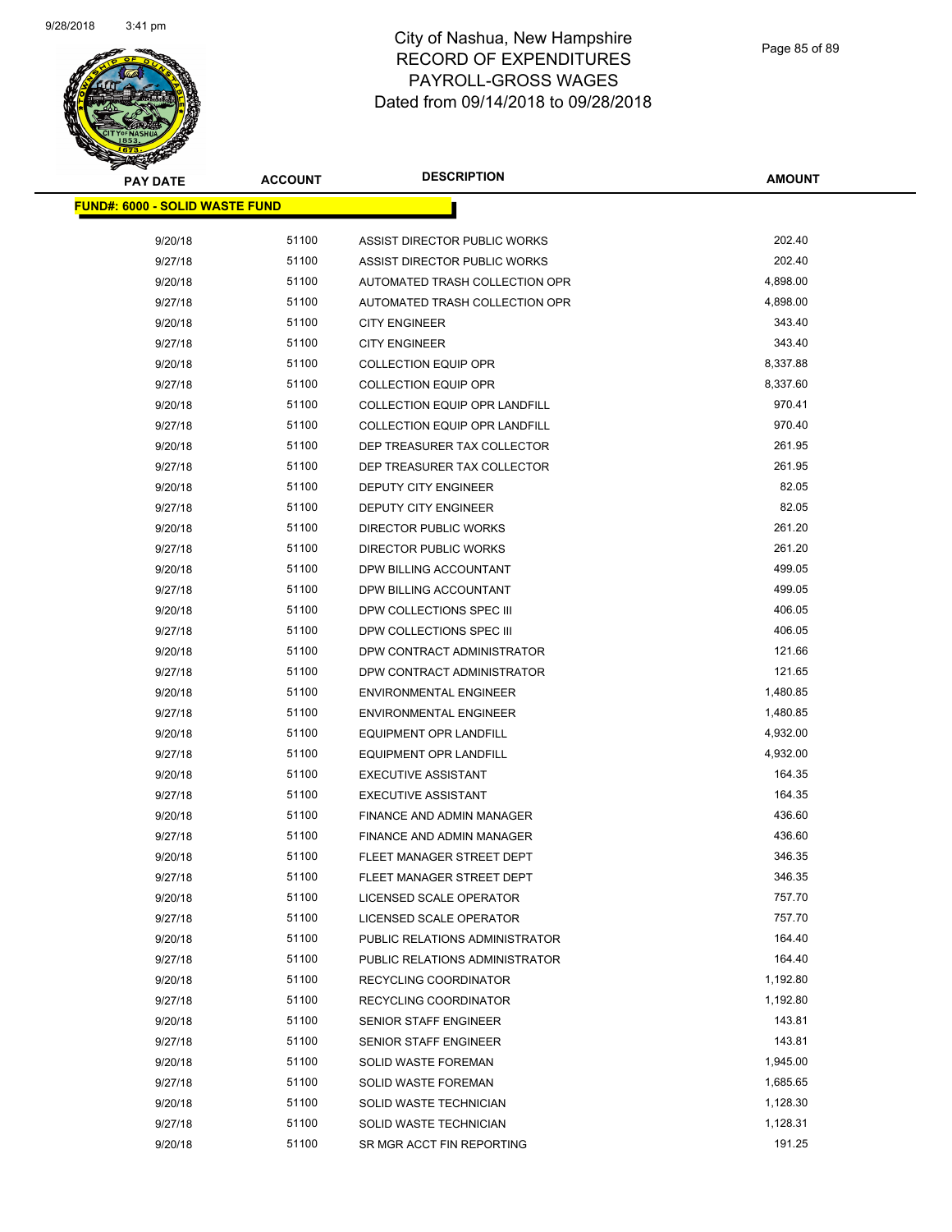

| <b>PAY DATE</b>                        | <b>ACCOUNT</b> | <b>DESCRIPTION</b>             | <b>AMOUNT</b> |
|----------------------------------------|----------------|--------------------------------|---------------|
| <u> FUND#: 6000 - SOLID WASTE FUND</u> |                |                                |               |
|                                        |                |                                |               |
| 9/20/18                                | 51100          | ASSIST DIRECTOR PUBLIC WORKS   | 202.40        |
| 9/27/18                                | 51100          | ASSIST DIRECTOR PUBLIC WORKS   | 202.40        |
| 9/20/18                                | 51100          | AUTOMATED TRASH COLLECTION OPR | 4,898.00      |
| 9/27/18                                | 51100          | AUTOMATED TRASH COLLECTION OPR | 4,898.00      |
| 9/20/18                                | 51100          | <b>CITY ENGINEER</b>           | 343.40        |
| 9/27/18                                | 51100          | <b>CITY ENGINEER</b>           | 343.40        |
| 9/20/18                                | 51100          | <b>COLLECTION EQUIP OPR</b>    | 8,337.88      |
| 9/27/18                                | 51100          | <b>COLLECTION EQUIP OPR</b>    | 8,337.60      |
| 9/20/18                                | 51100          | COLLECTION EQUIP OPR LANDFILL  | 970.41        |
| 9/27/18                                | 51100          | COLLECTION EQUIP OPR LANDFILL  | 970.40        |
| 9/20/18                                | 51100          | DEP TREASURER TAX COLLECTOR    | 261.95        |
| 9/27/18                                | 51100          | DEP TREASURER TAX COLLECTOR    | 261.95        |
| 9/20/18                                | 51100          | DEPUTY CITY ENGINEER           | 82.05         |
| 9/27/18                                | 51100          | <b>DEPUTY CITY ENGINEER</b>    | 82.05         |
| 9/20/18                                | 51100          | <b>DIRECTOR PUBLIC WORKS</b>   | 261.20        |
| 9/27/18                                | 51100          | <b>DIRECTOR PUBLIC WORKS</b>   | 261.20        |
| 9/20/18                                | 51100          | DPW BILLING ACCOUNTANT         | 499.05        |
| 9/27/18                                | 51100          | DPW BILLING ACCOUNTANT         | 499.05        |
| 9/20/18                                | 51100          | DPW COLLECTIONS SPEC III       | 406.05        |
| 9/27/18                                | 51100          | DPW COLLECTIONS SPEC III       | 406.05        |
| 9/20/18                                | 51100          | DPW CONTRACT ADMINISTRATOR     | 121.66        |
| 9/27/18                                | 51100          | DPW CONTRACT ADMINISTRATOR     | 121.65        |
| 9/20/18                                | 51100          | <b>ENVIRONMENTAL ENGINEER</b>  | 1,480.85      |
| 9/27/18                                | 51100          | <b>ENVIRONMENTAL ENGINEER</b>  | 1,480.85      |
| 9/20/18                                | 51100          | <b>EQUIPMENT OPR LANDFILL</b>  | 4,932.00      |
| 9/27/18                                | 51100          | <b>EQUIPMENT OPR LANDFILL</b>  | 4,932.00      |
| 9/20/18                                | 51100          | <b>EXECUTIVE ASSISTANT</b>     | 164.35        |
| 9/27/18                                | 51100          | <b>EXECUTIVE ASSISTANT</b>     | 164.35        |
| 9/20/18                                | 51100          | FINANCE AND ADMIN MANAGER      | 436.60        |
| 9/27/18                                | 51100          | FINANCE AND ADMIN MANAGER      | 436.60        |
| 9/20/18                                | 51100          | FLEET MANAGER STREET DEPT      | 346.35        |
| 9/27/18                                | 51100          | FLEET MANAGER STREET DEPT      | 346.35        |
| 9/20/18                                | 51100          | LICENSED SCALE OPERATOR        | 757.70        |
| 9/27/18                                | 51100          | LICENSED SCALE OPERATOR        | 757.70        |
| 9/20/18                                | 51100          | PUBLIC RELATIONS ADMINISTRATOR | 164.40        |
| 9/27/18                                | 51100          | PUBLIC RELATIONS ADMINISTRATOR | 164.40        |
| 9/20/18                                | 51100          | RECYCLING COORDINATOR          | 1,192.80      |
| 9/27/18                                | 51100          | RECYCLING COORDINATOR          | 1,192.80      |
| 9/20/18                                | 51100          | SENIOR STAFF ENGINEER          | 143.81        |
| 9/27/18                                | 51100          | SENIOR STAFF ENGINEER          | 143.81        |
| 9/20/18                                | 51100          | <b>SOLID WASTE FOREMAN</b>     | 1,945.00      |
| 9/27/18                                | 51100          | <b>SOLID WASTE FOREMAN</b>     | 1,685.65      |
| 9/20/18                                | 51100          | SOLID WASTE TECHNICIAN         | 1,128.30      |
| 9/27/18                                | 51100          | SOLID WASTE TECHNICIAN         | 1,128.31      |
| 9/20/18                                | 51100          | SR MGR ACCT FIN REPORTING      | 191.25        |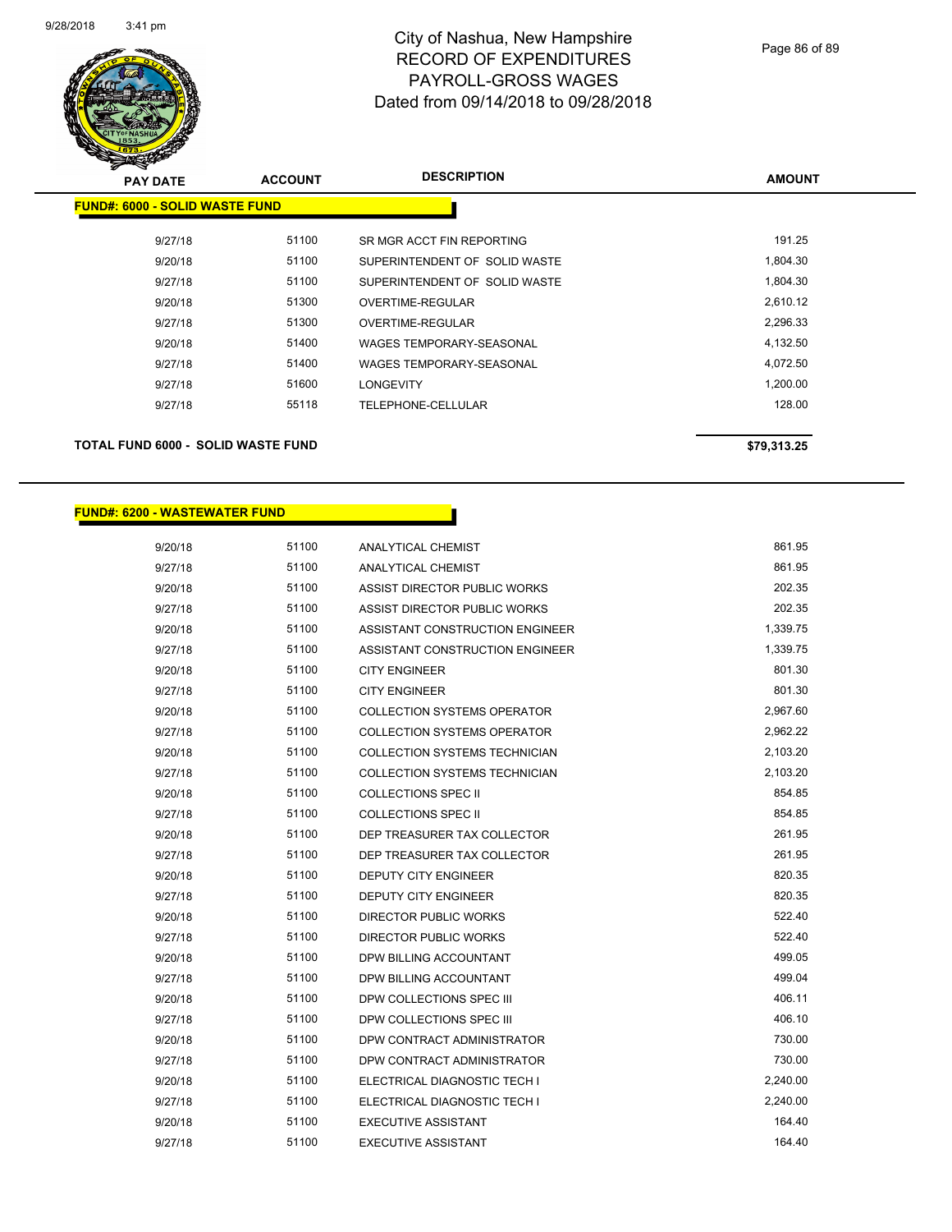

| <b>PAY DATE</b>                       | <b>ACCOUNT</b> | <b>DESCRIPTION</b>            | <b>AMOUNT</b> |  |
|---------------------------------------|----------------|-------------------------------|---------------|--|
| <b>FUND#: 6000 - SOLID WASTE FUND</b> |                |                               |               |  |
| 9/27/18                               | 51100          | SR MGR ACCT FIN REPORTING     | 191.25        |  |
| 9/20/18                               | 51100          | SUPERINTENDENT OF SOLID WASTE | 1,804.30      |  |
| 9/27/18                               | 51100          | SUPERINTENDENT OF SOLID WASTE | 1,804.30      |  |
| 9/20/18                               | 51300          | OVERTIME-REGULAR              | 2,610.12      |  |
| 9/27/18                               | 51300          | OVERTIME-REGULAR              | 2,296.33      |  |
| 9/20/18                               | 51400          | WAGES TEMPORARY-SEASONAL      | 4,132.50      |  |
| 9/27/18                               | 51400          | WAGES TEMPORARY-SEASONAL      | 4,072.50      |  |
| 9/27/18                               | 51600          | LONGEVITY                     | 1,200.00      |  |
| 9/27/18                               | 55118          | TELEPHONE-CELLULAR            | 128.00        |  |
|                                       |                |                               |               |  |
|                                       |                |                               |               |  |

## **TOTAL FUND 6000 - SOLID WASTE FUND \$79,313.25**

### **FUND#: 6200 - WASTEWATER FUND**

| 9/20/18 | 51100 | <b>ANALYTICAL CHEMIST</b>            | 861.95   |
|---------|-------|--------------------------------------|----------|
| 9/27/18 | 51100 | <b>ANALYTICAL CHEMIST</b>            | 861.95   |
| 9/20/18 | 51100 | ASSIST DIRECTOR PUBLIC WORKS         | 202.35   |
| 9/27/18 | 51100 | ASSIST DIRECTOR PUBLIC WORKS         | 202.35   |
| 9/20/18 | 51100 | ASSISTANT CONSTRUCTION ENGINEER      | 1,339.75 |
| 9/27/18 | 51100 | ASSISTANT CONSTRUCTION ENGINEER      | 1,339.75 |
| 9/20/18 | 51100 | <b>CITY ENGINEER</b>                 | 801.30   |
| 9/27/18 | 51100 | <b>CITY ENGINEER</b>                 | 801.30   |
| 9/20/18 | 51100 | <b>COLLECTION SYSTEMS OPERATOR</b>   | 2,967.60 |
| 9/27/18 | 51100 | <b>COLLECTION SYSTEMS OPERATOR</b>   | 2,962.22 |
| 9/20/18 | 51100 | <b>COLLECTION SYSTEMS TECHNICIAN</b> | 2,103.20 |
| 9/27/18 | 51100 | COLLECTION SYSTEMS TECHNICIAN        | 2,103.20 |
| 9/20/18 | 51100 | <b>COLLECTIONS SPEC II</b>           | 854.85   |
| 9/27/18 | 51100 | <b>COLLECTIONS SPEC II</b>           | 854.85   |
| 9/20/18 | 51100 | DEP TREASURER TAX COLLECTOR          | 261.95   |
| 9/27/18 | 51100 | DEP TREASURER TAX COLLECTOR          | 261.95   |
| 9/20/18 | 51100 | <b>DEPUTY CITY ENGINEER</b>          | 820.35   |
| 9/27/18 | 51100 | <b>DEPUTY CITY ENGINEER</b>          | 820.35   |
| 9/20/18 | 51100 | <b>DIRECTOR PUBLIC WORKS</b>         | 522.40   |
| 9/27/18 | 51100 | DIRECTOR PUBLIC WORKS                | 522.40   |
| 9/20/18 | 51100 | DPW BILLING ACCOUNTANT               | 499.05   |
| 9/27/18 | 51100 | DPW BILLING ACCOUNTANT               | 499.04   |
| 9/20/18 | 51100 | DPW COLLECTIONS SPEC III             | 406.11   |
| 9/27/18 | 51100 | DPW COLLECTIONS SPEC III             | 406.10   |
| 9/20/18 | 51100 | DPW CONTRACT ADMINISTRATOR           | 730.00   |
| 9/27/18 | 51100 | DPW CONTRACT ADMINISTRATOR           | 730.00   |
| 9/20/18 | 51100 | ELECTRICAL DIAGNOSTIC TECH I         | 2,240.00 |
| 9/27/18 | 51100 | ELECTRICAL DIAGNOSTIC TECH I         | 2,240.00 |
| 9/20/18 | 51100 | <b>EXECUTIVE ASSISTANT</b>           | 164.40   |
| 9/27/18 | 51100 | <b>EXECUTIVE ASSISTANT</b>           | 164.40   |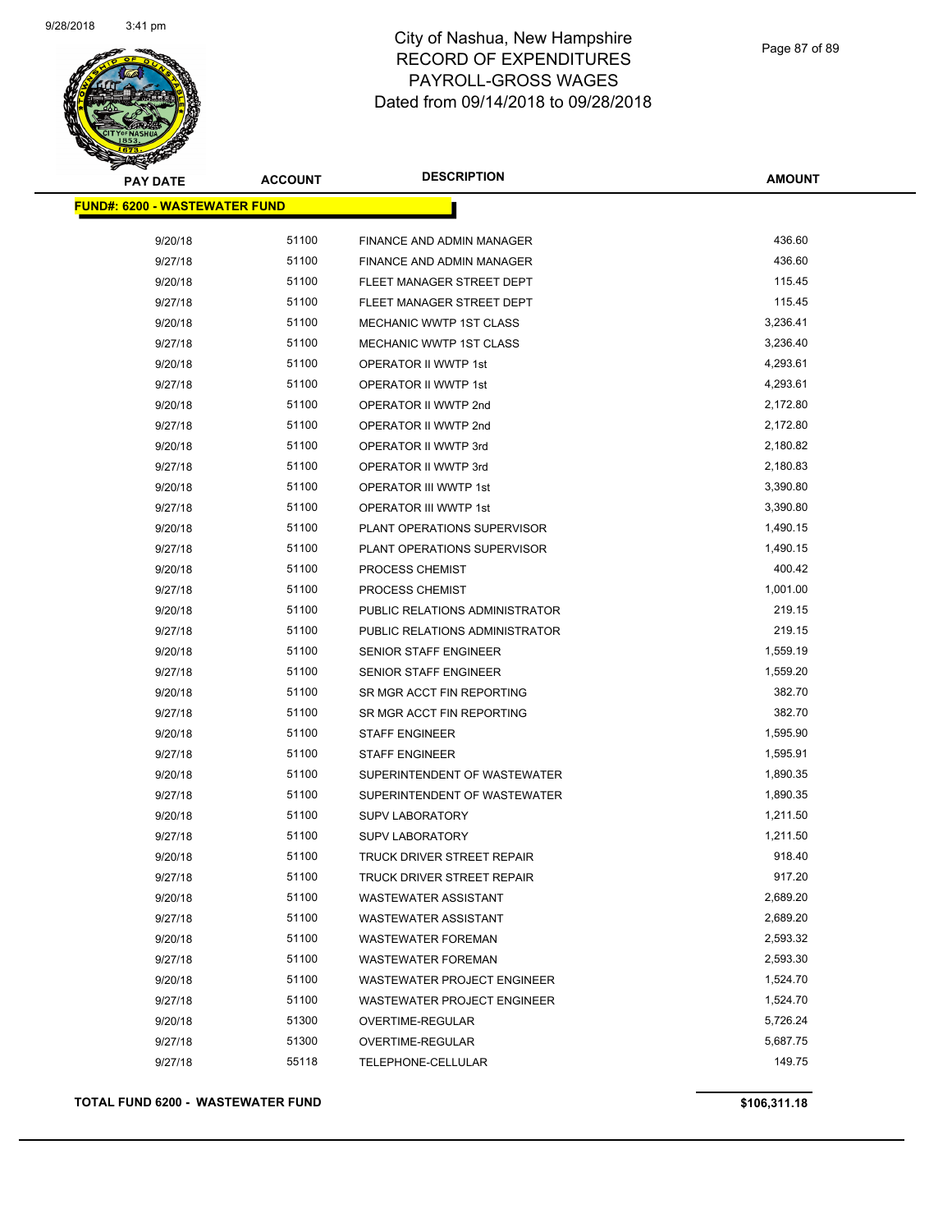

| <b>PAY DATE</b>                       | <b>ACCOUNT</b> | <b>DESCRIPTION</b>                 | <b>AMOUNT</b> |
|---------------------------------------|----------------|------------------------------------|---------------|
| <u> FUND#: 6200 - WASTEWATER FUND</u> |                |                                    |               |
| 9/20/18                               | 51100          | FINANCE AND ADMIN MANAGER          | 436.60        |
| 9/27/18                               | 51100          | FINANCE AND ADMIN MANAGER          | 436.60        |
| 9/20/18                               | 51100          | FLEET MANAGER STREET DEPT          | 115.45        |
| 9/27/18                               | 51100          | FLEET MANAGER STREET DEPT          | 115.45        |
| 9/20/18                               | 51100          | <b>MECHANIC WWTP 1ST CLASS</b>     | 3,236.41      |
| 9/27/18                               | 51100          | MECHANIC WWTP 1ST CLASS            | 3,236.40      |
| 9/20/18                               | 51100          | OPERATOR II WWTP 1st               | 4,293.61      |
| 9/27/18                               | 51100          | OPERATOR II WWTP 1st               | 4,293.61      |
| 9/20/18                               | 51100          | OPERATOR II WWTP 2nd               | 2,172.80      |
| 9/27/18                               | 51100          | OPERATOR II WWTP 2nd               | 2,172.80      |
| 9/20/18                               | 51100          | OPERATOR II WWTP 3rd               | 2,180.82      |
| 9/27/18                               | 51100          | OPERATOR II WWTP 3rd               | 2,180.83      |
| 9/20/18                               | 51100          | <b>OPERATOR III WWTP 1st</b>       | 3,390.80      |
| 9/27/18                               | 51100          | OPERATOR III WWTP 1st              | 3,390.80      |
| 9/20/18                               | 51100          | PLANT OPERATIONS SUPERVISOR        | 1,490.15      |
| 9/27/18                               | 51100          | PLANT OPERATIONS SUPERVISOR        | 1,490.15      |
| 9/20/18                               | 51100          | PROCESS CHEMIST                    | 400.42        |
| 9/27/18                               | 51100          | PROCESS CHEMIST                    | 1,001.00      |
| 9/20/18                               | 51100          | PUBLIC RELATIONS ADMINISTRATOR     | 219.15        |
| 9/27/18                               | 51100          | PUBLIC RELATIONS ADMINISTRATOR     | 219.15        |
| 9/20/18                               | 51100          | <b>SENIOR STAFF ENGINEER</b>       | 1,559.19      |
| 9/27/18                               | 51100          | <b>SENIOR STAFF ENGINEER</b>       | 1,559.20      |
| 9/20/18                               | 51100          | SR MGR ACCT FIN REPORTING          | 382.70        |
| 9/27/18                               | 51100          | SR MGR ACCT FIN REPORTING          | 382.70        |
| 9/20/18                               | 51100          | <b>STAFF ENGINEER</b>              | 1,595.90      |
| 9/27/18                               | 51100          | <b>STAFF ENGINEER</b>              | 1,595.91      |
| 9/20/18                               | 51100          | SUPERINTENDENT OF WASTEWATER       | 1,890.35      |
| 9/27/18                               | 51100          | SUPERINTENDENT OF WASTEWATER       | 1,890.35      |
| 9/20/18                               | 51100          | <b>SUPV LABORATORY</b>             | 1,211.50      |
| 9/27/18                               | 51100          | <b>SUPV LABORATORY</b>             | 1,211.50      |
| 9/20/18                               | 51100          | <b>TRUCK DRIVER STREET REPAIR</b>  | 918.40        |
| 9/27/18                               | 51100          | TRUCK DRIVER STREET REPAIR         | 917.20        |
| 9/20/18                               | 51100          | <b>WASTEWATER ASSISTANT</b>        | 2,689.20      |
| 9/27/18                               | 51100          | <b>WASTEWATER ASSISTANT</b>        | 2,689.20      |
| 9/20/18                               | 51100          | <b>WASTEWATER FOREMAN</b>          | 2,593.32      |
| 9/27/18                               | 51100          | <b>WASTEWATER FOREMAN</b>          | 2,593.30      |
| 9/20/18                               | 51100          | <b>WASTEWATER PROJECT ENGINEER</b> | 1,524.70      |
| 9/27/18                               | 51100          | <b>WASTEWATER PROJECT ENGINEER</b> | 1,524.70      |
| 9/20/18                               | 51300          | OVERTIME-REGULAR                   | 5,726.24      |
| 9/27/18                               | 51300          | OVERTIME-REGULAR                   | 5,687.75      |
| 9/27/18                               | 55118          | TELEPHONE-CELLULAR                 | 149.75        |

**TOTAL FUND 6200 - WASTEWATER FUND \$106,311.18**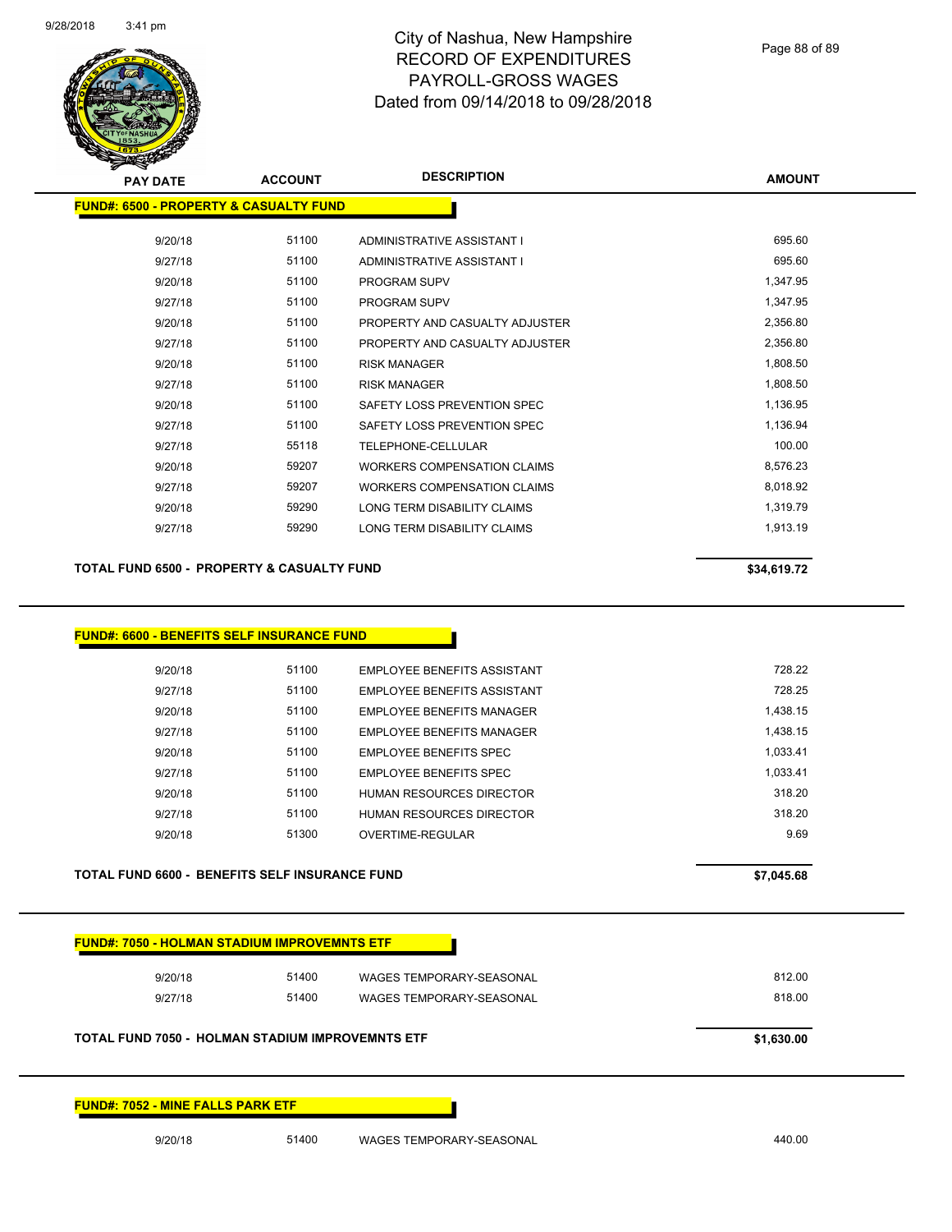

Page 88 of 89

| <b>PAY DATE</b>                                   | <b>ACCOUNT</b> | <b>DESCRIPTION</b>                 | <b>AMOUNT</b> |
|---------------------------------------------------|----------------|------------------------------------|---------------|
| <b>FUND#: 6500 - PROPERTY &amp; CASUALTY FUND</b> |                |                                    |               |
| 9/20/18                                           | 51100          | ADMINISTRATIVE ASSISTANT I         | 695.60        |
| 9/27/18                                           | 51100          | ADMINISTRATIVE ASSISTANT I         | 695.60        |
| 9/20/18                                           | 51100          | <b>PROGRAM SUPV</b>                | 1,347.95      |
| 9/27/18                                           | 51100          | PROGRAM SUPV                       | 1,347.95      |
| 9/20/18                                           | 51100          | PROPERTY AND CASUALTY ADJUSTER     | 2,356.80      |
| 9/27/18                                           | 51100          | PROPERTY AND CASUALTY ADJUSTER     | 2,356.80      |
| 9/20/18                                           | 51100          | <b>RISK MANAGER</b>                | 1,808.50      |
| 9/27/18                                           | 51100          | <b>RISK MANAGER</b>                | 1,808.50      |
| 9/20/18                                           | 51100          | SAFETY LOSS PREVENTION SPEC        | 1,136.95      |
| 9/27/18                                           | 51100          | SAFETY LOSS PREVENTION SPEC        | 1,136.94      |
| 9/27/18                                           | 55118          | <b>TELEPHONE-CELLULAR</b>          | 100.00        |
| 9/20/18                                           | 59207          | <b>WORKERS COMPENSATION CLAIMS</b> | 8,576.23      |
| 9/27/18                                           | 59207          | <b>WORKERS COMPENSATION CLAIMS</b> | 8,018.92      |
| 9/20/18                                           | 59290          | LONG TERM DISABILITY CLAIMS        | 1,319.79      |
| 9/27/18                                           | 59290          | LONG TERM DISABILITY CLAIMS        | 1,913.19      |
|                                                   |                |                                    |               |
| TOTAL FUND 6500 - PROPERTY & CASUALTY FUND        |                |                                    | \$34,619.72   |

| <b>FUND#: 6600 - BENEFITS SELF INSURANCE FUND</b> |       |                                    |          |
|---------------------------------------------------|-------|------------------------------------|----------|
| 9/20/18                                           | 51100 | EMPLOYEE BENEFITS ASSISTANT        | 728.22   |
| 9/27/18                                           | 51100 | <b>EMPLOYEE BENEFITS ASSISTANT</b> | 728.25   |
| 9/20/18                                           | 51100 | EMPLOYEE BENEFITS MANAGER          | 1.438.15 |
| 9/27/18                                           | 51100 | EMPLOYEE BENEFITS MANAGER          | 1,438.15 |
| 9/20/18                                           | 51100 | EMPLOYEE BENEFITS SPEC             | 1.033.41 |
| 9/27/18                                           | 51100 | EMPLOYEE BENEFITS SPEC             | 1,033.41 |
| 9/20/18                                           | 51100 | <b>HUMAN RESOURCES DIRECTOR</b>    | 318.20   |
| 9/27/18                                           | 51100 | <b>HUMAN RESOURCES DIRECTOR</b>    | 318.20   |
| 9/20/18                                           | 51300 | OVERTIME-REGULAR                   | 9.69     |

## **TOTAL FUND 6600 - BENEFITS SELF INSURANCE FUND \$7,045.68**

| 9/20/18 | 51400                                                   | <b>WAGES TEMPORARY-SEASONAL</b> | 812.00     |
|---------|---------------------------------------------------------|---------------------------------|------------|
| 9/27/18 | 51400                                                   | <b>WAGES TEMPORARY-SEASONAL</b> | 818.00     |
|         | <b>TOTAL FUND 7050 - HOLMAN STADIUM IMPROVEMNTS ETF</b> |                                 | \$1,630.00 |

**FUND#: 7052 - MINE FALLS PARK ETF**